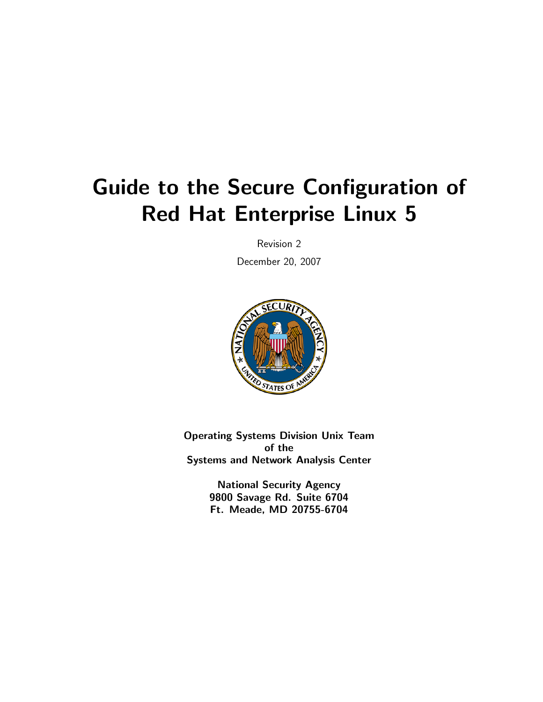# Guide to the Secure Configuration of Red Hat Enterprise Linux 5

Revision 2

December 20, 2007



Operating Systems Division Unix Team of the Systems and Network Analysis Center

> National Security Agency 9800 Savage Rd. Suite 6704 Ft. Meade, MD 20755-6704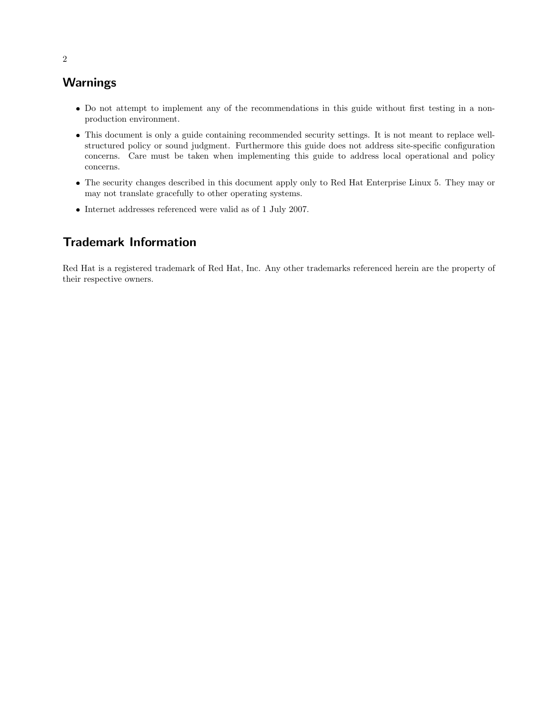# Warnings

- Do not attempt to implement any of the recommendations in this guide without first testing in a nonproduction environment.
- This document is only a guide containing recommended security settings. It is not meant to replace wellstructured policy or sound judgment. Furthermore this guide does not address site-specific configuration concerns. Care must be taken when implementing this guide to address local operational and policy concerns.
- The security changes described in this document apply only to Red Hat Enterprise Linux 5. They may or may not translate gracefully to other operating systems.
- Internet addresses referenced were valid as of 1 July 2007.

# Trademark Information

Red Hat is a registered trademark of Red Hat, Inc. Any other trademarks referenced herein are the property of their respective owners.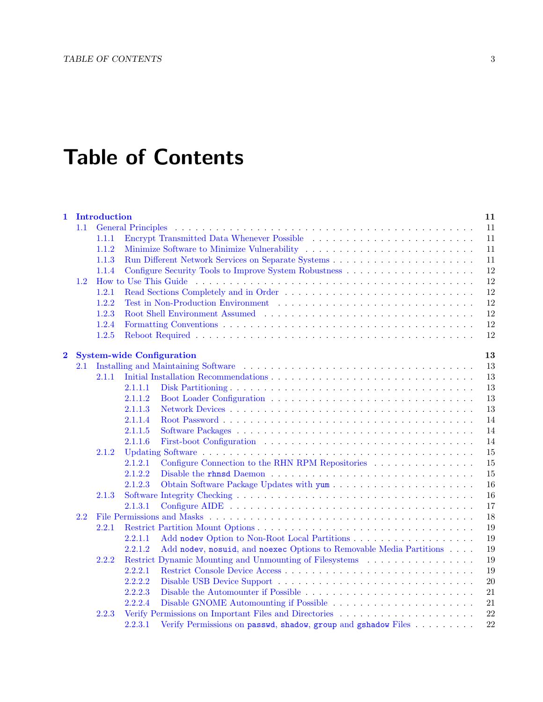# Table of Contents

| $\mathbf{1}$ |         | Introduction |                                                                                | 11 |
|--------------|---------|--------------|--------------------------------------------------------------------------------|----|
|              | 1.1     |              | <b>General Principles</b>                                                      | 11 |
|              |         | 1.1.1        |                                                                                | 11 |
|              |         | 1.1.2        |                                                                                | 11 |
|              |         | 1.1.3        |                                                                                | 11 |
|              |         | 1.1.4        |                                                                                | 12 |
|              | 1.2     |              |                                                                                | 12 |
|              |         | 1.2.1        |                                                                                | 12 |
|              |         | 1.2.2        |                                                                                | 12 |
|              |         | 1.2.3        |                                                                                | 12 |
|              |         | 1.2.4        |                                                                                | 12 |
|              |         | 1.2.5        |                                                                                | 12 |
|              |         |              |                                                                                |    |
| $\bf{2}$     |         |              | <b>System-wide Configuration</b>                                               | 13 |
|              | $2.1\,$ |              |                                                                                | 13 |
|              |         | 2.1.1        |                                                                                | 13 |
|              |         |              | 2.1.1.1                                                                        | 13 |
|              |         |              | 2.1.1.2                                                                        | 13 |
|              |         |              | 2.1.1.3                                                                        | 13 |
|              |         |              | 2.1.1.4                                                                        | 14 |
|              |         |              | 2.1.1.5                                                                        | 14 |
|              |         |              | 2.1.1.6                                                                        | 14 |
|              |         | 2.1.2        |                                                                                | 15 |
|              |         |              | 2.1.2.1                                                                        | 15 |
|              |         |              | 2.1.2.2                                                                        | 15 |
|              |         |              | 2.1.2.3                                                                        | 16 |
|              |         | 2.1.3        |                                                                                | 16 |
|              |         |              | 2.1.3.1                                                                        | 17 |
|              | 2.2     |              |                                                                                | 18 |
|              |         | 2.2.1        |                                                                                | 19 |
|              |         |              | 2.2.1.1                                                                        | 19 |
|              |         |              | 2.2.1.2<br>Add nodev, nosuid, and noexec Options to Removable Media Partitions | 19 |
|              |         | 2.2.2        | Restrict Dynamic Mounting and Unmounting of Filesystems                        | 19 |
|              |         |              | 2.2.2.1                                                                        | 19 |
|              |         |              | 2.2.2.2                                                                        | 20 |
|              |         |              | 2.2.2.3                                                                        | 21 |
|              |         |              | 2.2.2.4                                                                        | 21 |
|              |         | 2.2.3        |                                                                                | 22 |
|              |         |              | 2.2.3.1<br>Verify Permissions on passwd, shadow, group and gshadow Files       | 22 |
|              |         |              |                                                                                |    |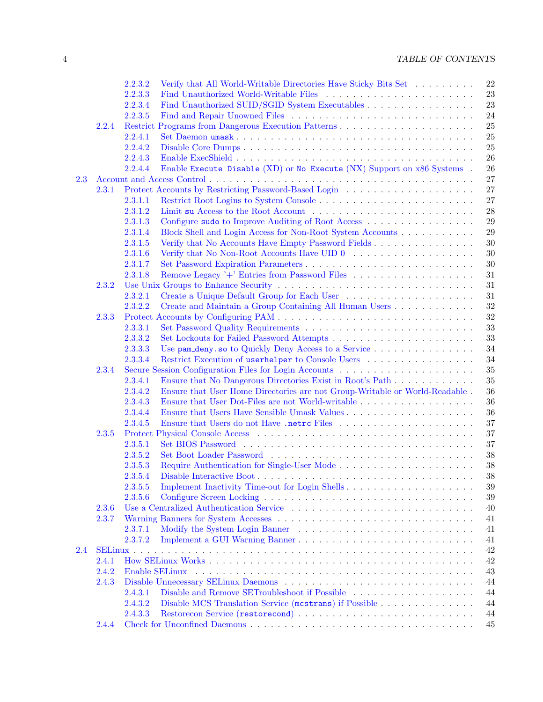|     |       | 2.2.3.2 | 22<br>Verify that All World-Writable Directories Have Sticky Bits Set             |  |  |  |
|-----|-------|---------|-----------------------------------------------------------------------------------|--|--|--|
|     |       | 2.2.3.3 | 23                                                                                |  |  |  |
|     |       | 2.2.3.4 | 23<br>Find Unauthorized SUID/SGID System Executables                              |  |  |  |
|     |       | 2.2.3.5 | 24                                                                                |  |  |  |
|     | 2.2.4 |         | 25                                                                                |  |  |  |
|     |       | 2.2.4.1 | 25                                                                                |  |  |  |
|     |       | 2.2.4.2 | 25                                                                                |  |  |  |
|     |       | 2.2.4.3 | 26                                                                                |  |  |  |
|     |       | 2.2.4.4 | 26<br>Enable Execute Disable (XD) or No Execute (NX) Support on x86 Systems.      |  |  |  |
| 2.3 |       |         | 27                                                                                |  |  |  |
|     | 2.3.1 |         | 27                                                                                |  |  |  |
|     |       | 2.3.1.1 | 27                                                                                |  |  |  |
|     |       | 2.3.1.2 | 28                                                                                |  |  |  |
|     |       | 2.3.1.3 | 29                                                                                |  |  |  |
|     |       | 2.3.1.4 | 29<br>Block Shell and Login Access for Non-Root System Accounts                   |  |  |  |
|     |       | 2.3.1.5 | 30<br>Verify that No Accounts Have Empty Password Fields                          |  |  |  |
|     |       | 2.3.1.6 | 30                                                                                |  |  |  |
|     |       | 2.3.1.7 | 30                                                                                |  |  |  |
|     |       | 2.3.1.8 | 31                                                                                |  |  |  |
|     | 2.3.2 |         | $31\,$                                                                            |  |  |  |
|     |       | 2.3.2.1 | 31                                                                                |  |  |  |
|     |       | 2.3.2.2 | Create and Maintain a Group Containing All Human Users<br>32                      |  |  |  |
|     | 2.3.3 |         | 32                                                                                |  |  |  |
|     |       | 2.3.3.1 | 33                                                                                |  |  |  |
|     |       | 2.3.3.2 | 33                                                                                |  |  |  |
|     |       | 2.3.3.3 | 34<br>Use pam_deny.so to Quickly Deny Access to a Service                         |  |  |  |
|     |       | 2.3.3.4 | 34<br>Restrict Execution of userhelper to Console Users                           |  |  |  |
|     | 2.3.4 |         | 35                                                                                |  |  |  |
|     |       | 2.3.4.1 | 35                                                                                |  |  |  |
|     |       | 2.3.4.2 | 36<br>Ensure that User Home Directories are not Group-Writable or World-Readable. |  |  |  |
|     |       | 2.3.4.3 | 36                                                                                |  |  |  |
|     |       | 2.3.4.4 | 36                                                                                |  |  |  |
|     |       | 2.3.4.5 | 37                                                                                |  |  |  |
|     | 2.3.5 |         | 37                                                                                |  |  |  |
|     |       | 2.3.5.1 | 37                                                                                |  |  |  |
|     |       |         | 38                                                                                |  |  |  |
|     |       | 2.3.5.2 | 38                                                                                |  |  |  |
|     |       | 2.3.5.3 | 38                                                                                |  |  |  |
|     |       | 2.3.5.4 |                                                                                   |  |  |  |
|     |       | 2.3.5.5 | 39                                                                                |  |  |  |
|     |       | 2.3.5.6 | 39                                                                                |  |  |  |
|     | 2.3.6 |         | 40                                                                                |  |  |  |
|     | 2.3.7 |         | 41                                                                                |  |  |  |
|     |       | 2.3.7.1 | 41                                                                                |  |  |  |
|     |       | 2.3.7.2 | 41<br>42                                                                          |  |  |  |
| 2.4 |       |         |                                                                                   |  |  |  |
|     | 2.4.1 |         | 42                                                                                |  |  |  |
|     | 2.4.2 |         | 43                                                                                |  |  |  |
|     | 2.4.3 |         | 44                                                                                |  |  |  |
|     |       | 2.4.3.1 | 44                                                                                |  |  |  |
|     |       | 2.4.3.2 | Disable MCS Translation Service (mcstrans) if Possible<br>44                      |  |  |  |
|     |       | 2.4.3.3 | 44                                                                                |  |  |  |
|     | 2.4.4 |         | 45                                                                                |  |  |  |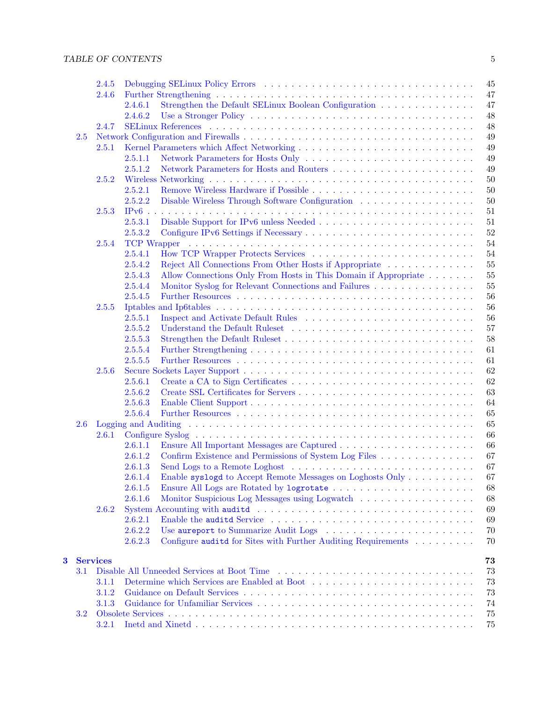|                         |         | 2.4.5           | 45                                                                                                                           |
|-------------------------|---------|-----------------|------------------------------------------------------------------------------------------------------------------------------|
|                         |         | 2.4.6           | 47                                                                                                                           |
|                         |         |                 | 47<br>2.4.6.1                                                                                                                |
|                         |         |                 | 48<br>2.4.6.2                                                                                                                |
|                         |         | 2.4.7           | 48                                                                                                                           |
|                         | 2.5     |                 | 49                                                                                                                           |
|                         |         | 2.5.1           | 49                                                                                                                           |
|                         |         |                 | 49<br>2.5.1.1                                                                                                                |
|                         |         |                 | 2.5.1.2<br>49                                                                                                                |
|                         |         | 2.5.2           | 50                                                                                                                           |
|                         |         |                 | 2.5.2.1<br>50                                                                                                                |
|                         |         |                 | Disable Wireless Through Software Configuration<br>$\hfill\ldots\ldots\ldots\ldots\ldots\ldots\ldots\ldots$<br>2.5.2.2<br>50 |
|                         |         | 2.5.3           | 51                                                                                                                           |
|                         |         |                 | 2.5.3.1<br>51                                                                                                                |
|                         |         |                 | 52<br>2.5.3.2                                                                                                                |
|                         |         | 2.5.4           | 54                                                                                                                           |
|                         |         |                 | 2.5.4.1<br>54                                                                                                                |
|                         |         |                 | 2.5.4.2<br>55                                                                                                                |
|                         |         |                 | 2.5.4.3<br>Allow Connections Only From Hosts in This Domain if Appropriate<br>$55\,$                                         |
|                         |         |                 | 2.5.4.4<br>Monitor Syslog for Relevant Connections and Failures<br>55                                                        |
|                         |         |                 | 2.5.4.5<br>56                                                                                                                |
|                         |         | 2.5.5           | 56                                                                                                                           |
|                         |         |                 | 2.5.5.1<br>56                                                                                                                |
|                         |         |                 | 2.5.5.2<br>$57\,$                                                                                                            |
|                         |         |                 | $58\,$<br>2.5.5.3                                                                                                            |
|                         |         |                 | 2.5.5.4<br>61                                                                                                                |
|                         |         |                 | 2.5.5.5<br>61                                                                                                                |
|                         |         | 2.5.6           | 62                                                                                                                           |
|                         |         |                 | 62<br>2.5.6.1                                                                                                                |
|                         |         |                 | 2.5.6.2<br>63                                                                                                                |
|                         |         |                 | 2.5.6.3<br>64                                                                                                                |
|                         |         |                 | 2.5.6.4<br>65                                                                                                                |
|                         | $2.6\,$ |                 | 65                                                                                                                           |
|                         |         | 2.6.1           | 66                                                                                                                           |
|                         |         |                 | 2.6.1.1<br>66                                                                                                                |
|                         |         |                 | 2.6.1.2<br>67                                                                                                                |
|                         |         |                 | 67<br>2.6.1.3                                                                                                                |
|                         |         |                 | 2.6.1.4<br>Enable syslogd to Accept Remote Messages on Loghosts Only<br>67                                                   |
|                         |         |                 | 2.6.1.5<br>68                                                                                                                |
|                         |         |                 | 2.6.1.6<br>68                                                                                                                |
|                         |         | 2.6.2           | System Accounting with auditd $\ldots \ldots \ldots \ldots \ldots \ldots \ldots \ldots \ldots \ldots$<br>69                  |
|                         |         |                 | 2.6.2.1<br>69                                                                                                                |
|                         |         |                 | 2.6.2.2<br>70                                                                                                                |
|                         |         |                 | 2.6.2.3<br>70                                                                                                                |
|                         |         |                 |                                                                                                                              |
| $\overline{\mathbf{3}}$ |         | <b>Services</b> | 73                                                                                                                           |
|                         | $3.1\,$ |                 | 73                                                                                                                           |
|                         |         | 3.1.1           | 73                                                                                                                           |
|                         |         | 3.1.2           | 73                                                                                                                           |
|                         |         | 3.1.3           | 74                                                                                                                           |
|                         | $3.2\,$ |                 | 75                                                                                                                           |
|                         |         | 3.2.1           | 75                                                                                                                           |
|                         |         |                 |                                                                                                                              |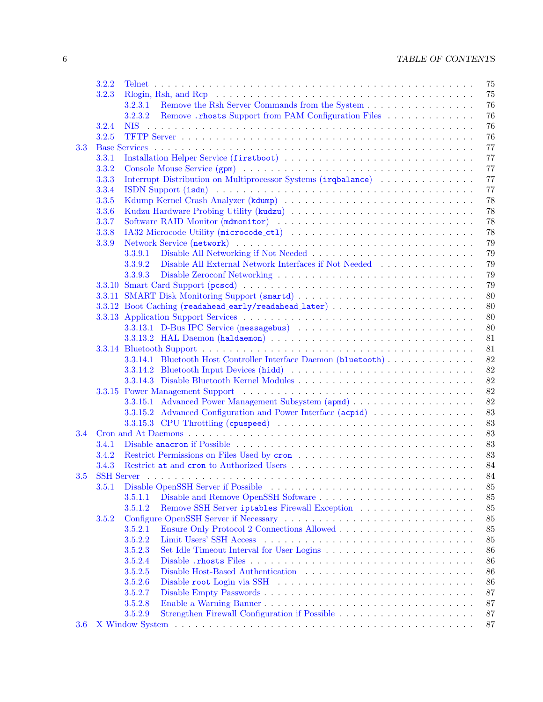|               | 3.2.2             | 75                                                                                                                                                                                                                                   |
|---------------|-------------------|--------------------------------------------------------------------------------------------------------------------------------------------------------------------------------------------------------------------------------------|
|               | 3.2.3             | 75<br>Rlogin, Rsh, and Rep $\dots \dots \dots \dots \dots \dots \dots \dots \dots \dots \dots \dots \dots \dots \dots \dots$                                                                                                         |
|               |                   | 76<br>3.2.3.1                                                                                                                                                                                                                        |
|               |                   | 76<br>3.2.3.2 Remove rhosts Support from PAM Configuration Files                                                                                                                                                                     |
|               | 3.2.4             | 76<br>NIS.                                                                                                                                                                                                                           |
|               | 3.2.5             | 76                                                                                                                                                                                                                                   |
| 3.3           |                   | 77                                                                                                                                                                                                                                   |
|               | 3.3.1             | 77                                                                                                                                                                                                                                   |
|               | 3.3.2             | 77                                                                                                                                                                                                                                   |
|               | 3.3.3             | 77<br>Interrupt Distribution on Multiprocessor Systems (irqbalance)                                                                                                                                                                  |
|               | 3.3.4             | 77                                                                                                                                                                                                                                   |
|               | 3.3.5             | 78                                                                                                                                                                                                                                   |
|               | 3.3.6             | 78                                                                                                                                                                                                                                   |
|               | 3.3.7             | 78                                                                                                                                                                                                                                   |
|               | 3.3.8             | 78                                                                                                                                                                                                                                   |
|               | 3.3.9             | 79                                                                                                                                                                                                                                   |
|               |                   | 79<br>3.3.9.1                                                                                                                                                                                                                        |
|               |                   | 79<br>Disable All External Network Interfaces if Not Needed<br>3.3.9.2                                                                                                                                                               |
|               |                   | 79<br>3.3.9.3                                                                                                                                                                                                                        |
|               |                   | 79                                                                                                                                                                                                                                   |
|               |                   | 80                                                                                                                                                                                                                                   |
|               |                   | 80                                                                                                                                                                                                                                   |
|               |                   | 80                                                                                                                                                                                                                                   |
|               |                   | 3.3.13.1 D-Bus IPC Service (messagebus)<br>80                                                                                                                                                                                        |
|               |                   | 81                                                                                                                                                                                                                                   |
|               |                   | 81                                                                                                                                                                                                                                   |
|               |                   |                                                                                                                                                                                                                                      |
|               |                   | 82<br>3.3.14.1 Bluetooth Host Controller Interface Daemon (bluetooth)                                                                                                                                                                |
|               |                   | 82                                                                                                                                                                                                                                   |
|               |                   | 82                                                                                                                                                                                                                                   |
|               |                   | 82<br>3.3.15 Power Management Support (a) and a series of the series of the series of the series of the series of the series of the series of the series of the series of the series of the series of the series of the series of th |
|               |                   | 82                                                                                                                                                                                                                                   |
|               |                   | 83<br>3.3.15.2 Advanced Configuration and Power Interface (acpid)                                                                                                                                                                    |
|               |                   | 83<br>3.3.15.3 CPU Throttling (cpuspeed) $\ldots \ldots \ldots \ldots \ldots \ldots \ldots \ldots \ldots \ldots \ldots$                                                                                                              |
| 3.4           |                   | 83                                                                                                                                                                                                                                   |
|               | 3.4.1             | 83                                                                                                                                                                                                                                   |
|               | 3.4.2             | 83                                                                                                                                                                                                                                   |
|               | 3.4.3             | 84                                                                                                                                                                                                                                   |
| 3.5           | <b>SSH Server</b> | 84<br><u>. Kanada kalendar kalendar kalendar kalendar kalendar kalendar kalendar kalendar kalendar kalendar kalendar k</u>                                                                                                           |
|               | 3.5.1             | 85                                                                                                                                                                                                                                   |
|               |                   | 85<br>3.5.1.1                                                                                                                                                                                                                        |
|               |                   | Remove SSH Server iptables Firewall Exception<br>85<br>3.5.1.2                                                                                                                                                                       |
|               | 3.5.2             | 85<br>Configure OpenSSH Server if Necessary                                                                                                                                                                                          |
|               |                   | 85<br>3.5.2.1                                                                                                                                                                                                                        |
|               |                   | 3.5.2.2<br>85<br>Limit Users' SSH Access                                                                                                                                                                                             |
|               |                   | 86<br>3.5.2.3                                                                                                                                                                                                                        |
|               |                   | 86<br>3.5.2.4                                                                                                                                                                                                                        |
|               |                   | 86<br>3.5.2.5                                                                                                                                                                                                                        |
|               |                   | 86<br>3.5.2.6                                                                                                                                                                                                                        |
|               |                   | 87<br>3.5.2.7                                                                                                                                                                                                                        |
|               |                   | 87<br>3.5.2.8                                                                                                                                                                                                                        |
|               |                   | Strengthen Firewall Configuration if Possible<br>3.5.2.9<br>87                                                                                                                                                                       |
| $3.6^{\circ}$ |                   | 87                                                                                                                                                                                                                                   |
|               |                   |                                                                                                                                                                                                                                      |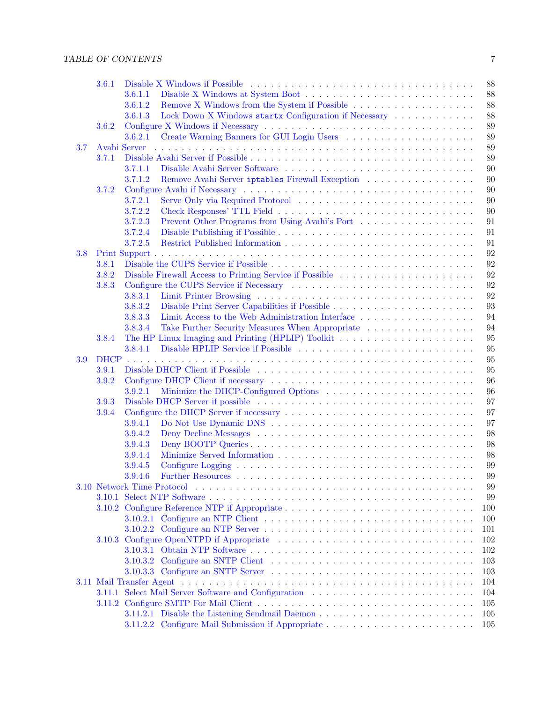|     | 3.6.1        | 88                                                                                                                    |
|-----|--------------|-----------------------------------------------------------------------------------------------------------------------|
|     |              | 88<br>3.6.1.1                                                                                                         |
|     |              | 88<br>3.6.1.2                                                                                                         |
|     |              | 88<br>Lock Down X Windows startx Configuration if Necessary<br>3.6.1.3                                                |
|     | 3.6.2        | 89                                                                                                                    |
|     |              | 89<br>3.6.2.1                                                                                                         |
| 3.7 | Avahi Server | 89<br>a di serie de la caractería de la caractería de la caractería de la caractería de la caractería de la caracterí |
|     | 3.7.1        | 89                                                                                                                    |
|     |              | 90<br>3.7.1.1                                                                                                         |
|     |              | 90<br>3.7.1.2<br>Remove Avahi Server iptables Firewall Exception                                                      |
|     | 3.7.2        | 90                                                                                                                    |
|     |              | 90<br>3.7.2.1                                                                                                         |
|     |              | 90<br>3.7.2.2                                                                                                         |
|     |              | 91<br>3.7.2.3                                                                                                         |
|     |              | 91<br>3.7.2.4                                                                                                         |
|     |              | 3.7.2.5<br>91                                                                                                         |
|     |              |                                                                                                                       |
| 3.8 |              | 92                                                                                                                    |
|     | 3.8.1        | 92                                                                                                                    |
|     | 3.8.2        | 92                                                                                                                    |
|     | 3.8.3        | 92                                                                                                                    |
|     |              | 92<br>3.8.3.1                                                                                                         |
|     |              | 93<br>3.8.3.2                                                                                                         |
|     |              | 94<br>3.8.3.3                                                                                                         |
|     |              | 94<br>3.8.3.4                                                                                                         |
|     | 3.8.4        | 95<br>The HP Linux Imaging and Printing (HPLIP) Toolkit $\dots \dots \dots \dots \dots \dots \dots \dots$             |
|     |              | Disable HPLIP Service if Possible<br>95<br>3.8.4.1                                                                    |
| 3.9 | <b>DHCP</b>  | 95                                                                                                                    |
|     | 3.9.1        | 95                                                                                                                    |
|     | 3.9.2        | 96                                                                                                                    |
|     |              | 96<br>3.9.2.1                                                                                                         |
|     | 3.9.3        | 97                                                                                                                    |
|     | 3.9.4        | 97                                                                                                                    |
|     |              | 97<br>3.9.4.1                                                                                                         |
|     |              | 98<br>3.9.4.2                                                                                                         |
|     |              | 98<br>3.9.4.3                                                                                                         |
|     |              | 98<br>3.9.4.4                                                                                                         |
|     |              | 99<br>3.9.4.5                                                                                                         |
|     |              | 99<br>3.9.4.6                                                                                                         |
|     |              |                                                                                                                       |
|     |              | 99<br>3.10 Network Time Protocol                                                                                      |
|     |              | 99                                                                                                                    |
|     |              | 100                                                                                                                   |
|     |              | 100                                                                                                                   |
|     |              | 101                                                                                                                   |
|     |              | 3.10.3 Configure OpenNTPD if Appropriate<br>102                                                                       |
|     |              | 102                                                                                                                   |
|     |              | 103                                                                                                                   |
|     |              | 103                                                                                                                   |
|     |              | 104                                                                                                                   |
|     |              | 104                                                                                                                   |
|     |              | 105                                                                                                                   |
|     |              | 105                                                                                                                   |
|     |              | 105                                                                                                                   |
|     |              |                                                                                                                       |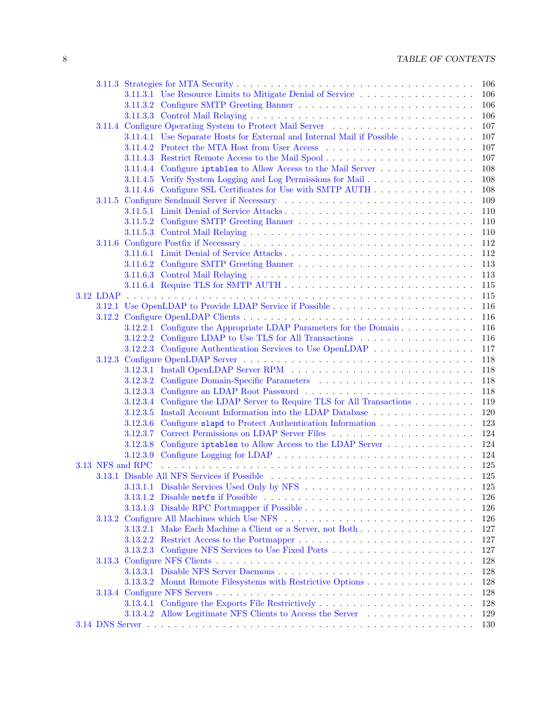|        |                                                                                                                   | 106 |
|--------|-------------------------------------------------------------------------------------------------------------------|-----|
|        | 3.11.3.1 Use Resource Limits to Mitigate Denial of Service                                                        | 106 |
|        |                                                                                                                   | 106 |
|        |                                                                                                                   | 106 |
|        |                                                                                                                   | 107 |
|        | 3.11.4.1 Use Separate Hosts for External and Internal Mail if Possible                                            | 107 |
|        |                                                                                                                   | 107 |
|        | 3.11.4.3 Restrict Remote Access to the Mail Spool                                                                 | 107 |
|        | 3.11.4.4 Configure iptables to Allow Access to the Mail Server                                                    | 108 |
|        | 3.11.4.5 Verify System Logging and Log Permissions for Mail                                                       | 108 |
|        | 3.11.4.6 Configure SSL Certificates for Use with SMTP AUTH                                                        | 108 |
| 3.11.5 |                                                                                                                   | 109 |
|        | 3.11.5.1 Limit Denial of Service Attacks                                                                          | 110 |
|        |                                                                                                                   | 110 |
|        |                                                                                                                   | 110 |
|        |                                                                                                                   | 112 |
|        | 3.11.6.1 Limit Denial of Service Attacks                                                                          | 112 |
|        |                                                                                                                   | 113 |
|        |                                                                                                                   | 113 |
|        |                                                                                                                   | 115 |
|        |                                                                                                                   | 115 |
|        |                                                                                                                   | 116 |
|        |                                                                                                                   | 116 |
|        | 3.12.2.1 Configure the Appropriate LDAP Parameters for the Domain                                                 | 116 |
|        | 3.12.2.2 Configure LDAP to Use TLS for All Transactions                                                           | 116 |
|        |                                                                                                                   | 117 |
| 3.12.3 |                                                                                                                   | 118 |
|        |                                                                                                                   | 118 |
|        |                                                                                                                   | 118 |
|        |                                                                                                                   | 118 |
|        | 3.12.3.4 Configure the LDAP Server to Require TLS for All Transactions                                            | 119 |
|        | 3.12.3.5 Install Account Information into the LDAP Database                                                       | 120 |
|        | Configure slapd to Protect Authentication Information<br>3.12.3.6                                                 | 123 |
|        | 3.12.3.7                                                                                                          | 124 |
|        | Configure iptables to Allow Access to the LDAP Server<br>3.12.3.8                                                 | 124 |
|        |                                                                                                                   | 124 |
|        |                                                                                                                   | 125 |
|        | 3.13.1 Disable All NFS Services if Possible                                                                       | 125 |
|        |                                                                                                                   | 125 |
|        | 3.13.1.2 Disable netfs if Possible $\ldots \ldots \ldots \ldots \ldots \ldots \ldots \ldots \ldots \ldots \ldots$ | 126 |
|        |                                                                                                                   | 126 |
|        |                                                                                                                   | 126 |
|        | 3.13.2.1 Make Each Machine a Client or a Server, not Both                                                         | 127 |
|        | 3.13.2.2 Restrict Access to the Portmapper                                                                        | 127 |
|        |                                                                                                                   | 127 |
|        |                                                                                                                   | 128 |
|        |                                                                                                                   | 128 |
|        | 3.13.3.2 Mount Remote Filesystems with Restrictive Options                                                        | 128 |
|        |                                                                                                                   | 128 |
|        |                                                                                                                   | 128 |
|        | 3.13.4.2 Allow Legitimate NFS Clients to Access the Server                                                        | 129 |
|        |                                                                                                                   | 130 |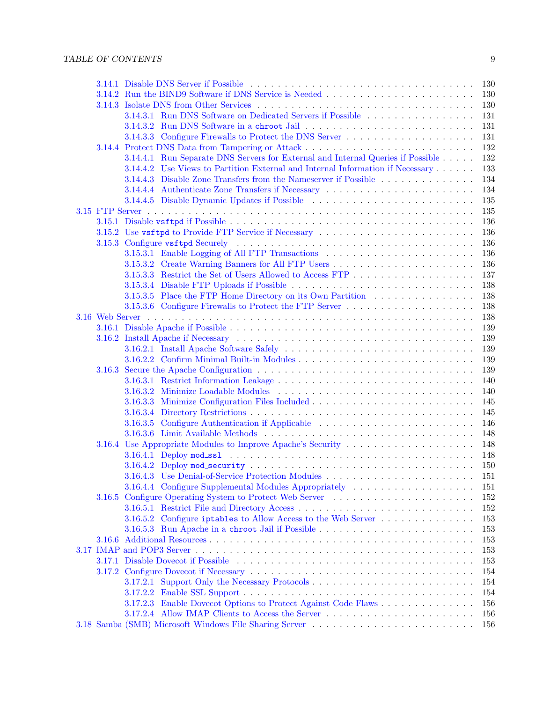| 130                                                                                            |
|------------------------------------------------------------------------------------------------|
| 130                                                                                            |
| 130                                                                                            |
| 3.14.3.1 Run DNS Software on Dedicated Servers if Possible<br>131                              |
| 131                                                                                            |
| 131                                                                                            |
| 132                                                                                            |
| 132<br>3.14.4.1 Run Separate DNS Servers for External and Internal Queries if Possible         |
| 133<br>3.14.4.2 Use Views to Partition External and Internal Information if Necessary          |
| 3.14.4.3 Disable Zone Transfers from the Nameserver if Possible<br>134                         |
| 134                                                                                            |
| 3.14.4.5 Disable Dynamic Updates if Possible<br>135                                            |
| 135                                                                                            |
| 136                                                                                            |
| 136                                                                                            |
| 136                                                                                            |
| 3.15.3.1 Enable Logging of All FTP Transactions<br>136                                         |
| 136                                                                                            |
| 137                                                                                            |
| 138                                                                                            |
| 3.15.3.5 Place the FTP Home Directory on its Own Partition<br>138                              |
| 138                                                                                            |
| 138                                                                                            |
| 139                                                                                            |
| 139                                                                                            |
| 3.16.2.1 Install Apache Software Safely<br>139                                                 |
| 139                                                                                            |
| 139                                                                                            |
| 140                                                                                            |
| 140                                                                                            |
| 145                                                                                            |
| 145                                                                                            |
| 3.16.3.5 Configure Authentication if Applicable<br>146                                         |
| 148                                                                                            |
| 3.16.4 Use Appropriate Modules to Improve Apache's Security<br>148                             |
| 148                                                                                            |
| 150                                                                                            |
| 3.16.4.3 Use Denial-of-Service Protection Modules<br>151                                       |
| 151                                                                                            |
| 3.16.5 Configure Operating System to Protect Web Server<br>152                                 |
| 152                                                                                            |
| 3.16.5.2 Configure iptables to Allow Access to the Web Server $\dots \dots \dots \dots$<br>153 |
| 153                                                                                            |
| 153                                                                                            |
| 153                                                                                            |
| 153                                                                                            |
| 154                                                                                            |
| 154                                                                                            |
| 154                                                                                            |
| 3.17.2.3 Enable Dovecot Options to Protect Against Code Flaws<br>156                           |
| 156                                                                                            |
| 3.18 Samba (SMB) Microsoft Windows File Sharing Server<br>156                                  |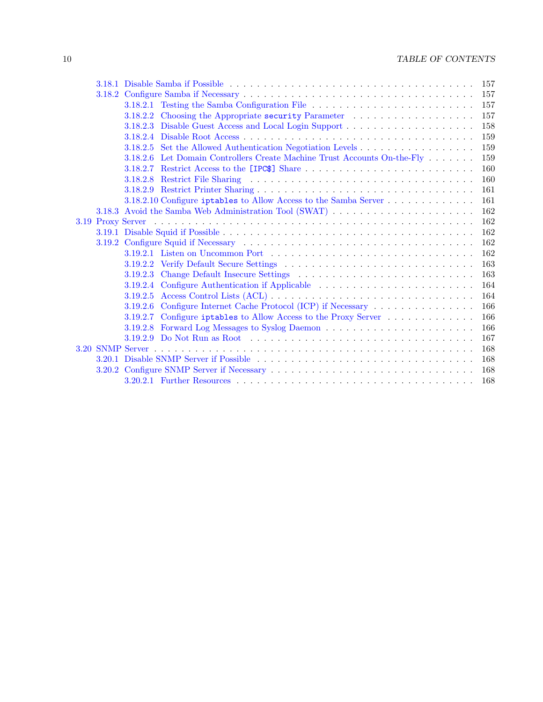| 157<br>3.18.2.1 Testing the Samba Configuration File<br>157<br>157<br>3.18.2.2 Choosing the Appropriate security Parameter<br>158<br>159<br>159<br>3.18.2.6 Let Domain Controllers Create Machine Trust Accounts On-the-Fly<br>159<br>160<br>160<br>161<br>3.18.2.10 Configure iptables to Allow Access to the Samba Server<br>161<br>162<br>162<br>162<br>162<br>$3.19.2.1$ Listen on Uncommon Port $\dots \dots \dots \dots \dots \dots \dots \dots \dots \dots \dots \dots$<br>162<br>163<br>163<br>3.19.2.4 Configure Authentication if Applicable<br>164<br>164<br>3.19.2.6 Configure Internet Cache Protocol (ICP) if Necessary<br>166<br>3.19.2.7 Configure iptables to Allow Access to the Proxy Server<br>166<br>166<br>167<br>168<br>168<br>3.20.1 Disable SNMP Server if Possible enterprised in the server in the server of the SNMP Server if Possible<br>168<br>168 |  |  |
|-----------------------------------------------------------------------------------------------------------------------------------------------------------------------------------------------------------------------------------------------------------------------------------------------------------------------------------------------------------------------------------------------------------------------------------------------------------------------------------------------------------------------------------------------------------------------------------------------------------------------------------------------------------------------------------------------------------------------------------------------------------------------------------------------------------------------------------------------------------------------------------|--|--|
|                                                                                                                                                                                                                                                                                                                                                                                                                                                                                                                                                                                                                                                                                                                                                                                                                                                                                   |  |  |
|                                                                                                                                                                                                                                                                                                                                                                                                                                                                                                                                                                                                                                                                                                                                                                                                                                                                                   |  |  |
|                                                                                                                                                                                                                                                                                                                                                                                                                                                                                                                                                                                                                                                                                                                                                                                                                                                                                   |  |  |
|                                                                                                                                                                                                                                                                                                                                                                                                                                                                                                                                                                                                                                                                                                                                                                                                                                                                                   |  |  |
|                                                                                                                                                                                                                                                                                                                                                                                                                                                                                                                                                                                                                                                                                                                                                                                                                                                                                   |  |  |
|                                                                                                                                                                                                                                                                                                                                                                                                                                                                                                                                                                                                                                                                                                                                                                                                                                                                                   |  |  |
|                                                                                                                                                                                                                                                                                                                                                                                                                                                                                                                                                                                                                                                                                                                                                                                                                                                                                   |  |  |
|                                                                                                                                                                                                                                                                                                                                                                                                                                                                                                                                                                                                                                                                                                                                                                                                                                                                                   |  |  |
|                                                                                                                                                                                                                                                                                                                                                                                                                                                                                                                                                                                                                                                                                                                                                                                                                                                                                   |  |  |
|                                                                                                                                                                                                                                                                                                                                                                                                                                                                                                                                                                                                                                                                                                                                                                                                                                                                                   |  |  |
|                                                                                                                                                                                                                                                                                                                                                                                                                                                                                                                                                                                                                                                                                                                                                                                                                                                                                   |  |  |
|                                                                                                                                                                                                                                                                                                                                                                                                                                                                                                                                                                                                                                                                                                                                                                                                                                                                                   |  |  |
|                                                                                                                                                                                                                                                                                                                                                                                                                                                                                                                                                                                                                                                                                                                                                                                                                                                                                   |  |  |
|                                                                                                                                                                                                                                                                                                                                                                                                                                                                                                                                                                                                                                                                                                                                                                                                                                                                                   |  |  |
|                                                                                                                                                                                                                                                                                                                                                                                                                                                                                                                                                                                                                                                                                                                                                                                                                                                                                   |  |  |
|                                                                                                                                                                                                                                                                                                                                                                                                                                                                                                                                                                                                                                                                                                                                                                                                                                                                                   |  |  |
|                                                                                                                                                                                                                                                                                                                                                                                                                                                                                                                                                                                                                                                                                                                                                                                                                                                                                   |  |  |
|                                                                                                                                                                                                                                                                                                                                                                                                                                                                                                                                                                                                                                                                                                                                                                                                                                                                                   |  |  |
|                                                                                                                                                                                                                                                                                                                                                                                                                                                                                                                                                                                                                                                                                                                                                                                                                                                                                   |  |  |
|                                                                                                                                                                                                                                                                                                                                                                                                                                                                                                                                                                                                                                                                                                                                                                                                                                                                                   |  |  |
|                                                                                                                                                                                                                                                                                                                                                                                                                                                                                                                                                                                                                                                                                                                                                                                                                                                                                   |  |  |
|                                                                                                                                                                                                                                                                                                                                                                                                                                                                                                                                                                                                                                                                                                                                                                                                                                                                                   |  |  |
|                                                                                                                                                                                                                                                                                                                                                                                                                                                                                                                                                                                                                                                                                                                                                                                                                                                                                   |  |  |
|                                                                                                                                                                                                                                                                                                                                                                                                                                                                                                                                                                                                                                                                                                                                                                                                                                                                                   |  |  |
|                                                                                                                                                                                                                                                                                                                                                                                                                                                                                                                                                                                                                                                                                                                                                                                                                                                                                   |  |  |
|                                                                                                                                                                                                                                                                                                                                                                                                                                                                                                                                                                                                                                                                                                                                                                                                                                                                                   |  |  |
|                                                                                                                                                                                                                                                                                                                                                                                                                                                                                                                                                                                                                                                                                                                                                                                                                                                                                   |  |  |
|                                                                                                                                                                                                                                                                                                                                                                                                                                                                                                                                                                                                                                                                                                                                                                                                                                                                                   |  |  |
|                                                                                                                                                                                                                                                                                                                                                                                                                                                                                                                                                                                                                                                                                                                                                                                                                                                                                   |  |  |
|                                                                                                                                                                                                                                                                                                                                                                                                                                                                                                                                                                                                                                                                                                                                                                                                                                                                                   |  |  |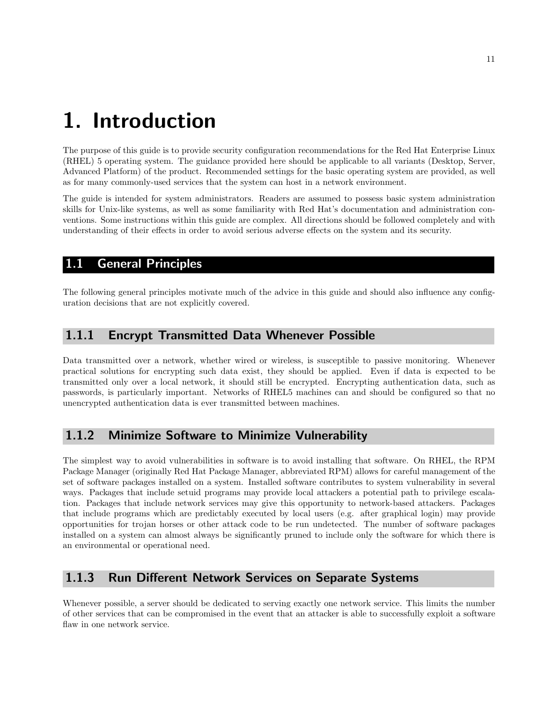# <span id="page-10-0"></span>1. Introduction

The purpose of this guide is to provide security configuration recommendations for the Red Hat Enterprise Linux (RHEL) 5 operating system. The guidance provided here should be applicable to all variants (Desktop, Server, Advanced Platform) of the product. Recommended settings for the basic operating system are provided, as well as for many commonly-used services that the system can host in a network environment.

The guide is intended for system administrators. Readers are assumed to possess basic system administration skills for Unix-like systems, as well as some familiarity with Red Hat's documentation and administration conventions. Some instructions within this guide are complex. All directions should be followed completely and with understanding of their effects in order to avoid serious adverse effects on the system and its security.

#### <span id="page-10-1"></span>**General Principles**

The following general principles motivate much of the advice in this guide and should also influence any configuration decisions that are not explicitly covered.

# <span id="page-10-2"></span>1.1.1 Encrypt Transmitted Data Whenever Possible

Data transmitted over a network, whether wired or wireless, is susceptible to passive monitoring. Whenever practical solutions for encrypting such data exist, they should be applied. Even if data is expected to be transmitted only over a local network, it should still be encrypted. Encrypting authentication data, such as passwords, is particularly important. Networks of RHEL5 machines can and should be configured so that no unencrypted authentication data is ever transmitted between machines.

# <span id="page-10-3"></span>1.1.2 Minimize Software to Minimize Vulnerability

The simplest way to avoid vulnerabilities in software is to avoid installing that software. On RHEL, the RPM Package Manager (originally Red Hat Package Manager, abbreviated RPM) allows for careful management of the set of software packages installed on a system. Installed software contributes to system vulnerability in several ways. Packages that include setuid programs may provide local attackers a potential path to privilege escalation. Packages that include network services may give this opportunity to network-based attackers. Packages that include programs which are predictably executed by local users (e.g. after graphical login) may provide opportunities for trojan horses or other attack code to be run undetected. The number of software packages installed on a system can almost always be significantly pruned to include only the software for which there is an environmental or operational need.

# <span id="page-10-4"></span>1.1.3 Run Different Network Services on Separate Systems

Whenever possible, a server should be dedicated to serving exactly one network service. This limits the number of other services that can be compromised in the event that an attacker is able to successfully exploit a software flaw in one network service.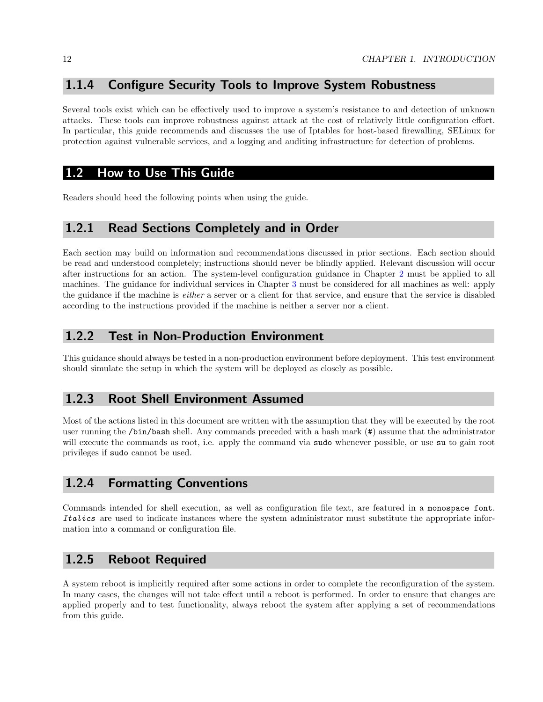# <span id="page-11-0"></span>1.1.4 Configure Security Tools to Improve System Robustness

Several tools exist which can be effectively used to improve a system's resistance to and detection of unknown attacks. These tools can improve robustness against attack at the cost of relatively little configuration effort. In particular, this guide recommends and discusses the use of Iptables for host-based firewalling, SELinux for protection against vulnerable services, and a logging and auditing infrastructure for detection of problems.

#### <span id="page-11-1"></span>**How to Use This Guide**

Readers should heed the following points when using the guide.

# <span id="page-11-2"></span>1.2.1 Read Sections Completely and in Order

Each section may build on information and recommendations discussed in prior sections. Each section should be read and understood completely; instructions should never be blindly applied. Relevant discussion will occur after instructions for an action. The system-level configuration guidance in Chapter [2](#page-12-0) must be applied to all machines. The guidance for individual services in Chapter [3](#page-72-0) must be considered for all machines as well: apply the guidance if the machine is either a server or a client for that service, and ensure that the service is disabled according to the instructions provided if the machine is neither a server nor a client.

# <span id="page-11-3"></span>1.2.2 Test in Non-Production Environment

This guidance should always be tested in a non-production environment before deployment. This test environment should simulate the setup in which the system will be deployed as closely as possible.

# <span id="page-11-4"></span>1.2.3 Root Shell Environment Assumed

Most of the actions listed in this document are written with the assumption that they will be executed by the root user running the /bin/bash shell. Any commands preceded with a hash mark (#) assume that the administrator will execute the commands as root, i.e. apply the command via sudo whenever possible, or use su to gain root privileges if sudo cannot be used.

#### <span id="page-11-5"></span>1.2.4 Formatting Conventions

Commands intended for shell execution, as well as configuration file text, are featured in a monospace font. Italics are used to indicate instances where the system administrator must substitute the appropriate information into a command or configuration file.

# <span id="page-11-6"></span>1.2.5 Reboot Required

A system reboot is implicitly required after some actions in order to complete the reconfiguration of the system. In many cases, the changes will not take effect until a reboot is performed. In order to ensure that changes are applied properly and to test functionality, always reboot the system after applying a set of recommendations from this guide.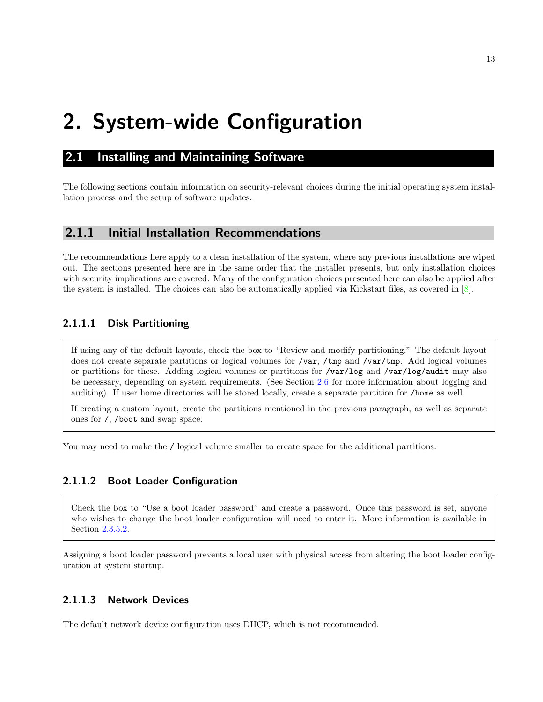# <span id="page-12-0"></span>2. System-wide Configuration

# <span id="page-12-1"></span>2.1 Installing and Maintaining Software

The following sections contain information on security-relevant choices during the initial operating system installation process and the setup of software updates.

# <span id="page-12-2"></span>2.1.1 Initial Installation Recommendations

The recommendations here apply to a clean installation of the system, where any previous installations are wiped out. The sections presented here are in the same order that the installer presents, but only installation choices with security implications are covered. Many of the configuration choices presented here can also be applied after the system is installed. The choices can also be automatically applied via Kickstart files, as covered in [\[8\]](#page-168-0).

#### <span id="page-12-3"></span>2.1.1.1 Disk Partitioning

If using any of the default layouts, check the box to "Review and modify partitioning." The default layout does not create separate partitions or logical volumes for /var, /tmp and /var/tmp. Add logical volumes or partitions for these. Adding logical volumes or partitions for /var/log and /var/log/audit may also be necessary, depending on system requirements. (See Section [2.6](#page-64-1) for more information about logging and auditing). If user home directories will be stored locally, create a separate partition for /home as well.

If creating a custom layout, create the partitions mentioned in the previous paragraph, as well as separate ones for /, /boot and swap space.

You may need to make the / logical volume smaller to create space for the additional partitions.

#### <span id="page-12-4"></span>2.1.1.2 Boot Loader Configuration

Check the box to "Use a boot loader password" and create a password. Once this password is set, anyone who wishes to change the boot loader configuration will need to enter it. More information is available in Section [2.3.5.2.](#page-37-0)

Assigning a boot loader password prevents a local user with physical access from altering the boot loader configuration at system startup.

#### <span id="page-12-5"></span>2.1.1.3 Network Devices

The default network device configuration uses DHCP, which is not recommended.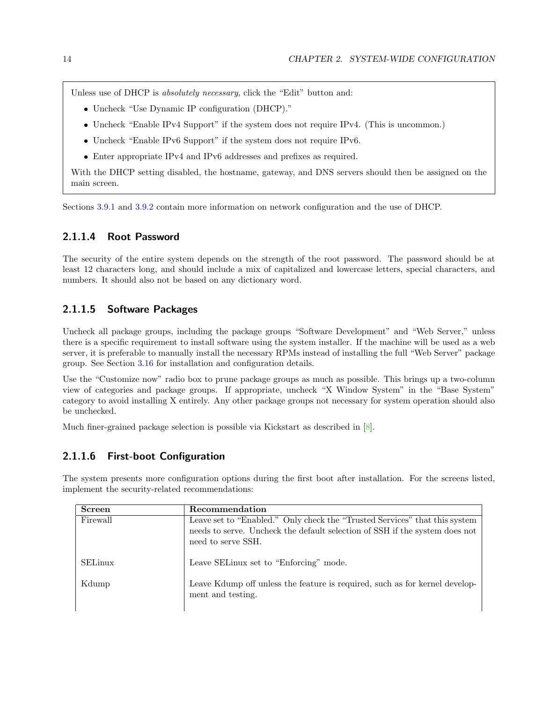Unless use of DHCP is absolutely necessary, click the "Edit" button and:

- Uncheck "Use Dynamic IP configuration (DHCP)."
- Uncheck "Enable IPv4 Support" if the system does not require IPv4. (This is uncommon.)
- Uncheck "Enable IPv6 Support" if the system does not require IPv6.
- Enter appropriate IPv4 and IPv6 addresses and prefixes as required.

With the DHCP setting disabled, the hostname, gateway, and DNS servers should then be assigned on the main screen.

Sections [3.9.1](#page-94-3) and [3.9.2](#page-95-0) contain more information on network configuration and the use of DHCP.

#### <span id="page-13-0"></span>2.1.1.4 Root Password

The security of the entire system depends on the strength of the root password. The password should be at least 12 characters long, and should include a mix of capitalized and lowercase letters, special characters, and numbers. It should also not be based on any dictionary word.

#### <span id="page-13-1"></span>2.1.1.5 Software Packages

Uncheck all package groups, including the package groups "Software Development" and "Web Server," unless there is a specific requirement to install software using the system installer. If the machine will be used as a web server, it is preferable to manually install the necessary RPMs instead of installing the full "Web Server" package group. See Section [3.16](#page-137-3) for installation and configuration details.

Use the "Customize now" radio box to prune package groups as much as possible. This brings up a two-column view of categories and package groups. If appropriate, uncheck "X Window System" in the "Base System" category to avoid installing X entirely. Any other package groups not necessary for system operation should also be unchecked.

Much finer-grained package selection is possible via Kickstart as described in [\[8\]](#page-168-0).

#### <span id="page-13-2"></span>2.1.1.6 First-boot Configuration

The system presents more configuration options during the first boot after installation. For the screens listed, implement the security-related recommendations:

| <b>Screen</b>  | Recommendation                                                                                                                                                                  |
|----------------|---------------------------------------------------------------------------------------------------------------------------------------------------------------------------------|
| Firewall       | Leave set to "Enabled." Only check the "Trusted Services" that this system<br>needs to serve. Uncheck the default selection of SSH if the system does not<br>need to serve SSH. |
| <b>SELinux</b> | Leave SELinux set to "Enforcing" mode.                                                                                                                                          |
| Kdump          | Leave Kdump off unless the feature is required, such as for kernel develop-<br>ment and testing.                                                                                |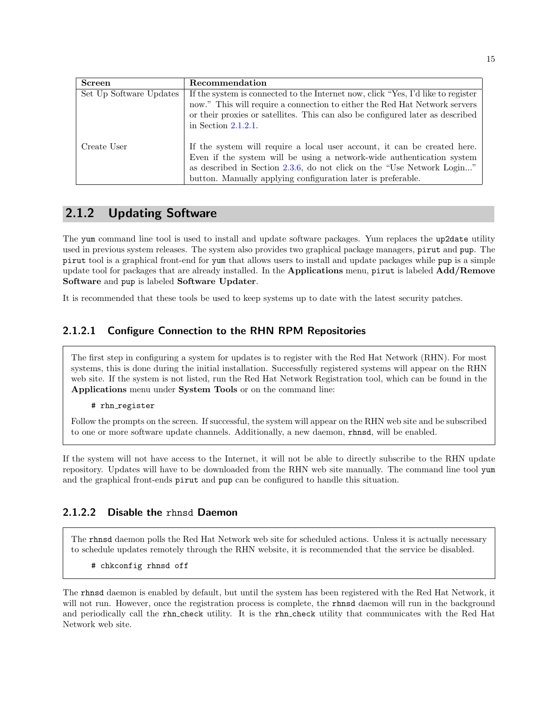| <b>Screen</b>           | Recommendation                                                                   |
|-------------------------|----------------------------------------------------------------------------------|
| Set Up Software Updates | If the system is connected to the Internet now, click "Yes, I'd like to register |
|                         | now." This will require a connection to either the Red Hat Network servers       |
|                         | or their proxies or satellities. This can also be configured later as described  |
|                         | in Section $2.1.2.1$ .                                                           |
|                         |                                                                                  |
| Create User             | If the system will require a local user account, it can be created here.         |
|                         | Even if the system will be using a network-wide authentication system            |
|                         | as described in Section 2.3.6, do not click on the "Use Network Login"           |
|                         | button. Manually applying configuration later is preferable.                     |

# <span id="page-14-0"></span>2.1.2 Updating Software

The yum command line tool is used to install and update software packages. Yum replaces the up2date utility used in previous system releases. The system also provides two graphical package managers, pirut and pup. The pirut tool is a graphical front-end for yum that allows users to install and update packages while pup is a simple update tool for packages that are already installed. In the **Applications** menu, pirut is labeled **Add/Remove** Software and pup is labeled Software Updater.

It is recommended that these tools be used to keep systems up to date with the latest security patches.

# <span id="page-14-1"></span>2.1.2.1 Configure Connection to the RHN RPM Repositories

The first step in configuring a system for updates is to register with the Red Hat Network (RHN). For most systems, this is done during the initial installation. Successfully registered systems will appear on the RHN web site. If the system is not listed, run the Red Hat Network Registration tool, which can be found in the Applications menu under System Tools or on the command line:

# rhn\_register

Follow the prompts on the screen. If successful, the system will appear on the RHN web site and be subscribed to one or more software update channels. Additionally, a new daemon, rhnsd, will be enabled.

If the system will not have access to the Internet, it will not be able to directly subscribe to the RHN update repository. Updates will have to be downloaded from the RHN web site manually. The command line tool yum and the graphical front-ends pirut and pup can be configured to handle this situation.

#### <span id="page-14-2"></span>2.1.2.2 Disable the rhnsd Daemon

The rhnsd daemon polls the Red Hat Network web site for scheduled actions. Unless it is actually necessary to schedule updates remotely through the RHN website, it is recommended that the service be disabled.

# chkconfig rhnsd off

The rhnsd daemon is enabled by default, but until the system has been registered with the Red Hat Network, it will not run. However, once the registration process is complete, the rhnsd daemon will run in the background and periodically call the rhn check utility. It is the rhn check utility that communicates with the Red Hat Network web site.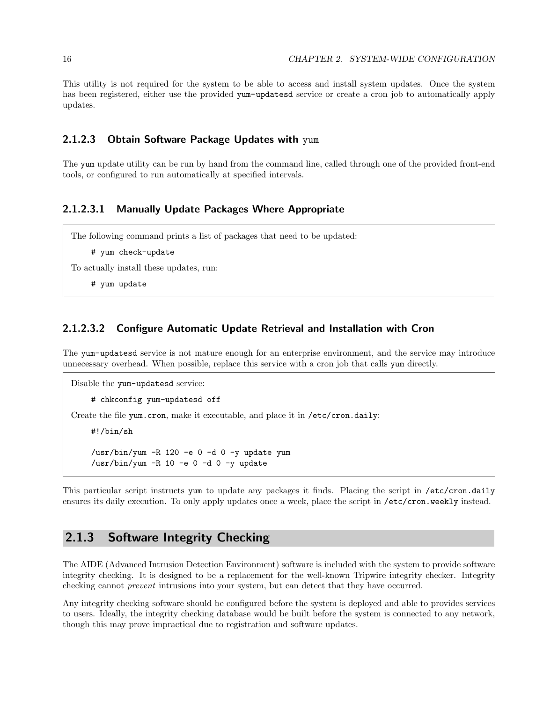This utility is not required for the system to be able to access and install system updates. Once the system has been registered, either use the provided yum-updatesd service or create a cron job to automatically apply updates.

#### <span id="page-15-0"></span>2.1.2.3 Obtain Software Package Updates with yum

The yum update utility can be run by hand from the command line, called through one of the provided front-end tools, or configured to run automatically at specified intervals.

#### 2.1.2.3.1 Manually Update Packages Where Appropriate

The following command prints a list of packages that need to be updated:

# yum check-update

To actually install these updates, run:

# yum update

#### 2.1.2.3.2 Configure Automatic Update Retrieval and Installation with Cron

The yum-updatesd service is not mature enough for an enterprise environment, and the service may introduce unnecessary overhead. When possible, replace this service with a cron job that calls yum directly.

Disable the yum-updatesd service: # chkconfig yum-updatesd off Create the file yum.cron, make it executable, and place it in /etc/cron.daily: #!/bin/sh /usr/bin/yum -R 120 -e 0 -d 0 -y update yum /usr/bin/yum -R 10 -e 0 -d 0 -y update

This particular script instructs yum to update any packages it finds. Placing the script in /etc/cron.daily ensures its daily execution. To only apply updates once a week, place the script in /etc/cron.weekly instead.

# <span id="page-15-1"></span>2.1.3 Software Integrity Checking

The AIDE (Advanced Intrusion Detection Environment) software is included with the system to provide software integrity checking. It is designed to be a replacement for the well-known Tripwire integrity checker. Integrity checking cannot prevent intrusions into your system, but can detect that they have occurred.

Any integrity checking software should be configured before the system is deployed and able to provides services to users. Ideally, the integrity checking database would be built before the system is connected to any network, though this may prove impractical due to registration and software updates.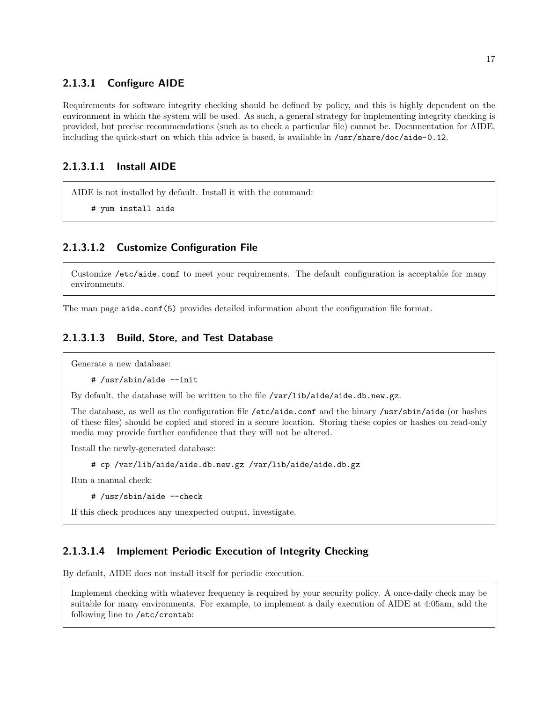# <span id="page-16-0"></span>2.1.3.1 Configure AIDE

Requirements for software integrity checking should be defined by policy, and this is highly dependent on the environment in which the system will be used. As such, a general strategy for implementing integrity checking is provided, but precise recommendations (such as to check a particular file) cannot be. Documentation for AIDE, including the quick-start on which this advice is based, is available in  $/\text{usr/share}/doc/aide-0.12$ .

# 2.1.3.1.1 Install AIDE

AIDE is not installed by default. Install it with the command:

```
# yum install aide
```
# 2.1.3.1.2 Customize Configuration File

Customize /etc/aide.conf to meet your requirements. The default configuration is acceptable for many environments.

The man page aide.conf(5) provides detailed information about the configuration file format.

# <span id="page-16-1"></span>2.1.3.1.3 Build, Store, and Test Database

Generate a new database:

# /usr/sbin/aide --init

By default, the database will be written to the file /var/lib/aide/aide.db.new.gz.

The database, as well as the configuration file /etc/aide.conf and the binary /usr/sbin/aide (or hashes of these files) should be copied and stored in a secure location. Storing these copies or hashes on read-only media may provide further confidence that they will not be altered.

Install the newly-generated database:

# cp /var/lib/aide/aide.db.new.gz /var/lib/aide/aide.db.gz

Run a manual check:

# /usr/sbin/aide --check

If this check produces any unexpected output, investigate.

#### 2.1.3.1.4 Implement Periodic Execution of Integrity Checking

By default, AIDE does not install itself for periodic execution.

Implement checking with whatever frequency is required by your security policy. A once-daily check may be suitable for many environments. For example, to implement a daily execution of AIDE at 4:05am, add the following line to /etc/crontab: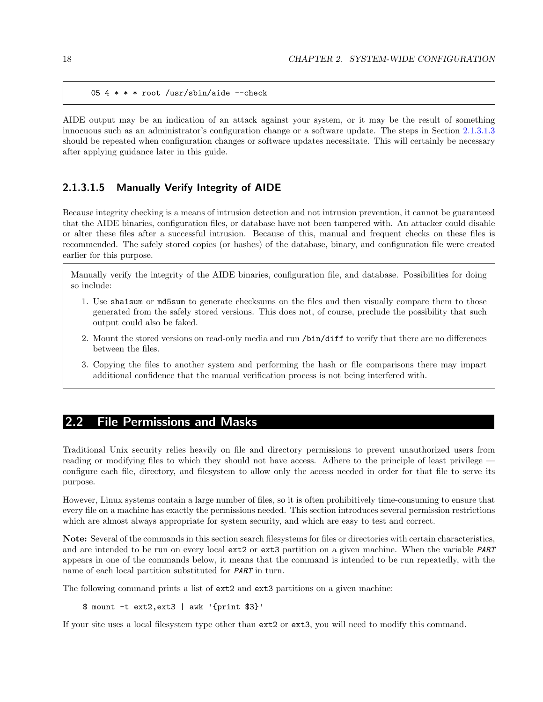05 4  $*$  \* root /usr/sbin/aide --check

AIDE output may be an indication of an attack against your system, or it may be the result of something innocuous such as an administrator's configuration change or a software update. The steps in Section [2.1.3.1.3](#page-16-1) should be repeated when configuration changes or software updates necessitate. This will certainly be necessary after applying guidance later in this guide.

#### 2.1.3.1.5 Manually Verify Integrity of AIDE

Because integrity checking is a means of intrusion detection and not intrusion prevention, it cannot be guaranteed that the AIDE binaries, configuration files, or database have not been tampered with. An attacker could disable or alter these files after a successful intrusion. Because of this, manual and frequent checks on these files is recommended. The safely stored copies (or hashes) of the database, binary, and configuration file were created earlier for this purpose.

Manually verify the integrity of the AIDE binaries, configuration file, and database. Possibilities for doing so include:

- 1. Use sha1sum or md5sum to generate checksums on the files and then visually compare them to those generated from the safely stored versions. This does not, of course, preclude the possibility that such output could also be faked.
- 2. Mount the stored versions on read-only media and run /bin/diff to verify that there are no differences between the files.
- 3. Copying the files to another system and performing the hash or file comparisons there may impart additional confidence that the manual verification process is not being interfered with.

#### <span id="page-17-0"></span>2.2 File Permissions and Masks

Traditional Unix security relies heavily on file and directory permissions to prevent unauthorized users from reading or modifying files to which they should not have access. Adhere to the principle of least privilege configure each file, directory, and filesystem to allow only the access needed in order for that file to serve its purpose.

However, Linux systems contain a large number of files, so it is often prohibitively time-consuming to ensure that every file on a machine has exactly the permissions needed. This section introduces several permission restrictions which are almost always appropriate for system security, and which are easy to test and correct.

Note: Several of the commands in this section search filesystems for files or directories with certain characteristics, and are intended to be run on every local  $ext{2}$  or  $ext{3}$  partition on a given machine. When the variable *PART* appears in one of the commands below, it means that the command is intended to be run repeatedly, with the name of each local partition substituted for PART in turn.

The following command prints a list of ext2 and ext3 partitions on a given machine:

\$ mount -t ext2,ext3 | awk '{print \$3}'

If your site uses a local filesystem type other than ext2 or ext3, you will need to modify this command.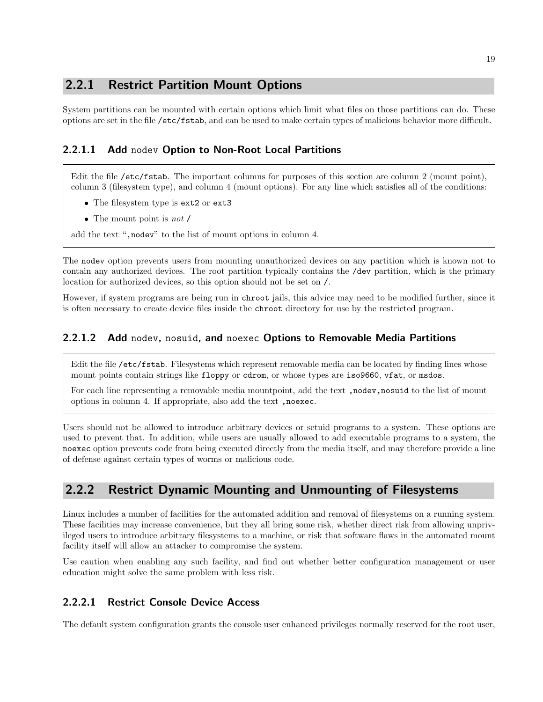# <span id="page-18-0"></span>2.2.1 Restrict Partition Mount Options

System partitions can be mounted with certain options which limit what files on those partitions can do. These options are set in the file /etc/fstab, and can be used to make certain types of malicious behavior more difficult.

# <span id="page-18-1"></span>2.2.1.1 Add nodev Option to Non-Root Local Partitions

Edit the file /etc/fstab. The important columns for purposes of this section are column 2 (mount point), column 3 (filesystem type), and column 4 (mount options). For any line which satisfies all of the conditions:

- The filesystem type is ext2 or ext3
- $\bullet\,$  The mount point is  $\it not$  /

add the text ", nodev" to the list of mount options in column 4.

The nodev option prevents users from mounting unauthorized devices on any partition which is known not to contain any authorized devices. The root partition typically contains the /dev partition, which is the primary location for authorized devices, so this option should not be set on /.

However, if system programs are being run in chroot jails, this advice may need to be modified further, since it is often necessary to create device files inside the chroot directory for use by the restricted program.

# <span id="page-18-2"></span>2.2.1.2 Add nodev, nosuid, and noexec Options to Removable Media Partitions

Edit the file /etc/fstab. Filesystems which represent removable media can be located by finding lines whose mount points contain strings like floppy or cdrom, or whose types are iso9660, vfat, or msdos.

For each line representing a removable media mountpoint, add the text, nodev, nosuid to the list of mount options in column 4. If appropriate, also add the text ,noexec.

Users should not be allowed to introduce arbitrary devices or setuid programs to a system. These options are used to prevent that. In addition, while users are usually allowed to add executable programs to a system, the noexec option prevents code from being executed directly from the media itself, and may therefore provide a line of defense against certain types of worms or malicious code.

# <span id="page-18-3"></span>2.2.2 Restrict Dynamic Mounting and Unmounting of Filesystems

Linux includes a number of facilities for the automated addition and removal of filesystems on a running system. These facilities may increase convenience, but they all bring some risk, whether direct risk from allowing unprivileged users to introduce arbitrary filesystems to a machine, or risk that software flaws in the automated mount facility itself will allow an attacker to compromise the system.

Use caution when enabling any such facility, and find out whether better configuration management or user education might solve the same problem with less risk.

# <span id="page-18-4"></span>2.2.2.1 Restrict Console Device Access

The default system configuration grants the console user enhanced privileges normally reserved for the root user,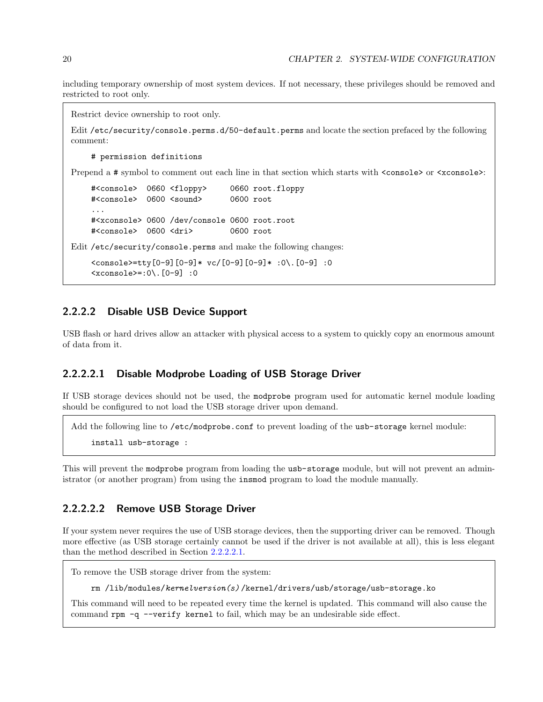including temporary ownership of most system devices. If not necessary, these privileges should be removed and restricted to root only.

```
Restrict device ownership to root only.
```
Edit /etc/security/console.perms.d/50-default.perms and locate the section prefaced by the following comment:

```
# permission definitions
```
Prepend a # symbol to comment out each line in that section which starts with  $\langle$ console> or  $\langle$ xconsole>:

```
#<console> 0660 <floppy> 0660 root.floppy
#<console> 0600 <sound> 0600 root
...
#<xconsole> 0600 /dev/console 0600 root.root
#<console> 0600 <dri>
```
Edit /etc/security/console.perms and make the following changes:

<console>=tty[0-9][0-9]\* vc/[0-9][0-9]\* :0\.[0-9] :0 <xconsole>=:0\.[0-9] :0

#### <span id="page-19-0"></span>2.2.2.2 Disable USB Device Support

USB flash or hard drives allow an attacker with physical access to a system to quickly copy an enormous amount of data from it.

#### <span id="page-19-1"></span>2.2.2.2.1 Disable Modprobe Loading of USB Storage Driver

If USB storage devices should not be used, the modprobe program used for automatic kernel module loading should be configured to not load the USB storage driver upon demand.

Add the following line to /etc/modprobe.conf to prevent loading of the usb-storage kernel module:

install usb-storage :

This will prevent the modprobe program from loading the usb-storage module, but will not prevent an administrator (or another program) from using the insmod program to load the module manually.

#### 2.2.2.2.2 Remove USB Storage Driver

If your system never requires the use of USB storage devices, then the supporting driver can be removed. Though more effective (as USB storage certainly cannot be used if the driver is not available at all), this is less elegant than the method described in Section [2.2.2.2.1.](#page-19-1)

To remove the USB storage driver from the system:

rm /lib/modules/kernelversion(s) /kernel/drivers/usb/storage/usb-storage.ko

This command will need to be repeated every time the kernel is updated. This command will also cause the command rpm -q --verify kernel to fail, which may be an undesirable side effect.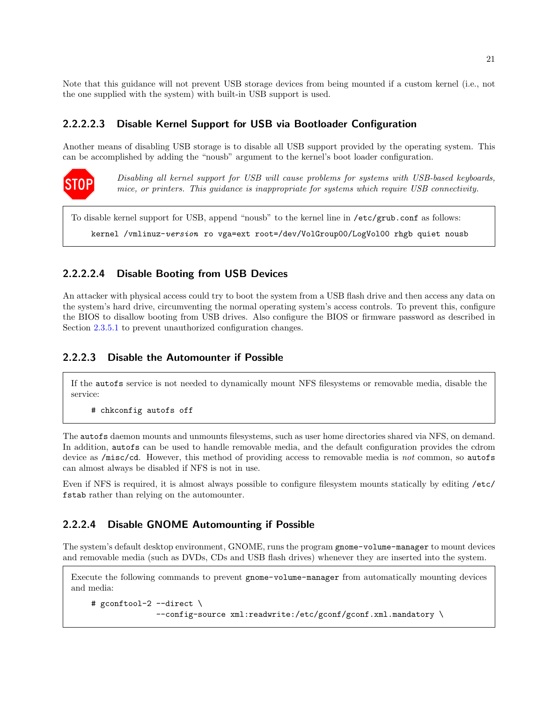Note that this guidance will not prevent USB storage devices from being mounted if a custom kernel (i.e., not the one supplied with the system) with built-in USB support is used.

### 2.2.2.2.3 Disable Kernel Support for USB via Bootloader Configuration

Another means of disabling USB storage is to disable all USB support provided by the operating system. This can be accomplished by adding the "nousb" argument to the kernel's boot loader configuration.



Disabling all kernel support for USB will cause problems for systems with USB-based keyboards, mice, or printers. This guidance is inappropriate for systems which require USB connectivity.

To disable kernel support for USB, append "nousb" to the kernel line in /etc/grub.conf as follows:

kernel /vmlinuz-version ro vga=ext root=/dev/VolGroup00/LogVol00 rhgb quiet nousb

#### 2.2.2.2.4 Disable Booting from USB Devices

An attacker with physical access could try to boot the system from a USB flash drive and then access any data on the system's hard drive, circumventing the normal operating system's access controls. To prevent this, configure the BIOS to disallow booting from USB drives. Also configure the BIOS or firmware password as described in Section [2.3.5.1](#page-36-2) to prevent unauthorized configuration changes.

#### <span id="page-20-0"></span>2.2.2.3 Disable the Automounter if Possible

If the autofs service is not needed to dynamically mount NFS filesystems or removable media, disable the service:

# chkconfig autofs off

The autofs daemon mounts and unmounts filesystems, such as user home directories shared via NFS, on demand. In addition, autofs can be used to handle removable media, and the default configuration provides the cdrom device as /misc/cd. However, this method of providing access to removable media is not common, so autofs can almost always be disabled if NFS is not in use.

Even if NFS is required, it is almost always possible to configure filesystem mounts statically by editing /etc/ fstab rather than relying on the automounter.

#### <span id="page-20-1"></span>2.2.2.4 Disable GNOME Automounting if Possible

The system's default desktop environment, GNOME, runs the program gnome-volume-manager to mount devices and removable media (such as DVDs, CDs and USB flash drives) whenever they are inserted into the system.

Execute the following commands to prevent gnome-volume-manager from automatically mounting devices and media:

```
# gconftool-2 --direct \
              --config-source xml:readwrite:/etc/gconf/gconf.xml.mandatory \
```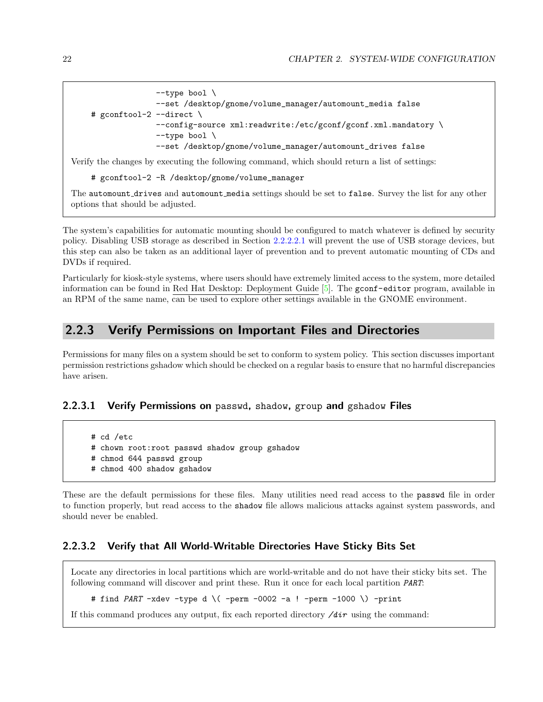--type bool \ --set /desktop/gnome/volume\_manager/automount\_media false #  $gconftool-2$  --direct \ --config-source xml:readwrite:/etc/gconf/gconf.xml.mandatory \ --type bool \ --set /desktop/gnome/volume\_manager/automount\_drives false

Verify the changes by executing the following command, which should return a list of settings:

```
# gconftool-2 -R /desktop/gnome/volume_manager
```
The automount drives and automount media settings should be set to false. Survey the list for any other options that should be adjusted.

The system's capabilities for automatic mounting should be configured to match whatever is defined by security policy. Disabling USB storage as described in Section [2.2.2.2.1](#page-19-1) will prevent the use of USB storage devices, but this step can also be taken as an additional layer of prevention and to prevent automatic mounting of CDs and DVDs if required.

Particularly for kiosk-style systems, where users should have extremely limited access to the system, more detailed information can be found in Red Hat Desktop: Deployment Guide [\[5\]](#page-168-1). The gconf-editor program, available in an RPM of the same name, can be used to explore other settings available in the GNOME environment.

# <span id="page-21-0"></span>2.2.3 Verify Permissions on Important Files and Directories

Permissions for many files on a system should be set to conform to system policy. This section discusses important permission restrictions gshadow which should be checked on a regular basis to ensure that no harmful discrepancies have arisen.

#### <span id="page-21-1"></span>2.2.3.1 Verify Permissions on passwd, shadow, group and gshadow Files

```
# cd /etc
# chown root:root passwd shadow group gshadow
# chmod 644 passwd group
# chmod 400 shadow gshadow
```
These are the default permissions for these files. Many utilities need read access to the passwd file in order to function properly, but read access to the shadow file allows malicious attacks against system passwords, and should never be enabled.

#### <span id="page-21-2"></span>2.2.3.2 Verify that All World-Writable Directories Have Sticky Bits Set

Locate any directories in local partitions which are world-writable and do not have their sticky bits set. The following command will discover and print these. Run it once for each local partition PART:

# find PART -xdev -type d \( -perm -0002 -a ! -perm -1000 \) -print

If this command produces any output, fix each reported directory  $\angle \text{dir}$  using the command: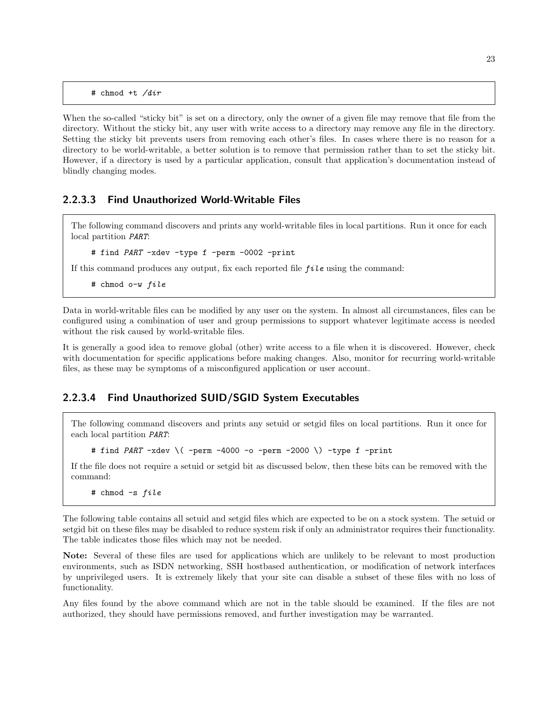# chmod +t /dir

When the so-called "sticky bit" is set on a directory, only the owner of a given file may remove that file from the directory. Without the sticky bit, any user with write access to a directory may remove any file in the directory. Setting the sticky bit prevents users from removing each other's files. In cases where there is no reason for a directory to be world-writable, a better solution is to remove that permission rather than to set the sticky bit. However, if a directory is used by a particular application, consult that application's documentation instead of blindly changing modes.

#### <span id="page-22-0"></span>2.2.3.3 Find Unauthorized World-Writable Files

The following command discovers and prints any world-writable files in local partitions. Run it once for each local partition PART:

```
# find PART -xdev -type f -perm -0002 -print
```
If this command produces any output, fix each reported file  $file$  using the command:

# chmod o-w file

Data in world-writable files can be modified by any user on the system. In almost all circumstances, files can be configured using a combination of user and group permissions to support whatever legitimate access is needed without the risk caused by world-writable files.

It is generally a good idea to remove global (other) write access to a file when it is discovered. However, check with documentation for specific applications before making changes. Also, monitor for recurring world-writable files, as these may be symptoms of a misconfigured application or user account.

#### <span id="page-22-1"></span>2.2.3.4 Find Unauthorized SUID/SGID System Executables

The following command discovers and prints any setuid or setgid files on local partitions. Run it once for each local partition PART:

```
# find PART -xdev \ ( -perm -4000 -o -perm -2000 ) - type f -print
```
If the file does not require a setuid or setgid bit as discussed below, then these bits can be removed with the command:

# chmod -s file

The following table contains all setuid and setgid files which are expected to be on a stock system. The setuid or setgid bit on these files may be disabled to reduce system risk if only an administrator requires their functionality. The table indicates those files which may not be needed.

Note: Several of these files are used for applications which are unlikely to be relevant to most production environments, such as ISDN networking, SSH hostbased authentication, or modification of network interfaces by unprivileged users. It is extremely likely that your site can disable a subset of these files with no loss of functionality.

Any files found by the above command which are not in the table should be examined. If the files are not authorized, they should have permissions removed, and further investigation may be warranted.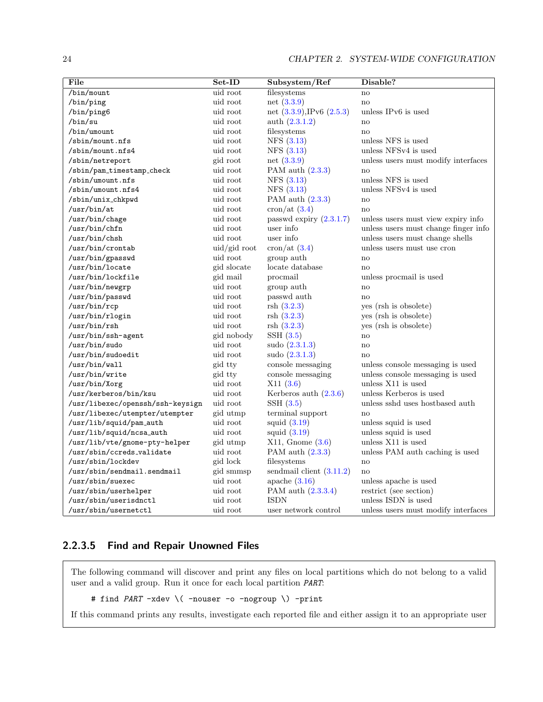#### 24 CHAPTER 2. SYSTEM-WIDE CONFIGURATION

| File                             | Set-ID       | Subsystem/Ref                  | Disable?                             |
|----------------------------------|--------------|--------------------------------|--------------------------------------|
| /bin/mount                       | uid root     | filesystems                    | no                                   |
| /bin/ping                        | uid root     | net $(3.3.9)$                  | no                                   |
| /bin/ping6                       | uid root     | net $(3.3.9)$ , IPv6 $(2.5.3)$ | unless IPv6 is used                  |
| /bin/su                          | uid root     | auth $(2.3.1.2)$               | no                                   |
| /bin/umount                      | uid root     | filesystems                    | no                                   |
| /sbin/mount.nfs                  | uid root     | NFS (3.13)                     | unless NFS is used                   |
| /sbin/mount.nfs4                 | uid root     | NFS (3.13)                     | unless NFSv4 is used                 |
| /sbin/netreport                  | gid root     | net(3.3.9)                     | unless users must modify interfaces  |
| /sbin/pam_timestamp_check        | uid root     | PAM auth $(2.3.3)$             | $\mathbf{no}$                        |
| /sbin/umount.nfs                 | uid root     | NFS (3.13)                     | unless NFS is used                   |
| /sbin/umount.nfs4                | uid root     | NFS (3.13)                     | unless NFSv4 is used                 |
| /sbin/unix_chkpwd                | uid root     | PAM auth $(2.3.3)$             | $\mathbf{no}$                        |
| /usr/bin/at                      | uid root     | $\text{cron/at} (3.4)$         | no                                   |
| /usr/bin/chage                   | uid root     | passwd expiry $(2.3.1.7)$      | unless users must view expiry info   |
| /usr/bin/chfn                    | uid root     | user info                      | unless users must change finger info |
| /usr/bin/chsh                    | uid root     | user info                      | unless users must change shells      |
| /usr/bin/crontab                 | uid/gid root | $\text{cron/at}$ (3.4)         | unless users must use cron           |
| /usr/bin/gpasswd                 | uid root     | group auth                     | no                                   |
| /usr/bin/locate                  | gid slocate  | locate database                | no                                   |
| /usr/bin/lockfile                | gid mail     | procmail                       | unless procmail is used              |
| /usr/bin/newgrp                  | uid root     | group auth                     | $\mathbf{n}$                         |
| /usr/bin/passwd                  | uid root     | passwd auth                    | no                                   |
| /usr/bin/rcp                     | uid root     | rsh(3.2.3)                     | yes (rsh is obsolete)                |
| /usr/bin/rlogin                  | uid root     | rsh(3.2.3)                     | yes (rsh is obsolete)                |
| /usr/bin/rsh                     | uid root     | rsh(3.2.3)                     | yes (rsh is obsolete)                |
| /usr/bin/ssh-agent               | gid nobody   | SSH(3.5)                       | no                                   |
| /usr/bin/sudo                    | uid root     | sudo $(2.3.1.3)$               | no                                   |
| /usr/bin/sudoedit                | uid root     | sudo $(2.3.1.3)$               | no                                   |
| /usr/bin/wall                    | gid tty      | console messaging              | unless console messaging is used     |
| /usr/bin/write                   | gid tty      | console messaging              | unless console messaging is used     |
| /usr/bin/Xorg                    | uid root     | X11(3.6)                       | unless X11 is used                   |
| /usr/kerberos/bin/ksu            | uid root     | Kerberos auth $(2.3.6)$        | unless Kerberos is used              |
| /usr/libexec/openssh/ssh-keysign | uid root     | SSH(3.5)                       | unless sshd uses hostbased auth      |
| /usr/libexec/utempter/utempter   | gid utmp     | terminal support               | no                                   |
| /usr/lib/squid/pam_auth          | uid root     | squid $(3.19)$                 | unless squid is used                 |
| /usr/lib/squid/ncsa_auth         | uid root     | squid $(3.19)$                 | unless squid is used                 |
| /usr/lib/vte/gnome-pty-helper    | gid utmp     | $X11$ , Gnome $(3.6)$          | unless X11 is used                   |
| /usr/sbin/ccreds_validate        | uid root     | PAM auth $(2.3.3)$             | unless PAM auth caching is used      |
| /usr/sbin/lockdev                | gid lock     | filesystems                    | $\mathbf{no}$                        |
| /usr/sbin/sendmail.sendmail      | gid smmsp    | sendmail client $(3.11.2)$     | no                                   |
| /usr/sbin/suexec                 | uid root     | apache $(3.16)$                | unless apache is used                |
| /usr/sbin/userhelper             | uid root     | PAM auth $(2.3.3.4)$           | restrict (see section)               |
| /usr/sbin/userisdnctl            | uid root     | <b>ISDN</b>                    | unless ISDN is used                  |
| /usr/sbin/usernetctl             | uid root     | user network control           | unless users must modify interfaces  |

#### <span id="page-23-0"></span>2.2.3.5 Find and Repair Unowned Files

The following command will discover and print any files on local partitions which do not belong to a valid user and a valid group. Run it once for each local partition PART:

# find PART -xdev \( -nouser -o -nogroup \) -print

If this command prints any results, investigate each reported file and either assign it to an appropriate user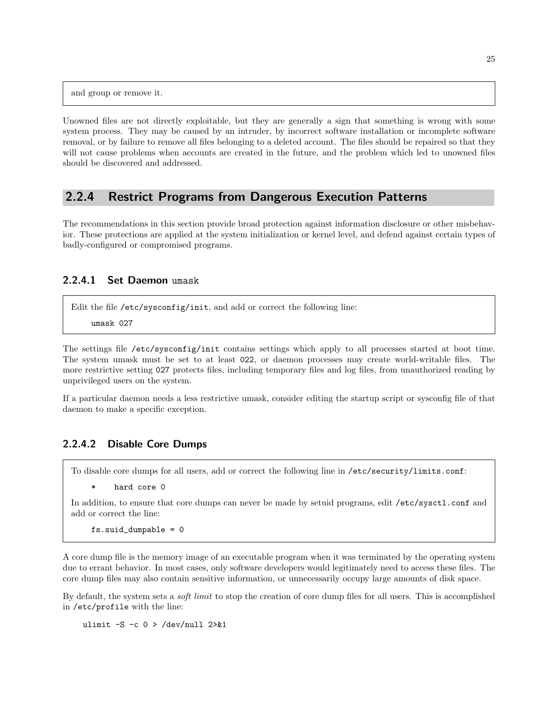and group or remove it.

Unowned files are not directly exploitable, but they are generally a sign that something is wrong with some system process. They may be caused by an intruder, by incorrect software installation or incomplete software removal, or by failure to remove all files belonging to a deleted account. The files should be repaired so that they will not cause problems when accounts are created in the future, and the problem which led to unowned files should be discovered and addressed.

# <span id="page-24-0"></span>2.2.4 Restrict Programs from Dangerous Execution Patterns

The recommendations in this section provide broad protection against information disclosure or other misbehavior. These protections are applied at the system initialization or kernel level, and defend against certain types of badly-configured or compromised programs.

#### <span id="page-24-1"></span>2.2.4.1 Set Daemon umask

Edit the file /etc/sysconfig/init, and add or correct the following line:

umask 027

The settings file /etc/sysconfig/init contains settings which apply to all processes started at boot time. The system umask must be set to at least 022, or daemon processes may create world-writable files. The more restrictive setting 027 protects files, including temporary files and log files, from unauthorized reading by unprivileged users on the system.

If a particular daemon needs a less restrictive umask, consider editing the startup script or sysconfig file of that daemon to make a specific exception.

#### <span id="page-24-2"></span>2.2.4.2 Disable Core Dumps

To disable core dumps for all users, add or correct the following line in /etc/security/limits.conf:

```
hard core 0
```
In addition, to ensure that core dumps can never be made by setuid programs, edit /etc/sysctl.conf and add or correct the line:

fs.suid\_dumpable = 0

A core dump file is the memory image of an executable program when it was terminated by the operating system due to errant behavior. In most cases, only software developers would legitimately need to access these files. The core dump files may also contain sensitive information, or unnecessarily occupy large amounts of disk space.

By default, the system sets a *soft limit* to stop the creation of core dump files for all users. This is accomplished in /etc/profile with the line:

ulimit  $-S -c 0 > /dev/null 2>&1$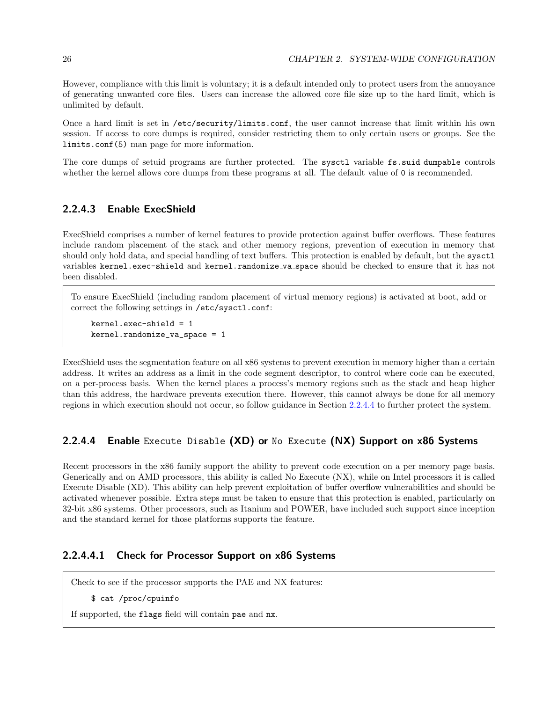However, compliance with this limit is voluntary; it is a default intended only to protect users from the annoyance of generating unwanted core files. Users can increase the allowed core file size up to the hard limit, which is unlimited by default.

Once a hard limit is set in /etc/security/limits.conf, the user cannot increase that limit within his own session. If access to core dumps is required, consider restricting them to only certain users or groups. See the limits.conf(5) man page for more information.

The core dumps of setuid programs are further protected. The sysctl variable fs.suid dumpable controls whether the kernel allows core dumps from these programs at all. The default value of 0 is recommended.

#### <span id="page-25-0"></span>2.2.4.3 Enable ExecShield

ExecShield comprises a number of kernel features to provide protection against buffer overflows. These features include random placement of the stack and other memory regions, prevention of execution in memory that should only hold data, and special handling of text buffers. This protection is enabled by default, but the sysctl variables kernel.exec-shield and kernel.randomize va space should be checked to ensure that it has not been disabled.

To ensure ExecShield (including random placement of virtual memory regions) is activated at boot, add or correct the following settings in /etc/sysctl.conf:

kernel.exec-shield = 1 kernel.randomize\_va\_space = 1

ExecShield uses the segmentation feature on all x86 systems to prevent execution in memory higher than a certain address. It writes an address as a limit in the code segment descriptor, to control where code can be executed, on a per-process basis. When the kernel places a process's memory regions such as the stack and heap higher than this address, the hardware prevents execution there. However, this cannot always be done for all memory regions in which execution should not occur, so follow guidance in Section [2.2.4.4](#page-25-1) to further protect the system.

# <span id="page-25-1"></span>2.2.4.4 Enable Execute Disable (XD) or No Execute (NX) Support on x86 Systems

Recent processors in the x86 family support the ability to prevent code execution on a per memory page basis. Generically and on AMD processors, this ability is called No Execute (NX), while on Intel processors it is called Execute Disable (XD). This ability can help prevent exploitation of buffer overflow vulnerabilities and should be activated whenever possible. Extra steps must be taken to ensure that this protection is enabled, particularly on 32-bit x86 systems. Other processors, such as Itanium and POWER, have included such support since inception and the standard kernel for those platforms supports the feature.

#### 2.2.4.4.1 Check for Processor Support on x86 Systems

Check to see if the processor supports the PAE and NX features:

\$ cat /proc/cpuinfo

If supported, the flags field will contain pae and nx.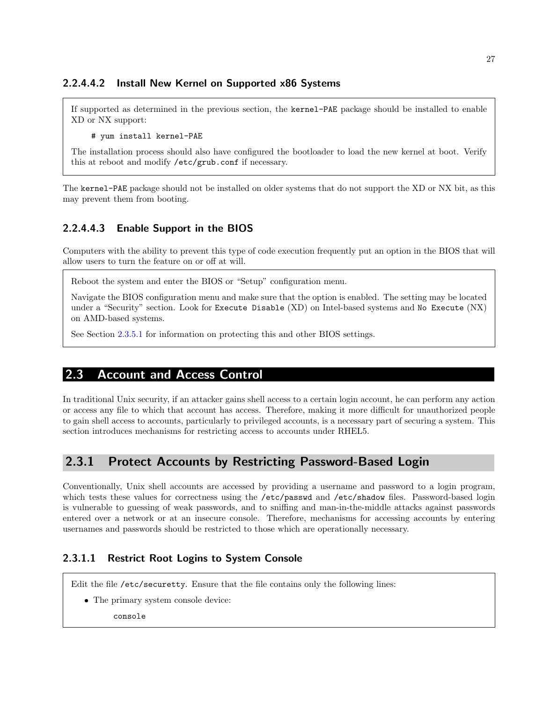# 2.2.4.4.2 Install New Kernel on Supported x86 Systems

If supported as determined in the previous section, the kernel-PAE package should be installed to enable XD or NX support:

# yum install kernel-PAE

The installation process should also have configured the bootloader to load the new kernel at boot. Verify this at reboot and modify /etc/grub.conf if necessary.

The kernel-PAE package should not be installed on older systems that do not support the XD or NX bit, as this may prevent them from booting.

# 2.2.4.4.3 Enable Support in the BIOS

Computers with the ability to prevent this type of code execution frequently put an option in the BIOS that will allow users to turn the feature on or off at will.

Reboot the system and enter the BIOS or "Setup" configuration menu.

Navigate the BIOS configuration menu and make sure that the option is enabled. The setting may be located under a "Security" section. Look for Execute Disable (XD) on Intel-based systems and No Execute (NX) on AMD-based systems.

See Section [2.3.5.1](#page-36-2) for information on protecting this and other BIOS settings.

# <span id="page-26-0"></span>2.3 Account and Access Control

In traditional Unix security, if an attacker gains shell access to a certain login account, he can perform any action or access any file to which that account has access. Therefore, making it more difficult for unauthorized people to gain shell access to accounts, particularly to privileged accounts, is a necessary part of securing a system. This section introduces mechanisms for restricting access to accounts under RHEL5.

# <span id="page-26-1"></span>2.3.1 Protect Accounts by Restricting Password-Based Login

Conventionally, Unix shell accounts are accessed by providing a username and password to a login program, which tests these values for correctness using the /etc/passwd and /etc/shadow files. Password-based login is vulnerable to guessing of weak passwords, and to sniffing and man-in-the-middle attacks against passwords entered over a network or at an insecure console. Therefore, mechanisms for accessing accounts by entering usernames and passwords should be restricted to those which are operationally necessary.

# <span id="page-26-2"></span>2.3.1.1 Restrict Root Logins to System Console

Edit the file /etc/securetty. Ensure that the file contains only the following lines:

• The primary system console device:

console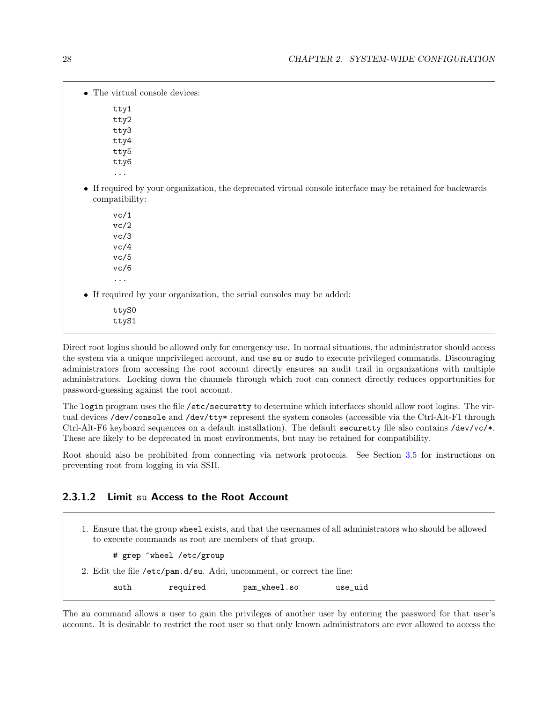| tty1<br>tty2<br>tty3<br>tty4<br>tty5<br>tty6<br>$\cdots$<br>• If required by your organization, the deprecated virtual console interface may be retained for backwards<br>compatibility:<br>vc/1<br>vc/2<br>vc/3<br>vc/4<br>vc/5<br>vc/6<br>$\cdots$<br>• If required by your organization, the serial consoles may be added:<br>ttyS0<br>ttyS1 | • The virtual console devices: |  |  |
|-------------------------------------------------------------------------------------------------------------------------------------------------------------------------------------------------------------------------------------------------------------------------------------------------------------------------------------------------|--------------------------------|--|--|
|                                                                                                                                                                                                                                                                                                                                                 |                                |  |  |
|                                                                                                                                                                                                                                                                                                                                                 |                                |  |  |
|                                                                                                                                                                                                                                                                                                                                                 |                                |  |  |
|                                                                                                                                                                                                                                                                                                                                                 |                                |  |  |
|                                                                                                                                                                                                                                                                                                                                                 |                                |  |  |
|                                                                                                                                                                                                                                                                                                                                                 |                                |  |  |
|                                                                                                                                                                                                                                                                                                                                                 |                                |  |  |
|                                                                                                                                                                                                                                                                                                                                                 |                                |  |  |
|                                                                                                                                                                                                                                                                                                                                                 |                                |  |  |
|                                                                                                                                                                                                                                                                                                                                                 |                                |  |  |
|                                                                                                                                                                                                                                                                                                                                                 |                                |  |  |
|                                                                                                                                                                                                                                                                                                                                                 |                                |  |  |
|                                                                                                                                                                                                                                                                                                                                                 |                                |  |  |
|                                                                                                                                                                                                                                                                                                                                                 |                                |  |  |
|                                                                                                                                                                                                                                                                                                                                                 |                                |  |  |
|                                                                                                                                                                                                                                                                                                                                                 |                                |  |  |
|                                                                                                                                                                                                                                                                                                                                                 |                                |  |  |
|                                                                                                                                                                                                                                                                                                                                                 |                                |  |  |

Direct root logins should be allowed only for emergency use. In normal situations, the administrator should access the system via a unique unprivileged account, and use su or sudo to execute privileged commands. Discouraging administrators from accessing the root account directly ensures an audit trail in organizations with multiple administrators. Locking down the channels through which root can connect directly reduces opportunities for password-guessing against the root account.

The login program uses the file /etc/securetty to determine which interfaces should allow root logins. The virtual devices /dev/console and /dev/tty\* represent the system consoles (accessible via the Ctrl-Alt-F1 through Ctrl-Alt-F6 keyboard sequences on a default installation). The default securetty file also contains /dev/vc/\*. These are likely to be deprecated in most environments, but may be retained for compatibility.

Root should also be prohibited from connecting via network protocols. See Section [3.5](#page-83-1) for instructions on preventing root from logging in via SSH.

#### <span id="page-27-0"></span>2.3.1.2 Limit su Access to the Root Account

1. Ensure that the group wheel exists, and that the usernames of all administrators who should be allowed to execute commands as root are members of that group.

# grep ^wheel /etc/group

2. Edit the file /etc/pam.d/su. Add, uncomment, or correct the line:

auth required pam\_wheel.so use\_uid

The su command allows a user to gain the privileges of another user by entering the password for that user's account. It is desirable to restrict the root user so that only known administrators are ever allowed to access the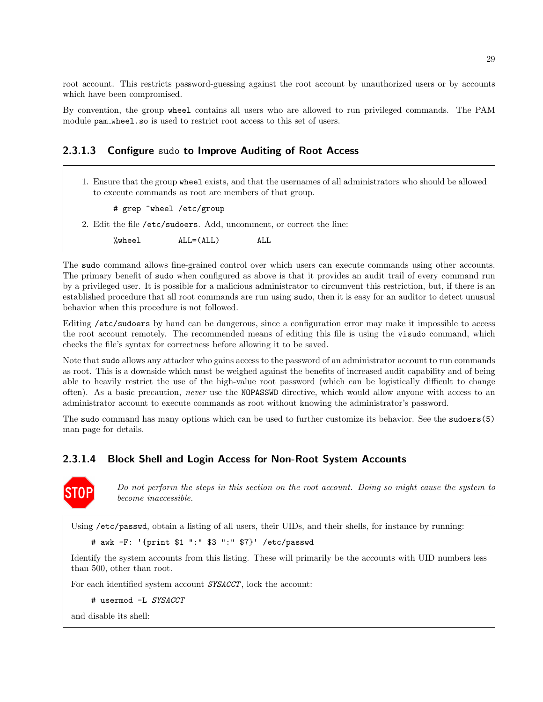root account. This restricts password-guessing against the root account by unauthorized users or by accounts which have been compromised.

By convention, the group wheel contains all users who are allowed to run privileged commands. The PAM module pam wheel.so is used to restrict root access to this set of users.

#### <span id="page-28-0"></span>2.3.1.3 Configure sudo to Improve Auditing of Root Access

1. Ensure that the group wheel exists, and that the usernames of all administrators who should be allowed to execute commands as root are members of that group.

# grep ^wheel /etc/group

2. Edit the file /etc/sudoers. Add, uncomment, or correct the line:

%wheel ALL=(ALL) ALL

The sudo command allows fine-grained control over which users can execute commands using other accounts. The primary benefit of sudo when configured as above is that it provides an audit trail of every command run by a privileged user. It is possible for a malicious administrator to circumvent this restriction, but, if there is an established procedure that all root commands are run using sudo, then it is easy for an auditor to detect unusual behavior when this procedure is not followed.

Editing /etc/sudoers by hand can be dangerous, since a configuration error may make it impossible to access the root account remotely. The recommended means of editing this file is using the visudo command, which checks the file's syntax for correctness before allowing it to be saved.

Note that sudo allows any attacker who gains access to the password of an administrator account to run commands as root. This is a downside which must be weighed against the benefits of increased audit capability and of being able to heavily restrict the use of the high-value root password (which can be logistically difficult to change often). As a basic precaution, never use the NOPASSWD directive, which would allow anyone with access to an administrator account to execute commands as root without knowing the administrator's password.

The sudo command has many options which can be used to further customize its behavior. See the sudoers(5) man page for details.

#### <span id="page-28-1"></span>2.3.1.4 Block Shell and Login Access for Non-Root System Accounts



Do not perform the steps in this section on the root account. Doing so might cause the system to become inaccessible.

Using /etc/passwd, obtain a listing of all users, their UIDs, and their shells, for instance by running:

# awk -F: '{print \$1 ":" \$3 ":" \$7}' /etc/passwd

Identify the system accounts from this listing. These will primarily be the accounts with UID numbers less than 500, other than root.

For each identified system account SYSACCT, lock the account:

# usermod -L SYSACCT

and disable its shell: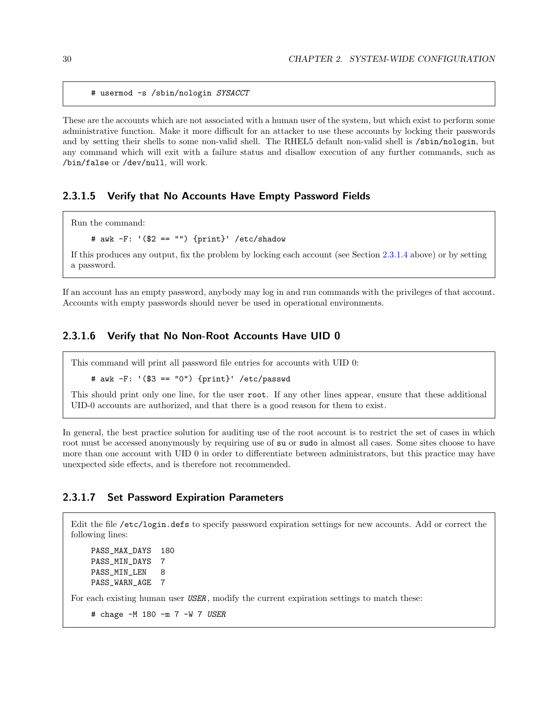# usermod -s /sbin/nologin SYSACCT

These are the accounts which are not associated with a human user of the system, but which exist to perform some administrative function. Make it more difficult for an attacker to use these accounts by locking their passwords and by setting their shells to some non-valid shell. The RHEL5 default non-valid shell is /sbin/nologin, but any command which will exit with a failure status and disallow execution of any further commands, such as /bin/false or /dev/null, will work.

#### <span id="page-29-0"></span>2.3.1.5 Verify that No Accounts Have Empty Password Fields

Run the command:

# awk  $-F: '($2 == "") {print} / etc/shadow$ 

If this produces any output, fix the problem by locking each account (see Section [2.3.1.4](#page-28-1) above) or by setting a password.

If an account has an empty password, anybody may log in and run commands with the privileges of that account. Accounts with empty passwords should never be used in operational environments.

#### <span id="page-29-1"></span>2.3.1.6 Verify that No Non-Root Accounts Have UID 0

This command will print all password file entries for accounts with UID 0:

# awk -F: '(\$3 == "0") {print}' /etc/passwd

This should print only one line, for the user root. If any other lines appear, ensure that these additional UID-0 accounts are authorized, and that there is a good reason for them to exist.

In general, the best practice solution for auditing use of the root account is to restrict the set of cases in which root must be accessed anonymously by requiring use of su or sudo in almost all cases. Some sites choose to have more than one account with UID 0 in order to differentiate between administrators, but this practice may have unexpected side effects, and is therefore not recommended.

#### <span id="page-29-2"></span>2.3.1.7 Set Password Expiration Parameters

Edit the file /etc/login.defs to specify password expiration settings for new accounts. Add or correct the following lines:

```
PASS_MAX_DAYS 180
PASS_MIN_DAYS 7
PASS_MIN_LEN 8
PASS_WARN_AGE 7
```
For each existing human user USER, modify the current expiration settings to match these:

# chage -M 180 -m 7 -W 7 USER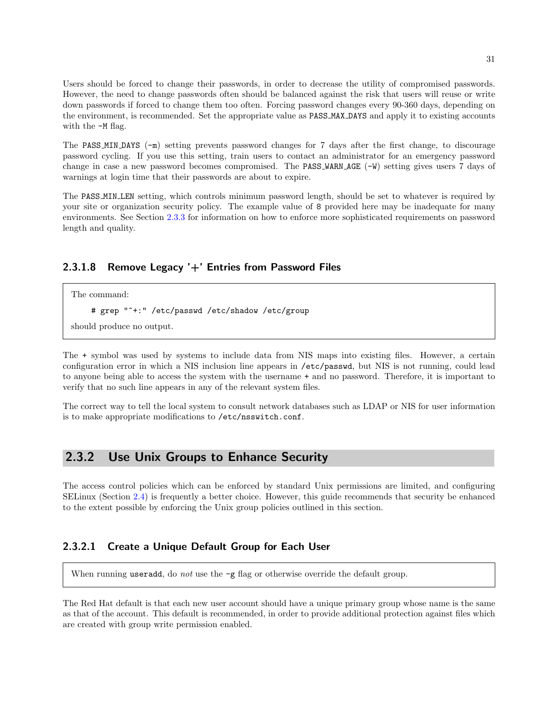Users should be forced to change their passwords, in order to decrease the utility of compromised passwords. However, the need to change passwords often should be balanced against the risk that users will reuse or write down passwords if forced to change them too often. Forcing password changes every 90-360 days, depending on the environment, is recommended. Set the appropriate value as PASS MAX DAYS and apply it to existing accounts with the -M flag.

The PASS MIN DAYS (-m) setting prevents password changes for 7 days after the first change, to discourage password cycling. If you use this setting, train users to contact an administrator for an emergency password change in case a new password becomes compromised. The PASS WARN AGE (-W) setting gives users 7 days of warnings at login time that their passwords are about to expire.

The PASS MIN LEN setting, which controls minimum password length, should be set to whatever is required by your site or organization security policy. The example value of 8 provided here may be inadequate for many environments. See Section [2.3.3](#page-31-1) for information on how to enforce more sophisticated requirements on password length and quality.

#### <span id="page-30-0"></span>2.3.1.8 Remove Legacy '+' Entries from Password Files

The command:

# grep "^+:" /etc/passwd /etc/shadow /etc/group

should produce no output.

The + symbol was used by systems to include data from NIS maps into existing files. However, a certain configuration error in which a NIS inclusion line appears in /etc/passwd, but NIS is not running, could lead to anyone being able to access the system with the username + and no password. Therefore, it is important to verify that no such line appears in any of the relevant system files.

The correct way to tell the local system to consult network databases such as LDAP or NIS for user information is to make appropriate modifications to /etc/nsswitch.conf.

# <span id="page-30-1"></span>2.3.2 Use Unix Groups to Enhance Security

The access control policies which can be enforced by standard Unix permissions are limited, and configuring SELinux (Section [2.4\)](#page-41-0) is frequently a better choice. However, this guide recommends that security be enhanced to the extent possible by enforcing the Unix group policies outlined in this section.

#### <span id="page-30-2"></span>2.3.2.1 Create a Unique Default Group for Each User

When running useradd, do *not* use the  $-g$  flag or otherwise override the default group.

The Red Hat default is that each new user account should have a unique primary group whose name is the same as that of the account. This default is recommended, in order to provide additional protection against files which are created with group write permission enabled.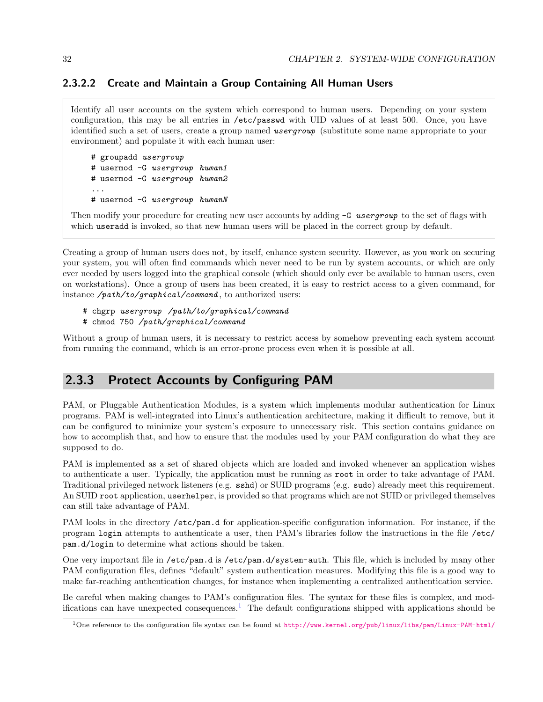#### <span id="page-31-0"></span>2.3.2.2 Create and Maintain a Group Containing All Human Users

Identify all user accounts on the system which correspond to human users. Depending on your system configuration, this may be all entries in /etc/passwd with UID values of at least 500. Once, you have identified such a set of users, create a group named *usergroup* (substitute some name appropriate to your environment) and populate it with each human user:

```
# groupadd usergroup
# usermod -G usergroup human1
# usermod -G usergroup human2
...
# usermod -G usergroup humanN
```
Then modify your procedure for creating new user accounts by adding  $-G$  usergroup to the set of flags with which useradd is invoked, so that new human users will be placed in the correct group by default.

Creating a group of human users does not, by itself, enhance system security. However, as you work on securing your system, you will often find commands which never need to be run by system accounts, or which are only ever needed by users logged into the graphical console (which should only ever be available to human users, even on workstations). Once a group of users has been created, it is easy to restrict access to a given command, for instance /path/to/graphical/command , to authorized users:

- # chgrp usergroup /path/to/graphical/command
- # chmod 750 /path/graphical/command

Without a group of human users, it is necessary to restrict access by somehow preventing each system account from running the command, which is an error-prone process even when it is possible at all.

# <span id="page-31-1"></span>2.3.3 Protect Accounts by Configuring PAM

PAM, or Pluggable Authentication Modules, is a system which implements modular authentication for Linux programs. PAM is well-integrated into Linux's authentication architecture, making it difficult to remove, but it can be configured to minimize your system's exposure to unnecessary risk. This section contains guidance on how to accomplish that, and how to ensure that the modules used by your PAM configuration do what they are supposed to do.

PAM is implemented as a set of shared objects which are loaded and invoked whenever an application wishes to authenticate a user. Typically, the application must be running as root in order to take advantage of PAM. Traditional privileged network listeners (e.g. sshd) or SUID programs (e.g. sudo) already meet this requirement. An SUID root application, userhelper, is provided so that programs which are not SUID or privileged themselves can still take advantage of PAM.

PAM looks in the directory /etc/pam.d for application-specific configuration information. For instance, if the program login attempts to authenticate a user, then PAM's libraries follow the instructions in the file /etc/ pam.d/login to determine what actions should be taken.

One very important file in /etc/pam.d is /etc/pam.d/system-auth. This file, which is included by many other PAM configuration files, defines "default" system authentication measures. Modifying this file is a good way to make far-reaching authentication changes, for instance when implementing a centralized authentication service.

Be careful when making changes to PAM's configuration files. The syntax for these files is complex, and modifications can have unexpected consequences.[1](#page-31-2) The default configurations shipped with applications should be

<span id="page-31-2"></span><sup>&</sup>lt;sup>1</sup>One reference to the configuration file syntax can be found at [http://www.kernel.org/pub/linux/libs/pam/Linux-PAM-html/](http://www.kernel.org/pub/linux/libs/pam/Linux-PAM-html/sag-configuration-file.html)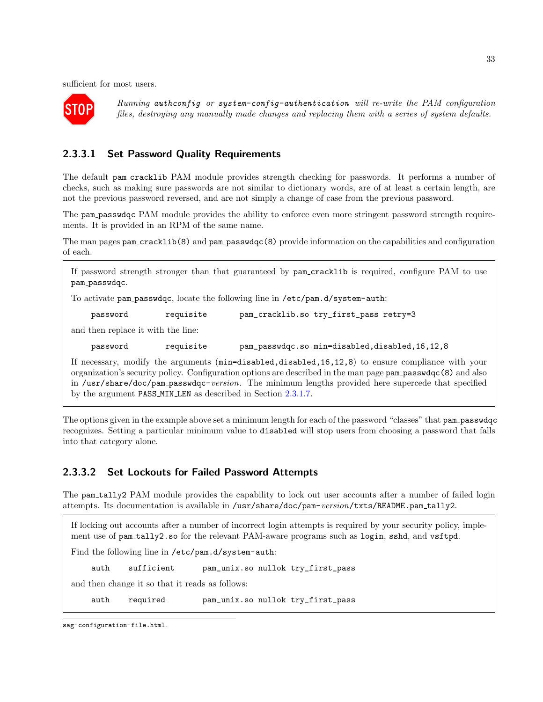[sufficient for most users.](http://www.kernel.org/pub/linux/libs/pam/Linux-PAM-html/sag-configuration-file.html)



Running authconfig or system-config-authentication will re-write the PAM configuration [files, destroying any manually made changes and replacing them with a series of system defaults.](http://www.kernel.org/pub/linux/libs/pam/Linux-PAM-html/sag-configuration-file.html)

# <span id="page-32-0"></span>[2.3.3.1 Set Password Quality Requirements](http://www.kernel.org/pub/linux/libs/pam/Linux-PAM-html/sag-configuration-file.html)

The default pam cracklib [PAM module provides strength checking for passwords. It performs a number of](http://www.kernel.org/pub/linux/libs/pam/Linux-PAM-html/sag-configuration-file.html) [checks, such as making sure passwords are not similar to dictionary words, are of at least a certain length, are](http://www.kernel.org/pub/linux/libs/pam/Linux-PAM-html/sag-configuration-file.html) [not the previous password reversed, and are not simply a change of case from the previous password.](http://www.kernel.org/pub/linux/libs/pam/Linux-PAM-html/sag-configuration-file.html)

The pam passwdqc [PAM module provides the ability to enforce even more stringent password strength require](http://www.kernel.org/pub/linux/libs/pam/Linux-PAM-html/sag-configuration-file.html)[ments. It is provided in an RPM of the same name.](http://www.kernel.org/pub/linux/libs/pam/Linux-PAM-html/sag-configuration-file.html)

The man pages pam\_cracklib(8) and pam\_passwdqc(8) [provide information on the capabilities and configuration](http://www.kernel.org/pub/linux/libs/pam/Linux-PAM-html/sag-configuration-file.html) [of each.](http://www.kernel.org/pub/linux/libs/pam/Linux-PAM-html/sag-configuration-file.html)

If password strength stronger than that guaranteed by pam cracklib is required, configure PAM to use pam passwdqc. To activate pam passwdqc, locate the following line in /etc/pam.d/system-auth: password requisite pam\_cracklib.so try\_first\_pass retry=3 and then replace it with the line: [password requisite pam\\_passwdqc.so min=disabled,disabled,16,12,8](http://www.kernel.org/pub/linux/libs/pam/Linux-PAM-html/sag-configuration-file.html) If necessary, modify the arguments ( $min=distance$ ,disabled,disabled,16,12,8) to ensure compliance with your organization's security policy. Configuration options are described in the man page pam passwdqc(8) and also in /usr/share/doc/pam passwdqc-version. The minimum lengths provided here supercede that specified by the argument PASS MIN LEN as described in Section [2.3.1.7.](#page-29-2)

[The options given in the example above set a minimum length for each of the password "classes" that](http://www.kernel.org/pub/linux/libs/pam/Linux-PAM-html/sag-configuration-file.html) pam passwdqc recognizes. Setting a particular minimum value to disabled [will stop users from choosing a password that falls](http://www.kernel.org/pub/linux/libs/pam/Linux-PAM-html/sag-configuration-file.html) [into that category alone.](http://www.kernel.org/pub/linux/libs/pam/Linux-PAM-html/sag-configuration-file.html)

#### <span id="page-32-1"></span>[2.3.3.2 Set Lockouts for Failed Password Attempts](http://www.kernel.org/pub/linux/libs/pam/Linux-PAM-html/sag-configuration-file.html)

The pam\_tally2 [PAM module provides the capability to lock out user accounts after a number of failed login](http://www.kernel.org/pub/linux/libs/pam/Linux-PAM-html/sag-configuration-file.html) [attempts. Its documentation is available in](http://www.kernel.org/pub/linux/libs/pam/Linux-PAM-html/sag-configuration-file.html) /usr/share/doc/pam-version/txts/README.pam\_tally2.

[If locking out accounts after a number of incorrect login attempts is required by your security policy, imple](http://www.kernel.org/pub/linux/libs/pam/Linux-PAM-html/sag-configuration-file.html)ment use of pam\_tally2.so for the relevant PAM-aware programs such as login, sshd, and vsftpd.

Find the following line in /etc/pam.d/system-auth:

auth sufficient pam\_unix.so nullok try\_first\_pass

and then change it so that it reads as follows:

auth required pam\_unix.so nullok try\_first\_pass

[sag-configuration-file.html](http://www.kernel.org/pub/linux/libs/pam/Linux-PAM-html/sag-configuration-file.html).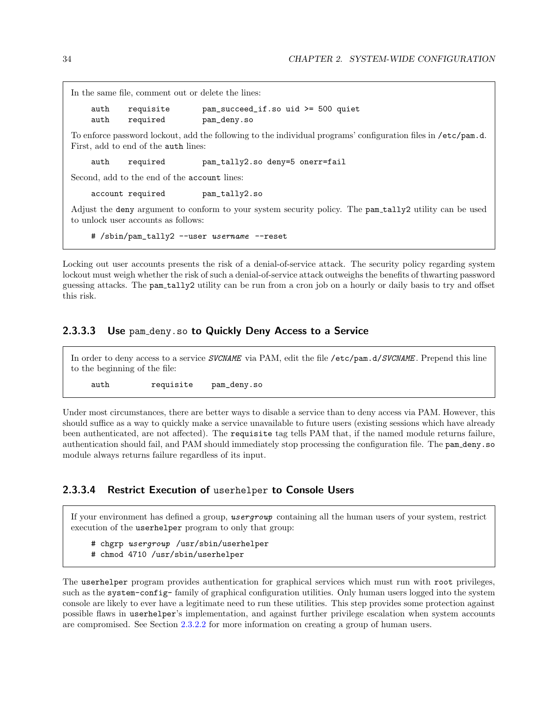| In the same file, comment out or delete the lines:                                                                                                    |                       |                                                       |
|-------------------------------------------------------------------------------------------------------------------------------------------------------|-----------------------|-------------------------------------------------------|
| auth<br>auth                                                                                                                                          | requisite<br>required | $pam_succeed_if.so$ uid $>=$ 500 quiet<br>pam_deny.so |
| To enforce password lockout, add the following to the individual programs' configuration files in /etc/pam.d.<br>First, add to end of the auth lines: |                       |                                                       |
| auth                                                                                                                                                  | required              | pam_tally2.so deny=5 onerr=fail                       |
| Second, add to the end of the account lines:                                                                                                          |                       |                                                       |
|                                                                                                                                                       | account required      | pam_tally2.so                                         |
| Adjust the deny argument to conform to your system security policy. The pam_tally2 utility can be used<br>to unlock user accounts as follows:         |                       |                                                       |

# /sbin/pam\_tally2 --user username --reset

Locking out user accounts presents the risk of a denial-of-service attack. The security policy regarding system lockout must weigh whether the risk of such a denial-of-service attack outweighs the benefits of thwarting password guessing attacks. The pam tally2 utility can be run from a cron job on a hourly or daily basis to try and offset this risk.

#### <span id="page-33-0"></span>2.3.3.3 Use pam\_deny.so to Quickly Deny Access to a Service

In order to deny access to a service SVCNAME via PAM, edit the file /etc/pam.d/SVCNAME. Prepend this line to the beginning of the file:

auth requisite pam\_deny.so

Under most circumstances, there are better ways to disable a service than to deny access via PAM. However, this should suffice as a way to quickly make a service unavailable to future users (existing sessions which have already been authenticated, are not affected). The requisite tag tells PAM that, if the named module returns failure, authentication should fail, and PAM should immediately stop processing the configuration file. The pam deny.so module always returns failure regardless of its input.

#### <span id="page-33-1"></span>2.3.3.4 Restrict Execution of userhelper to Console Users

If your environment has defined a group, usergroup containing all the human users of your system, restrict execution of the userhelper program to only that group:

# chgrp usergroup /usr/sbin/userhelper # chmod 4710 /usr/sbin/userhelper

The userhelper program provides authentication for graphical services which must run with root privileges, such as the system-config- family of graphical configuration utilities. Only human users logged into the system console are likely to ever have a legitimate need to run these utilities. This step provides some protection against possible flaws in userhelper's implementation, and against further privilege escalation when system accounts are compromised. See Section [2.3.2.2](#page-31-0) for more information on creating a group of human users.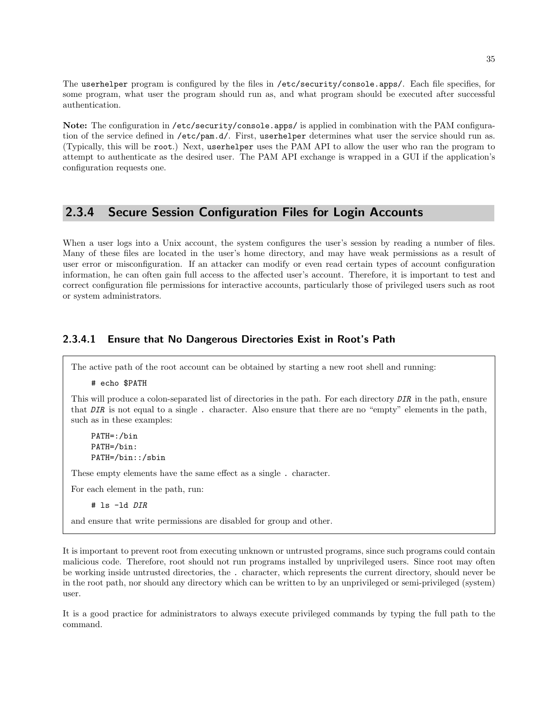The userhelper program is configured by the files in /etc/security/console.apps/. Each file specifies, for some program, what user the program should run as, and what program should be executed after successful authentication.

Note: The configuration in /etc/security/console.apps/ is applied in combination with the PAM configuration of the service defined in /etc/pam.d/. First, userhelper determines what user the service should run as. (Typically, this will be root.) Next, userhelper uses the PAM API to allow the user who ran the program to attempt to authenticate as the desired user. The PAM API exchange is wrapped in a GUI if the application's configuration requests one.

# <span id="page-34-0"></span>2.3.4 Secure Session Configuration Files for Login Accounts

When a user logs into a Unix account, the system configures the user's session by reading a number of files. Many of these files are located in the user's home directory, and may have weak permissions as a result of user error or misconfiguration. If an attacker can modify or even read certain types of account configuration information, he can often gain full access to the affected user's account. Therefore, it is important to test and correct configuration file permissions for interactive accounts, particularly those of privileged users such as root or system administrators.

#### <span id="page-34-1"></span>2.3.4.1 Ensure that No Dangerous Directories Exist in Root's Path

The active path of the root account can be obtained by starting a new root shell and running:

# echo \$PATH

This will produce a colon-separated list of directories in the path. For each directory DIR in the path, ensure that DIR is not equal to a single . character. Also ensure that there are no "empty" elements in the path, such as in these examples:

PATH=:/bin PATH=/bin: PATH=/bin::/sbin

These empty elements have the same effect as a single . character.

For each element in the path, run:

# ls -ld DIR

and ensure that write permissions are disabled for group and other.

It is important to prevent root from executing unknown or untrusted programs, since such programs could contain malicious code. Therefore, root should not run programs installed by unprivileged users. Since root may often be working inside untrusted directories, the . character, which represents the current directory, should never be in the root path, nor should any directory which can be written to by an unprivileged or semi-privileged (system) user.

It is a good practice for administrators to always execute privileged commands by typing the full path to the command.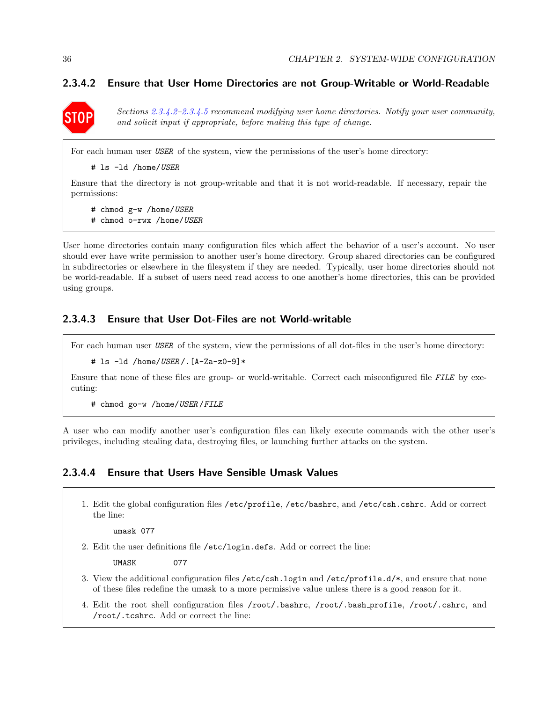#### <span id="page-35-0"></span>2.3.4.2 Ensure that User Home Directories are not Group-Writable or World-Readable



Sections [2.3.4.2–](#page-35-0)[2.3.4.5](#page-36-0) recommend modifying user home directories. Notify your user community, and solicit input if appropriate, before making this type of change.

For each human user USER of the system, view the permissions of the user's home directory:

```
# ls -ld /home/USER
```
Ensure that the directory is not group-writable and that it is not world-readable. If necessary, repair the permissions:

# chmod g-w /home/USER # chmod o-rwx /home/USER

User home directories contain many configuration files which affect the behavior of a user's account. No user should ever have write permission to another user's home directory. Group shared directories can be configured in subdirectories or elsewhere in the filesystem if they are needed. Typically, user home directories should not be world-readable. If a subset of users need read access to one another's home directories, this can be provided using groups.

#### <span id="page-35-1"></span>2.3.4.3 Ensure that User Dot-Files are not World-writable

For each human user USER of the system, view the permissions of all dot-files in the user's home directory:

```
# ls -ld /home/USER /.[A-Za-z0-9]*
```
Ensure that none of these files are group- or world-writable. Correct each misconfigured file FILE by executing:

# chmod go-w /home/USER /FILE

A user who can modify another user's configuration files can likely execute commands with the other user's privileges, including stealing data, destroying files, or launching further attacks on the system.

#### <span id="page-35-2"></span>2.3.4.4 Ensure that Users Have Sensible Umask Values

1. Edit the global configuration files /etc/profile, /etc/bashrc, and /etc/csh.cshrc. Add or correct the line:

umask 077

2. Edit the user definitions file /etc/login.defs. Add or correct the line:

UMASK 077

- 3. View the additional configuration files /etc/csh.login and /etc/profile.d/\*, and ensure that none of these files redefine the umask to a more permissive value unless there is a good reason for it.
- 4. Edit the root shell configuration files /root/.bashrc, /root/.bash profile, /root/.cshrc, and /root/.tcshrc. Add or correct the line: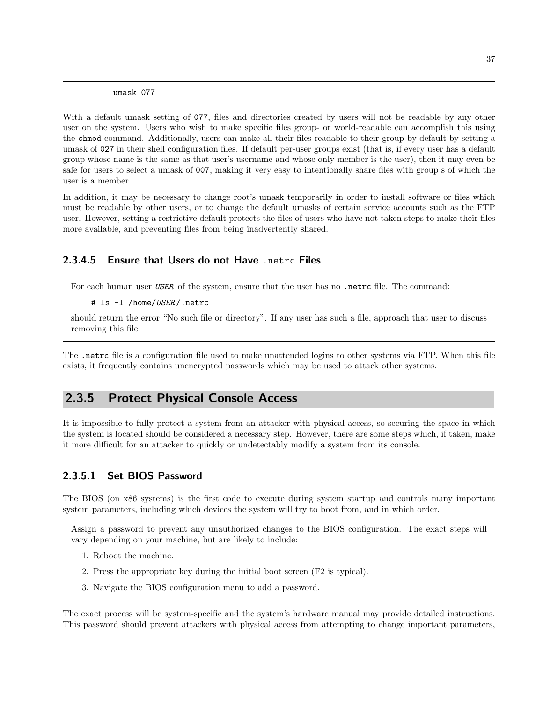umask 077

With a default umask setting of 077, files and directories created by users will not be readable by any other user on the system. Users who wish to make specific files group- or world-readable can accomplish this using the chmod command. Additionally, users can make all their files readable to their group by default by setting a umask of 027 in their shell configuration files. If default per-user groups exist (that is, if every user has a default group whose name is the same as that user's username and whose only member is the user), then it may even be safe for users to select a umask of 007, making it very easy to intentionally share files with group s of which the user is a member.

In addition, it may be necessary to change root's umask temporarily in order to install software or files which must be readable by other users, or to change the default umasks of certain service accounts such as the FTP user. However, setting a restrictive default protects the files of users who have not taken steps to make their files more available, and preventing files from being inadvertently shared.

### 2.3.4.5 Ensure that Users do not Have .netrc Files

For each human user USER of the system, ensure that the user has no .netrc file. The command:

```
# ls -l /home/USER /.netrc
```
should return the error "No such file or directory". If any user has such a file, approach that user to discuss removing this file.

The .netrc file is a configuration file used to make unattended logins to other systems via FTP. When this file exists, it frequently contains unencrypted passwords which may be used to attack other systems.

# 2.3.5 Protect Physical Console Access

It is impossible to fully protect a system from an attacker with physical access, so securing the space in which the system is located should be considered a necessary step. However, there are some steps which, if taken, make it more difficult for an attacker to quickly or undetectably modify a system from its console.

### 2.3.5.1 Set BIOS Password

The BIOS (on x86 systems) is the first code to execute during system startup and controls many important system parameters, including which devices the system will try to boot from, and in which order.

Assign a password to prevent any unauthorized changes to the BIOS configuration. The exact steps will vary depending on your machine, but are likely to include:

- 1. Reboot the machine.
- 2. Press the appropriate key during the initial boot screen (F2 is typical).
- 3. Navigate the BIOS configuration menu to add a password.

The exact process will be system-specific and the system's hardware manual may provide detailed instructions. This password should prevent attackers with physical access from attempting to change important parameters,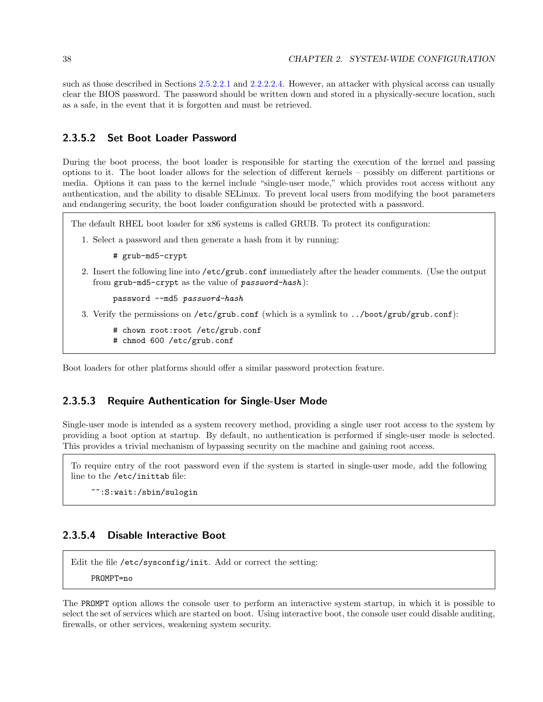such as those described in Sections [2.5.2.2.1](#page-50-0) and [2.2.2.2.4.](#page-20-0) However, an attacker with physical access can usually clear the BIOS password. The password should be written down and stored in a physically-secure location, such as a safe, in the event that it is forgotten and must be retrieved.

#### <span id="page-37-0"></span>2.3.5.2 Set Boot Loader Password

During the boot process, the boot loader is responsible for starting the execution of the kernel and passing options to it. The boot loader allows for the selection of different kernels – possibly on different partitions or media. Options it can pass to the kernel include "single-user mode," which provides root access without any authentication, and the ability to disable SELinux. To prevent local users from modifying the boot parameters and endangering security, the boot loader configuration should be protected with a password.

```
The default RHEL boot loader for x86 systems is called GRUB. To protect its configuration:
```
1. Select a password and then generate a hash from it by running:

```
# grub-md5-crypt
```
2. Insert the following line into /etc/grub.conf immediately after the header comments. (Use the output from grub-md5-crypt as the value of password-hash ):

password --md5 password-hash

3. Verify the permissions on /etc/grub.conf (which is a symlink to ../boot/grub/grub.conf):

```
# chown root:root /etc/grub.conf
```

```
# chmod 600 /etc/grub.conf
```
Boot loaders for other platforms should offer a similar password protection feature.

#### 2.3.5.3 Require Authentication for Single-User Mode

Single-user mode is intended as a system recovery method, providing a single user root access to the system by providing a boot option at startup. By default, no authentication is performed if single-user mode is selected. This provides a trivial mechanism of bypassing security on the machine and gaining root access.

To require entry of the root password even if the system is started in single-user mode, add the following line to the /etc/inittab file:

~~:S:wait:/sbin/sulogin

### 2.3.5.4 Disable Interactive Boot

Edit the file /etc/sysconfig/init. Add or correct the setting:

PROMPT=no

The PROMPT option allows the console user to perform an interactive system startup, in which it is possible to select the set of services which are started on boot. Using interactive boot, the console user could disable auditing, firewalls, or other services, weakening system security.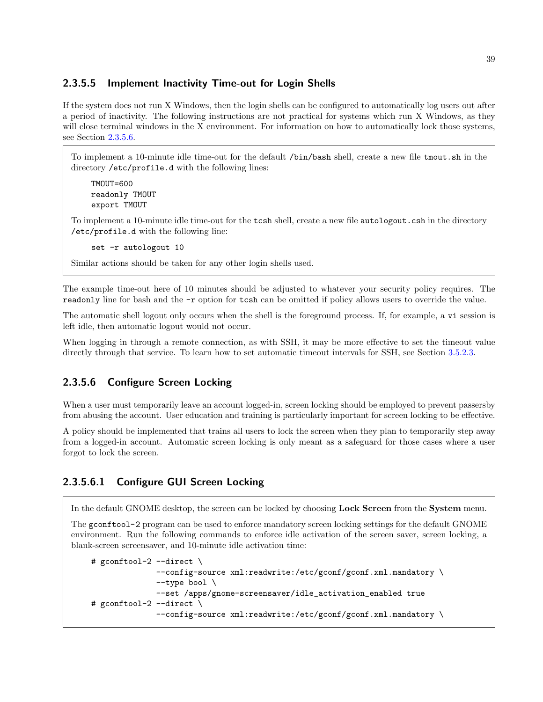### 2.3.5.5 Implement Inactivity Time-out for Login Shells

If the system does not run X Windows, then the login shells can be configured to automatically log users out after a period of inactivity. The following instructions are not practical for systems which run X Windows, as they will close terminal windows in the X environment. For information on how to automatically lock those systems, see Section [2.3.5.6.](#page-38-0)

To implement a 10-minute idle time-out for the default /bin/bash shell, create a new file tmout.sh in the directory /etc/profile.d with the following lines:

TMOUT=600 readonly TMOUT export TMOUT

To implement a 10-minute idle time-out for the tcsh shell, create a new file autologout.csh in the directory /etc/profile.d with the following line:

set -r autologout 10

Similar actions should be taken for any other login shells used.

The example time-out here of 10 minutes should be adjusted to whatever your security policy requires. The readonly line for bash and the  $-r$  option for tcsh can be omitted if policy allows users to override the value.

The automatic shell logout only occurs when the shell is the foreground process. If, for example, a vi session is left idle, then automatic logout would not occur.

When logging in through a remote connection, as with SSH, it may be more effective to set the timeout value directly through that service. To learn how to set automatic timeout intervals for SSH, see Section [3.5.2.3.](#page-85-0)

# <span id="page-38-0"></span>2.3.5.6 Configure Screen Locking

When a user must temporarily leave an account logged-in, screen locking should be employed to prevent passersby from abusing the account. User education and training is particularly important for screen locking to be effective.

A policy should be implemented that trains all users to lock the screen when they plan to temporarily step away from a logged-in account. Automatic screen locking is only meant as a safeguard for those cases where a user forgot to lock the screen.

# 2.3.5.6.1 Configure GUI Screen Locking

In the default GNOME desktop, the screen can be locked by choosing **Lock Screen** from the **System** menu.

The gconftool-2 program can be used to enforce mandatory screen locking settings for the default GNOME environment. Run the following commands to enforce idle activation of the screen saver, screen locking, a blank-screen screensaver, and 10-minute idle activation time:

```
# gconftool-2 --direct \
              --config-source xml:readwrite:/etc/gconf/gconf.xml.mandatory \
              --type bool \
              --set /apps/gnome-screensaver/idle_activation_enabled true
# gconftool-2 --direct \
              --config-source xml:readwrite:/etc/gconf/gconf.xml.mandatory \
```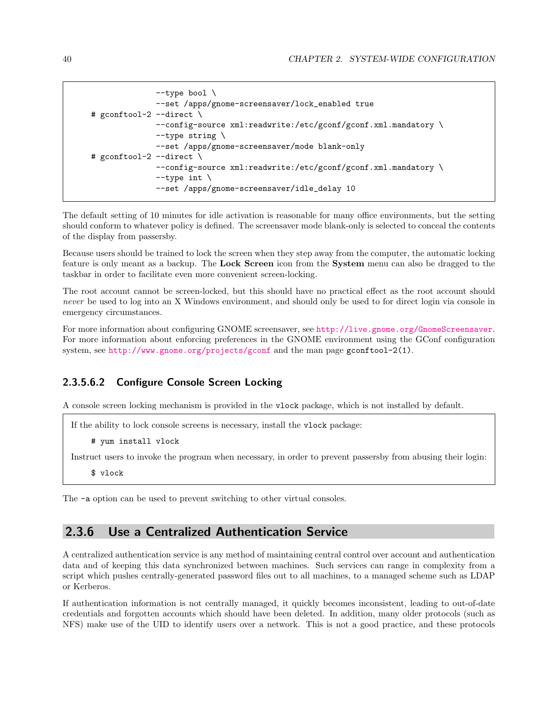```
--type bool \
              --set /apps/gnome-screensaver/lock_enabled true
# gconftool-2 --direct \
              --config-source xml:readwrite:/etc/gconf/gconf.xml.mandatory \
              --type string \
              --set /apps/gnome-screensaver/mode blank-only
# gconftool-2 --direct \
              --config-source xml:readwrite:/etc/gconf/gconf.xml.mandatory \
              --type int \
              --set /apps/gnome-screensaver/idle_delay 10
```
The default setting of 10 minutes for idle activation is reasonable for many office environments, but the setting should conform to whatever policy is defined. The screensaver mode blank-only is selected to conceal the contents of the display from passersby.

Because users should be trained to lock the screen when they step away from the computer, the automatic locking feature is only meant as a backup. The Lock Screen icon from the System menu can also be dragged to the taskbar in order to facilitate even more convenient screen-locking.

The root account cannot be screen-locked, but this should have no practical effect as the root account should never be used to log into an X Windows environment, and should only be used to for direct login via console in emergency circumstances.

For more information about configuring GNOME screensaver, see <http://live.gnome.org/GnomeScreensaver>. For more information about enforcing preferences in the GNOME environment using the GConf configuration system, see <http://www.gnome.org/projects/gconf> and the man page gconftool-2(1).

## 2.3.5.6.2 Configure Console Screen Locking

A console screen locking mechanism is provided in the vlock package, which is not installed by default.

If the ability to lock console screens is necessary, install the vlock package:

# yum install vlock

Instruct users to invoke the program when necessary, in order to prevent passersby from abusing their login:

\$ vlock

The -a option can be used to prevent switching to other virtual consoles.

# 2.3.6 Use a Centralized Authentication Service

A centralized authentication service is any method of maintaining central control over account and authentication data and of keeping this data synchronized between machines. Such services can range in complexity from a script which pushes centrally-generated password files out to all machines, to a managed scheme such as LDAP or Kerberos.

If authentication information is not centrally managed, it quickly becomes inconsistent, leading to out-of-date credentials and forgotten accounts which should have been deleted. In addition, many older protocols (such as NFS) make use of the UID to identify users over a network. This is not a good practice, and these protocols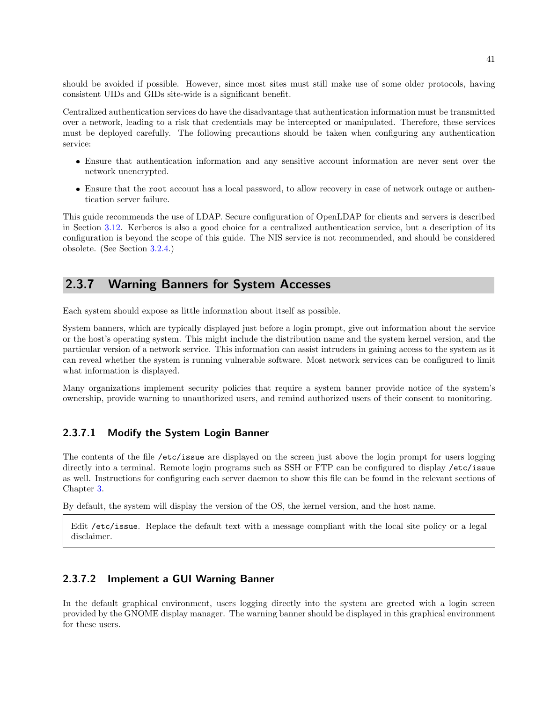should be avoided if possible. However, since most sites must still make use of some older protocols, having consistent UIDs and GIDs site-wide is a significant benefit.

Centralized authentication services do have the disadvantage that authentication information must be transmitted over a network, leading to a risk that credentials may be intercepted or manipulated. Therefore, these services must be deployed carefully. The following precautions should be taken when configuring any authentication service:

- Ensure that authentication information and any sensitive account information are never sent over the network unencrypted.
- Ensure that the root account has a local password, to allow recovery in case of network outage or authentication server failure.

This guide recommends the use of LDAP. Secure configuration of OpenLDAP for clients and servers is described in Section [3.12.](#page-114-0) Kerberos is also a good choice for a centralized authentication service, but a description of its configuration is beyond the scope of this guide. The NIS service is not recommended, and should be considered obsolete. (See Section [3.2.4.](#page-75-0))

# 2.3.7 Warning Banners for System Accesses

Each system should expose as little information about itself as possible.

System banners, which are typically displayed just before a login prompt, give out information about the service or the host's operating system. This might include the distribution name and the system kernel version, and the particular version of a network service. This information can assist intruders in gaining access to the system as it can reveal whether the system is running vulnerable software. Most network services can be configured to limit what information is displayed.

Many organizations implement security policies that require a system banner provide notice of the system's ownership, provide warning to unauthorized users, and remind authorized users of their consent to monitoring.

### 2.3.7.1 Modify the System Login Banner

The contents of the file /etc/issue are displayed on the screen just above the login prompt for users logging directly into a terminal. Remote login programs such as SSH or FTP can be configured to display /etc/issue as well. Instructions for configuring each server daemon to show this file can be found in the relevant sections of Chapter [3.](#page-72-0)

By default, the system will display the version of the OS, the kernel version, and the host name.

Edit /etc/issue. Replace the default text with a message compliant with the local site policy or a legal disclaimer.

#### 2.3.7.2 Implement a GUI Warning Banner

In the default graphical environment, users logging directly into the system are greeted with a login screen provided by the GNOME display manager. The warning banner should be displayed in this graphical environment for these users.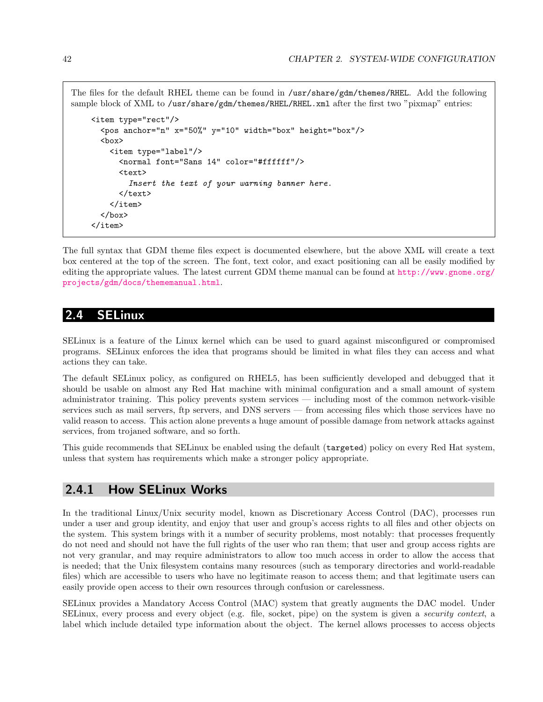The files for the default RHEL theme can be found in /usr/share/gdm/themes/RHEL. Add the following sample block of XML to /usr/share/gdm/themes/RHEL/RHEL.xml after the first two "pixmap" entries:

```
<item type="rect"/>
  <pos anchor="n" x="50%" y="10" width="box" height="box"/>
  <box>
    <item type="label"/>
      <normal font="Sans 14" color="#ffffff"/>
      <text>
        Insert the text of your warning banner here.
      </text>
    </item>
  </box>
</item>
```
The full syntax that GDM theme files expect is documented elsewhere, but the above XML will create a text box centered at the top of the screen. The font, text color, and exact positioning can all be easily modified by editing the appropriate values. The latest current GDM theme manual can be found at [http://www.gnome.org/](http://www.gnome.org/projects/gdm/docs/thememanual.html) [projects/gdm/docs/thememanual.html](http://www.gnome.org/projects/gdm/docs/thememanual.html).

# 2.4 SELinux

SELinux is a feature of the Linux kernel which can be used to guard against misconfigured or compromised programs. SELinux enforces the idea that programs should be limited in what files they can access and what actions they can take.

The default SELinux policy, as configured on RHEL5, has been sufficiently developed and debugged that it should be usable on almost any Red Hat machine with minimal configuration and a small amount of system administrator training. This policy prevents system services — including most of the common network-visible services such as mail servers, ftp servers, and DNS servers — from accessing files which those services have no valid reason to access. This action alone prevents a huge amount of possible damage from network attacks against services, from trojaned software, and so forth.

This guide recommends that SELinux be enabled using the default (targeted) policy on every Red Hat system, unless that system has requirements which make a stronger policy appropriate.

# <span id="page-41-0"></span>2.4.1 How SELinux Works

In the traditional Linux/Unix security model, known as Discretionary Access Control (DAC), processes run under a user and group identity, and enjoy that user and group's access rights to all files and other objects on the system. This system brings with it a number of security problems, most notably: that processes frequently do not need and should not have the full rights of the user who ran them; that user and group access rights are not very granular, and may require administrators to allow too much access in order to allow the access that is needed; that the Unix filesystem contains many resources (such as temporary directories and world-readable files) which are accessible to users who have no legitimate reason to access them; and that legitimate users can easily provide open access to their own resources through confusion or carelessness.

SELinux provides a Mandatory Access Control (MAC) system that greatly augments the DAC model. Under SELinux, every process and every object (e.g. file, socket, pipe) on the system is given a security context, a label which include detailed type information about the object. The kernel allows processes to access objects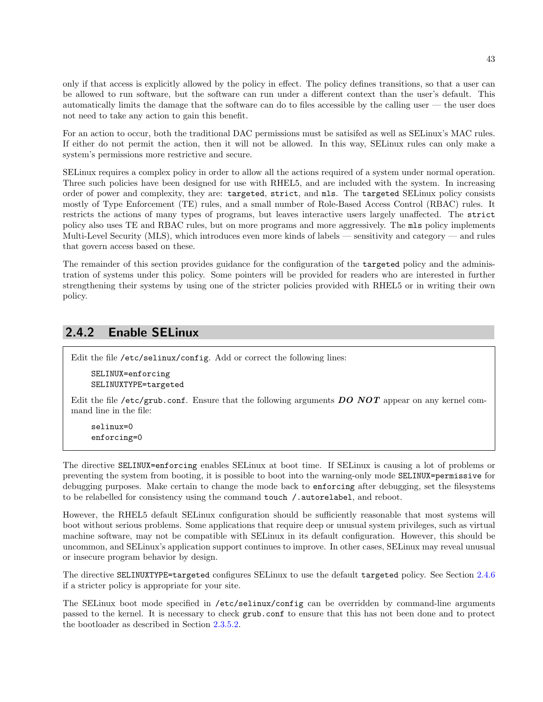only if that access is explicitly allowed by the policy in effect. The policy defines transitions, so that a user can be allowed to run software, but the software can run under a different context than the user's default. This automatically limits the damage that the software can do to files accessible by the calling user  $-$  the user does not need to take any action to gain this benefit.

For an action to occur, both the traditional DAC permissions must be satisifed as well as SELinux's MAC rules. If either do not permit the action, then it will not be allowed. In this way, SELinux rules can only make a system's permissions more restrictive and secure.

SELinux requires a complex policy in order to allow all the actions required of a system under normal operation. Three such policies have been designed for use with RHEL5, and are included with the system. In increasing order of power and complexity, they are: targeted, strict, and mls. The targeted SELinux policy consists mostly of Type Enforcement (TE) rules, and a small number of Role-Based Access Control (RBAC) rules. It restricts the actions of many types of programs, but leaves interactive users largely unaffected. The strict policy also uses TE and RBAC rules, but on more programs and more aggressively. The mls policy implements Multi-Level Security (MLS), which introduces even more kinds of labels — sensitivity and category — and rules that govern access based on these.

The remainder of this section provides guidance for the configuration of the targeted policy and the administration of systems under this policy. Some pointers will be provided for readers who are interested in further strengthening their systems by using one of the stricter policies provided with RHEL5 or in writing their own policy.

# 2.4.2 Enable SELinux

Edit the file /etc/selinux/config. Add or correct the following lines:

```
SELINUX=enforcing
SELINUXTYPE=targeted
```
Edit the file /etc/grub.conf. Ensure that the following arguments  $DO NOT$  appear on any kernel command line in the file:

selinux=0 enforcing=0

The directive SELINUX=enforcing enables SELinux at boot time. If SELinux is causing a lot of problems or preventing the system from booting, it is possible to boot into the warning-only mode SELINUX=permissive for debugging purposes. Make certain to change the mode back to enforcing after debugging, set the filesystems to be relabelled for consistency using the command touch /.autorelabel, and reboot.

However, the RHEL5 default SELinux configuration should be sufficiently reasonable that most systems will boot without serious problems. Some applications that require deep or unusual system privileges, such as virtual machine software, may not be compatible with SELinux in its default configuration. However, this should be uncommon, and SELinux's application support continues to improve. In other cases, SELinux may reveal unusual or insecure program behavior by design.

The directive SELINUXTYPE=targeted configures SELinux to use the default targeted policy. See Section [2.4.6](#page-46-0) if a stricter policy is appropriate for your site.

The SELinux boot mode specified in /etc/selinux/config can be overridden by command-line arguments passed to the kernel. It is necessary to check grub.conf to ensure that this has not been done and to protect the bootloader as described in Section [2.3.5.2.](#page-37-0)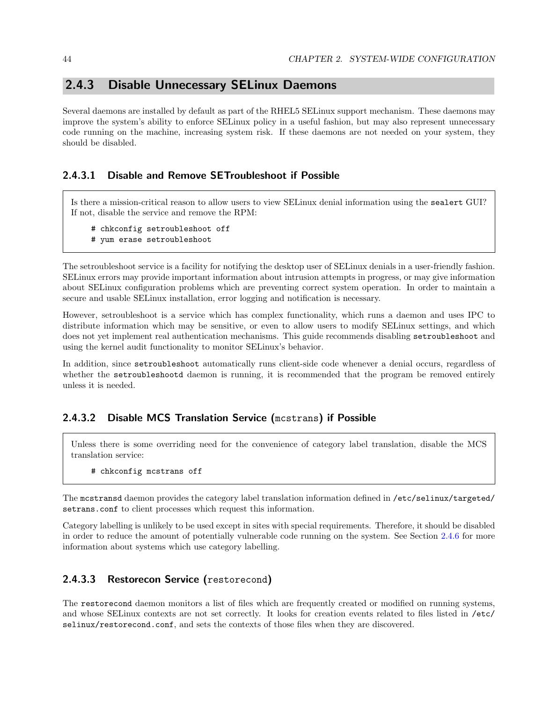# 2.4.3 Disable Unnecessary SELinux Daemons

Several daemons are installed by default as part of the RHEL5 SELinux support mechanism. These daemons may improve the system's ability to enforce SELinux policy in a useful fashion, but may also represent unnecessary code running on the machine, increasing system risk. If these daemons are not needed on your system, they should be disabled.

#### 2.4.3.1 Disable and Remove SETroubleshoot if Possible

Is there a mission-critical reason to allow users to view SELinux denial information using the sealert GUI? If not, disable the service and remove the RPM:

# chkconfig setroubleshoot off # yum erase setroubleshoot

The setroubleshoot service is a facility for notifying the desktop user of SELinux denials in a user-friendly fashion. SELinux errors may provide important information about intrusion attempts in progress, or may give information about SELinux configuration problems which are preventing correct system operation. In order to maintain a secure and usable SELinux installation, error logging and notification is necessary.

However, setroubleshoot is a service which has complex functionality, which runs a daemon and uses IPC to distribute information which may be sensitive, or even to allow users to modify SELinux settings, and which does not yet implement real authentication mechanisms. This guide recommends disabling setroubleshoot and using the kernel audit functionality to monitor SELinux's behavior.

In addition, since setroubleshoot automatically runs client-side code whenever a denial occurs, regardless of whether the setroubleshootd daemon is running, it is recommended that the program be removed entirely unless it is needed.

### 2.4.3.2 Disable MCS Translation Service (mcstrans) if Possible

Unless there is some overriding need for the convenience of category label translation, disable the MCS translation service:

# chkconfig mcstrans off

The mcstransd daemon provides the category label translation information defined in /etc/selinux/targeted/ setrans.conf to client processes which request this information.

Category labelling is unlikely to be used except in sites with special requirements. Therefore, it should be disabled in order to reduce the amount of potentially vulnerable code running on the system. See Section [2.4.6](#page-46-0) for more information about systems which use category labelling.

### 2.4.3.3 Restorecon Service (restorecond)

The restorecond daemon monitors a list of files which are frequently created or modified on running systems, and whose SELinux contexts are not set correctly. It looks for creation events related to files listed in /etc/ selinux/restorecond.conf, and sets the contexts of those files when they are discovered.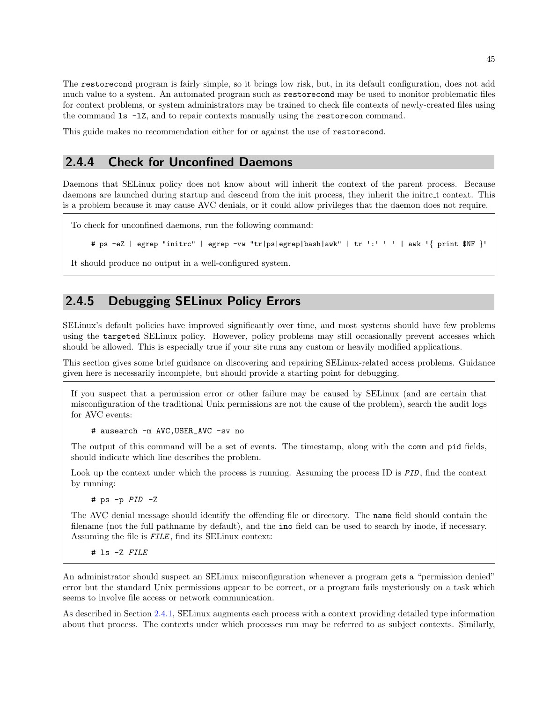The restorecond program is fairly simple, so it brings low risk, but, in its default configuration, does not add much value to a system. An automated program such as restorecond may be used to monitor problematic files for context problems, or system administrators may be trained to check file contexts of newly-created files using the command ls -lZ, and to repair contexts manually using the restorecon command.

This guide makes no recommendation either for or against the use of restorecond.

# 2.4.4 Check for Unconfined Daemons

Daemons that SELinux policy does not know about will inherit the context of the parent process. Because daemons are launched during startup and descend from the init process, they inherit the initrc t context. This is a problem because it may cause AVC denials, or it could allow privileges that the daemon does not require.

To check for unconfined daemons, run the following command:

```
# ps -eZ | egrep "initrc" | egrep -vw "tr|ps|egrep|bash|awk" | tr ':' ' ' | awk '{ print $NF }'
```
It should produce no output in a well-configured system.

# <span id="page-44-0"></span>2.4.5 Debugging SELinux Policy Errors

SELinux's default policies have improved significantly over time, and most systems should have few problems using the targeted SELinux policy. However, policy problems may still occasionally prevent accesses which should be allowed. This is especially true if your site runs any custom or heavily modified applications.

This section gives some brief guidance on discovering and repairing SELinux-related access problems. Guidance given here is necessarily incomplete, but should provide a starting point for debugging.

If you suspect that a permission error or other failure may be caused by SELinux (and are certain that misconfiguration of the traditional Unix permissions are not the cause of the problem), search the audit logs for AVC events:

# ausearch -m AVC,USER\_AVC -sv no

The output of this command will be a set of events. The timestamp, along with the comm and pid fields, should indicate which line describes the problem.

Look up the context under which the process is running. Assuming the process ID is PID, find the context by running:

# ps -p PID -Z

The AVC denial message should identify the offending file or directory. The name field should contain the filename (not the full pathname by default), and the ino field can be used to search by inode, if necessary. Assuming the file is FILE , find its SELinux context:

# ls -Z FILE

An administrator should suspect an SELinux misconfiguration whenever a program gets a "permission denied" error but the standard Unix permissions appear to be correct, or a program fails mysteriously on a task which seems to involve file access or network communication.

As described in Section [2.4.1,](#page-41-0) SELinux augments each process with a context providing detailed type information about that process. The contexts under which processes run may be referred to as subject contexts. Similarly,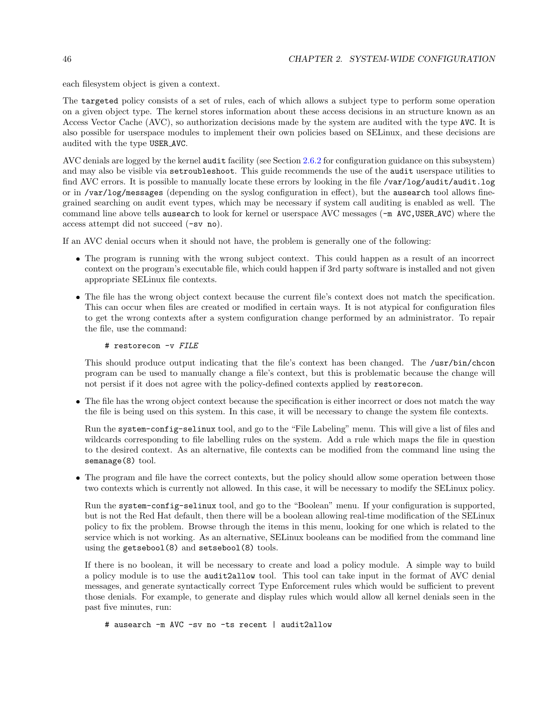each filesystem object is given a context.

The targeted policy consists of a set of rules, each of which allows a subject type to perform some operation on a given object type. The kernel stores information about these access decisions in an structure known as an Access Vector Cache (AVC), so authorization decisions made by the system are audited with the type AVC. It is also possible for userspace modules to implement their own policies based on SELinux, and these decisions are audited with the type USER AVC.

AVC denials are logged by the kernel audit facility (see Section [2.6.2](#page-68-0) for configuration guidance on this subsystem) and may also be visible via setroubleshoot. This guide recommends the use of the audit userspace utilities to find AVC errors. It is possible to manually locate these errors by looking in the file /var/log/audit/audit.log or in /var/log/messages (depending on the syslog configuration in effect), but the ausearch tool allows finegrained searching on audit event types, which may be necessary if system call auditing is enabled as well. The command line above tells ausearch to look for kernel or userspace AVC messages ( $-m$  AVC, USER AVC) where the access attempt did not succeed (-sv no).

If an AVC denial occurs when it should not have, the problem is generally one of the following:

- The program is running with the wrong subject context. This could happen as a result of an incorrect context on the program's executable file, which could happen if 3rd party software is installed and not given appropriate SELinux file contexts.
- The file has the wrong object context because the current file's context does not match the specification. This can occur when files are created or modified in certain ways. It is not atypical for configuration files to get the wrong contexts after a system configuration change performed by an administrator. To repair the file, use the command:

#### # restorecon -v FILE

This should produce output indicating that the file's context has been changed. The /usr/bin/chcon program can be used to manually change a file's context, but this is problematic because the change will not persist if it does not agree with the policy-defined contexts applied by restorecon.

 The file has the wrong object context because the specification is either incorrect or does not match the way the file is being used on this system. In this case, it will be necessary to change the system file contexts.

Run the system-config-selinux tool, and go to the "File Labeling" menu. This will give a list of files and wildcards corresponding to file labelling rules on the system. Add a rule which maps the file in question to the desired context. As an alternative, file contexts can be modified from the command line using the semanage(8) tool.

 The program and file have the correct contexts, but the policy should allow some operation between those two contexts which is currently not allowed. In this case, it will be necessary to modify the SELinux policy.

Run the system-config-selinux tool, and go to the "Boolean" menu. If your configuration is supported, but is not the Red Hat default, then there will be a boolean allowing real-time modification of the SELinux policy to fix the problem. Browse through the items in this menu, looking for one which is related to the service which is not working. As an alternative, SELinux booleans can be modified from the command line using the getsebool(8) and setsebool(8) tools.

If there is no boolean, it will be necessary to create and load a policy module. A simple way to build a policy module is to use the audit2allow tool. This tool can take input in the format of AVC denial messages, and generate syntactically correct Type Enforcement rules which would be sufficient to prevent those denials. For example, to generate and display rules which would allow all kernel denials seen in the past five minutes, run:

# ausearch -m AVC -sv no -ts recent | audit2allow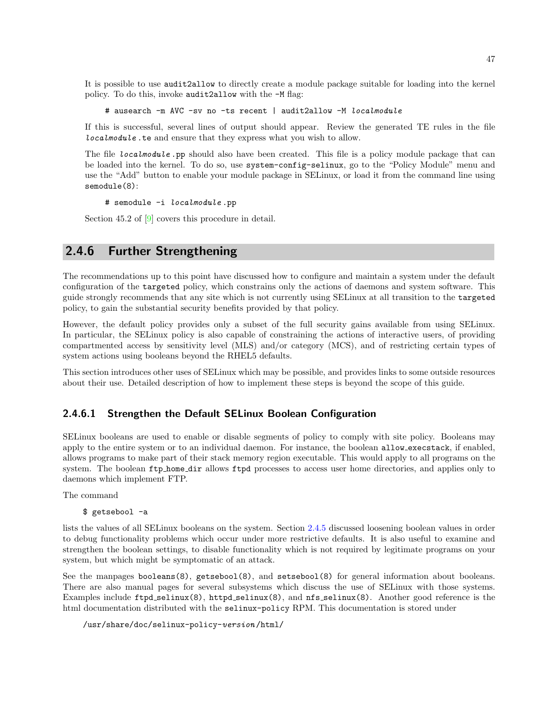It is possible to use audit2allow to directly create a module package suitable for loading into the kernel policy. To do this, invoke audit2allow with the -M flag:

# ausearch -m AVC -sv no -ts recent | audit2allow -M localmodule

If this is successful, several lines of output should appear. Review the generated TE rules in the file localmodule .te and ensure that they express what you wish to allow.

The file localmodule .pp should also have been created. This file is a policy module package that can be loaded into the kernel. To do so, use system-config-selinux, go to the "Policy Module" menu and use the "Add" button to enable your module package in SELinux, or load it from the command line using semodule(8):

```
# semodule -i localmodule.pp
```
Section 45.2 of  $[9]$  covers this procedure in detail.

# <span id="page-46-0"></span>2.4.6 Further Strengthening

The recommendations up to this point have discussed how to configure and maintain a system under the default configuration of the targeted policy, which constrains only the actions of daemons and system software. This guide strongly recommends that any site which is not currently using SELinux at all transition to the targeted policy, to gain the substantial security benefits provided by that policy.

However, the default policy provides only a subset of the full security gains available from using SELinux. In particular, the SELinux policy is also capable of constraining the actions of interactive users, of providing compartmented access by sensitivity level (MLS) and/or category (MCS), and of restricting certain types of system actions using booleans beyond the RHEL5 defaults.

This section introduces other uses of SELinux which may be possible, and provides links to some outside resources about their use. Detailed description of how to implement these steps is beyond the scope of this guide.

#### 2.4.6.1 Strengthen the Default SELinux Boolean Configuration

SELinux booleans are used to enable or disable segments of policy to comply with site policy. Booleans may apply to the entire system or to an individual daemon. For instance, the boolean allow execstack, if enabled, allows programs to make part of their stack memory region executable. This would apply to all programs on the system. The boolean ftp home dir allows ftpd processes to access user home directories, and applies only to daemons which implement FTP.

The command

#### \$ getsebool -a

lists the values of all SELinux booleans on the system. Section [2.4.5](#page-44-0) discussed loosening boolean values in order to debug functionality problems which occur under more restrictive defaults. It is also useful to examine and strengthen the boolean settings, to disable functionality which is not required by legitimate programs on your system, but which might be symptomatic of an attack.

See the manpages booleans(8), getsebool(8), and setsebool(8) for general information about booleans. There are also manual pages for several subsystems which discuss the use of SELinux with those systems. Examples include ftpd selinux(8), httpd selinux(8), and nfs selinux(8). Another good reference is the html documentation distributed with the selinux-policy RPM. This documentation is stored under

/usr/share/doc/selinux-policy-version /html/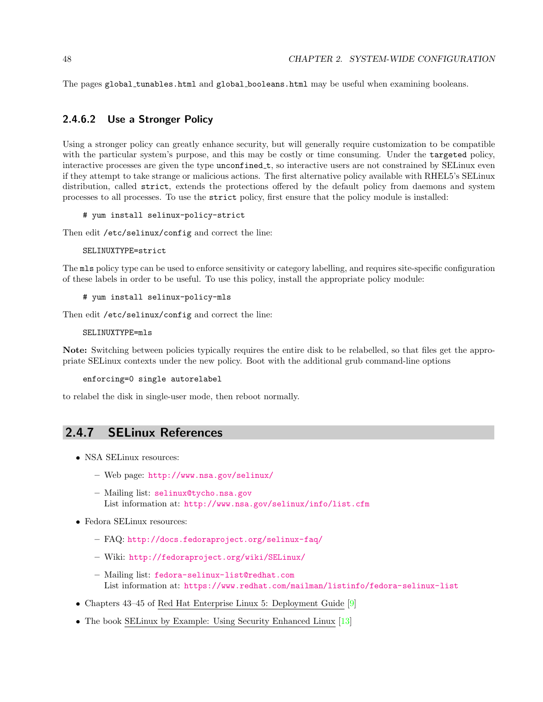The pages global tunables.html and global booleans.html may be useful when examining booleans.

#### 2.4.6.2 Use a Stronger Policy

Using a stronger policy can greatly enhance security, but will generally require customization to be compatible with the particular system's purpose, and this may be costly or time consuming. Under the targeted policy, interactive processes are given the type unconfined t, so interactive users are not constrained by SELinux even if they attempt to take strange or malicious actions. The first alternative policy available with RHEL5's SELinux distribution, called strict, extends the protections offered by the default policy from daemons and system processes to all processes. To use the strict policy, first ensure that the policy module is installed:

# yum install selinux-policy-strict

Then edit /etc/selinux/config and correct the line:

SELINUXTYPE=strict

The mls policy type can be used to enforce sensitivity or category labelling, and requires site-specific configuration of these labels in order to be useful. To use this policy, install the appropriate policy module:

# yum install selinux-policy-mls

Then edit /etc/selinux/config and correct the line:

SELINUXTYPE=mls

Note: Switching between policies typically requires the entire disk to be relabelled, so that files get the appropriate SELinux contexts under the new policy. Boot with the additional grub command-line options

enforcing=0 single autorelabel

to relabel the disk in single-user mode, then reboot normally.

# 2.4.7 SELinux References

- NSA SELinux resources:
	- Web page: <http://www.nsa.gov/selinux/>
	- Mailing list: <selinux@tycho.nsa.gov> List information at: <http://www.nsa.gov/selinux/info/list.cfm>
- Fedora SELinux resources:
	- FAQ: <http://docs.fedoraproject.org/selinux-faq/>
	- Wiki: <http://fedoraproject.org/wiki/SELinux/>
	- Mailing list: <fedora-selinux-list@redhat.com> List information at: <https://www.redhat.com/mailman/listinfo/fedora-selinux-list>
- Chapters 43–45 of Red Hat Enterprise Linux 5: Deployment Guide [\[9\]](#page-168-0)
- The book SELinux by Example: Using Security Enhanced Linux [\[13\]](#page-168-1)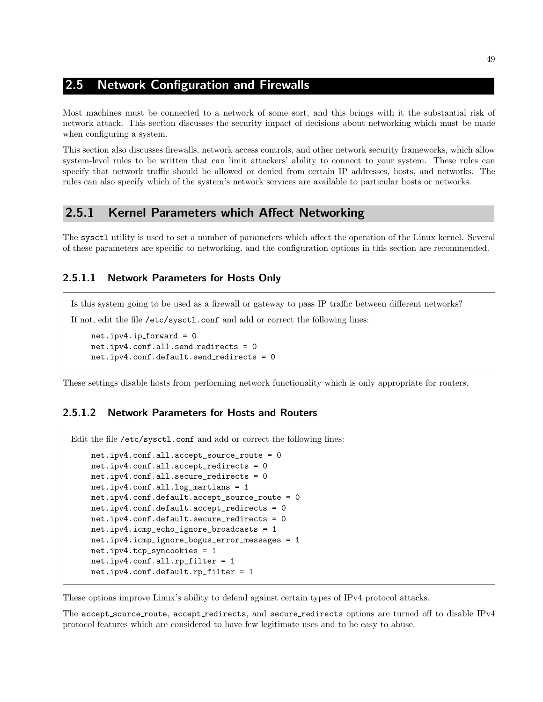# 2.5 Network Configuration and Firewalls

Most machines must be connected to a network of some sort, and this brings with it the substantial risk of network attack. This section discusses the security impact of decisions about networking which must be made when configuring a system.

This section also discusses firewalls, network access controls, and other network security frameworks, which allow system-level rules to be written that can limit attackers' ability to connect to your system. These rules can specify that network traffic should be allowed or denied from certain IP addresses, hosts, and networks. The rules can also specify which of the system's network services are available to particular hosts or networks.

# 2.5.1 Kernel Parameters which Affect Networking

The sysctl utility is used to set a number of parameters which affect the operation of the Linux kernel. Several of these parameters are specific to networking, and the configuration options in this section are recommended.

# 2.5.1.1 Network Parameters for Hosts Only

Is this system going to be used as a firewall or gateway to pass IP traffic between different networks?

If not, edit the file /etc/sysctl.conf and add or correct the following lines:

 $net.ipv4.ip_forward = 0$  $net.jpg.conf.all.send_redirects = 0$  $net.jpg.conf.default.send_{redirects} = 0$ 

These settings disable hosts from performing network functionality which is only appropriate for routers.

### <span id="page-48-0"></span>2.5.1.2 Network Parameters for Hosts and Routers

Edit the file /etc/sysctl.conf and add or correct the following lines:

```
net.ipv4.conf.all.accept_source_route = 0
net.ipv4.conf.all.accept_redirects = 0
net.ipv4.conf.all.secure_redirects = 0
net.ipv4.conf.all.log_martians = 1
net.ipv4.conf.default.accept_source_route = 0
net.ipv4.conf.default.accept_redirects = 0
net.ipv4.conf.default.secure_redirects = 0
net.ipv4.icmp_echo_ignore_broadcasts = 1
net.ipv4.icmp_ignore_bogus_error_messages = 1
net.ipv4.tcp_syncookies = 1
net.ipv4.conf.all.rp_filter = 1
net.ipv4.conf.default.rp_filter = 1
```
These options improve Linux's ability to defend against certain types of IPv4 protocol attacks.

The accept\_source\_route, accept\_redirects, and secure\_redirects options are turned off to disable IPv4 protocol features which are considered to have few legitimate uses and to be easy to abuse.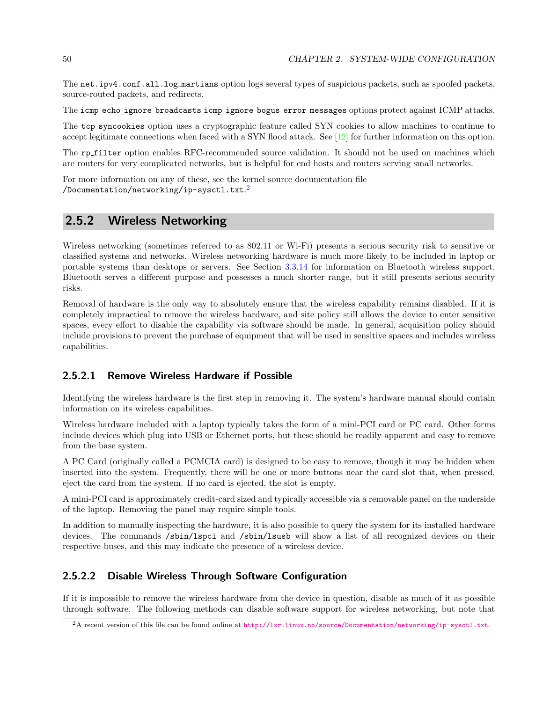The net.ipv4.conf.all.log martians option logs several types of suspicious packets, such as spoofed packets, source-routed packets, and redirects.

The icmp echo ignore broadcasts icmp ignore bogus error messages options protect against ICMP attacks.

The tcp\_syncookies option uses a cryptographic feature called SYN cookies to allow machines to continue to accept legitimate connections when faced with a SYN flood attack. See [\[12\]](#page-168-2) for further information on this option.

The rp\_filter option enables RFC-recommended source validation. It should not be used on machines which are routers for very complicated networks, but is helpful for end hosts and routers serving small networks.

For more information on any of these, see the kernel source documentation file  $/$ Documentation/networking/ip-sysctl.txt. $^{2}$  $^{2}$  $^{2}$ 

# 2.5.2 Wireless Networking

Wireless networking (sometimes referred to as 802.11 or Wi-Fi) presents a serious security risk to sensitive or classified systems and networks. Wireless networking hardware is much more likely to be included in laptop or portable systems than desktops or servers. See Section [3.3.14](#page-80-0) for information on Bluetooth wireless support. Bluetooth serves a different purpose and possesses a much shorter range, but it still presents serious security risks.

Removal of hardware is the only way to absolutely ensure that the wireless capability remains disabled. If it is completely impractical to remove the wireless hardware, and site policy still allows the device to enter sensitive spaces, every effort to disable the capability via software should be made. In general, acquisition policy should include provisions to prevent the purchase of equipment that will be used in sensitive spaces and includes wireless capabilities.

#### 2.5.2.1 Remove Wireless Hardware if Possible

Identifying the wireless hardware is the first step in removing it. The system's hardware manual should contain information on its wireless capabilities.

Wireless hardware included with a laptop typically takes the form of a mini-PCI card or PC card. Other forms include devices which plug into USB or Ethernet ports, but these should be readily apparent and easy to remove from the base system.

A PC Card (originally called a PCMCIA card) is designed to be easy to remove, though it may be hidden when inserted into the system. Frequently, there will be one or more buttons near the card slot that, when pressed, eject the card from the system. If no card is ejected, the slot is empty.

A mini-PCI card is approximately credit-card sized and typically accessible via a removable panel on the underside of the laptop. Removing the panel may require simple tools.

In addition to manually inspecting the hardware, it is also possible to query the system for its installed hardware devices. The commands /sbin/lspci and /sbin/lsusb will show a list of all recognized devices on their respective buses, and this may indicate the presence of a wireless device.

### 2.5.2.2 Disable Wireless Through Software Configuration

If it is impossible to remove the wireless hardware from the device in question, disable as much of it as possible through software. The following methods can disable software support for wireless networking, but note that

<span id="page-49-0"></span> ${}^{2}$ A recent version of this file can be found online at http://1xr.1inux.no/source/Documentation/networking/ip-sysct1.txt.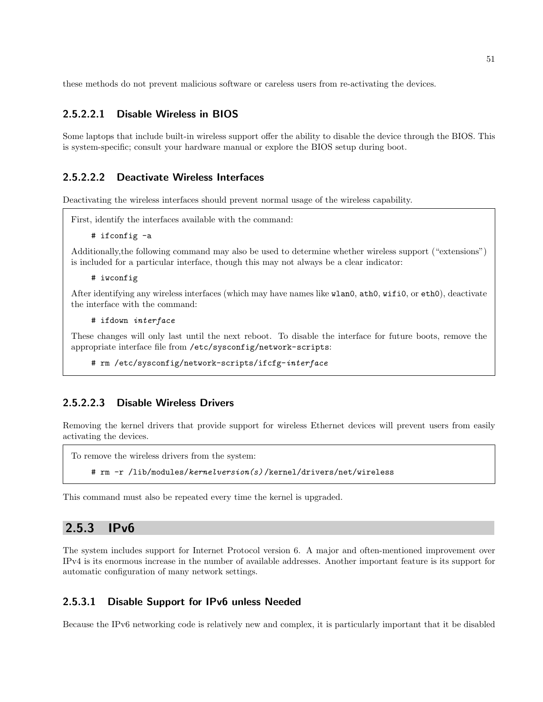these methods do not prevent malicious software or careless users from re-activating the devices.

### <span id="page-50-0"></span>2.5.2.2.1 Disable Wireless in BIOS

Some laptops that include built-in wireless support offer the ability to disable the device through the BIOS. This is system-specific; consult your hardware manual or explore the BIOS setup during boot.

## 2.5.2.2.2 Deactivate Wireless Interfaces

Deactivating the wireless interfaces should prevent normal usage of the wireless capability.

First, identify the interfaces available with the command:

```
# ifconfig -a
```
Additionally,the following command may also be used to determine whether wireless support ("extensions") is included for a particular interface, though this may not always be a clear indicator:

# iwconfig

After identifying any wireless interfaces (which may have names like wlan0, ath0, wifi0, or eth0), deactivate the interface with the command:

# ifdown interface

These changes will only last until the next reboot. To disable the interface for future boots, remove the appropriate interface file from /etc/sysconfig/network-scripts:

```
# rm /etc/sysconfig/network-scripts/ifcfg-interface
```
### 2.5.2.2.3 Disable Wireless Drivers

Removing the kernel drivers that provide support for wireless Ethernet devices will prevent users from easily activating the devices.

To remove the wireless drivers from the system:

# rm -r /lib/modules/kernelversion(s) /kernel/drivers/net/wireless

This command must also be repeated every time the kernel is upgraded.

# 2.5.3 IPv6

The system includes support for Internet Protocol version 6. A major and often-mentioned improvement over IPv4 is its enormous increase in the number of available addresses. Another important feature is its support for automatic configuration of many network settings.

# 2.5.3.1 Disable Support for IPv6 unless Needed

Because the IPv6 networking code is relatively new and complex, it is particularly important that it be disabled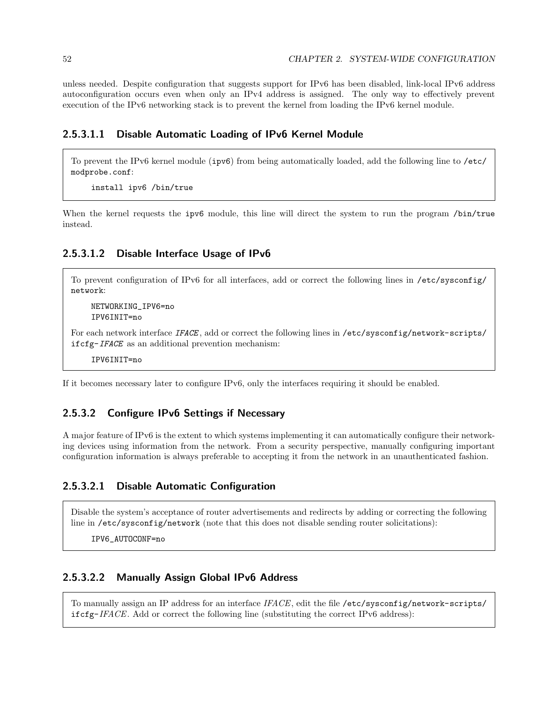unless needed. Despite configuration that suggests support for IPv6 has been disabled, link-local IPv6 address autoconfiguration occurs even when only an IPv4 address is assigned. The only way to effectively prevent execution of the IPv6 networking stack is to prevent the kernel from loading the IPv6 kernel module.

#### 2.5.3.1.1 Disable Automatic Loading of IPv6 Kernel Module

To prevent the IPv6 kernel module (ipv6) from being automatically loaded, add the following line to /etc/ modprobe.conf:

install ipv6 /bin/true

When the kernel requests the ipv6 module, this line will direct the system to run the program /bin/true instead.

#### 2.5.3.1.2 Disable Interface Usage of IPv6

To prevent configuration of IPv6 for all interfaces, add or correct the following lines in /etc/sysconfig/ network:

NETWORKING\_IPV6=no IPV6INIT=no

For each network interface IFACE, add or correct the following lines in /etc/sysconfig/network-scripts/ ifcfg-IFACE as an additional prevention mechanism:

IPV6INIT=no

If it becomes necessary later to configure IPv6, only the interfaces requiring it should be enabled.

#### 2.5.3.2 Configure IPv6 Settings if Necessary

A major feature of IPv6 is the extent to which systems implementing it can automatically configure their networking devices using information from the network. From a security perspective, manually configuring important configuration information is always preferable to accepting it from the network in an unauthenticated fashion.

#### 2.5.3.2.1 Disable Automatic Configuration

Disable the system's acceptance of router advertisements and redirects by adding or correcting the following line in /etc/sysconfig/network (note that this does not disable sending router solicitations):

IPV6\_AUTOCONF=no

#### 2.5.3.2.2 Manually Assign Global IPv6 Address

To manually assign an IP address for an interface  $IFACE$ , edit the file /etc/sysconfig/network-scripts/ ifcfg-IFACE. Add or correct the following line (substituting the correct IPv6 address):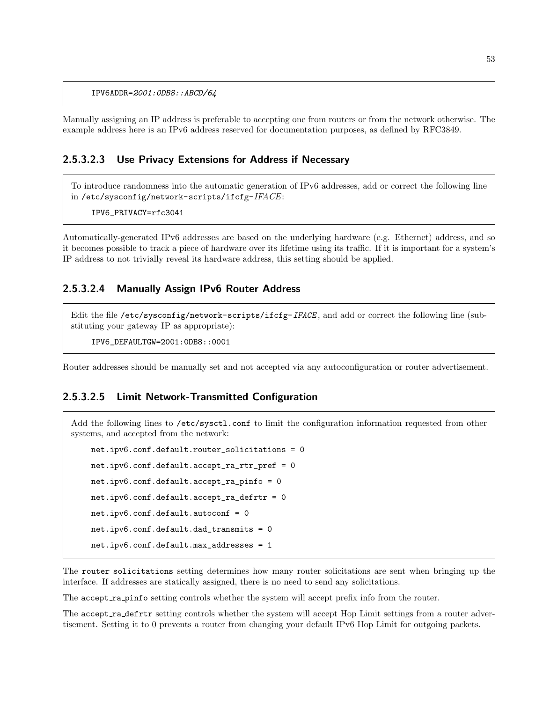IPV6ADDR=2001:0DB8::ABCD/64

Manually assigning an IP address is preferable to accepting one from routers or from the network otherwise. The example address here is an IPv6 address reserved for documentation purposes, as defined by RFC3849.

#### 2.5.3.2.3 Use Privacy Extensions for Address if Necessary

To introduce randomness into the automatic generation of IPv6 addresses, add or correct the following line in /etc/sysconfig/network-scripts/ifcfg-IFACE:

IPV6\_PRIVACY=rfc3041

Automatically-generated IPv6 addresses are based on the underlying hardware (e.g. Ethernet) address, and so it becomes possible to track a piece of hardware over its lifetime using its traffic. If it is important for a system's IP address to not trivially reveal its hardware address, this setting should be applied.

#### 2.5.3.2.4 Manually Assign IPv6 Router Address

Edit the file /etc/sysconfig/network-scripts/ifcfg-IFACE, and add or correct the following line (substituting your gateway IP as appropriate):

IPV6\_DEFAULTGW=2001:0DB8::0001

Router addresses should be manually set and not accepted via any autoconfiguration or router advertisement.

#### 2.5.3.2.5 Limit Network-Transmitted Configuration

Add the following lines to /etc/sysctl.conf to limit the configuration information requested from other systems, and accepted from the network:

```
net.ipv6.conf.default.router_solicitations = 0
net.ipv6.conf.default.accept_ra_rtr_pref = 0
net.ipv6.conf.default.accept_ra_pinfo = 0
net.ipv6.conf.default.accept_ra_defrtr = 0
net.ipv6.conf.default.autoconf = 0
net.ipv6.conf.default.dad_transmits = 0
net.ipv6.conf.default.max_addresses = 1
```
The router solicitations setting determines how many router solicitations are sent when bringing up the interface. If addresses are statically assigned, there is no need to send any solicitations.

The accept ra pinfo setting controls whether the system will accept prefix info from the router.

The accept ra defrtr setting controls whether the system will accept Hop Limit settings from a router advertisement. Setting it to 0 prevents a router from changing your default IPv6 Hop Limit for outgoing packets.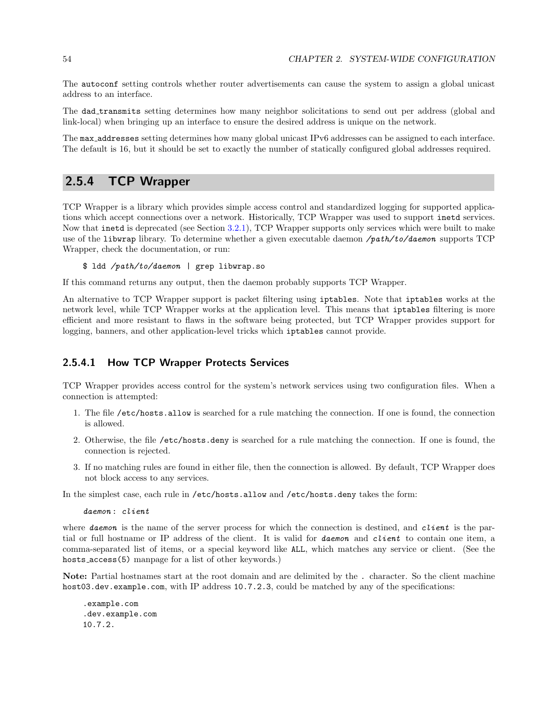The autoconf setting controls whether router advertisements can cause the system to assign a global unicast address to an interface.

The dad transmits setting determines how many neighbor solicitations to send out per address (global and link-local) when bringing up an interface to ensure the desired address is unique on the network.

The max addresses setting determines how many global unicast IPv6 addresses can be assigned to each interface. The default is 16, but it should be set to exactly the number of statically configured global addresses required.

# 2.5.4 TCP Wrapper

TCP Wrapper is a library which provides simple access control and standardized logging for supported applications which accept connections over a network. Historically, TCP Wrapper was used to support inetd services. Now that inetd is deprecated (see Section [3.2.1\)](#page-74-0), TCP Wrapper supports only services which were built to make use of the libwrap library. To determine whether a given executable daemon /path/to/daemon supports TCP Wrapper, check the documentation, or run:

\$ ldd /path/to/daemon | grep libwrap.so

If this command returns any output, then the daemon probably supports TCP Wrapper.

An alternative to TCP Wrapper support is packet filtering using iptables. Note that iptables works at the network level, while TCP Wrapper works at the application level. This means that iptables filtering is more efficient and more resistant to flaws in the software being protected, but TCP Wrapper provides support for logging, banners, and other application-level tricks which iptables cannot provide.

#### 2.5.4.1 How TCP Wrapper Protects Services

TCP Wrapper provides access control for the system's network services using two configuration files. When a connection is attempted:

- 1. The file /etc/hosts.allow is searched for a rule matching the connection. If one is found, the connection is allowed.
- 2. Otherwise, the file /etc/hosts.deny is searched for a rule matching the connection. If one is found, the connection is rejected.
- 3. If no matching rules are found in either file, then the connection is allowed. By default, TCP Wrapper does not block access to any services.

In the simplest case, each rule in /etc/hosts.allow and /etc/hosts.deny takes the form:

```
daemon : client
```
where **daemon** is the name of the server process for which the connection is destined, and **client** is the partial or full hostname or IP address of the client. It is valid for *daemon* and *client* to contain one item, a comma-separated list of items, or a special keyword like ALL, which matches any service or client. (See the hosts access(5) manpage for a list of other keywords.)

Note: Partial hostnames start at the root domain and are delimited by the . character. So the client machine host03.dev.example.com, with IP address 10.7.2.3, could be matched by any of the specifications:

.example.com .dev.example.com 10.7.2.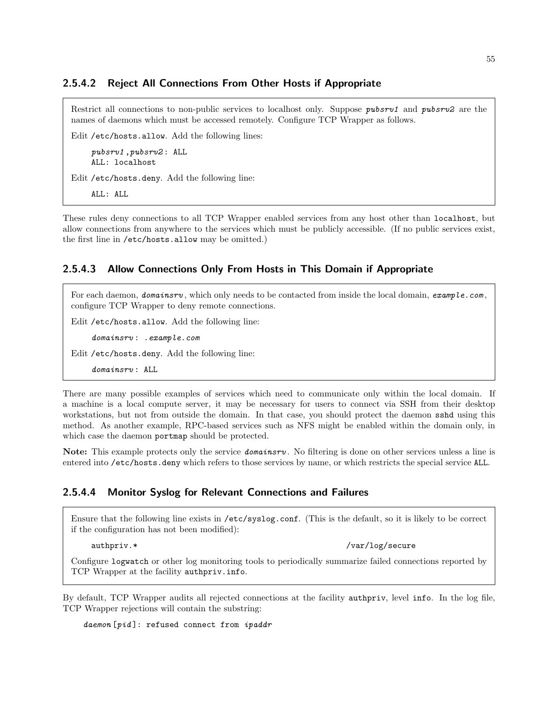#### 2.5.4.2 Reject All Connections From Other Hosts if Appropriate

Restrict all connections to non-public services to localhost only. Suppose *pubsru1* and *pubsru2* are the names of daemons which must be accessed remotely. Configure TCP Wrapper as follows. Edit /etc/hosts.allow. Add the following lines: pubsrv1 ,pubsrv2 : ALL ALL: localhost Edit /etc/hosts.deny. Add the following line: ALL: ALL

These rules deny connections to all TCP Wrapper enabled services from any host other than localhost, but allow connections from anywhere to the services which must be publicly accessible. (If no public services exist, the first line in /etc/hosts.allow may be omitted.)

### 2.5.4.3 Allow Connections Only From Hosts in This Domain if Appropriate

For each daemon, *domainsrv*, which only needs to be contacted from inside the local domain, example.com, configure TCP Wrapper to deny remote connections.

Edit /etc/hosts.allow. Add the following line:

domainsrv : .example.com

Edit /etc/hosts.deny. Add the following line:

domainsrv : ALL

There are many possible examples of services which need to communicate only within the local domain. If a machine is a local compute server, it may be necessary for users to connect via SSH from their desktop workstations, but not from outside the domain. In that case, you should protect the daemon sshd using this method. As another example, RPC-based services such as NFS might be enabled within the domain only, in which case the daemon portmap should be protected.

Note: This example protects only the service *domainsrv*. No filtering is done on other services unless a line is entered into /etc/hosts.deny which refers to those services by name, or which restricts the special service ALL.

#### 2.5.4.4 Monitor Syslog for Relevant Connections and Failures

Ensure that the following line exists in /etc/syslog.conf. (This is the default, so it is likely to be correct if the configuration has not been modified):

authpriv.\* /var/log/secure

Configure logwatch or other log monitoring tools to periodically summarize failed connections reported by TCP Wrapper at the facility authpriv.info.

By default, TCP Wrapper audits all rejected connections at the facility authpriv, level info. In the log file, TCP Wrapper rejections will contain the substring:

daemon [pid]: refused connect from ipaddr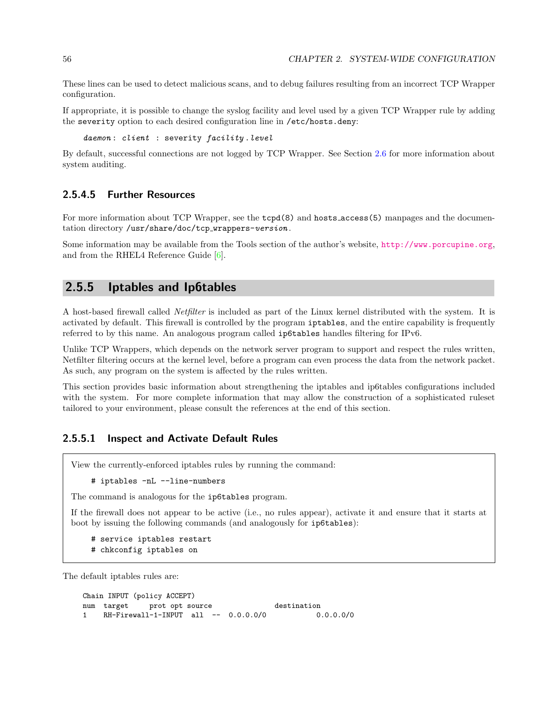These lines can be used to detect malicious scans, and to debug failures resulting from an incorrect TCP Wrapper configuration.

If appropriate, it is possible to change the syslog facility and level used by a given TCP Wrapper rule by adding the severity option to each desired configuration line in /etc/hosts.deny:

daemon: client : severity facility. level

By default, successful connections are not logged by TCP Wrapper. See Section [2.6](#page-64-0) for more information about system auditing.

#### 2.5.4.5 Further Resources

For more information about TCP Wrapper, see the  $\text{tcpd}(8)$  and hosts access(5) manpages and the documentation directory /usr/share/doc/tcp\_wrappers-version.

Some information may be available from the Tools section of the author's website, <http://www.porcupine.org>, and from the RHEL4 Reference Guide [\[6\]](#page-168-3).

### 2.5.5 Iptables and Ip6tables

A host-based firewall called Netfilter is included as part of the Linux kernel distributed with the system. It is activated by default. This firewall is controlled by the program iptables, and the entire capability is frequently referred to by this name. An analogous program called ip6tables handles filtering for IPv6.

Unlike TCP Wrappers, which depends on the network server program to support and respect the rules written, Netfilter filtering occurs at the kernel level, before a program can even process the data from the network packet. As such, any program on the system is affected by the rules written.

This section provides basic information about strengthening the iptables and ip6tables configurations included with the system. For more complete information that may allow the construction of a sophisticated ruleset tailored to your environment, please consult the references at the end of this section.

#### 2.5.5.1 Inspect and Activate Default Rules

View the currently-enforced iptables rules by running the command:

# iptables -nL --line-numbers

The command is analogous for the ip6tables program.

If the firewall does not appear to be active (i.e., no rules appear), activate it and ensure that it starts at boot by issuing the following commands (and analogously for ip6tables):

```
# service iptables restart
# chkconfig iptables on
```
The default iptables rules are:

```
Chain INPUT (policy ACCEPT)
num target prot opt source destination
1 RH-Firewall-1-INPUT all -- 0.0.0.0/0 0.0.0.0/0
```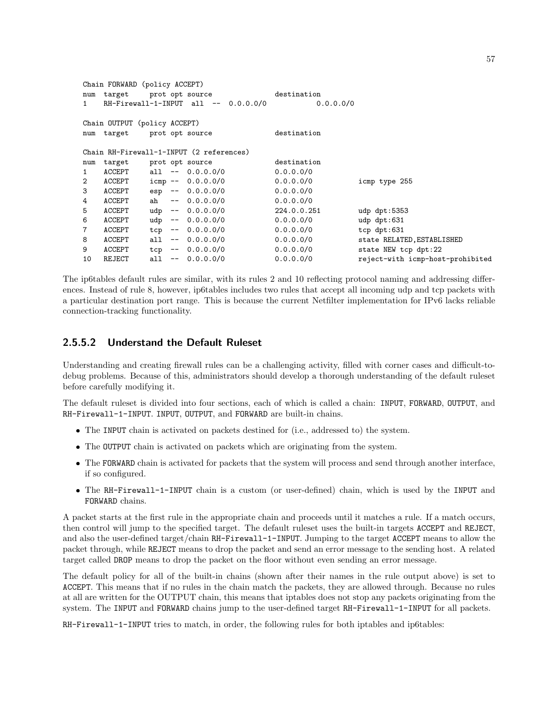| Chain FORWARD (policy ACCEPT)            |               |     |        |                                          |             |                                  |  |  |
|------------------------------------------|---------------|-----|--------|------------------------------------------|-------------|----------------------------------|--|--|
| num                                      | target        |     |        | prot opt source                          | destination |                                  |  |  |
| 1                                        |               |     |        | $RH-Firewall-1-IMPUT$ all $--$ 0.0.0.0/0 | 0.0.0.0/0   |                                  |  |  |
|                                          |               |     |        |                                          |             |                                  |  |  |
| Chain OUTPUT (policy ACCEPT)             |               |     |        |                                          |             |                                  |  |  |
| num                                      | target        |     |        | prot opt source                          | destination |                                  |  |  |
|                                          |               |     |        |                                          |             |                                  |  |  |
| Chain RH-Firewall-1-INPUT (2 references) |               |     |        |                                          |             |                                  |  |  |
| num                                      | target        |     |        | prot opt source                          | destination |                                  |  |  |
| $\mathbf{1}$                             | ACCEPT        |     |        | all $-- 0.0.0.0/0$                       | 0.0.0.0/0   |                                  |  |  |
| 2                                        | ACCEPT        |     |        | $icmp$ -- 0.0.0.0/0                      | 0.0.0.0/0   | icmp type 255                    |  |  |
| 3                                        | <b>ACCEPT</b> | esp |        | $-- 0.0.0.0/0$                           | 0.0.0.0/0   |                                  |  |  |
| 4                                        | <b>ACCEPT</b> | ah  |        | $- - 0.0.0.0/0$                          | 0.0.0.0/0   |                                  |  |  |
| 5                                        | <b>ACCEPT</b> |     |        | $\text{udp}$ -- 0.0.0.0/0                | 224.0.0.251 | udp dpt:5353                     |  |  |
| 6                                        | <b>ACCEPT</b> | udp |        | $-- 0.0.0.0/0$                           | 0.0.0.0/0   | udp dpt:631                      |  |  |
| $\overline{7}$                           | <b>ACCEPT</b> | tcp | $- \,$ | 0.0.0.0/0                                | 0.0.0.0/0   | $tcp$ dpt:631                    |  |  |
| 8                                        | <b>ACCEPT</b> | all |        | $-- 0.0.0.0/0$                           | 0.0.0.0/0   | state RELATED, ESTABLISHED       |  |  |
| 9                                        | <b>ACCEPT</b> | tcp | $--$   | 0.0.0.0/0                                | 0.0.0.0/0   | state NEW tcp dpt:22             |  |  |
| 10                                       | REJECT        | all |        | $-- 0.0.0.0/0$                           | 0.0.0.0/0   | reject-with icmp-host-prohibited |  |  |

The ip6tables default rules are similar, with its rules 2 and 10 reflecting protocol naming and addressing differences. Instead of rule 8, however, ip6tables includes two rules that accept all incoming udp and tcp packets with a particular destination port range. This is because the current Netfilter implementation for IPv6 lacks reliable connection-tracking functionality.

#### 2.5.5.2 Understand the Default Ruleset

Understanding and creating firewall rules can be a challenging activity, filled with corner cases and difficult-todebug problems. Because of this, administrators should develop a thorough understanding of the default ruleset before carefully modifying it.

The default ruleset is divided into four sections, each of which is called a chain: INPUT, FORWARD, OUTPUT, and RH-Firewall-1-INPUT. INPUT, OUTPUT, and FORWARD are built-in chains.

- The INPUT chain is activated on packets destined for (i.e., addressed to) the system.
- The OUTPUT chain is activated on packets which are originating from the system.
- The FORWARD chain is activated for packets that the system will process and send through another interface, if so configured.
- The RH-Firewall-1-INPUT chain is a custom (or user-defined) chain, which is used by the INPUT and FORWARD chains.

A packet starts at the first rule in the appropriate chain and proceeds until it matches a rule. If a match occurs, then control will jump to the specified target. The default ruleset uses the built-in targets ACCEPT and REJECT, and also the user-defined target/chain RH-Firewall-1-INPUT. Jumping to the target ACCEPT means to allow the packet through, while REJECT means to drop the packet and send an error message to the sending host. A related target called DROP means to drop the packet on the floor without even sending an error message.

The default policy for all of the built-in chains (shown after their names in the rule output above) is set to ACCEPT. This means that if no rules in the chain match the packets, they are allowed through. Because no rules at all are written for the OUTPUT chain, this means that iptables does not stop any packets originating from the system. The INPUT and FORWARD chains jump to the user-defined target RH-Firewall-1-INPUT for all packets.

RH-Firewall-1-INPUT tries to match, in order, the following rules for both iptables and ip6tables: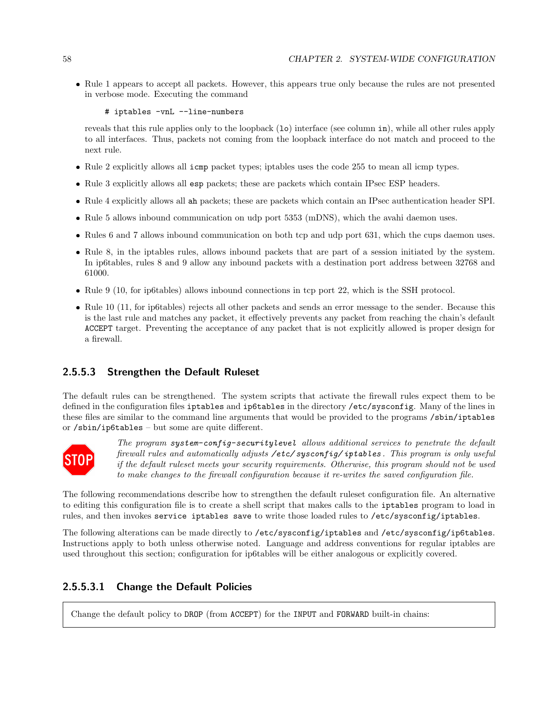• Rule 1 appears to accept all packets. However, this appears true only because the rules are not presented in verbose mode. Executing the command

# iptables -vnL --line-numbers

reveals that this rule applies only to the loopback (lo) interface (see column in), while all other rules apply to all interfaces. Thus, packets not coming from the loopback interface do not match and proceed to the next rule.

- Rule 2 explicitly allows all icmp packet types; iptables uses the code 255 to mean all icmp types.
- Rule 3 explicitly allows all esp packets; these are packets which contain IPsec ESP headers.
- Rule 4 explicitly allows all ah packets; these are packets which contain an IPsec authentication header SPI.
- Rule 5 allows inbound communication on udp port 5353 (mDNS), which the avahi daemon uses.
- Rules 6 and 7 allows inbound communication on both tcp and udp port 631, which the cups daemon uses.
- Rule 8, in the iptables rules, allows inbound packets that are part of a session initiated by the system. In ip6tables, rules 8 and 9 allow any inbound packets with a destination port address between 32768 and 61000.
- Rule 9 (10, for ip6tables) allows inbound connections in tcp port 22, which is the SSH protocol.
- Rule 10 (11, for ip6tables) rejects all other packets and sends an error message to the sender. Because this is the last rule and matches any packet, it effectively prevents any packet from reaching the chain's default ACCEPT target. Preventing the acceptance of any packet that is not explicitly allowed is proper design for a firewall.

### 2.5.5.3 Strengthen the Default Ruleset

The default rules can be strengthened. The system scripts that activate the firewall rules expect them to be defined in the configuration files iptables and ip6tables in the directory /etc/sysconfig. Many of the lines in these files are similar to the command line arguments that would be provided to the programs /sbin/iptables or /sbin/ip6tables – but some are quite different.



The program system-config-securitylevel allows additional services to penetrate the default firewall rules and automatically adjusts /etc/ sysconfig/ iptables . This program is only useful if the default ruleset meets your security requirements. Otherwise, this program should not be used to make changes to the firewall configuration because it re-writes the saved configuration file.

The following recommendations describe how to strengthen the default ruleset configuration file. An alternative to editing this configuration file is to create a shell script that makes calls to the iptables program to load in rules, and then invokes service iptables save to write those loaded rules to /etc/sysconfig/iptables.

The following alterations can be made directly to /etc/sysconfig/iptables and /etc/sysconfig/ip6tables. Instructions apply to both unless otherwise noted. Language and address conventions for regular iptables are used throughout this section; configuration for ip6tables will be either analogous or explicitly covered.

### 2.5.5.3.1 Change the Default Policies

Change the default policy to DROP (from ACCEPT) for the INPUT and FORWARD built-in chains: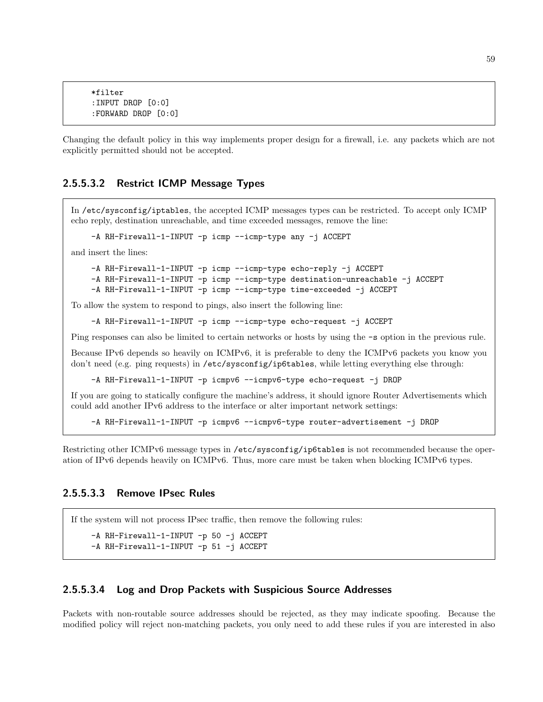```
*filter
:INPUT DROP [0:0]
:FORWARD DROP [0:0]
```
Changing the default policy in this way implements proper design for a firewall, i.e. any packets which are not explicitly permitted should not be accepted.

#### 2.5.5.3.2 Restrict ICMP Message Types

In /etc/sysconfig/iptables, the accepted ICMP messages types can be restricted. To accept only ICMP echo reply, destination unreachable, and time exceeded messages, remove the line:

-A RH-Firewall-1-INPUT -p icmp --icmp-type any -j ACCEPT

and insert the lines:

-A RH-Firewall-1-INPUT -p icmp --icmp-type echo-reply -j ACCEPT -A RH-Firewall-1-INPUT -p icmp --icmp-type destination-unreachable -j ACCEPT -A RH-Firewall-1-INPUT -p icmp --icmp-type time-exceeded -j ACCEPT

To allow the system to respond to pings, also insert the following line:

-A RH-Firewall-1-INPUT -p icmp --icmp-type echo-request -j ACCEPT

Ping responses can also be limited to certain networks or hosts by using the -s option in the previous rule.

Because IPv6 depends so heavily on ICMPv6, it is preferable to deny the ICMPv6 packets you know you don't need (e.g. ping requests) in /etc/sysconfig/ip6tables, while letting everything else through:

-A RH-Firewall-1-INPUT -p icmpv6 --icmpv6-type echo-request -j DROP

If you are going to statically configure the machine's address, it should ignore Router Advertisements which could add another IPv6 address to the interface or alter important network settings:

-A RH-Firewall-1-INPUT -p icmpv6 --icmpv6-type router-advertisement -j DROP

Restricting other ICMPv6 message types in /etc/sysconfig/ip6tables is not recommended because the operation of IPv6 depends heavily on ICMPv6. Thus, more care must be taken when blocking ICMPv6 types.

#### 2.5.5.3.3 Remove IPsec Rules

If the system will not process IPsec traffic, then remove the following rules:

-A RH-Firewall-1-INPUT -p 50 -j ACCEPT -A RH-Firewall-1-INPUT -p 51 -j ACCEPT

#### 2.5.5.3.4 Log and Drop Packets with Suspicious Source Addresses

Packets with non-routable source addresses should be rejected, as they may indicate spoofing. Because the modified policy will reject non-matching packets, you only need to add these rules if you are interested in also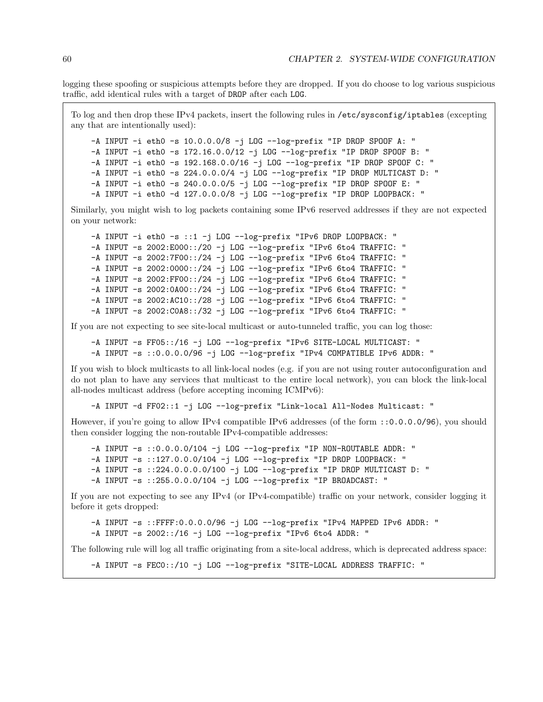logging these spoofing or suspicious attempts before they are dropped. If you do choose to log various suspicious traffic, add identical rules with a target of DROP after each LOG.

To log and then drop these IPv4 packets, insert the following rules in /etc/sysconfig/iptables (excepting any that are intentionally used):

-A INPUT -i eth0 -s 10.0.0.0/8 -j LOG --log-prefix "IP DROP SPOOF A: " -A INPUT -i eth0 -s 172.16.0.0/12 -j LOG --log-prefix "IP DROP SPOOF B: " -A INPUT -i eth0 -s 192.168.0.0/16 -j LOG --log-prefix "IP DROP SPOOF C: " -A INPUT -i eth0 -s 224.0.0.0/4 -j LOG --log-prefix "IP DROP MULTICAST D: "  $-A$  INPUT  $-i$  ethO  $-s$  240.0.0.0/5  $-i$  LOG  $--log-prefix$  "IP DROP SPOOF E: "  $-A$  INPUT  $-i$  eth0  $-d$  127.0.0.0/8  $-i$  LOG  $-i$ og-prefix "IP DROP LOOPBACK: "

Similarly, you might wish to log packets containing some IPv6 reserved addresses if they are not expected on your network:

```
-A INPUT -i ethO -s ::1 -j LOG --log-prefix "IPv6 DROP LOOPBACK: "
-A INPUT -s 2002:E000::/20 -j LOG --log-prefix "IPv6 6to4 TRAFFIC: "
-A INPUT -s 2002:7F00::/24 -j LOG --log-prefix "IPv6 6to4 TRAFFIC: "
-A INPUT -s 2002:0000::/24 -j LOG --log-prefix "IPv6 6to4 TRAFFIC: "
-A INPUT -s 2002:FF00::/24 -j LOG --log-prefix "IPv6 6to4 TRAFFIC: "
-A INPUT -s 2002:0A00::/24 -j LOG --log-prefix "IPv6 6to4 TRAFFIC: "
-A INPUT -s 2002:AC10::/28 -j LOG --log-prefix "IPv6 6to4 TRAFFIC: "
-A INPUT -s 2002:C0A8::/32 -j LOG --log-prefix "IPv6 6to4 TRAFFIC: "
```
If you are not expecting to see site-local multicast or auto-tunneled traffic, you can log those:

-A INPUT -s FF05::/16 -j LOG --log-prefix "IPv6 SITE-LOCAL MULTICAST: " -A INPUT -s ::0.0.0.0/96 -j LOG --log-prefix "IPv4 COMPATIBLE IPv6 ADDR: "

If you wish to block multicasts to all link-local nodes (e.g. if you are not using router autoconfiguration and do not plan to have any services that multicast to the entire local network), you can block the link-local all-nodes multicast address (before accepting incoming ICMPv6):

-A INPUT -d FF02::1 -j LOG --log-prefix "Link-local All-Nodes Multicast: "

However, if you're going to allow IPv4 compatible IPv6 addresses (of the form ::0.0.0.0.0/96), you should then consider logging the non-routable IPv4-compatible addresses:

-A INPUT -s ::0.0.0.0/104 -j LOG --log-prefix "IP NON-ROUTABLE ADDR: "  $-A$  INPUT  $-s$  ::127.0.0.0/104  $-j$  LOG  $--log-prefix$  "IP DROP LOOPBACK: " -A INPUT -s ::224.0.0.0.0/100 -j LOG --log-prefix "IP DROP MULTICAST D: " -A INPUT -s ::255.0.0.0/104 -j LOG --log-prefix "IP BROADCAST: "

If you are not expecting to see any IPv4 (or IPv4-compatible) traffic on your network, consider logging it before it gets dropped:

-A INPUT -s ::FFFF:0.0.0.0/96 -j LOG --log-prefix "IPv4 MAPPED IPv6 ADDR: " -A INPUT -s 2002::/16 -j LOG --log-prefix "IPv6 6to4 ADDR: "

The following rule will log all traffic originating from a site-local address, which is deprecated address space:

-A INPUT -s FEC0::/10 -j LOG --log-prefix "SITE-LOCAL ADDRESS TRAFFIC: "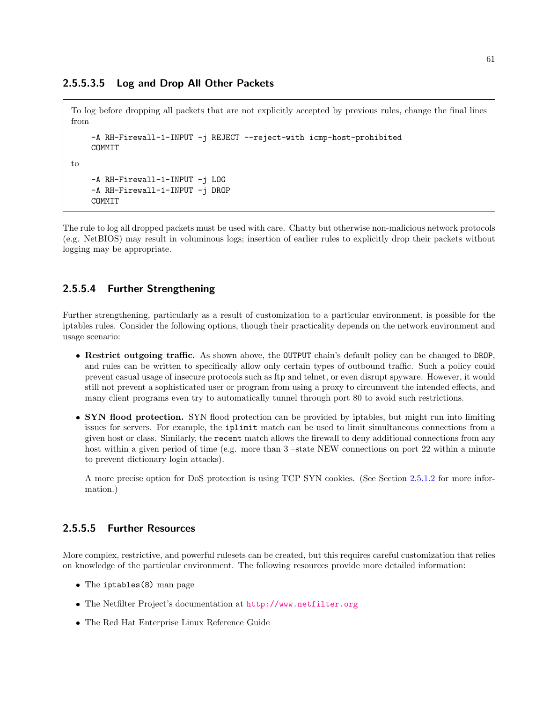#### 2.5.5.3.5 Log and Drop All Other Packets

```
To log before dropping all packets that are not explicitly accepted by previous rules, change the final lines
from
    -A RH-Firewall-1-INPUT -j REJECT --reject-with icmp-host-prohibited
    COMMIT
to
    -A RH-Firewall-1-INPUT -j LOG
    -A RH-Firewall-1-INPUT -j DROP
    COMMIT
```
The rule to log all dropped packets must be used with care. Chatty but otherwise non-malicious network protocols (e.g. NetBIOS) may result in voluminous logs; insertion of earlier rules to explicitly drop their packets without logging may be appropriate.

## 2.5.5.4 Further Strengthening

Further strengthening, particularly as a result of customization to a particular environment, is possible for the iptables rules. Consider the following options, though their practicality depends on the network environment and usage scenario:

- Restrict outgoing traffic. As shown above, the OUTPUT chain's default policy can be changed to DROP, and rules can be written to specifically allow only certain types of outbound traffic. Such a policy could prevent casual usage of insecure protocols such as ftp and telnet, or even disrupt spyware. However, it would still not prevent a sophisticated user or program from using a proxy to circumvent the intended effects, and many client programs even try to automatically tunnel through port 80 to avoid such restrictions.
- SYN flood protection. SYN flood protection can be provided by iptables, but might run into limiting issues for servers. For example, the iplimit match can be used to limit simultaneous connections from a given host or class. Similarly, the recent match allows the firewall to deny additional connections from any host within a given period of time (e.g. more than  $3$  –state NEW connections on port 22 within a minute to prevent dictionary login attacks).

A more precise option for DoS protection is using TCP SYN cookies. (See Section [2.5.1.2](#page-48-0) for more information.)

# 2.5.5.5 Further Resources

More complex, restrictive, and powerful rulesets can be created, but this requires careful customization that relies on knowledge of the particular environment. The following resources provide more detailed information:

- The iptables(8) man page
- The Netfilter Project's documentation at <http://www.netfilter.org>
- The Red Hat Enterprise Linux Reference Guide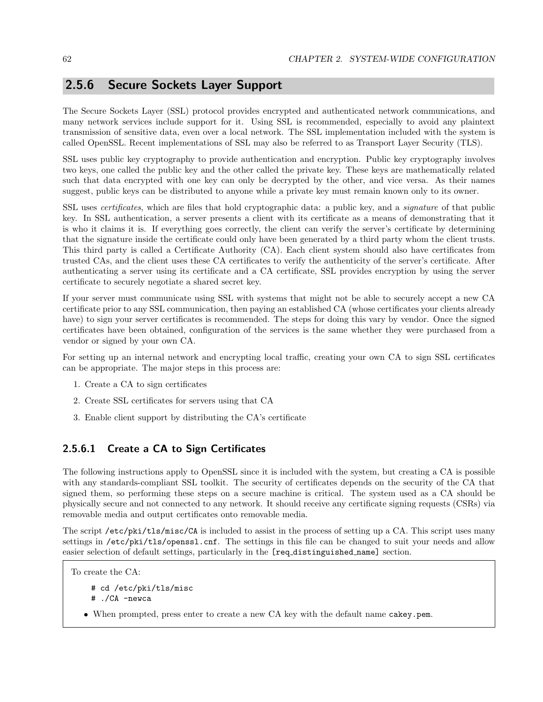# 2.5.6 Secure Sockets Layer Support

The Secure Sockets Layer (SSL) protocol provides encrypted and authenticated network communications, and many network services include support for it. Using SSL is recommended, especially to avoid any plaintext transmission of sensitive data, even over a local network. The SSL implementation included with the system is called OpenSSL. Recent implementations of SSL may also be referred to as Transport Layer Security (TLS).

SSL uses public key cryptography to provide authentication and encryption. Public key cryptography involves two keys, one called the public key and the other called the private key. These keys are mathematically related such that data encrypted with one key can only be decrypted by the other, and vice versa. As their names suggest, public keys can be distributed to anyone while a private key must remain known only to its owner.

SSL uses *certificates*, which are files that hold cryptographic data: a public key, and a *signature* of that public key. In SSL authentication, a server presents a client with its certificate as a means of demonstrating that it is who it claims it is. If everything goes correctly, the client can verify the server's certificate by determining that the signature inside the certificate could only have been generated by a third party whom the client trusts. This third party is called a Certificate Authority (CA). Each client system should also have certificates from trusted CAs, and the client uses these CA certificates to verify the authenticity of the server's certificate. After authenticating a server using its certificate and a CA certificate, SSL provides encryption by using the server certificate to securely negotiate a shared secret key.

If your server must communicate using SSL with systems that might not be able to securely accept a new CA certificate prior to any SSL communication, then paying an established CA (whose certificates your clients already have) to sign your server certificates is recommended. The steps for doing this vary by vendor. Once the signed certificates have been obtained, configuration of the services is the same whether they were purchased from a vendor or signed by your own CA.

For setting up an internal network and encrypting local traffic, creating your own CA to sign SSL certificates can be appropriate. The major steps in this process are:

- 1. Create a CA to sign certificates
- 2. Create SSL certificates for servers using that CA
- 3. Enable client support by distributing the CA's certificate

### <span id="page-61-0"></span>2.5.6.1 Create a CA to Sign Certificates

The following instructions apply to OpenSSL since it is included with the system, but creating a CA is possible with any standards-compliant SSL toolkit. The security of certificates depends on the security of the CA that signed them, so performing these steps on a secure machine is critical. The system used as a CA should be physically secure and not connected to any network. It should receive any certificate signing requests (CSRs) via removable media and output certificates onto removable media.

The script /etc/pki/tls/misc/CA is included to assist in the process of setting up a CA. This script uses many settings in /etc/pki/tls/openssl.cnf. The settings in this file can be changed to suit your needs and allow easier selection of default settings, particularly in the [req distinguished name] section.

```
To create the CA:
    # cd /etc/pki/tls/misc
    # ./CA -newca
```
When prompted, press enter to create a new CA key with the default name cakey.pem.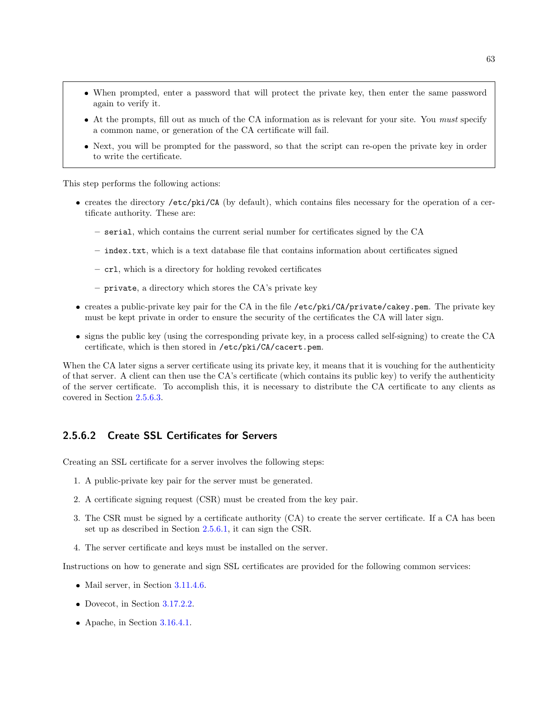- When prompted, enter a password that will protect the private key, then enter the same password again to verify it.
- At the prompts, fill out as much of the CA information as is relevant for your site. You must specify a common name, or generation of the CA certificate will fail.
- Next, you will be prompted for the password, so that the script can re-open the private key in order to write the certificate.

This step performs the following actions:

- creates the directory /etc/pki/CA (by default), which contains files necessary for the operation of a certificate authority. These are:
	- serial, which contains the current serial number for certificates signed by the CA
	- index.txt, which is a text database file that contains information about certificates signed
	- crl, which is a directory for holding revoked certificates
	- private, a directory which stores the CA's private key
- creates a public-private key pair for the CA in the file /etc/pki/CA/private/cakey.pem. The private key must be kept private in order to ensure the security of the certificates the CA will later sign.
- signs the public key (using the corresponding private key, in a process called self-signing) to create the CA certificate, which is then stored in /etc/pki/CA/cacert.pem.

When the CA later signs a server certificate using its private key, it means that it is vouching for the authenticity of that server. A client can then use the CA's certificate (which contains its public key) to verify the authenticity of the server certificate. To accomplish this, it is necessary to distribute the CA certificate to any clients as covered in Section [2.5.6.3.](#page-63-0)

#### 2.5.6.2 Create SSL Certificates for Servers

Creating an SSL certificate for a server involves the following steps:

- 1. A public-private key pair for the server must be generated.
- 2. A certificate signing request (CSR) must be created from the key pair.
- 3. The CSR must be signed by a certificate authority (CA) to create the server certificate. If a CA has been set up as described in Section [2.5.6.1,](#page-61-0) it can sign the CSR.
- 4. The server certificate and keys must be installed on the server.

Instructions on how to generate and sign SSL certificates are provided for the following common services:

- Mail server, in Section [3.11.4.6.](#page-107-0)
- Dovecot, in Section [3.17.2.2.](#page-153-0)
- Apache, in Section [3.16.4.1.](#page-147-0)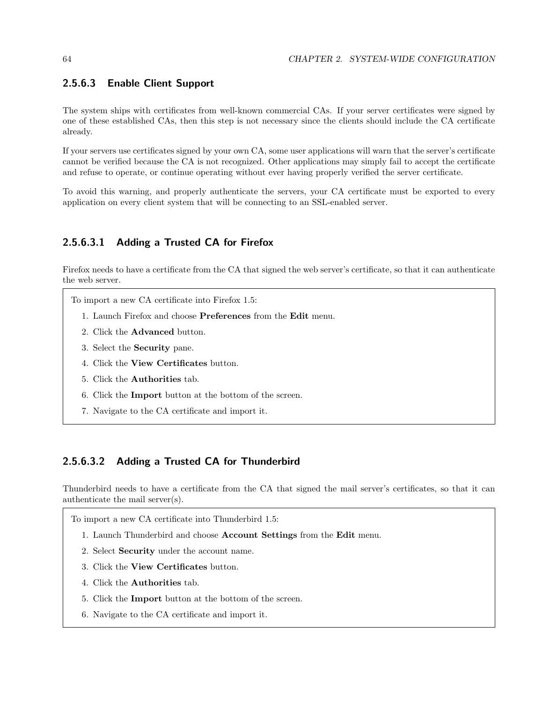## <span id="page-63-0"></span>2.5.6.3 Enable Client Support

The system ships with certificates from well-known commercial CAs. If your server certificates were signed by one of these established CAs, then this step is not necessary since the clients should include the CA certificate already.

If your servers use certificates signed by your own CA, some user applications will warn that the server's certificate cannot be verified because the CA is not recognized. Other applications may simply fail to accept the certificate and refuse to operate, or continue operating without ever having properly verified the server certificate.

To avoid this warning, and properly authenticate the servers, your CA certificate must be exported to every application on every client system that will be connecting to an SSL-enabled server.

### 2.5.6.3.1 Adding a Trusted CA for Firefox

Firefox needs to have a certificate from the CA that signed the web server's certificate, so that it can authenticate the web server.

To import a new CA certificate into Firefox 1.5:

- 1. Launch Firefox and choose Preferences from the Edit menu.
- 2. Click the Advanced button.
- 3. Select the Security pane.
- 4. Click the View Certificates button.
- 5. Click the Authorities tab.
- 6. Click the Import button at the bottom of the screen.
- 7. Navigate to the CA certificate and import it.

#### 2.5.6.3.2 Adding a Trusted CA for Thunderbird

Thunderbird needs to have a certificate from the CA that signed the mail server's certificates, so that it can authenticate the mail server(s).

To import a new CA certificate into Thunderbird 1.5:

- 1. Launch Thunderbird and choose Account Settings from the Edit menu.
- 2. Select Security under the account name.
- 3. Click the View Certificates button.
- 4. Click the Authorities tab.
- 5. Click the Import button at the bottom of the screen.
- 6. Navigate to the CA certificate and import it.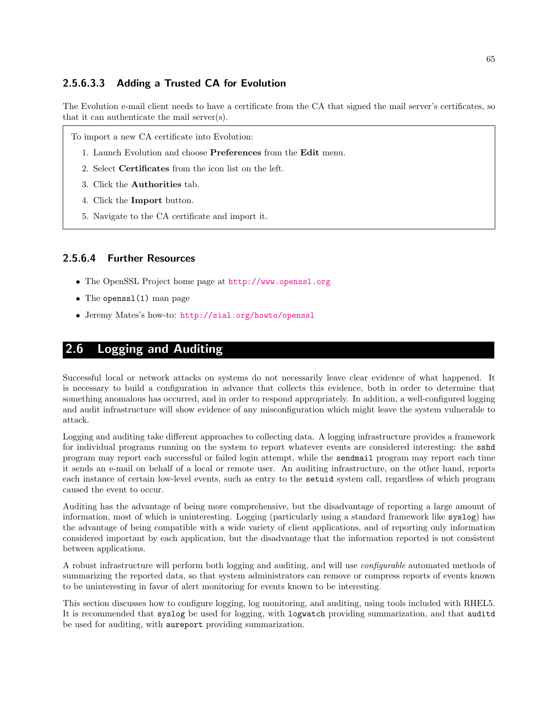### 2.5.6.3.3 Adding a Trusted CA for Evolution

The Evolution e-mail client needs to have a certificate from the CA that signed the mail server's certificates, so that it can authenticate the mail server(s).

To import a new CA certificate into Evolution:

- 1. Launch Evolution and choose Preferences from the Edit menu.
- 2. Select Certificates from the icon list on the left.
- 3. Click the Authorities tab.
- 4. Click the Import button.
- 5. Navigate to the CA certificate and import it.

#### 2.5.6.4 Further Resources

- The OpenSSL Project home page at <http://www.openssl.org>
- The openssl(1) man page
- Jeremy Mates's how-to: <http://sial.org/howto/openssl>

## <span id="page-64-0"></span>2.6 Logging and Auditing

Successful local or network attacks on systems do not necessarily leave clear evidence of what happened. It is necessary to build a configuration in advance that collects this evidence, both in order to determine that something anomalous has occurred, and in order to respond appropriately. In addition, a well-configured logging and audit infrastructure will show evidence of any misconfiguration which might leave the system vulnerable to attack.

Logging and auditing take different approaches to collecting data. A logging infrastructure provides a framework for individual programs running on the system to report whatever events are considered interesting: the sshd program may report each successful or failed login attempt, while the sendmail program may report each time it sends an e-mail on behalf of a local or remote user. An auditing infrastructure, on the other hand, reports each instance of certain low-level events, such as entry to the setuid system call, regardless of which program caused the event to occur.

Auditing has the advantage of being more comprehensive, but the disadvantage of reporting a large amount of information, most of which is uninteresting. Logging (particularly using a standard framework like syslog) has the advantage of being compatible with a wide variety of client applications, and of reporting only information considered important by each application, but the disadvantage that the information reported is not consistent between applications.

A robust infrastructure will perform both logging and auditing, and will use configurable automated methods of summarizing the reported data, so that system administrators can remove or compress reports of events known to be uninteresting in favor of alert monitoring for events known to be interesting.

This section discusses how to configure logging, log monitoring, and auditing, using tools included with RHEL5. It is recommended that syslog be used for logging, with logwatch providing summarization, and that auditd be used for auditing, with aureport providing summarization.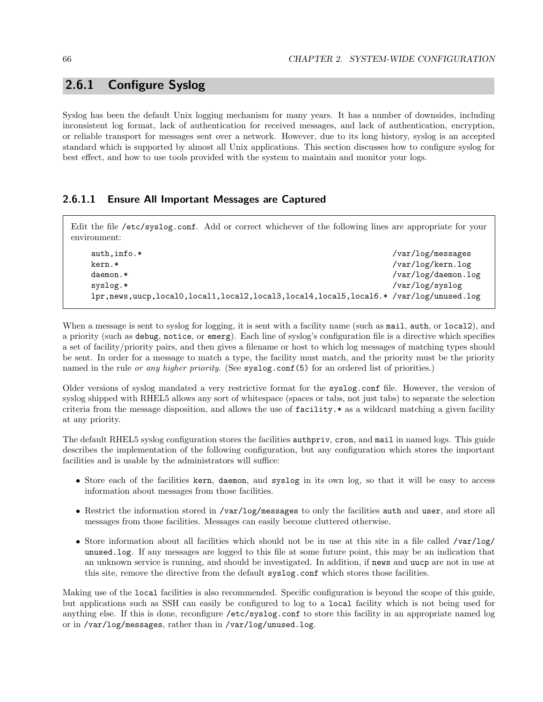# 2.6.1 Configure Syslog

Syslog has been the default Unix logging mechanism for many years. It has a number of downsides, including inconsistent log format, lack of authentication for received messages, and lack of authentication, encryption, or reliable transport for messages sent over a network. However, due to its long history, syslog is an accepted standard which is supported by almost all Unix applications. This section discusses how to configure syslog for best effect, and how to use tools provided with the system to maintain and monitor your logs.

#### 2.6.1.1 Ensure All Important Messages are Captured

| Edit the file /etc/syslog.conf. Add or correct whichever of the following lines are appropriate for your<br>environment:                          |                                                                                  |
|---------------------------------------------------------------------------------------------------------------------------------------------------|----------------------------------------------------------------------------------|
| auth, info.*<br>kern.*<br>daemon.*<br>$syslog.*$<br>lpr, news, uucp, local0, local1, local2, local3, local4, local5, local6.* /var/log/unused.log | /var/log/messages<br>/var/log/kern.log<br>/var/log/daemon.log<br>/var/log/syslog |

When a message is sent to syslog for logging, it is sent with a facility name (such as mail, auth, or local2), and a priority (such as debug, notice, or emerg). Each line of syslog's configuration file is a directive which specifies a set of facility/priority pairs, and then gives a filename or host to which log messages of matching types should be sent. In order for a message to match a type, the facility must match, and the priority must be the priority named in the rule or any higher priority. (See syslog.conf(5) for an ordered list of priorities.)

Older versions of syslog mandated a very restrictive format for the syslog.conf file. However, the version of syslog shipped with RHEL5 allows any sort of whitespace (spaces or tabs, not just tabs) to separate the selection criteria from the message disposition, and allows the use of facility.\* as a wildcard matching a given facility at any priority.

The default RHEL5 syslog configuration stores the facilities authpriv, cron, and mail in named logs. This guide describes the implementation of the following configuration, but any configuration which stores the important facilities and is usable by the administrators will suffice:

- Store each of the facilities kern, daemon, and syslog in its own log, so that it will be easy to access information about messages from those facilities.
- Restrict the information stored in /var/log/messages to only the facilities auth and user, and store all messages from those facilities. Messages can easily become cluttered otherwise.
- Store information about all facilities which should not be in use at this site in a file called /var/log/ unused.log. If any messages are logged to this file at some future point, this may be an indication that an unknown service is running, and should be investigated. In addition, if news and uucp are not in use at this site, remove the directive from the default syslog.conf which stores those facilities.

Making use of the local facilities is also recommended. Specific configuration is beyond the scope of this guide, but applications such as SSH can easily be configured to log to a local facility which is not being used for anything else. If this is done, reconfigure /etc/syslog.conf to store this facility in an appropriate named log or in /var/log/messages, rather than in /var/log/unused.log.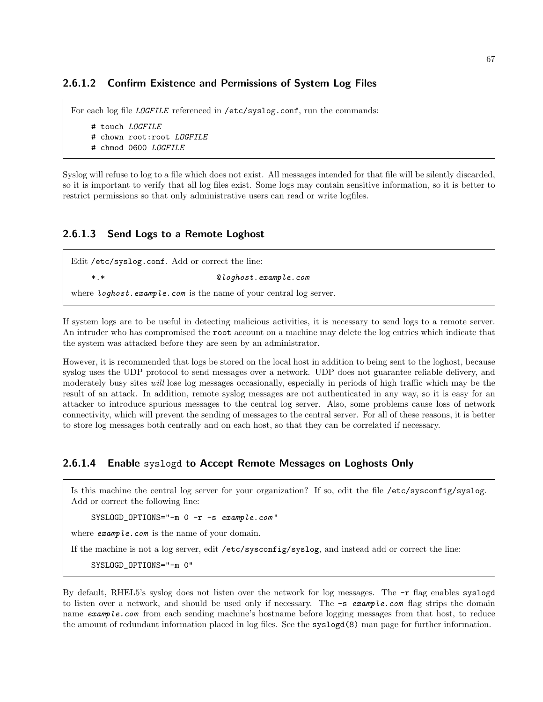#### 2.6.1.2 Confirm Existence and Permissions of System Log Files

For each log file *LOGFILE* referenced in /etc/syslog.conf, run the commands:

# touch LOGFILE # chown root: root LOGFILE # chmod 0600 LOGFILE

Syslog will refuse to log to a file which does not exist. All messages intended for that file will be silently discarded, so it is important to verify that all log files exist. Some logs may contain sensitive information, so it is better to restrict permissions so that only administrative users can read or write logfiles.

### 2.6.1.3 Send Logs to a Remote Loghost

Edit /etc/syslog.conf. Add or correct the line:

\*.\* @loghost.example.com

where *loghost.example.com* is the name of your central log server.

If system logs are to be useful in detecting malicious activities, it is necessary to send logs to a remote server. An intruder who has compromised the root account on a machine may delete the log entries which indicate that the system was attacked before they are seen by an administrator.

However, it is recommended that logs be stored on the local host in addition to being sent to the loghost, because syslog uses the UDP protocol to send messages over a network. UDP does not guarantee reliable delivery, and moderately busy sites will lose log messages occasionally, especially in periods of high traffic which may be the result of an attack. In addition, remote syslog messages are not authenticated in any way, so it is easy for an attacker to introduce spurious messages to the central log server. Also, some problems cause loss of network connectivity, which will prevent the sending of messages to the central server. For all of these reasons, it is better to store log messages both centrally and on each host, so that they can be correlated if necessary.

### 2.6.1.4 Enable syslogd to Accept Remote Messages on Loghosts Only

Is this machine the central log server for your organization? If so, edit the file /etc/sysconfig/syslog. Add or correct the following line:

 $SYSLOGD_OPTIONS="-<sup>m</sup> -<sup>m</sup> 0 -<sup>r</sup> -<sup>s</sup> *example.com* "$ 

where **example**.com is the name of your domain.

If the machine is not a log server, edit /etc/sysconfig/syslog, and instead add or correct the line:

SYSLOGD\_OPTIONS="-m 0"

By default, RHEL5's syslog does not listen over the network for log messages. The -r flag enables syslogd to listen over a network, and should be used only if necessary. The  $-\infty$  example.com flag strips the domain name example.com from each sending machine's hostname before logging messages from that host, to reduce the amount of redundant information placed in log files. See the syslogd(8) man page for further information.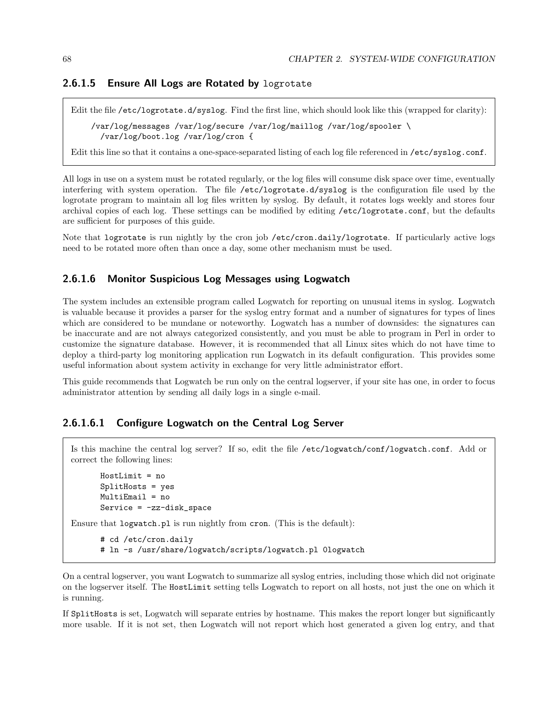### 2.6.1.5 Ensure All Logs are Rotated by logrotate

Edit the file /etc/logrotate.d/syslog. Find the first line, which should look like this (wrapped for clarity):

/var/log/messages /var/log/secure /var/log/maillog /var/log/spooler \ /var/log/boot.log /var/log/cron {

Edit this line so that it contains a one-space-separated listing of each log file referenced in /etc/syslog.conf.

All logs in use on a system must be rotated regularly, or the log files will consume disk space over time, eventually interfering with system operation. The file /etc/logrotate.d/syslog is the configuration file used by the logrotate program to maintain all log files written by syslog. By default, it rotates logs weekly and stores four archival copies of each log. These settings can be modified by editing /etc/logrotate.conf, but the defaults are sufficient for purposes of this guide.

Note that logrotate is run nightly by the cron job /etc/cron.daily/logrotate. If particularly active logs need to be rotated more often than once a day, some other mechanism must be used.

#### 2.6.1.6 Monitor Suspicious Log Messages using Logwatch

The system includes an extensible program called Logwatch for reporting on unusual items in syslog. Logwatch is valuable because it provides a parser for the syslog entry format and a number of signatures for types of lines which are considered to be mundane or noteworthy. Logwatch has a number of downsides: the signatures can be inaccurate and are not always categorized consistently, and you must be able to program in Perl in order to customize the signature database. However, it is recommended that all Linux sites which do not have time to deploy a third-party log monitoring application run Logwatch in its default configuration. This provides some useful information about system activity in exchange for very little administrator effort.

This guide recommends that Logwatch be run only on the central logserver, if your site has one, in order to focus administrator attention by sending all daily logs in a single e-mail.

#### 2.6.1.6.1 Configure Logwatch on the Central Log Server

Is this machine the central log server? If so, edit the file /etc/logwatch/conf/logwatch.conf. Add or correct the following lines:

```
HostLimit = no
      SplitHosts = yes
      MultiEmail = no
      Service = -zz-disk_space
Ensure that logwatch.pl is run nightly from cron. (This is the default):
      # cd /etc/cron.daily
      # ln -s /usr/share/logwatch/scripts/logwatch.pl 0logwatch
```
On a central logserver, you want Logwatch to summarize all syslog entries, including those which did not originate on the logserver itself. The HostLimit setting tells Logwatch to report on all hosts, not just the one on which it is running.

If SplitHosts is set, Logwatch will separate entries by hostname. This makes the report longer but significantly more usable. If it is not set, then Logwatch will not report which host generated a given log entry, and that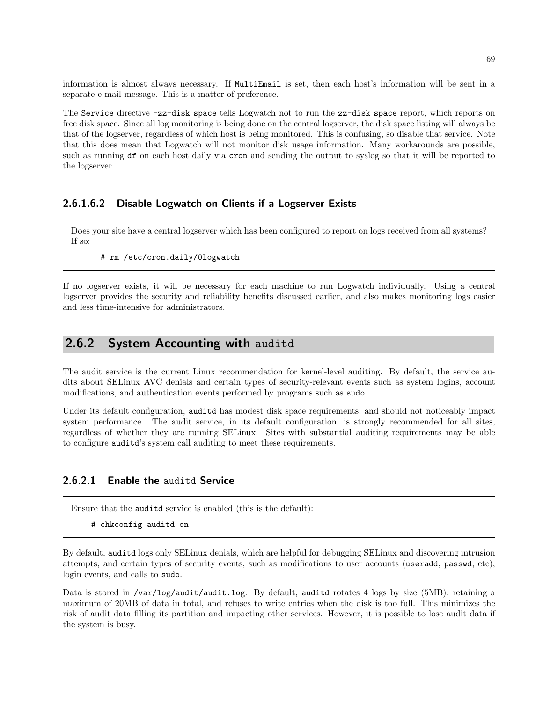information is almost always necessary. If MultiEmail is set, then each host's information will be sent in a separate e-mail message. This is a matter of preference.

The Service directive -zz-disk space tells Logwatch not to run the zz-disk space report, which reports on free disk space. Since all log monitoring is being done on the central logserver, the disk space listing will always be that of the logserver, regardless of which host is being monitored. This is confusing, so disable that service. Note that this does mean that Logwatch will not monitor disk usage information. Many workarounds are possible, such as running df on each host daily via cron and sending the output to syslog so that it will be reported to the logserver.

#### 2.6.1.6.2 Disable Logwatch on Clients if a Logserver Exists

Does your site have a central logserver which has been configured to report on logs received from all systems? If so:

# rm /etc/cron.daily/0logwatch

If no logserver exists, it will be necessary for each machine to run Logwatch individually. Using a central logserver provides the security and reliability benefits discussed earlier, and also makes monitoring logs easier and less time-intensive for administrators.

# <span id="page-68-0"></span>2.6.2 System Accounting with auditd

The audit service is the current Linux recommendation for kernel-level auditing. By default, the service audits about SELinux AVC denials and certain types of security-relevant events such as system logins, account modifications, and authentication events performed by programs such as sudo.

Under its default configuration, auditd has modest disk space requirements, and should not noticeably impact system performance. The audit service, in its default configuration, is strongly recommended for all sites, regardless of whether they are running SELinux. Sites with substantial auditing requirements may be able to configure auditd's system call auditing to meet these requirements.

#### 2.6.2.1 Enable the auditd Service

Ensure that the auditd service is enabled (this is the default):

# chkconfig auditd on

By default, auditd logs only SELinux denials, which are helpful for debugging SELinux and discovering intrusion attempts, and certain types of security events, such as modifications to user accounts (useradd, passwd, etc), login events, and calls to sudo.

Data is stored in /var/log/audit/audit.log. By default, auditd rotates 4 logs by size (5MB), retaining a maximum of 20MB of data in total, and refuses to write entries when the disk is too full. This minimizes the risk of audit data filling its partition and impacting other services. However, it is possible to lose audit data if the system is busy.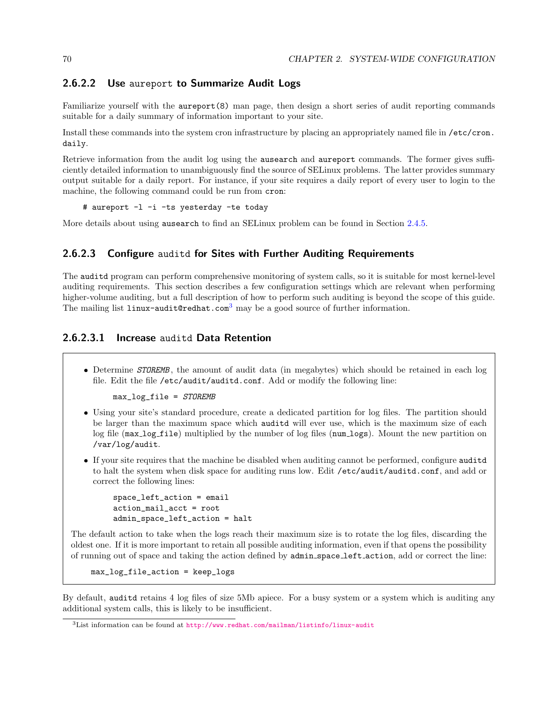### 2.6.2.2 Use aureport to Summarize Audit Logs

Familiarize yourself with the aureport(8) man page, then design a short series of audit reporting commands suitable for a daily summary of information important to your site.

Install these commands into the system cron infrastructure by placing an appropriately named file in /etc/cron. daily.

Retrieve information from the audit log using the ausearch and aureport commands. The former gives sufficiently detailed information to unambiguously find the source of SELinux problems. The latter provides summary output suitable for a daily report. For instance, if your site requires a daily report of every user to login to the machine, the following command could be run from cron:

```
# aureport -l -i -ts yesterday -te today
```
More details about using ausearch to find an SELinux problem can be found in Section [2.4.5.](#page-44-0)

### 2.6.2.3 Configure auditd for Sites with Further Auditing Requirements

The auditd program can perform comprehensive monitoring of system calls, so it is suitable for most kernel-level auditing requirements. This section describes a few configuration settings which are relevant when performing higher-volume auditing, but a full description of how to perform such auditing is beyond the scope of this guide. The mailing list linux-audit@redhat.com<sup>[3](#page-69-0)</sup> may be a good source of further information.

### 2.6.2.3.1 Increase auditd Data Retention

• Determine **STOREMB**, the amount of audit data (in megabytes) which should be retained in each log file. Edit the file /etc/audit/auditd.conf. Add or modify the following line:

 $max\_log\_file = STOREMB$ 

- Using your site's standard procedure, create a dedicated partition for log files. The partition should be larger than the maximum space which auditd will ever use, which is the maximum size of each log file (max log file) multiplied by the number of log files (num logs). Mount the new partition on /var/log/audit.
- If your site requires that the machine be disabled when auditing cannot be performed, configure auditd to halt the system when disk space for auditing runs low. Edit /etc/audit/auditd.conf, and add or correct the following lines:

```
space_left_action = email
action_mail_acct = root
admin_space_left_action = halt
```
The default action to take when the logs reach their maximum size is to rotate the log files, discarding the oldest one. If it is more important to retain all possible auditing information, even if that opens the possibility of running out of space and taking the action defined by admin space left action, add or correct the line:

max\_log\_file\_action = keep\_logs

By default, auditd retains 4 log files of size 5Mb apiece. For a busy system or a system which is auditing any additional system calls, this is likely to be insufficient.

<span id="page-69-0"></span> $3$ List information can be found at <http://www.redhat.com/mailman/listinfo/linux-audit>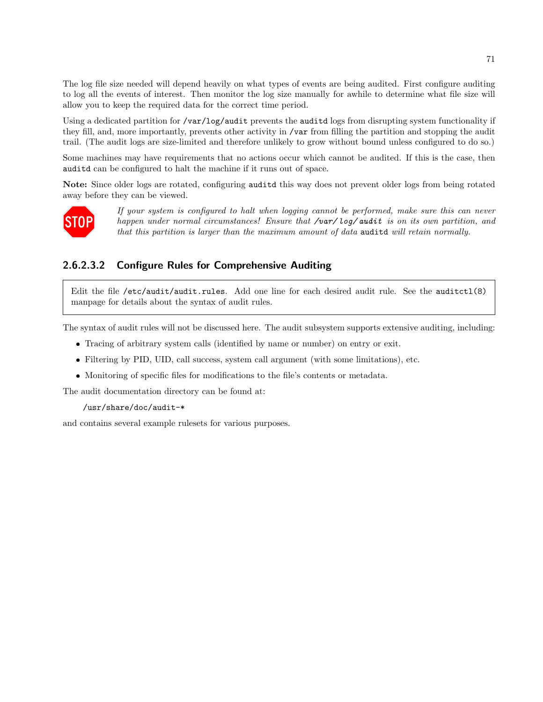The log file size needed will depend heavily on what types of events are being audited. First configure auditing to log all the events of interest. Then monitor the log size manually for awhile to determine what file size will allow you to keep the required data for the correct time period.

Using a dedicated partition for /var/log/audit prevents the auditd logs from disrupting system functionality if they fill, and, more importantly, prevents other activity in /var from filling the partition and stopping the audit trail. (The audit logs are size-limited and therefore unlikely to grow without bound unless configured to do so.)

Some machines may have requirements that no actions occur which cannot be audited. If this is the case, then auditd can be configured to halt the machine if it runs out of space.

Note: Since older logs are rotated, configuring auditd this way does not prevent older logs from being rotated away before they can be viewed.



If your system is configured to halt when logging cannot be performed, make sure this can never happen under normal circumstances! Ensure that /var/log/audit is on its own partition, and that this partition is larger than the maximum amount of data auditd will retain normally.

### 2.6.2.3.2 Configure Rules for Comprehensive Auditing

Edit the file /etc/audit/audit.rules. Add one line for each desired audit rule. See the auditctl(8) manpage for details about the syntax of audit rules.

The syntax of audit rules will not be discussed here. The audit subsystem supports extensive auditing, including:

- Tracing of arbitrary system calls (identified by name or number) on entry or exit.
- Filtering by PID, UID, call success, system call argument (with some limitations), etc.
- Monitoring of specific files for modifications to the file's contents or metadata.

The audit documentation directory can be found at:

#### /usr/share/doc/audit-\*

and contains several example rulesets for various purposes.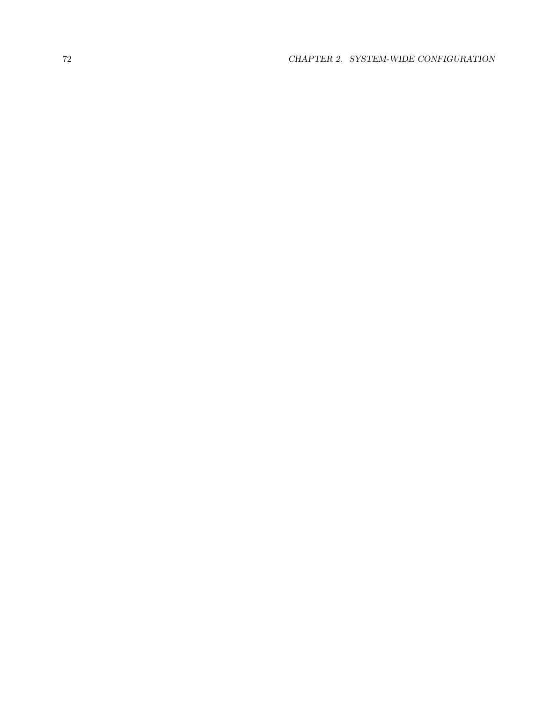## CHAPTER 2. SYSTEM-WIDE CONFIGURATION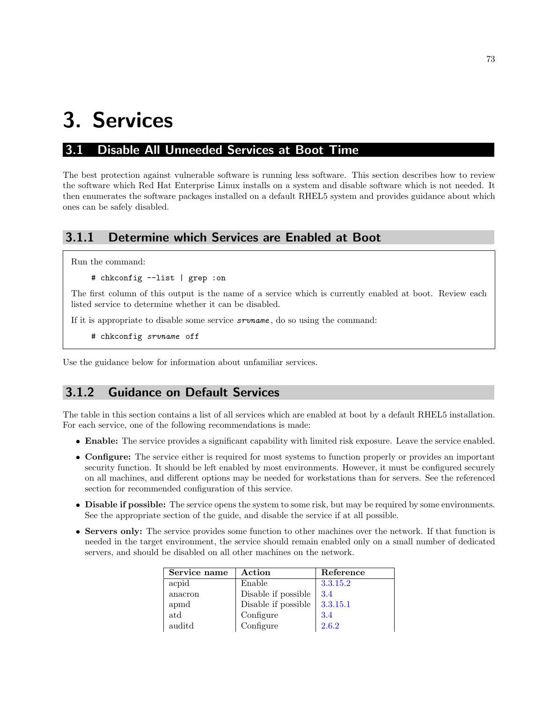# 3. Services

# 3.1 Disable All Unneeded Services at Boot Time

The best protection against vulnerable software is running less software. This section describes how to review the software which Red Hat Enterprise Linux installs on a system and disable software which is not needed. It then enumerates the software packages installed on a default RHEL5 system and provides guidance about which ones can be safely disabled.

### 3.1.1 Determine which Services are Enabled at Boot

Run the command:

```
# chkconfig --list | grep :on
```
The first column of this output is the name of a service which is currently enabled at boot. Review each listed service to determine whether it can be disabled.

If it is appropriate to disable some service  $\textit{struname}$ , do so using the command:

# chkconfig srvname off

Use the guidance below for information about unfamiliar services.

### 3.1.2 Guidance on Default Services

The table in this section contains a list of all services which are enabled at boot by a default RHEL5 installation. For each service, one of the following recommendations is made:

- Enable: The service provides a significant capability with limited risk exposure. Leave the service enabled.
- Configure: The service either is required for most systems to function properly or provides an important security function. It should be left enabled by most environments. However, it must be configured securely on all machines, and different options may be needed for workstations than for servers. See the referenced section for recommended configuration of this service.
- Disable if possible: The service opens the system to some risk, but may be required by some environments. See the appropriate section of the guide, and disable the service if at all possible.
- Servers only: The service provides some function to other machines over the network. If that function is needed in the target environment, the service should remain enabled only on a small number of dedicated servers, and should be disabled on all other machines on the network.

| Service name | Action              | Reference |
|--------------|---------------------|-----------|
| acpid        | Enable              | 3.3.15.2  |
| anacron      | Disable if possible | 3.4       |
| apmd         | Disable if possible | 3.3.15.1  |
| atd          | Configure           | 3.4       |
| auditd       | Configure           | 2.6.2     |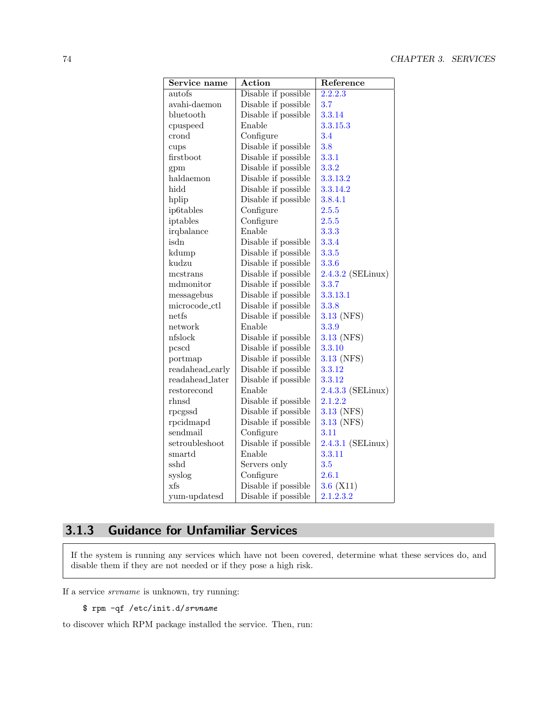| Service name    | Action              | Reference         |
|-----------------|---------------------|-------------------|
| autofs          | Disable if possible | 2.2.2.3           |
| avahi-daemon    | Disable if possible | 3.7               |
| bluetooth       | Disable if possible | 3.3.14            |
| cpuspeed        | Enable              | 3.3.15.3          |
| crond           | Configure           | 3.4               |
| cups            | Disable if possible | 3.8               |
| firstboot       | Disable if possible | 3.3.1             |
| gpm             | Disable if possible | 3.3.2             |
| haldaemon       | Disable if possible | 3.3.13.2          |
| hidd            | Disable if possible | 3.3.14.2          |
| hplip           | Disable if possible | 3.8.4.1           |
| ip6tables       | Configure           | 2.5.5             |
| iptables        | Configure           | 2.5.5             |
| irqbalance      | Enable              | 3.3.3             |
| isdn            | Disable if possible | 3.3.4             |
| kdump           | Disable if possible | 3.3.5             |
| kudzu           | Disable if possible | 3.3.6             |
| mcstrans        | Disable if possible | 2.4.3.2 (SELinux) |
| mdmonitor       | Disable if possible | 3.3.7             |
| messagebus      | Disable if possible | 3.3.13.1          |
| microcode_ctl   | Disable if possible | 3.3.8             |
| netfs           | Disable if possible | $3.13$ (NFS)      |
| network         | Enable              | 3.3.9             |
| nfslock         | Disable if possible | 3.13 (NFS)        |
| pcscd           | Disable if possible | 3.3.10            |
| portmap         | Disable if possible | $3.13$ (NFS)      |
| readahead_early | Disable if possible | 3.3.12            |
| readahead_later | Disable if possible | 3.3.12            |
| restorecond     | Enable              | 2.4.3.3 (SELinux) |
| rhnsd           | Disable if possible | 2.1.2.2           |
| rpcgssd         | Disable if possible | 3.13 (NFS)        |
| rpcidmapd       | Disable if possible | $3.13$ (NFS)      |
| sendmail        | Configure           | 3.11              |
| setroubleshoot  | Disable if possible | 2.4.3.1 (SELinux) |
| smartd          | Enable              | 3.3.11            |
| sshd            | Servers only        | 3.5               |
| syslog          | Configure           | 2.6.1             |
| xfs             | Disable if possible | $3.6$ (X11)       |
| yum-updatesd    | Disable if possible | 2.1.2.3.2         |

# 3.1.3 Guidance for Unfamiliar Services

If the system is running any services which have not been covered, determine what these services do, and disable them if they are not needed or if they pose a high risk.

If a service srvname is unknown, try running:

\$ rpm -qf /etc/init.d/srvname

to discover which RPM package installed the service. Then, run: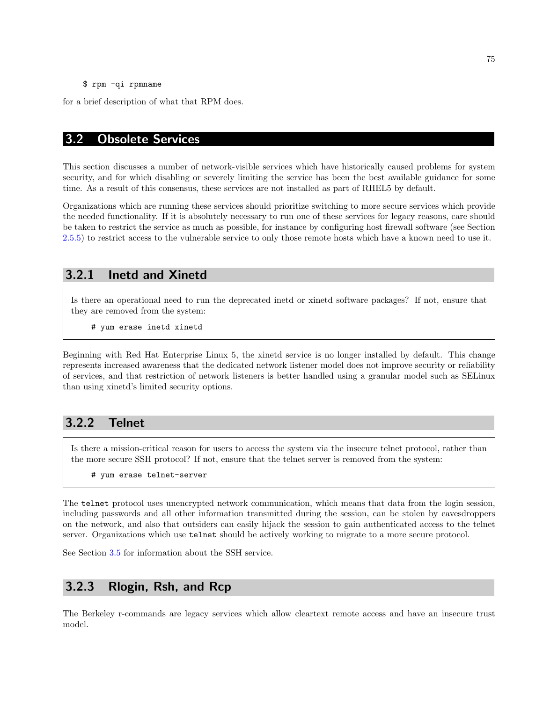#### \$ rpm -qi rpmname

for a brief description of what that RPM does.

### 3.2 Obsolete Services

This section discusses a number of network-visible services which have historically caused problems for system security, and for which disabling or severely limiting the service has been the best available guidance for some time. As a result of this consensus, these services are not installed as part of RHEL5 by default.

Organizations which are running these services should prioritize switching to more secure services which provide the needed functionality. If it is absolutely necessary to run one of these services for legacy reasons, care should be taken to restrict the service as much as possible, for instance by configuring host firewall software (see Section [2.5.5\)](#page-55-0) to restrict access to the vulnerable service to only those remote hosts which have a known need to use it.

### 3.2.1 Inetd and Xinetd

Is there an operational need to run the deprecated inetd or xinetd software packages? If not, ensure that they are removed from the system:

# yum erase inetd xinetd

Beginning with Red Hat Enterprise Linux 5, the xinetd service is no longer installed by default. This change represents increased awareness that the dedicated network listener model does not improve security or reliability of services, and that restriction of network listeners is better handled using a granular model such as SELinux than using xinetd's limited security options.

### 3.2.2 Telnet

Is there a mission-critical reason for users to access the system via the insecure telnet protocol, rather than the more secure SSH protocol? If not, ensure that the telnet server is removed from the system:

```
# yum erase telnet-server
```
The telnet protocol uses unencrypted network communication, which means that data from the login session, including passwords and all other information transmitted during the session, can be stolen by eavesdroppers on the network, and also that outsiders can easily hijack the session to gain authenticated access to the telnet server. Organizations which use telnet should be actively working to migrate to a more secure protocol.

See Section [3.5](#page-83-0) for information about the SSH service.

### 3.2.3 Rlogin, Rsh, and Rcp

The Berkeley r-commands are legacy services which allow cleartext remote access and have an insecure trust model.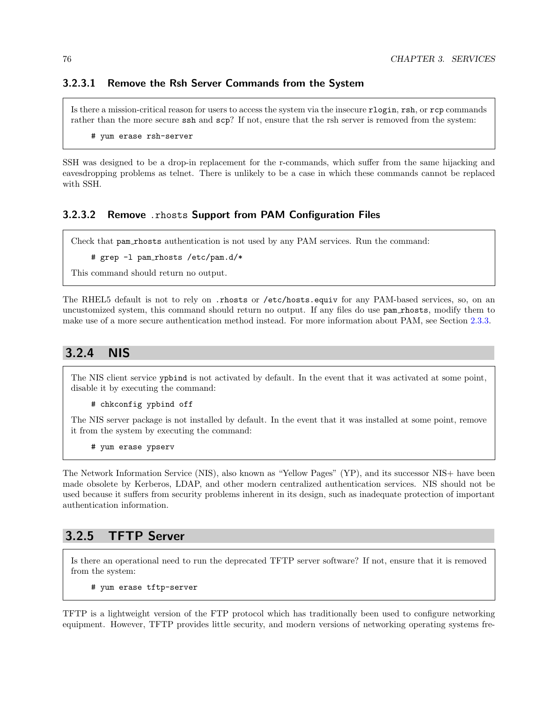#### 3.2.3.1 Remove the Rsh Server Commands from the System

Is there a mission-critical reason for users to access the system via the insecure rlogin, rsh, or rcp commands rather than the more secure ssh and scp? If not, ensure that the rsh server is removed from the system:

# yum erase rsh-server

SSH was designed to be a drop-in replacement for the r-commands, which suffer from the same hijacking and eavesdropping problems as telnet. There is unlikely to be a case in which these commands cannot be replaced with SSH.

#### 3.2.3.2 Remove .rhosts Support from PAM Configuration Files

Check that pam rhosts authentication is not used by any PAM services. Run the command:

# grep -1 pam\_rhosts /etc/pam.d/\*

This command should return no output.

The RHEL5 default is not to rely on .rhosts or /etc/hosts.equiv for any PAM-based services, so, on an uncustomized system, this command should return no output. If any files do use pam rhosts, modify them to make use of a more secure authentication method instead. For more information about PAM, see Section [2.3.3.](#page-31-0)

### <span id="page-75-0"></span>3.2.4 NIS

The NIS client service ypbind is not activated by default. In the event that it was activated at some point, disable it by executing the command:

```
# chkconfig ypbind off
```
The NIS server package is not installed by default. In the event that it was installed at some point, remove it from the system by executing the command:

# yum erase ypserv

The Network Information Service (NIS), also known as "Yellow Pages" (YP), and its successor NIS+ have been made obsolete by Kerberos, LDAP, and other modern centralized authentication services. NIS should not be used because it suffers from security problems inherent in its design, such as inadequate protection of important authentication information.

### 3.2.5 TFTP Server

Is there an operational need to run the deprecated TFTP server software? If not, ensure that it is removed from the system:

# yum erase tftp-server

TFTP is a lightweight version of the FTP protocol which has traditionally been used to configure networking equipment. However, TFTP provides little security, and modern versions of networking operating systems fre-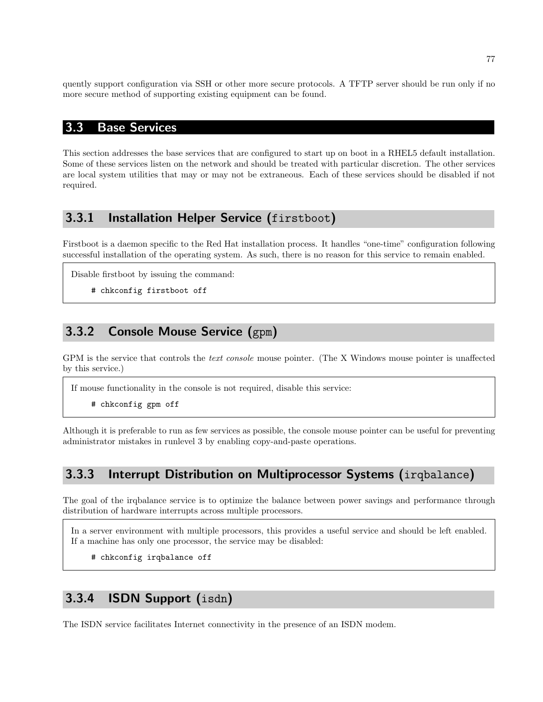quently support configuration via SSH or other more secure protocols. A TFTP server should be run only if no more secure method of supporting existing equipment can be found.

#### 3.3 Base Services

This section addresses the base services that are configured to start up on boot in a RHEL5 default installation. Some of these services listen on the network and should be treated with particular discretion. The other services are local system utilities that may or may not be extraneous. Each of these services should be disabled if not required.

### <span id="page-76-0"></span>3.3.1 Installation Helper Service (firstboot)

Firstboot is a daemon specific to the Red Hat installation process. It handles "one-time" configuration following successful installation of the operating system. As such, there is no reason for this service to remain enabled.

Disable firstboot by issuing the command:

# chkconfig firstboot off

### <span id="page-76-1"></span>3.3.2 Console Mouse Service (gpm)

GPM is the service that controls the text console mouse pointer. (The X Windows mouse pointer is unaffected by this service.)

If mouse functionality in the console is not required, disable this service:

# chkconfig gpm off

Although it is preferable to run as few services as possible, the console mouse pointer can be useful for preventing administrator mistakes in runlevel 3 by enabling copy-and-paste operations.

# <span id="page-76-2"></span>3.3.3 Interrupt Distribution on Multiprocessor Systems (irqbalance)

The goal of the irqbalance service is to optimize the balance between power savings and performance through distribution of hardware interrupts across multiple processors.

In a server environment with multiple processors, this provides a useful service and should be left enabled. If a machine has only one processor, the service may be disabled:

# chkconfig irqbalance off

### <span id="page-76-3"></span>3.3.4 ISDN Support (isdn)

The ISDN service facilitates Internet connectivity in the presence of an ISDN modem.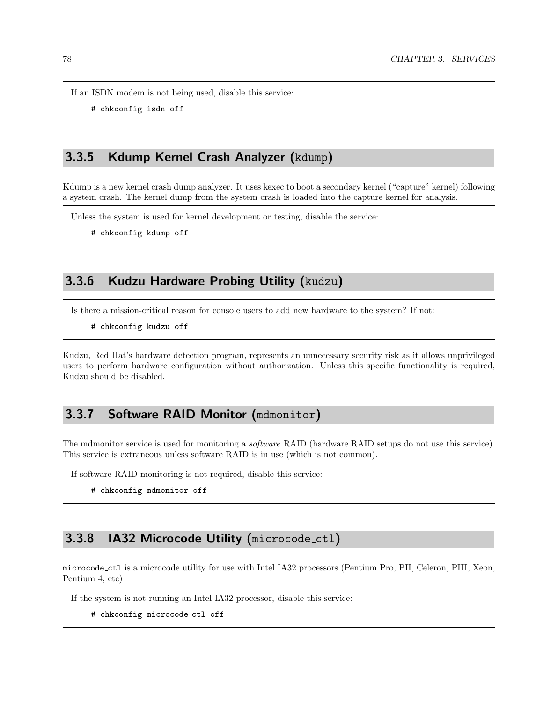If an ISDN modem is not being used, disable this service:

# chkconfig isdn off

# <span id="page-77-0"></span>3.3.5 Kdump Kernel Crash Analyzer (kdump)

Kdump is a new kernel crash dump analyzer. It uses kexec to boot a secondary kernel ("capture" kernel) following a system crash. The kernel dump from the system crash is loaded into the capture kernel for analysis.

Unless the system is used for kernel development or testing, disable the service:

# chkconfig kdump off

# <span id="page-77-1"></span>3.3.6 Kudzu Hardware Probing Utility (kudzu)

Is there a mission-critical reason for console users to add new hardware to the system? If not:

# chkconfig kudzu off

Kudzu, Red Hat's hardware detection program, represents an unnecessary security risk as it allows unprivileged users to perform hardware configuration without authorization. Unless this specific functionality is required, Kudzu should be disabled.

## <span id="page-77-2"></span>3.3.7 Software RAID Monitor (mdmonitor)

The mdmonitor service is used for monitoring a software RAID (hardware RAID setups do not use this service). This service is extraneous unless software RAID is in use (which is not common).

If software RAID monitoring is not required, disable this service:

# chkconfig mdmonitor off

# <span id="page-77-3"></span>3.3.8 IA32 Microcode Utility (microcode ctl)

microcode ctl is a microcode utility for use with Intel IA32 processors (Pentium Pro, PII, Celeron, PIII, Xeon, Pentium 4, etc)

If the system is not running an Intel IA32 processor, disable this service:

```
# chkconfig microcode ctl off
```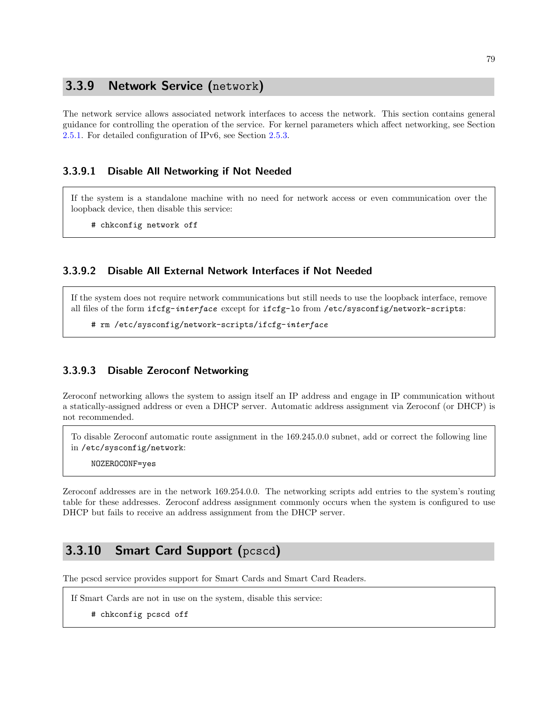### <span id="page-78-0"></span>3.3.9 Network Service (network)

The network service allows associated network interfaces to access the network. This section contains general guidance for controlling the operation of the service. For kernel parameters which affect networking, see Section [2.5.1.](#page-48-0) For detailed configuration of IPv6, see Section [2.5.3.](#page-50-0)

#### 3.3.9.1 Disable All Networking if Not Needed

If the system is a standalone machine with no need for network access or even communication over the loopback device, then disable this service:

# chkconfig network off

#### 3.3.9.2 Disable All External Network Interfaces if Not Needed

If the system does not require network communications but still needs to use the loopback interface, remove all files of the form ifcfg-interface except for ifcfg-lo from /etc/sysconfig/network-scripts:

# rm /etc/sysconfig/network-scripts/ifcfg-interface

#### 3.3.9.3 Disable Zeroconf Networking

Zeroconf networking allows the system to assign itself an IP address and engage in IP communication without a statically-assigned address or even a DHCP server. Automatic address assignment via Zeroconf (or DHCP) is not recommended.

To disable Zeroconf automatic route assignment in the 169.245.0.0 subnet, add or correct the following line in /etc/sysconfig/network:

NOZEROCONF=yes

Zeroconf addresses are in the network 169.254.0.0. The networking scripts add entries to the system's routing table for these addresses. Zeroconf address assignment commonly occurs when the system is configured to use DHCP but fails to receive an address assignment from the DHCP server.

### <span id="page-78-1"></span>3.3.10 Smart Card Support (pcscd)

The pcscd service provides support for Smart Cards and Smart Card Readers.

If Smart Cards are not in use on the system, disable this service:

# chkconfig pcscd off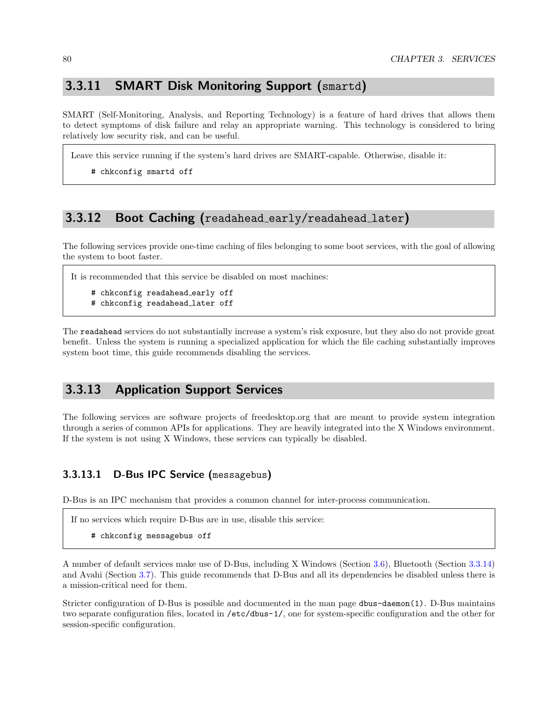### <span id="page-79-2"></span>3.3.11 SMART Disk Monitoring Support (smartd)

SMART (Self-Monitoring, Analysis, and Reporting Technology) is a feature of hard drives that allows them to detect symptoms of disk failure and relay an appropriate warning. This technology is considered to bring relatively low security risk, and can be useful.

Leave this service running if the system's hard drives are SMART-capable. Otherwise, disable it:

# chkconfig smartd off

# <span id="page-79-1"></span>3.3.12 Boot Caching (readahead early/readahead later)

The following services provide one-time caching of files belonging to some boot services, with the goal of allowing the system to boot faster.

It is recommended that this service be disabled on most machines:

- # chkconfig readahead early off
- # chkconfig readahead\_later off

The readahead services do not substantially increase a system's risk exposure, but they also do not provide great benefit. Unless the system is running a specialized application for which the file caching substantially improves system boot time, this guide recommends disabling the services.

### 3.3.13 Application Support Services

The following services are software projects of freedesktop.org that are meant to provide system integration through a series of common APIs for applications. They are heavily integrated into the X Windows environment. If the system is not using X Windows, these services can typically be disabled.

#### <span id="page-79-0"></span>3.3.13.1 D-Bus IPC Service (messagebus)

D-Bus is an IPC mechanism that provides a common channel for inter-process communication.

If no services which require D-Bus are in use, disable this service:

```
# chkconfig messagebus off
```
A number of default services make use of D-Bus, including X Windows (Section [3.6\)](#page-86-0), Bluetooth (Section [3.3.14\)](#page-80-0) and Avahi (Section [3.7\)](#page-88-0). This guide recommends that D-Bus and all its dependencies be disabled unless there is a mission-critical need for them.

Stricter configuration of D-Bus is possible and documented in the man page dbus-daemon(1). D-Bus maintains two separate configuration files, located in /etc/dbus-1/, one for system-specific configuration and the other for session-specific configuration.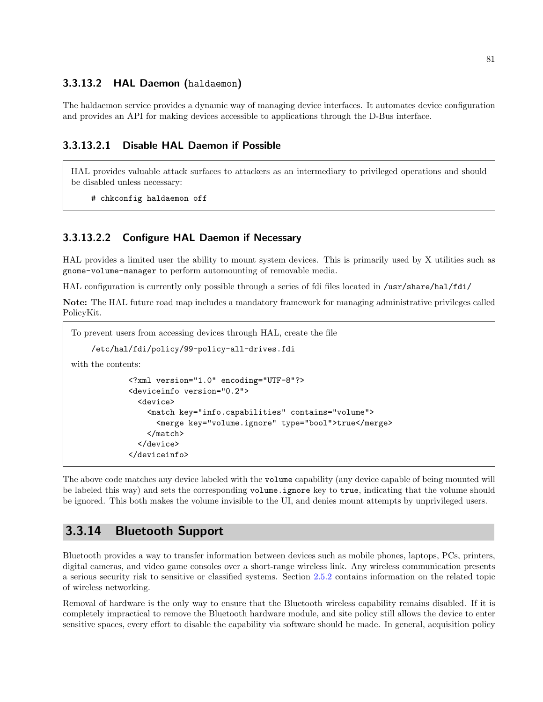#### <span id="page-80-1"></span>3.3.13.2 HAL Daemon (haldaemon)

The haldaemon service provides a dynamic way of managing device interfaces. It automates device configuration and provides an API for making devices accessible to applications through the D-Bus interface.

#### 3.3.13.2.1 Disable HAL Daemon if Possible

HAL provides valuable attack surfaces to attackers as an intermediary to privileged operations and should be disabled unless necessary:

# chkconfig haldaemon off

### 3.3.13.2.2 Configure HAL Daemon if Necessary

HAL provides a limited user the ability to mount system devices. This is primarily used by X utilities such as gnome-volume-manager to perform automounting of removable media.

HAL configuration is currently only possible through a series of fdi files located in /usr/share/hal/fdi/

Note: The HAL future road map includes a mandatory framework for managing administrative privileges called PolicyKit.

```
To prevent users from accessing devices through HAL, create the file
    /etc/hal/fdi/policy/99-policy-all-drives.fdi
with the contents:
             <?xml version="1.0" encoding="UTF-8"?>
             <deviceinfo version="0.2">
               <device>
                 <match key="info.capabilities" contains="volume">
                   <merge key="volume.ignore" type="bool">true</merge>
                 </match>
               </device>
             </deviceinfo>
```
The above code matches any device labeled with the volume capability (any device capable of being mounted will be labeled this way) and sets the corresponding volume.ignore key to true, indicating that the volume should be ignored. This both makes the volume invisible to the UI, and denies mount attempts by unprivileged users.

### <span id="page-80-0"></span>3.3.14 Bluetooth Support

Bluetooth provides a way to transfer information between devices such as mobile phones, laptops, PCs, printers, digital cameras, and video game consoles over a short-range wireless link. Any wireless communication presents a serious security risk to sensitive or classified systems. Section [2.5.2](#page-49-0) contains information on the related topic of wireless networking.

Removal of hardware is the only way to ensure that the Bluetooth wireless capability remains disabled. If it is completely impractical to remove the Bluetooth hardware module, and site policy still allows the device to enter sensitive spaces, every effort to disable the capability via software should be made. In general, acquisition policy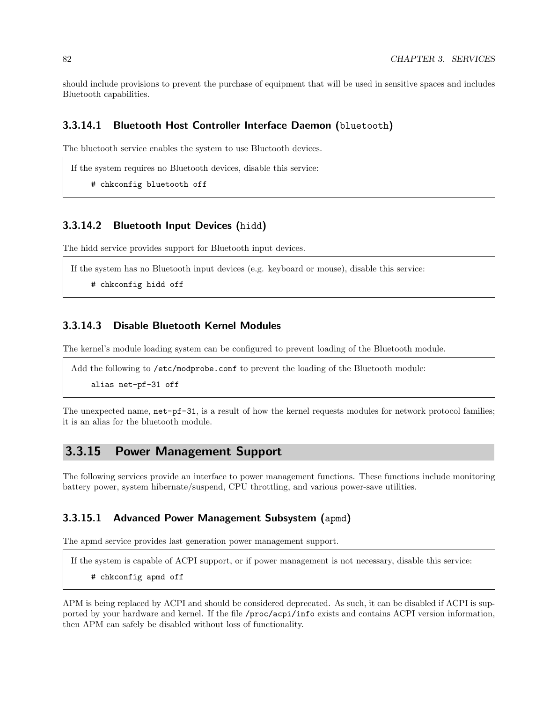should include provisions to prevent the purchase of equipment that will be used in sensitive spaces and includes Bluetooth capabilities.

#### 3.3.14.1 Bluetooth Host Controller Interface Daemon (bluetooth)

The bluetooth service enables the system to use Bluetooth devices.

If the system requires no Bluetooth devices, disable this service:

```
# chkconfig bluetooth off
```
#### <span id="page-81-1"></span>3.3.14.2 Bluetooth Input Devices (hidd)

The hidd service provides support for Bluetooth input devices.

If the system has no Bluetooth input devices (e.g. keyboard or mouse), disable this service:

# chkconfig hidd off

#### 3.3.14.3 Disable Bluetooth Kernel Modules

The kernel's module loading system can be configured to prevent loading of the Bluetooth module.

Add the following to /etc/modprobe.conf to prevent the loading of the Bluetooth module:

alias net-pf-31 off

The unexpected name, net-pf-31, is a result of how the kernel requests modules for network protocol families; it is an alias for the bluetooth module.

### 3.3.15 Power Management Support

The following services provide an interface to power management functions. These functions include monitoring battery power, system hibernate/suspend, CPU throttling, and various power-save utilities.

#### <span id="page-81-0"></span>3.3.15.1 Advanced Power Management Subsystem (apmd)

The apmd service provides last generation power management support.

If the system is capable of ACPI support, or if power management is not necessary, disable this service:

# chkconfig apmd off

APM is being replaced by ACPI and should be considered deprecated. As such, it can be disabled if ACPI is supported by your hardware and kernel. If the file /proc/acpi/info exists and contains ACPI version information, then APM can safely be disabled without loss of functionality.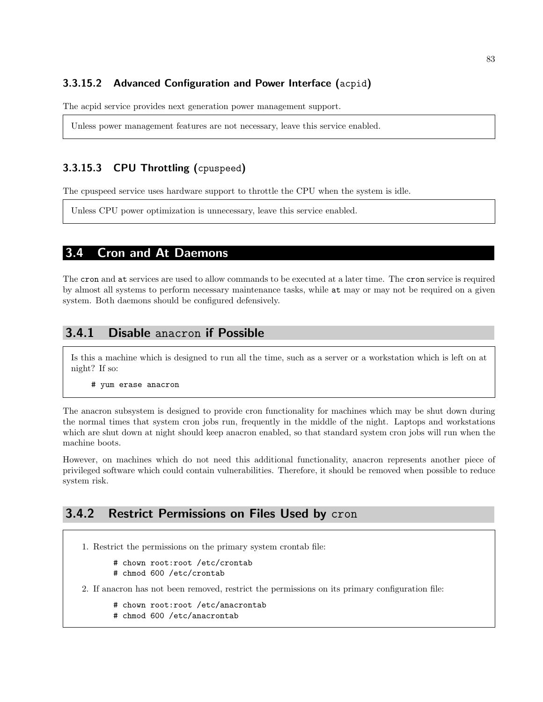### <span id="page-82-0"></span>3.3.15.2 Advanced Configuration and Power Interface (acpid)

The acpid service provides next generation power management support.

Unless power management features are not necessary, leave this service enabled.

### <span id="page-82-2"></span>3.3.15.3 CPU Throttling (cpuspeed)

The cpuspeed service uses hardware support to throttle the CPU when the system is idle.

Unless CPU power optimization is unnecessary, leave this service enabled.

### <span id="page-82-1"></span>3.4 Cron and At Daemons

The cron and at services are used to allow commands to be executed at a later time. The cron service is required by almost all systems to perform necessary maintenance tasks, while at may or may not be required on a given system. Both daemons should be configured defensively.

# 3.4.1 Disable anacron if Possible

Is this a machine which is designed to run all the time, such as a server or a workstation which is left on at night? If so:

#### # yum erase anacron

The anacron subsystem is designed to provide cron functionality for machines which may be shut down during the normal times that system cron jobs run, frequently in the middle of the night. Laptops and workstations which are shut down at night should keep anacron enabled, so that standard system cron jobs will run when the machine boots.

However, on machines which do not need this additional functionality, anacron represents another piece of privileged software which could contain vulnerabilities. Therefore, it should be removed when possible to reduce system risk.

# 3.4.2 Restrict Permissions on Files Used by cron

- 1. Restrict the permissions on the primary system crontab file:
	- # chown root:root /etc/crontab
	- # chmod 600 /etc/crontab
- 2. If anacron has not been removed, restrict the permissions on its primary configuration file:
	- # chown root:root /etc/anacrontab
	- # chmod 600 /etc/anacrontab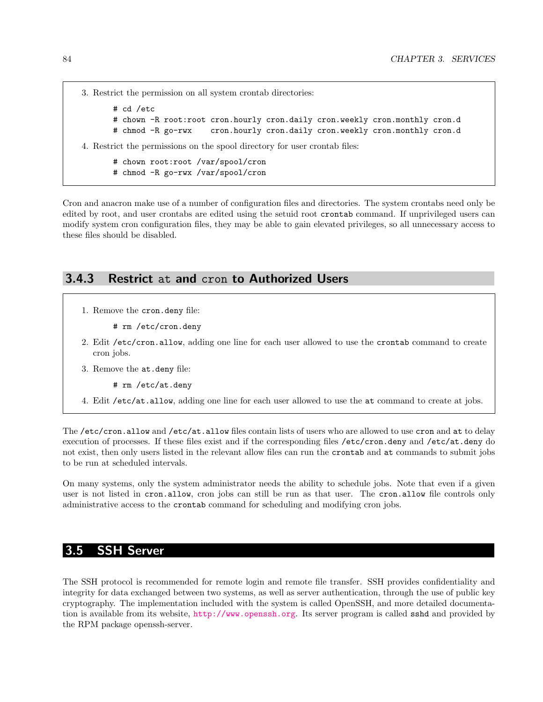3. Restrict the permission on all system crontab directories:

```
# cd /etc
       # chown -R root:root cron.hourly cron.daily cron.weekly cron.monthly cron.d
       # chmod -R go-rwx cron.hourly cron.daily cron.weekly cron.monthly cron.d
4. Restrict the permissions on the spool directory for user crontab files:
       # chown root:root /var/spool/cron
      # chmod -R go-rwx /var/spool/cron
```
Cron and anacron make use of a number of configuration files and directories. The system crontabs need only be edited by root, and user crontabs are edited using the setuid root crontab command. If unprivileged users can modify system cron configuration files, they may be able to gain elevated privileges, so all unnecessary access to these files should be disabled.

### 3.4.3 Restrict at and cron to Authorized Users

1. Remove the cron.deny file:

# rm /etc/cron.deny

- 2. Edit /etc/cron.allow, adding one line for each user allowed to use the crontab command to create cron jobs.
- 3. Remove the at.deny file:

# rm /etc/at.deny

4. Edit /etc/at.allow, adding one line for each user allowed to use the at command to create at jobs.

The /etc/cron.allow and /etc/at.allow files contain lists of users who are allowed to use cron and at to delay execution of processes. If these files exist and if the corresponding files /etc/cron.deny and /etc/at.deny do not exist, then only users listed in the relevant allow files can run the crontab and at commands to submit jobs to be run at scheduled intervals.

On many systems, only the system administrator needs the ability to schedule jobs. Note that even if a given user is not listed in cron.allow, cron jobs can still be run as that user. The cron.allow file controls only administrative access to the crontab command for scheduling and modifying cron jobs.

# <span id="page-83-0"></span>3.5 SSH Server

The SSH protocol is recommended for remote login and remote file transfer. SSH provides confidentiality and integrity for data exchanged between two systems, as well as server authentication, through the use of public key cryptography. The implementation included with the system is called OpenSSH, and more detailed documentation is available from its website, <http://www.openssh.org>. Its server program is called sshd and provided by the RPM package openssh-server.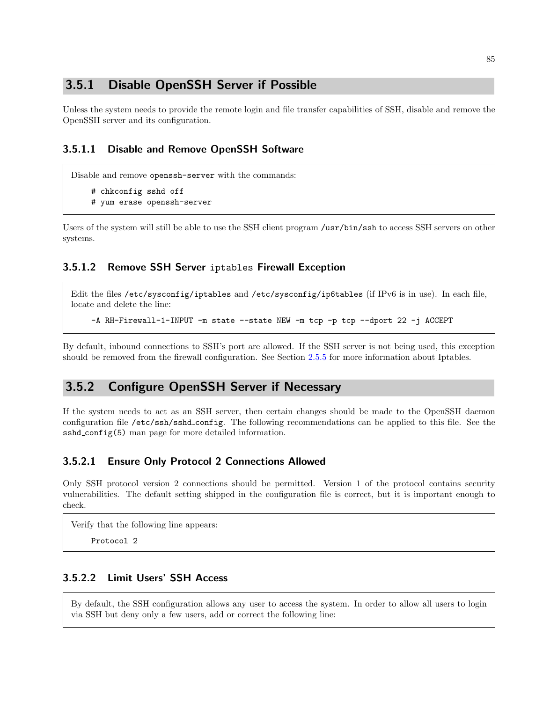### 3.5.1 Disable OpenSSH Server if Possible

Unless the system needs to provide the remote login and file transfer capabilities of SSH, disable and remove the OpenSSH server and its configuration.

### 3.5.1.1 Disable and Remove OpenSSH Software

Disable and remove openssh-server with the commands:

```
# chkconfig sshd off
# yum erase openssh-server
```
Users of the system will still be able to use the SSH client program /usr/bin/ssh to access SSH servers on other systems.

#### 3.5.1.2 Remove SSH Server iptables Firewall Exception

Edit the files /etc/sysconfig/iptables and /etc/sysconfig/ip6tables (if IPv6 is in use). In each file, locate and delete the line:

```
-A RH-Firewall-1-INPUT -m state --state NEW -m tcp -p tcp --dport 22 -j ACCEPT
```
By default, inbound connections to SSH's port are allowed. If the SSH server is not being used, this exception should be removed from the firewall configuration. See Section [2.5.5](#page-55-0) for more information about Iptables.

# 3.5.2 Configure OpenSSH Server if Necessary

If the system needs to act as an SSH server, then certain changes should be made to the OpenSSH daemon configuration file /etc/ssh/sshd config. The following recommendations can be applied to this file. See the sshd\_config(5) man page for more detailed information.

### 3.5.2.1 Ensure Only Protocol 2 Connections Allowed

Only SSH protocol version 2 connections should be permitted. Version 1 of the protocol contains security vulnerabilities. The default setting shipped in the configuration file is correct, but it is important enough to check.

Verify that the following line appears:

Protocol 2

#### 3.5.2.2 Limit Users' SSH Access

By default, the SSH configuration allows any user to access the system. In order to allow all users to login via SSH but deny only a few users, add or correct the following line: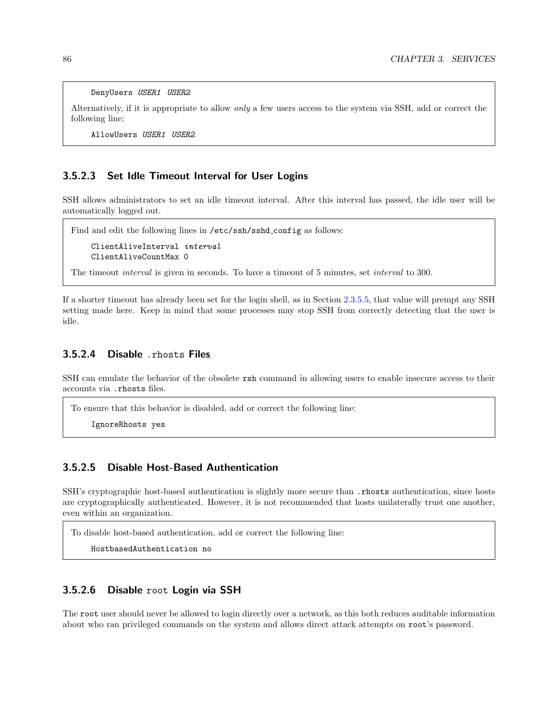#### DenyUsers USER1 USER2

Alternatively, if it is appropriate to allow only a few users access to the system via SSH, add or correct the following line:

AllowUsers USER1 USER2

#### 3.5.2.3 Set Idle Timeout Interval for User Logins

SSH allows administrators to set an idle timeout interval. After this interval has passed, the idle user will be automatically logged out.

```
Find and edit the following lines in /etc/ssh/sshd_config as follows:
```
ClientAliveInterval interval ClientAliveCountMax 0

The timeout *interval* is given in seconds. To have a timeout of 5 minutes, set *interval* to 300.

If a shorter timeout has already been set for the login shell, as in Section [2.3.5.5,](#page-38-0) that value will prempt any SSH setting made here. Keep in mind that some processes may stop SSH from correctly detecting that the user is idle.

#### 3.5.2.4 Disable .rhosts Files

SSH can emulate the behavior of the obsolete rsh command in allowing users to enable insecure access to their accounts via .rhosts files.

To ensure that this behavior is disabled, add or correct the following line:

IgnoreRhosts yes

#### 3.5.2.5 Disable Host-Based Authentication

SSH's cryptographic host-based authentication is slightly more secure than .rhosts authentication, since hosts are cryptographically authenticated. However, it is not recommended that hosts unilaterally trust one another, even within an organization.

To disable host-based authentication, add or correct the following line:

HostbasedAuthentication no

#### 3.5.2.6 Disable root Login via SSH

The root user should never be allowed to login directly over a network, as this both reduces auditable information about who ran privileged commands on the system and allows direct attack attempts on root's password.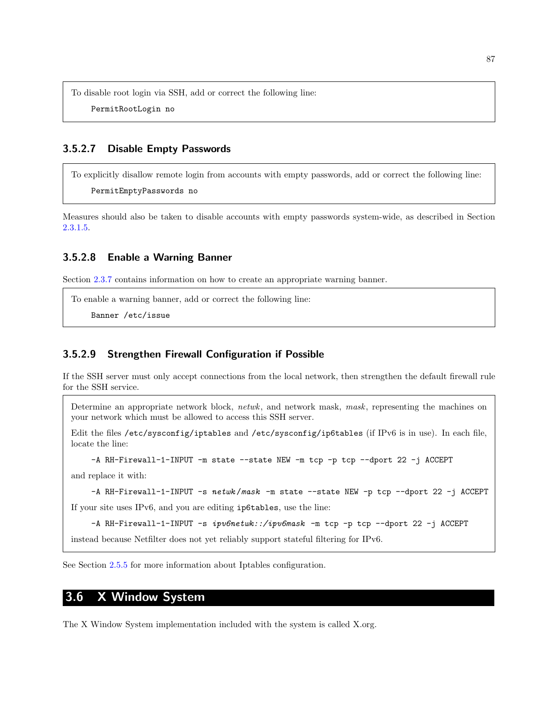To disable root login via SSH, add or correct the following line:

PermitRootLogin no

#### 3.5.2.7 Disable Empty Passwords

To explicitly disallow remote login from accounts with empty passwords, add or correct the following line:

PermitEmptyPasswords no

Measures should also be taken to disable accounts with empty passwords system-wide, as described in Section [2.3.1.5.](#page-29-0)

#### 3.5.2.8 Enable a Warning Banner

Section [2.3.7](#page-40-0) contains information on how to create an appropriate warning banner.

To enable a warning banner, add or correct the following line:

Banner /etc/issue

#### 3.5.2.9 Strengthen Firewall Configuration if Possible

If the SSH server must only accept connections from the local network, then strengthen the default firewall rule for the SSH service.

Determine an appropriate network block, netwk, and network mask, mask, representing the machines on your network which must be allowed to access this SSH server.

Edit the files /etc/sysconfig/iptables and /etc/sysconfig/ip6tables (if IPv6 is in use). In each file, locate the line:

-A RH-Firewall-1-INPUT -m state --state NEW -m tcp -p tcp --dport 22 -j ACCEPT

and replace it with:

```
-A RH-Firewall-1-INPUT -s network/mask -m state --state NEW -p tcp --dport 22 -j ACCEPT
```
If your site uses IPv6, and you are editing ip6tables, use the line:

```
-A RH-Firewall-1-INPUT -s ipv6netwk::/ipv6mask -m tcp -p tcp --dport 22 -j ACCEPT
```
instead because Netfilter does not yet reliably support stateful filtering for IPv6.

See Section [2.5.5](#page-55-0) for more information about Iptables configuration.

# <span id="page-86-0"></span>3.6 X Window System

The X Window System implementation included with the system is called X.org.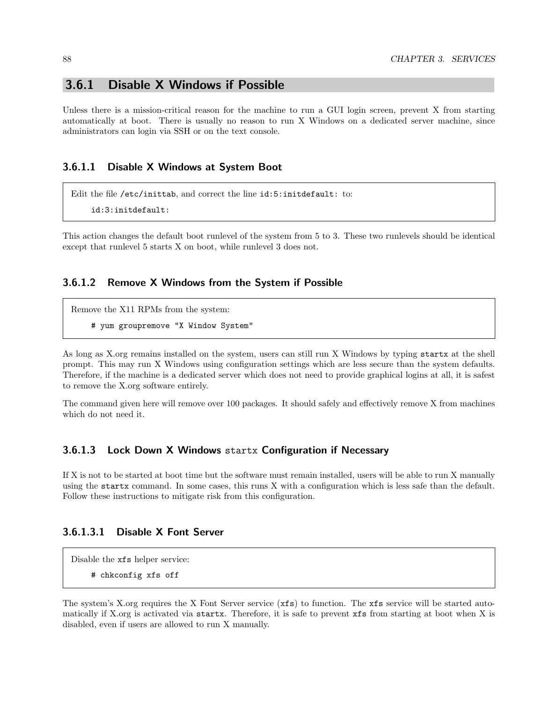### 3.6.1 Disable X Windows if Possible

Unless there is a mission-critical reason for the machine to run a GUI login screen, prevent X from starting automatically at boot. There is usually no reason to run X Windows on a dedicated server machine, since administrators can login via SSH or on the text console.

#### 3.6.1.1 Disable X Windows at System Boot

```
Edit the file /etc/inittab, and correct the line id:5:initdefault: to:
    id:3:initdefault:
```
This action changes the default boot runlevel of the system from 5 to 3. These two runlevels should be identical except that runlevel 5 starts X on boot, while runlevel 3 does not.

#### 3.6.1.2 Remove X Windows from the System if Possible

Remove the X11 RPMs from the system:

# yum groupremove "X Window System"

As long as X.org remains installed on the system, users can still run X Windows by typing startx at the shell prompt. This may run X Windows using configuration settings which are less secure than the system defaults. Therefore, if the machine is a dedicated server which does not need to provide graphical logins at all, it is safest to remove the X.org software entirely.

The command given here will remove over 100 packages. It should safely and effectively remove X from machines which do not need it.

#### 3.6.1.3 Lock Down X Windows startx Configuration if Necessary

If X is not to be started at boot time but the software must remain installed, users will be able to run X manually using the startx command. In some cases, this runs X with a configuration which is less safe than the default. Follow these instructions to mitigate risk from this configuration.

#### 3.6.1.3.1 Disable X Font Server

Disable the xfs helper service:

# chkconfig xfs off

The system's X.org requires the X Font Server service (xfs) to function. The xfs service will be started automatically if X.org is activated via startx. Therefore, it is safe to prevent xfs from starting at boot when X is disabled, even if users are allowed to run X manually.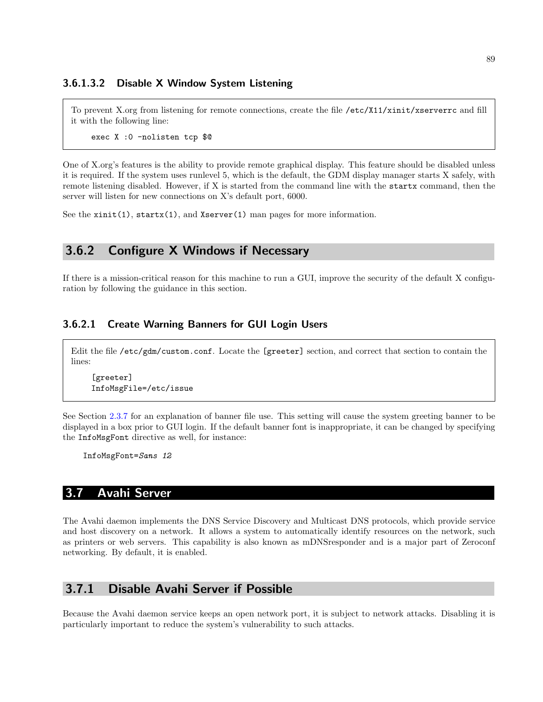To prevent X.org from listening for remote connections, create the file /etc/X11/xinit/xserverrc and fill it with the following line:

exec X :0 -nolisten tcp \$@

One of X.org's features is the ability to provide remote graphical display. This feature should be disabled unless it is required. If the system uses runlevel 5, which is the default, the GDM display manager starts X safely, with remote listening disabled. However, if X is started from the command line with the startx command, then the server will listen for new connections on X's default port, 6000.

See the  $xinit(1)$ ,  $startx(1)$ , and  $Xserver(1)$  man pages for more information.

### 3.6.2 Configure X Windows if Necessary

If there is a mission-critical reason for this machine to run a GUI, improve the security of the default X configuration by following the guidance in this section.

#### 3.6.2.1 Create Warning Banners for GUI Login Users

Edit the file /etc/gdm/custom.conf. Locate the [greeter] section, and correct that section to contain the lines:

[greeter] InfoMsgFile=/etc/issue

See Section [2.3.7](#page-40-0) for an explanation of banner file use. This setting will cause the system greeting banner to be displayed in a box prior to GUI login. If the default banner font is inappropriate, it can be changed by specifying the InfoMsgFont directive as well, for instance:

InfoMsgFont=Sans 12

### <span id="page-88-0"></span>3.7 Avahi Server

The Avahi daemon implements the DNS Service Discovery and Multicast DNS protocols, which provide service and host discovery on a network. It allows a system to automatically identify resources on the network, such as printers or web servers. This capability is also known as mDNSresponder and is a major part of Zeroconf networking. By default, it is enabled.

### 3.7.1 Disable Avahi Server if Possible

Because the Avahi daemon service keeps an open network port, it is subject to network attacks. Disabling it is particularly important to reduce the system's vulnerability to such attacks.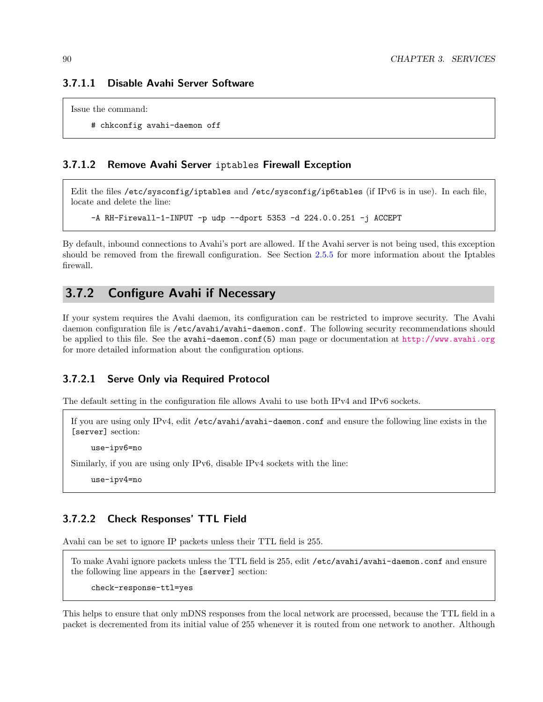### 3.7.1.1 Disable Avahi Server Software

Issue the command:

# chkconfig avahi-daemon off

#### 3.7.1.2 Remove Avahi Server iptables Firewall Exception

Edit the files /etc/sysconfig/iptables and /etc/sysconfig/ip6tables (if IPv6 is in use). In each file, locate and delete the line:

-A RH-Firewall-1-INPUT -p udp --dport 5353 -d 224.0.0.251 -j ACCEPT

By default, inbound connections to Avahi's port are allowed. If the Avahi server is not being used, this exception should be removed from the firewall configuration. See Section [2.5.5](#page-55-0) for more information about the Iptables firewall.

# 3.7.2 Configure Avahi if Necessary

If your system requires the Avahi daemon, its configuration can be restricted to improve security. The Avahi daemon configuration file is /etc/avahi/avahi-daemon.conf. The following security recommendations should be applied to this file. See the avahi-daemon.conf(5) man page or documentation at <http://www.avahi.org> for more detailed information about the configuration options.

#### 3.7.2.1 Serve Only via Required Protocol

The default setting in the configuration file allows Avahi to use both IPv4 and IPv6 sockets.

```
If you are using only IPv4, edit /etc/avahi/avahi-daemon.conf and ensure the following line exists in the
[server] section:
```
use-ipv6=no

Similarly, if you are using only IPv6, disable IPv4 sockets with the line:

use-ipv4=no

#### 3.7.2.2 Check Responses' TTL Field

Avahi can be set to ignore IP packets unless their TTL field is 255.

To make Avahi ignore packets unless the TTL field is 255, edit /etc/avahi/avahi-daemon.conf and ensure the following line appears in the [server] section:

check-response-ttl=yes

This helps to ensure that only mDNS responses from the local network are processed, because the TTL field in a packet is decremented from its initial value of 255 whenever it is routed from one network to another. Although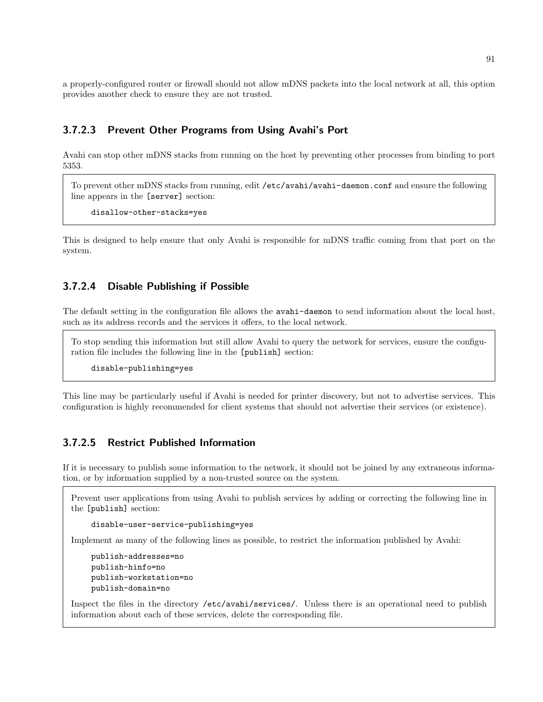a properly-configured router or firewall should not allow mDNS packets into the local network at all, this option provides another check to ensure they are not trusted.

#### 3.7.2.3 Prevent Other Programs from Using Avahi's Port

Avahi can stop other mDNS stacks from running on the host by preventing other processes from binding to port 5353.

To prevent other mDNS stacks from running, edit /etc/avahi/avahi-daemon.conf and ensure the following line appears in the [server] section:

```
disallow-other-stacks=yes
```
This is designed to help ensure that only Avahi is responsible for mDNS traffic coming from that port on the system.

#### 3.7.2.4 Disable Publishing if Possible

The default setting in the configuration file allows the avahi-daemon to send information about the local host, such as its address records and the services it offers, to the local network.

To stop sending this information but still allow Avahi to query the network for services, ensure the configuration file includes the following line in the [publish] section:

disable-publishing=yes

This line may be particularly useful if Avahi is needed for printer discovery, but not to advertise services. This configuration is highly recommended for client systems that should not advertise their services (or existence).

#### 3.7.2.5 Restrict Published Information

If it is necessary to publish some information to the network, it should not be joined by any extraneous information, or by information supplied by a non-trusted source on the system.

Prevent user applications from using Avahi to publish services by adding or correcting the following line in the [publish] section:

disable-user-service-publishing=yes

Implement as many of the following lines as possible, to restrict the information published by Avahi:

```
publish-addresses=no
publish-hinfo=no
publish-workstation=no
publish-domain=no
```
Inspect the files in the directory /etc/avahi/services/. Unless there is an operational need to publish information about each of these services, delete the corresponding file.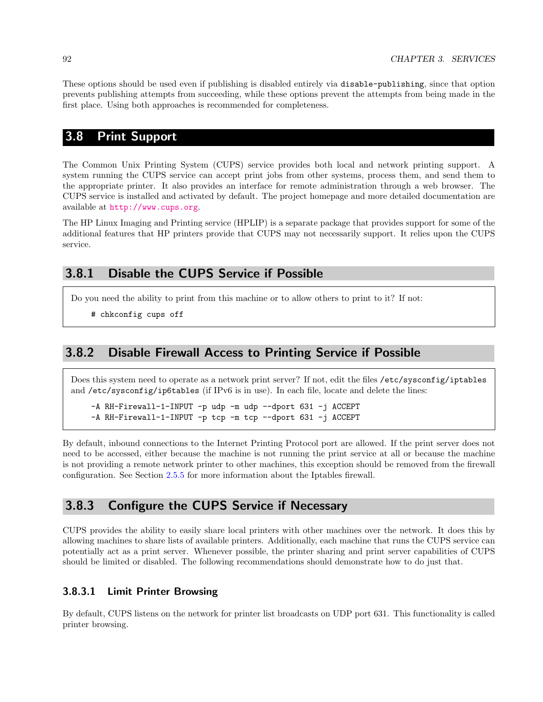These options should be used even if publishing is disabled entirely via disable-publishing, since that option prevents publishing attempts from succeeding, while these options prevent the attempts from being made in the first place. Using both approaches is recommended for completeness.

### <span id="page-91-0"></span>3.8 Print Support

The Common Unix Printing System (CUPS) service provides both local and network printing support. A system running the CUPS service can accept print jobs from other systems, process them, and send them to the appropriate printer. It also provides an interface for remote administration through a web browser. The CUPS service is installed and activated by default. The project homepage and more detailed documentation are available at <http://www.cups.org>.

The HP Linux Imaging and Printing service (HPLIP) is a separate package that provides support for some of the additional features that HP printers provide that CUPS may not necessarily support. It relies upon the CUPS service.

### 3.8.1 Disable the CUPS Service if Possible

Do you need the ability to print from this machine or to allow others to print to it? If not:

# chkconfig cups off

### 3.8.2 Disable Firewall Access to Printing Service if Possible

Does this system need to operate as a network print server? If not, edit the files /etc/sysconfig/iptables and /etc/sysconfig/ip6tables (if IPv6 is in use). In each file, locate and delete the lines:

-A RH-Firewall-1-INPUT -p udp -m udp --dport 631 -j ACCEPT -A RH-Firewall-1-INPUT -p tcp -m tcp --dport 631 -j ACCEPT

By default, inbound connections to the Internet Printing Protocol port are allowed. If the print server does not need to be accessed, either because the machine is not running the print service at all or because the machine is not providing a remote network printer to other machines, this exception should be removed from the firewall configuration. See Section [2.5.5](#page-55-0) for more information about the Iptables firewall.

### 3.8.3 Configure the CUPS Service if Necessary

CUPS provides the ability to easily share local printers with other machines over the network. It does this by allowing machines to share lists of available printers. Additionally, each machine that runs the CUPS service can potentially act as a print server. Whenever possible, the printer sharing and print server capabilities of CUPS should be limited or disabled. The following recommendations should demonstrate how to do just that.

#### 3.8.3.1 Limit Printer Browsing

By default, CUPS listens on the network for printer list broadcasts on UDP port 631. This functionality is called printer browsing.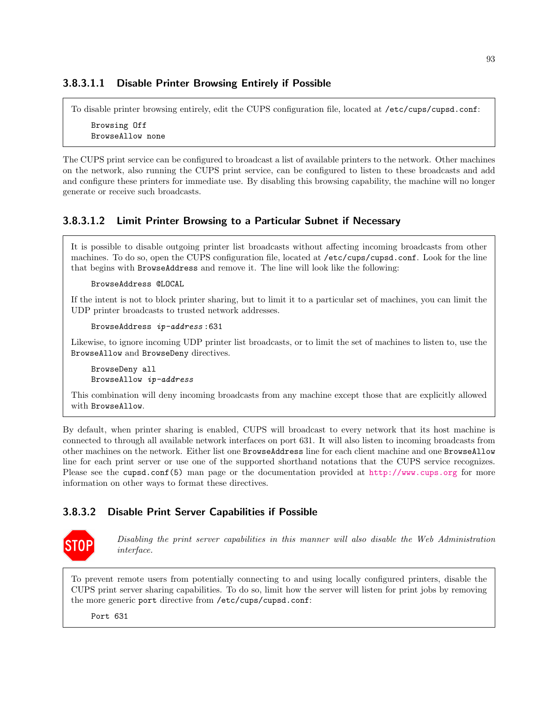### 3.8.3.1.1 Disable Printer Browsing Entirely if Possible

To disable printer browsing entirely, edit the CUPS configuration file, located at /etc/cups/cupsd.conf: Browsing Off BrowseAllow none

The CUPS print service can be configured to broadcast a list of available printers to the network. Other machines on the network, also running the CUPS print service, can be configured to listen to these broadcasts and add and configure these printers for immediate use. By disabling this browsing capability, the machine will no longer generate or receive such broadcasts.

### 3.8.3.1.2 Limit Printer Browsing to a Particular Subnet if Necessary

It is possible to disable outgoing printer list broadcasts without affecting incoming broadcasts from other machines. To do so, open the CUPS configuration file, located at /etc/cups/cupsd.conf. Look for the line that begins with BrowseAddress and remove it. The line will look like the following:

```
BrowseAddress @LOCAL
```
If the intent is not to block printer sharing, but to limit it to a particular set of machines, you can limit the UDP printer broadcasts to trusted network addresses.

```
BrowseAddress ip-address :631
```
Likewise, to ignore incoming UDP printer list broadcasts, or to limit the set of machines to listen to, use the BrowseAllow and BrowseDeny directives.

```
BrowseDeny all
BrowseAllow ip-address
```
This combination will deny incoming broadcasts from any machine except those that are explicitly allowed with BrowseAllow.

By default, when printer sharing is enabled, CUPS will broadcast to every network that its host machine is connected to through all available network interfaces on port 631. It will also listen to incoming broadcasts from other machines on the network. Either list one BrowseAddress line for each client machine and one BrowseAllow line for each print server or use one of the supported shorthand notations that the CUPS service recognizes. Please see the cupsd.conf(5) man page or the documentation provided at <http://www.cups.org> for more information on other ways to format these directives.

### 3.8.3.2 Disable Print Server Capabilities if Possible



Disabling the print server capabilities in this manner will also disable the Web Administration interface.

To prevent remote users from potentially connecting to and using locally configured printers, disable the CUPS print server sharing capabilities. To do so, limit how the server will listen for print jobs by removing the more generic port directive from /etc/cups/cupsd.conf:

Port 631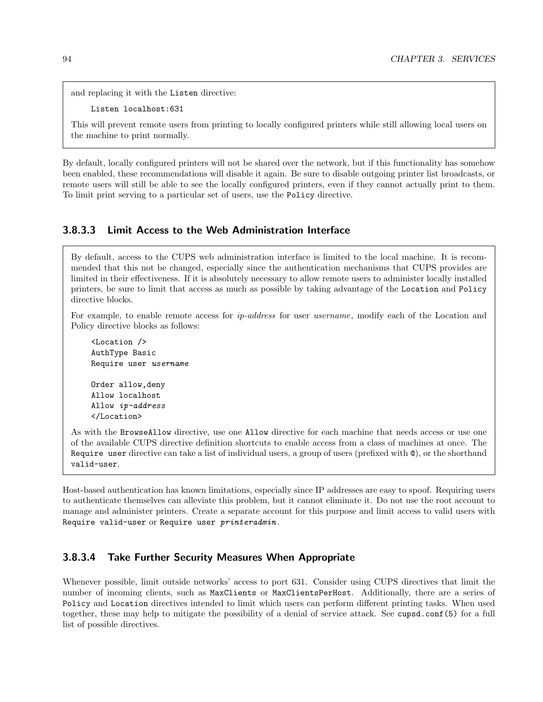and replacing it with the Listen directive:

```
Listen localhost:631
```
This will prevent remote users from printing to locally configured printers while still allowing local users on the machine to print normally.

By default, locally configured printers will not be shared over the network, but if this functionality has somehow been enabled, these recommendations will disable it again. Be sure to disable outgoing printer list broadcasts, or remote users will still be able to see the locally configured printers, even if they cannot actually print to them. To limit print serving to a particular set of users, use the Policy directive.

#### 3.8.3.3 Limit Access to the Web Administration Interface

By default, access to the CUPS web administration interface is limited to the local machine. It is recommended that this not be changed, especially since the authentication mechanisms that CUPS provides are limited in their effectiveness. If it is absolutely necessary to allow remote users to administer locally installed printers, be sure to limit that access as much as possible by taking advantage of the Location and Policy directive blocks.

For example, to enable remote access for *ip-address* for user *username*, modify each of the Location and Policy directive blocks as follows:

```
<Location />
AuthType Basic
Require user username
Order allow,deny
Allow localhost
Allow ip-address
</Location>
```
As with the BrowseAllow directive, use one Allow directive for each machine that needs access or use one of the available CUPS directive definition shortcuts to enable access from a class of machines at once. The Require user directive can take a list of individual users, a group of users (prefixed with @), or the shorthand valid-user.

Host-based authentication has known limitations, especially since IP addresses are easy to spoof. Requiring users to authenticate themselves can alleviate this problem, but it cannot eliminate it. Do not use the root account to manage and administer printers. Create a separate account for this purpose and limit access to valid users with Require valid-user or Require user printeradmin.

#### 3.8.3.4 Take Further Security Measures When Appropriate

Whenever possible, limit outside networks' access to port 631. Consider using CUPS directives that limit the number of incoming clients, such as MaxClients or MaxClientsPerHost. Additionally, there are a series of Policy and Location directives intended to limit which users can perform different printing tasks. When used together, these may help to mitigate the possibility of a denial of service attack. See cupsd.conf(5) for a full list of possible directives.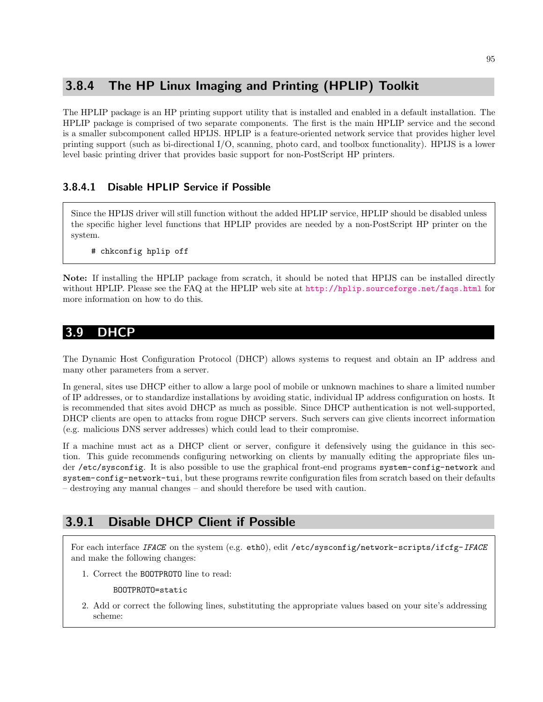# 3.8.4 The HP Linux Imaging and Printing (HPLIP) Toolkit

The HPLIP package is an HP printing support utility that is installed and enabled in a default installation. The HPLIP package is comprised of two separate components. The first is the main HPLIP service and the second is a smaller subcomponent called HPIJS. HPLIP is a feature-oriented network service that provides higher level printing support (such as bi-directional I/O, scanning, photo card, and toolbox functionality). HPIJS is a lower level basic printing driver that provides basic support for non-PostScript HP printers.

### <span id="page-94-0"></span>3.8.4.1 Disable HPLIP Service if Possible

Since the HPIJS driver will still function without the added HPLIP service, HPLIP should be disabled unless the specific higher level functions that HPLIP provides are needed by a non-PostScript HP printer on the system.

# chkconfig hplip off

Note: If installing the HPLIP package from scratch, it should be noted that HPIJS can be installed directly without HPLIP. Please see the FAQ at the HPLIP web site at <http://hplip.sourceforge.net/faqs.html> for more information on how to do this.

# 3.9 DHCP

The Dynamic Host Configuration Protocol (DHCP) allows systems to request and obtain an IP address and many other parameters from a server.

In general, sites use DHCP either to allow a large pool of mobile or unknown machines to share a limited number of IP addresses, or to standardize installations by avoiding static, individual IP address configuration on hosts. It is recommended that sites avoid DHCP as much as possible. Since DHCP authentication is not well-supported, DHCP clients are open to attacks from rogue DHCP servers. Such servers can give clients incorrect information (e.g. malicious DNS server addresses) which could lead to their compromise.

If a machine must act as a DHCP client or server, configure it defensively using the guidance in this section. This guide recommends configuring networking on clients by manually editing the appropriate files under /etc/sysconfig. It is also possible to use the graphical front-end programs system-config-network and system-config-network-tui, but these programs rewrite configuration files from scratch based on their defaults – destroying any manual changes – and should therefore be used with caution.

# 3.9.1 Disable DHCP Client if Possible

For each interface IFACE on the system (e.g. eth0), edit /etc/sysconfig/network-scripts/ifcfg-IFACE and make the following changes:

1. Correct the BOOTPROTO line to read:

BOOTPROTO=static

2. Add or correct the following lines, substituting the appropriate values based on your site's addressing scheme: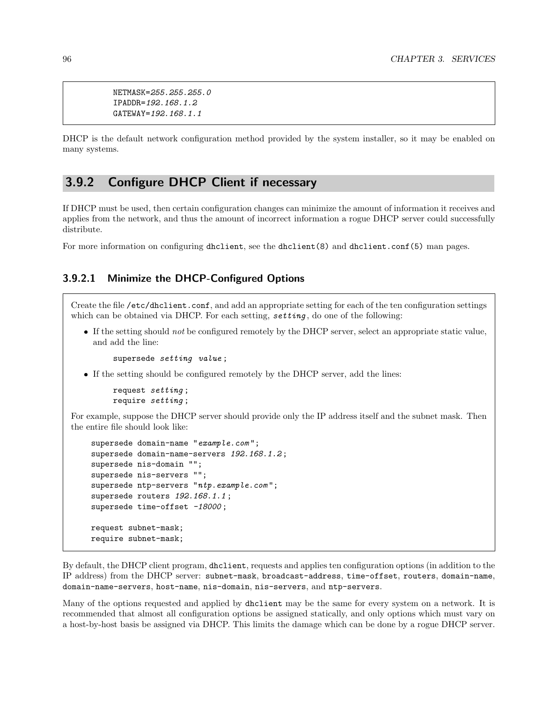NETMASK=255.255.255.0 IPADDR=192.168.1.2 GATEWAY=192.168.1.1

DHCP is the default network configuration method provided by the system installer, so it may be enabled on many systems.

# 3.9.2 Configure DHCP Client if necessary

If DHCP must be used, then certain configuration changes can minimize the amount of information it receives and applies from the network, and thus the amount of incorrect information a rogue DHCP server could successfully distribute.

For more information on configuring dhclient, see the dhclient(8) and dhclient.conf(5) man pages.

#### <span id="page-95-0"></span>3.9.2.1 Minimize the DHCP-Configured Options

Create the file /etc/dhclient.conf, and add an appropriate setting for each of the ten configuration settings which can be obtained via DHCP. For each setting,  $setting$ , do one of the following:

If the setting should *not* be configured remotely by the DHCP server, select an appropriate static value, and add the line:

```
supersede setting value ;
```
If the setting should be configured remotely by the DHCP server, add the lines:

```
request setting ;
require setting ;
```
For example, suppose the DHCP server should provide only the IP address itself and the subnet mask. Then the entire file should look like:

```
supersede domain-name "example.com";
supersede domain-name-servers 192.168.1.2;
supersede nis-domain "";
supersede nis-servers "";
supersede ntp-servers "ntp.example.com";
supersede routers 192.168.1.1;
supersede time-offset -18000;
request subnet-mask;
require subnet-mask;
```
By default, the DHCP client program, dhclient, requests and applies ten configuration options (in addition to the IP address) from the DHCP server: subnet-mask, broadcast-address, time-offset, routers, domain-name, domain-name-servers, host-name, nis-domain, nis-servers, and ntp-servers.

Many of the options requested and applied by dhclient may be the same for every system on a network. It is recommended that almost all configuration options be assigned statically, and only options which must vary on a host-by-host basis be assigned via DHCP. This limits the damage which can be done by a rogue DHCP server.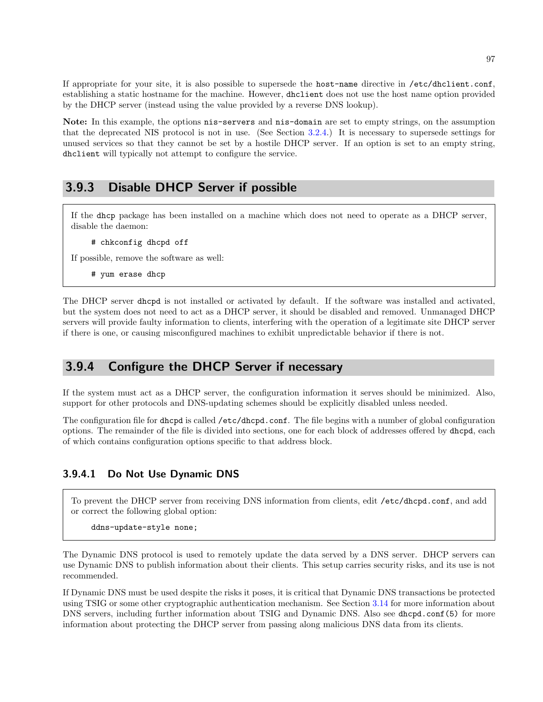If appropriate for your site, it is also possible to supersede the host-name directive in /etc/dhclient.conf, establishing a static hostname for the machine. However, dhclient does not use the host name option provided by the DHCP server (instead using the value provided by a reverse DNS lookup).

Note: In this example, the options nis-servers and nis-domain are set to empty strings, on the assumption that the deprecated NIS protocol is not in use. (See Section [3.2.4.](#page-75-0)) It is necessary to supersede settings for unused services so that they cannot be set by a hostile DHCP server. If an option is set to an empty string, dhclient will typically not attempt to configure the service.

### 3.9.3 Disable DHCP Server if possible

If the dhcp package has been installed on a machine which does not need to operate as a DHCP server, disable the daemon:

# chkconfig dhcpd off

If possible, remove the software as well:

# yum erase dhcp

The DHCP server dhcpd is not installed or activated by default. If the software was installed and activated, but the system does not need to act as a DHCP server, it should be disabled and removed. Unmanaged DHCP servers will provide faulty information to clients, interfering with the operation of a legitimate site DHCP server if there is one, or causing misconfigured machines to exhibit unpredictable behavior if there is not.

### 3.9.4 Configure the DHCP Server if necessary

If the system must act as a DHCP server, the configuration information it serves should be minimized. Also, support for other protocols and DNS-updating schemes should be explicitly disabled unless needed.

The configuration file for dhcpd is called /etc/dhcpd.conf. The file begins with a number of global configuration options. The remainder of the file is divided into sections, one for each block of addresses offered by dhcpd, each of which contains configuration options specific to that address block.

### 3.9.4.1 Do Not Use Dynamic DNS

To prevent the DHCP server from receiving DNS information from clients, edit /etc/dhcpd.conf, and add or correct the following global option:

ddns-update-style none;

The Dynamic DNS protocol is used to remotely update the data served by a DNS server. DHCP servers can use Dynamic DNS to publish information about their clients. This setup carries security risks, and its use is not recommended.

If Dynamic DNS must be used despite the risks it poses, it is critical that Dynamic DNS transactions be protected using TSIG or some other cryptographic authentication mechanism. See Section [3.14](#page-129-0) for more information about DNS servers, including further information about TSIG and Dynamic DNS. Also see dhcpd.conf(5) for more information about protecting the DHCP server from passing along malicious DNS data from its clients.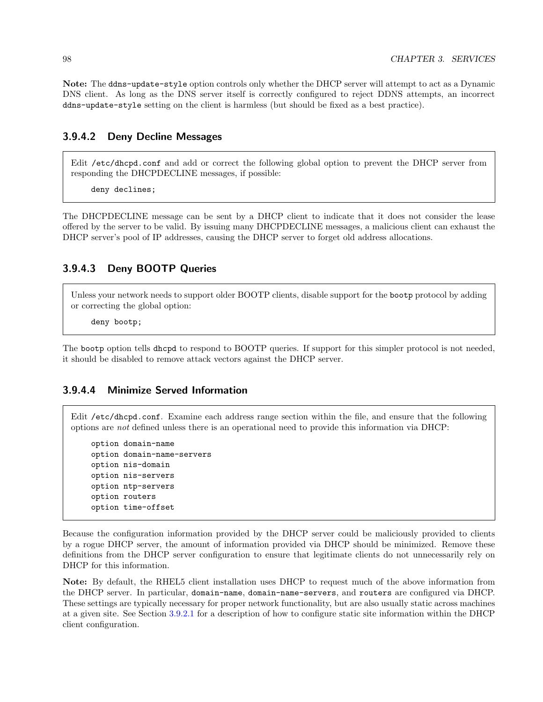Note: The ddns-update-style option controls only whether the DHCP server will attempt to act as a Dynamic DNS client. As long as the DNS server itself is correctly configured to reject DDNS attempts, an incorrect ddns-update-style setting on the client is harmless (but should be fixed as a best practice).

#### 3.9.4.2 Deny Decline Messages

Edit /etc/dhcpd.conf and add or correct the following global option to prevent the DHCP server from responding the DHCPDECLINE messages, if possible:

deny declines;

The DHCPDECLINE message can be sent by a DHCP client to indicate that it does not consider the lease offered by the server to be valid. By issuing many DHCPDECLINE messages, a malicious client can exhaust the DHCP server's pool of IP addresses, causing the DHCP server to forget old address allocations.

#### 3.9.4.3 Deny BOOTP Queries

Unless your network needs to support older BOOTP clients, disable support for the bootp protocol by adding or correcting the global option:

deny bootp;

The bootp option tells dhcpd to respond to BOOTP queries. If support for this simpler protocol is not needed, it should be disabled to remove attack vectors against the DHCP server.

#### 3.9.4.4 Minimize Served Information

Edit /etc/dhcpd.conf. Examine each address range section within the file, and ensure that the following options are not defined unless there is an operational need to provide this information via DHCP:

```
option domain-name
option domain-name-servers
option nis-domain
option nis-servers
option ntp-servers
option routers
option time-offset
```
Because the configuration information provided by the DHCP server could be maliciously provided to clients by a rogue DHCP server, the amount of information provided via DHCP should be minimized. Remove these definitions from the DHCP server configuration to ensure that legitimate clients do not unnecessarily rely on DHCP for this information.

Note: By default, the RHEL5 client installation uses DHCP to request much of the above information from the DHCP server. In particular, domain-name, domain-name-servers, and routers are configured via DHCP. These settings are typically necessary for proper network functionality, but are also usually static across machines at a given site. See Section [3.9.2.1](#page-95-0) for a description of how to configure static site information within the DHCP client configuration.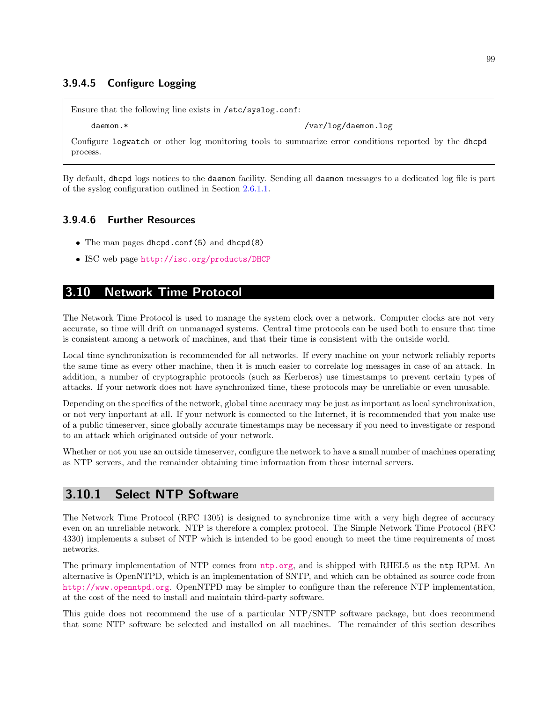### 3.9.4.5 Configure Logging

Ensure that the following line exists in /etc/syslog.conf:

daemon.\* /var/log/daemon.log

Configure logwatch or other log monitoring tools to summarize error conditions reported by the dhcpd process.

By default, dhcpd logs notices to the daemon facility. Sending all daemon messages to a dedicated log file is part of the syslog configuration outlined in Section [2.6.1.1.](#page-65-1)

### 3.9.4.6 Further Resources

- The man pages dhcpd.conf(5) and dhcpd(8)
- ISC web page <http://isc.org/products/DHCP>

### 3.10 Network Time Protocol

The Network Time Protocol is used to manage the system clock over a network. Computer clocks are not very accurate, so time will drift on unmanaged systems. Central time protocols can be used both to ensure that time is consistent among a network of machines, and that their time is consistent with the outside world.

Local time synchronization is recommended for all networks. If every machine on your network reliably reports the same time as every other machine, then it is much easier to correlate log messages in case of an attack. In addition, a number of cryptographic protocols (such as Kerberos) use timestamps to prevent certain types of attacks. If your network does not have synchronized time, these protocols may be unreliable or even unusable.

Depending on the specifics of the network, global time accuracy may be just as important as local synchronization, or not very important at all. If your network is connected to the Internet, it is recommended that you make use of a public timeserver, since globally accurate timestamps may be necessary if you need to investigate or respond to an attack which originated outside of your network.

Whether or not you use an outside timeserver, configure the network to have a small number of machines operating as NTP servers, and the remainder obtaining time information from those internal servers.

### 3.10.1 Select NTP Software

The Network Time Protocol (RFC 1305) is designed to synchronize time with a very high degree of accuracy even on an unreliable network. NTP is therefore a complex protocol. The Simple Network Time Protocol (RFC 4330) implements a subset of NTP which is intended to be good enough to meet the time requirements of most networks.

The primary implementation of NTP comes from <ntp.org>, and is shipped with RHEL5 as the ntp RPM. An alternative is OpenNTPD, which is an implementation of SNTP, and which can be obtained as source code from <http://www.openntpd.org>. OpenNTPD may be simpler to configure than the reference NTP implementation, at the cost of the need to install and maintain third-party software.

This guide does not recommend the use of a particular NTP/SNTP software package, but does recommend that some NTP software be selected and installed on all machines. The remainder of this section describes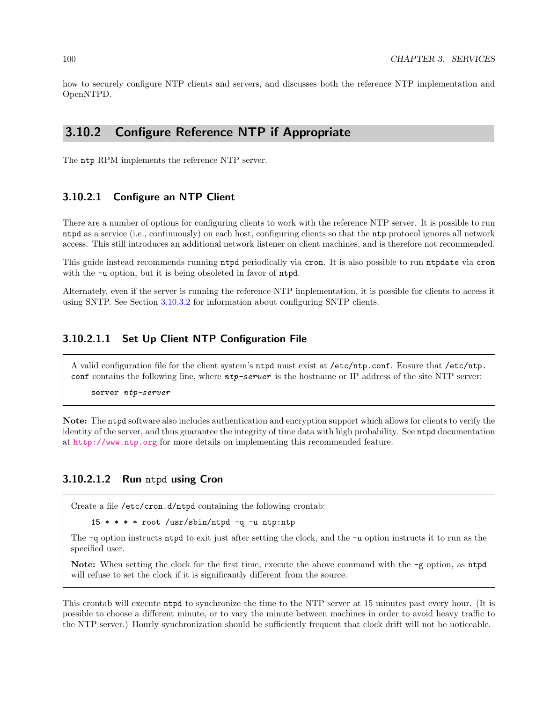how to securely configure NTP clients and servers, and discusses both the reference NTP implementation and OpenNTPD.

### 3.10.2 Configure Reference NTP if Appropriate

The ntp RPM implements the reference NTP server.

#### 3.10.2.1 Configure an NTP Client

There are a number of options for configuring clients to work with the reference NTP server. It is possible to run ntpd as a service (i.e., continuously) on each host, configuring clients so that the ntp protocol ignores all network access. This still introduces an additional network listener on client machines, and is therefore not recommended.

This guide instead recommends running ntpd periodically via cron. It is also possible to run ntpdate via cron with the  $-u$  option, but it is being obsoleted in favor of ntpd.

Alternately, even if the server is running the reference NTP implementation, it is possible for clients to access it using SNTP. See Section [3.10.3.2](#page-102-0) for information about configuring SNTP clients.

#### 3.10.2.1.1 Set Up Client NTP Configuration File

A valid configuration file for the client system's ntpd must exist at /etc/ntp.conf. Ensure that /etc/ntp. conf contains the following line, where  $ntp$ -server is the hostname or IP address of the site NTP server:

server ntp-server

Note: The ntpd software also includes authentication and encryption support which allows for clients to verify the identity of the server, and thus guarantee the integrity of time data with high probability. See ntpd documentation at <http://www.ntp.org> for more details on implementing this recommended feature.

#### 3.10.2.1.2 Run ntpd using Cron

Create a file /etc/cron.d/ntpd containing the following crontab:

15 \* \* \* \* root /usr/sbin/ntpd -q -u ntp:ntp

The -q option instructs ntpd to exit just after setting the clock, and the -u option instructs it to run as the specified user.

Note: When setting the clock for the first time, execute the above command with the  $-g$  option, as ntpd will refuse to set the clock if it is significantly different from the source.

This crontab will execute ntpd to synchronize the time to the NTP server at 15 minutes past every hour. (It is possible to choose a different minute, or to vary the minute between machines in order to avoid heavy traffic to the NTP server.) Hourly synchronization should be sufficiently frequent that clock drift will not be noticeable.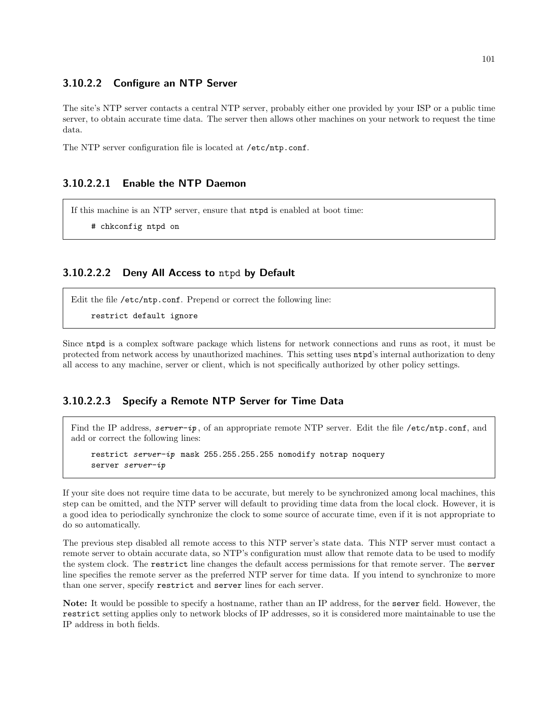#### 3.10.2.2 Configure an NTP Server

The site's NTP server contacts a central NTP server, probably either one provided by your ISP or a public time server, to obtain accurate time data. The server then allows other machines on your network to request the time data.

The NTP server configuration file is located at /etc/ntp.conf.

#### 3.10.2.2.1 Enable the NTP Daemon

If this machine is an NTP server, ensure that ntpd is enabled at boot time:

# chkconfig ntpd on

### 3.10.2.2.2 Deny All Access to ntpd by Default

Edit the file /etc/ntp.conf. Prepend or correct the following line:

restrict default ignore

Since ntpd is a complex software package which listens for network connections and runs as root, it must be protected from network access by unauthorized machines. This setting uses ntpd's internal authorization to deny all access to any machine, server or client, which is not specifically authorized by other policy settings.

#### 3.10.2.2.3 Specify a Remote NTP Server for Time Data

Find the IP address,  $server - ip$ , of an appropriate remote NTP server. Edit the file /etc/ntp.conf, and add or correct the following lines:

restrict server-ip mask 255.255.255.255 nomodify notrap noquery server server-ip

If your site does not require time data to be accurate, but merely to be synchronized among local machines, this step can be omitted, and the NTP server will default to providing time data from the local clock. However, it is a good idea to periodically synchronize the clock to some source of accurate time, even if it is not appropriate to do so automatically.

The previous step disabled all remote access to this NTP server's state data. This NTP server must contact a remote server to obtain accurate data, so NTP's configuration must allow that remote data to be used to modify the system clock. The restrict line changes the default access permissions for that remote server. The server line specifies the remote server as the preferred NTP server for time data. If you intend to synchronize to more than one server, specify restrict and server lines for each server.

Note: It would be possible to specify a hostname, rather than an IP address, for the server field. However, the restrict setting applies only to network blocks of IP addresses, so it is considered more maintainable to use the IP address in both fields.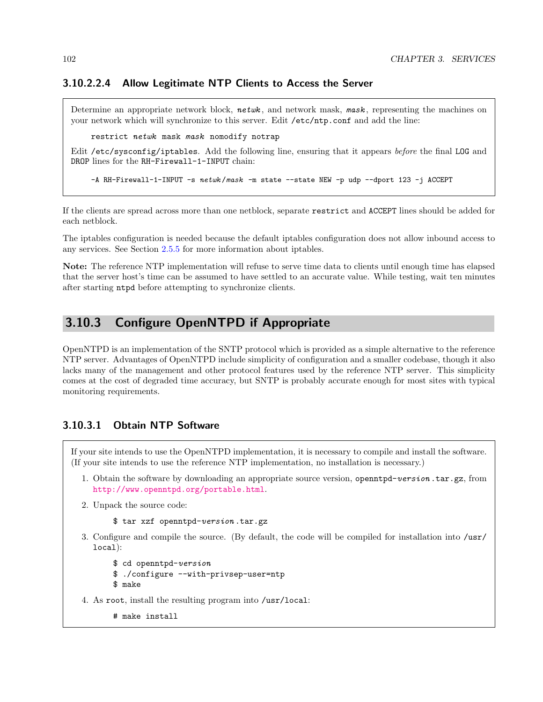#### 3.10.2.2.4 Allow Legitimate NTP Clients to Access the Server

Determine an appropriate network block,  $network$ , and network mask,  $mask$ , representing the machines on your network which will synchronize to this server. Edit /etc/ntp.conf and add the line:

restrict netwk mask mask nomodify notrap

Edit /etc/sysconfig/iptables. Add the following line, ensuring that it appears before the final LOG and DROP lines for the RH-Firewall-1-INPUT chain:

-A RH-Firewall-1-INPUT -s netwk/mask -m state --state NEW -p udp --dport 123 -j ACCEPT

If the clients are spread across more than one netblock, separate restrict and ACCEPT lines should be added for each netblock.

The iptables configuration is needed because the default iptables configuration does not allow inbound access to any services. See Section [2.5.5](#page-55-0) for more information about iptables.

Note: The reference NTP implementation will refuse to serve time data to clients until enough time has elapsed that the server host's time can be assumed to have settled to an accurate value. While testing, wait ten minutes after starting ntpd before attempting to synchronize clients.

# 3.10.3 Configure OpenNTPD if Appropriate

OpenNTPD is an implementation of the SNTP protocol which is provided as a simple alternative to the reference NTP server. Advantages of OpenNTPD include simplicity of configuration and a smaller codebase, though it also lacks many of the management and other protocol features used by the reference NTP server. This simplicity comes at the cost of degraded time accuracy, but SNTP is probably accurate enough for most sites with typical monitoring requirements.

### 3.10.3.1 Obtain NTP Software

If your site intends to use the OpenNTPD implementation, it is necessary to compile and install the software. (If your site intends to use the reference NTP implementation, no installation is necessary.)

- 1. Obtain the software by downloading an appropriate source version, openntpd-version .tar.gz, from <http://www.openntpd.org/portable.html>.
- 2. Unpack the source code:

\$ tar xzf openntpd-version .tar.gz

3. Configure and compile the source. (By default, the code will be compiled for installation into /usr/ local):

```
$ cd openntpd-version
$ ./configure --with-privsep-user=ntp
$ make
```
4. As root, install the resulting program into /usr/local:

```
# make install
```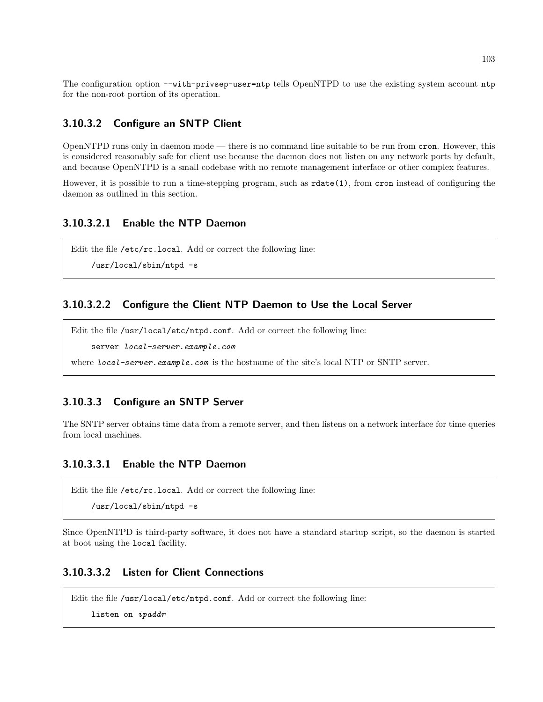The configuration option  $-\text{with-privsep-user=ntp}$  tells OpenNTPD to use the existing system account ntp for the non-root portion of its operation.

### <span id="page-102-0"></span>3.10.3.2 Configure an SNTP Client

OpenNTPD runs only in daemon mode — there is no command line suitable to be run from cron. However, this is considered reasonably safe for client use because the daemon does not listen on any network ports by default, and because OpenNTPD is a small codebase with no remote management interface or other complex features.

However, it is possible to run a time-stepping program, such as rdate(1), from cron instead of configuring the daemon as outlined in this section.

#### 3.10.3.2.1 Enable the NTP Daemon

Edit the file /etc/rc.local. Add or correct the following line:

/usr/local/sbin/ntpd -s

#### 3.10.3.2.2 Configure the Client NTP Daemon to Use the Local Server

Edit the file /usr/local/etc/ntpd.conf. Add or correct the following line:

server local-server.example.com

where *local-server.example.com* is the hostname of the site's local NTP or SNTP server.

### 3.10.3.3 Configure an SNTP Server

The SNTP server obtains time data from a remote server, and then listens on a network interface for time queries from local machines.

### 3.10.3.3.1 Enable the NTP Daemon

Edit the file /etc/rc.local. Add or correct the following line:

/usr/local/sbin/ntpd -s

Since OpenNTPD is third-party software, it does not have a standard startup script, so the daemon is started at boot using the local facility.

#### 3.10.3.3.2 Listen for Client Connections

```
Edit the file /usr/local/etc/ntpd.conf. Add or correct the following line:
    listen on ipaddr
```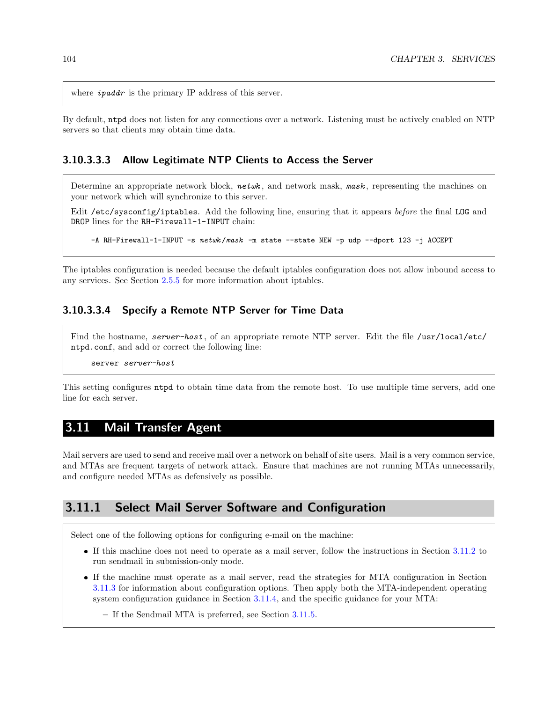where  $ipaddr$  is the primary IP address of this server.

By default, ntpd does not listen for any connections over a network. Listening must be actively enabled on NTP servers so that clients may obtain time data.

#### 3.10.3.3.3 Allow Legitimate NTP Clients to Access the Server

Determine an appropriate network block,  $network$ , and network mask,  $mask$ , representing the machines on your network which will synchronize to this server.

Edit /etc/sysconfig/iptables. Add the following line, ensuring that it appears before the final LOG and DROP lines for the RH-Firewall-1-INPUT chain:

-A RH-Firewall-1-INPUT -s netwk /mask -m state --state NEW -p udp --dport 123 -j ACCEPT

The iptables configuration is needed because the default iptables configuration does not allow inbound access to any services. See Section [2.5.5](#page-55-0) for more information about iptables.

#### 3.10.3.3.4 Specify a Remote NTP Server for Time Data

Find the hostname, server-host, of an appropriate remote NTP server. Edit the file /usr/local/etc/ ntpd.conf, and add or correct the following line:

server server-host

This setting configures ntpd to obtain time data from the remote host. To use multiple time servers, add one line for each server.

### <span id="page-103-0"></span>3.11 Mail Transfer Agent

Mail servers are used to send and receive mail over a network on behalf of site users. Mail is a very common service, and MTAs are frequent targets of network attack. Ensure that machines are not running MTAs unnecessarily, and configure needed MTAs as defensively as possible.

### 3.11.1 Select Mail Server Software and Configuration

Select one of the following options for configuring e-mail on the machine:

- If this machine does not need to operate as a mail server, follow the instructions in Section [3.11.2](#page-104-0) to run sendmail in submission-only mode.
- If the machine must operate as a mail server, read the strategies for MTA configuration in Section [3.11.3](#page-105-0) for information about configuration options. Then apply both the MTA-independent operating system configuration guidance in Section [3.11.4,](#page-106-0) and the specific guidance for your MTA:

– If the Sendmail MTA is preferred, see Section [3.11.5.](#page-108-0)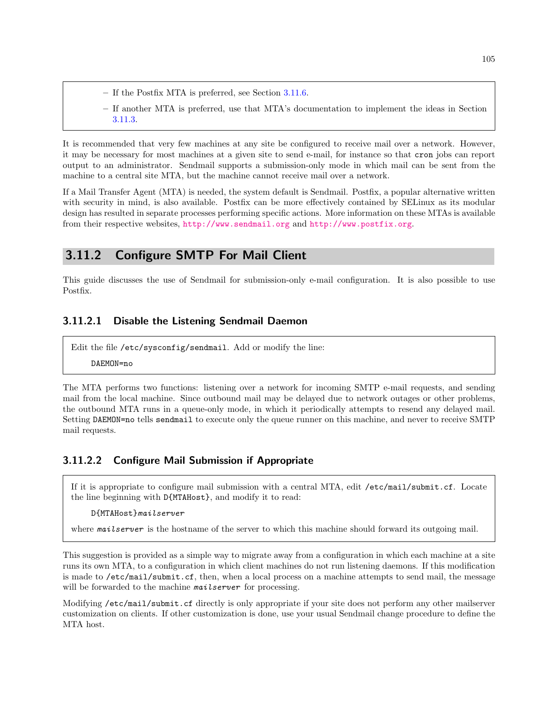- If the Postfix MTA is preferred, see Section [3.11.6.](#page-111-0)
- If another MTA is preferred, use that MTA's documentation to implement the ideas in Section [3.11.3.](#page-105-0)

It is recommended that very few machines at any site be configured to receive mail over a network. However, it may be necessary for most machines at a given site to send e-mail, for instance so that cron jobs can report output to an administrator. Sendmail supports a submission-only mode in which mail can be sent from the machine to a central site MTA, but the machine cannot receive mail over a network.

If a Mail Transfer Agent (MTA) is needed, the system default is Sendmail. Postfix, a popular alternative written with security in mind, is also available. Postfix can be more effectively contained by SELinux as its modular design has resulted in separate processes performing specific actions. More information on these MTAs is available from their respective websites, <http://www.sendmail.org> and <http://www.postfix.org>.

# <span id="page-104-0"></span>3.11.2 Configure SMTP For Mail Client

This guide discusses the use of Sendmail for submission-only e-mail configuration. It is also possible to use Postfix.

### 3.11.2.1 Disable the Listening Sendmail Daemon

Edit the file /etc/sysconfig/sendmail. Add or modify the line:

DAEMON=no

The MTA performs two functions: listening over a network for incoming SMTP e-mail requests, and sending mail from the local machine. Since outbound mail may be delayed due to network outages or other problems, the outbound MTA runs in a queue-only mode, in which it periodically attempts to resend any delayed mail. Setting DAEMON=no tells sendmail to execute only the queue runner on this machine, and never to receive SMTP mail requests.

### 3.11.2.2 Configure Mail Submission if Appropriate

If it is appropriate to configure mail submission with a central MTA, edit /etc/mail/submit.cf. Locate the line beginning with D{MTAHost}, and modify it to read:

D{MTAHost}mailserver

where *mailserver* is the hostname of the server to which this machine should forward its outgoing mail.

This suggestion is provided as a simple way to migrate away from a configuration in which each machine at a site runs its own MTA, to a configuration in which client machines do not run listening daemons. If this modification is made to /etc/mail/submit.cf, then, when a local process on a machine attempts to send mail, the message will be forwarded to the machine *mailserver* for processing.

Modifying /etc/mail/submit.cf directly is only appropriate if your site does not perform any other mailserver customization on clients. If other customization is done, use your usual Sendmail change procedure to define the MTA host.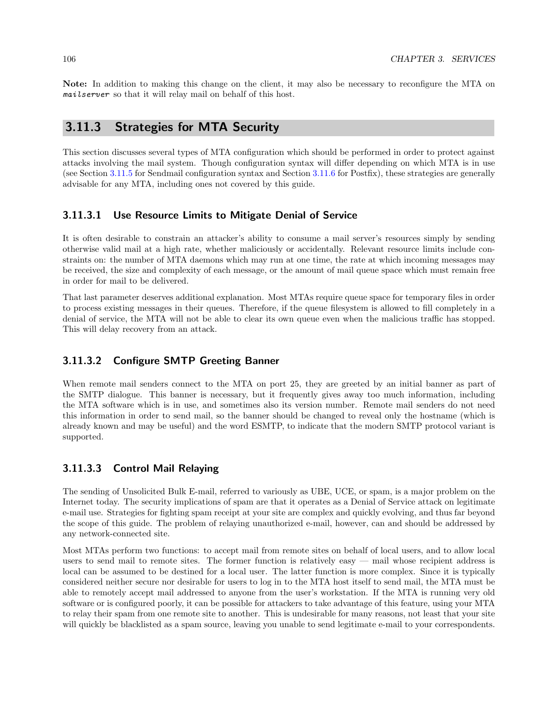Note: In addition to making this change on the client, it may also be necessary to reconfigure the MTA on mailserver so that it will relay mail on behalf of this host.

### <span id="page-105-0"></span>3.11.3 Strategies for MTA Security

This section discusses several types of MTA configuration which should be performed in order to protect against attacks involving the mail system. Though configuration syntax will differ depending on which MTA is in use (see Section [3.11.5](#page-108-0) for Sendmail configuration syntax and Section [3.11.6](#page-111-0) for Postfix), these strategies are generally advisable for any MTA, including ones not covered by this guide.

#### 3.11.3.1 Use Resource Limits to Mitigate Denial of Service

It is often desirable to constrain an attacker's ability to consume a mail server's resources simply by sending otherwise valid mail at a high rate, whether maliciously or accidentally. Relevant resource limits include constraints on: the number of MTA daemons which may run at one time, the rate at which incoming messages may be received, the size and complexity of each message, or the amount of mail queue space which must remain free in order for mail to be delivered.

That last parameter deserves additional explanation. Most MTAs require queue space for temporary files in order to process existing messages in their queues. Therefore, if the queue filesystem is allowed to fill completely in a denial of service, the MTA will not be able to clear its own queue even when the malicious traffic has stopped. This will delay recovery from an attack.

#### 3.11.3.2 Configure SMTP Greeting Banner

When remote mail senders connect to the MTA on port 25, they are greeted by an initial banner as part of the SMTP dialogue. This banner is necessary, but it frequently gives away too much information, including the MTA software which is in use, and sometimes also its version number. Remote mail senders do not need this information in order to send mail, so the banner should be changed to reveal only the hostname (which is already known and may be useful) and the word ESMTP, to indicate that the modern SMTP protocol variant is supported.

#### <span id="page-105-1"></span>3.11.3.3 Control Mail Relaying

The sending of Unsolicited Bulk E-mail, referred to variously as UBE, UCE, or spam, is a major problem on the Internet today. The security implications of spam are that it operates as a Denial of Service attack on legitimate e-mail use. Strategies for fighting spam receipt at your site are complex and quickly evolving, and thus far beyond the scope of this guide. The problem of relaying unauthorized e-mail, however, can and should be addressed by any network-connected site.

Most MTAs perform two functions: to accept mail from remote sites on behalf of local users, and to allow local users to send mail to remote sites. The former function is relatively easy — mail whose recipient address is local can be assumed to be destined for a local user. The latter function is more complex. Since it is typically considered neither secure nor desirable for users to log in to the MTA host itself to send mail, the MTA must be able to remotely accept mail addressed to anyone from the user's workstation. If the MTA is running very old software or is configured poorly, it can be possible for attackers to take advantage of this feature, using your MTA to relay their spam from one remote site to another. This is undesirable for many reasons, not least that your site will quickly be blacklisted as a spam source, leaving you unable to send legitimate e-mail to your correspondents.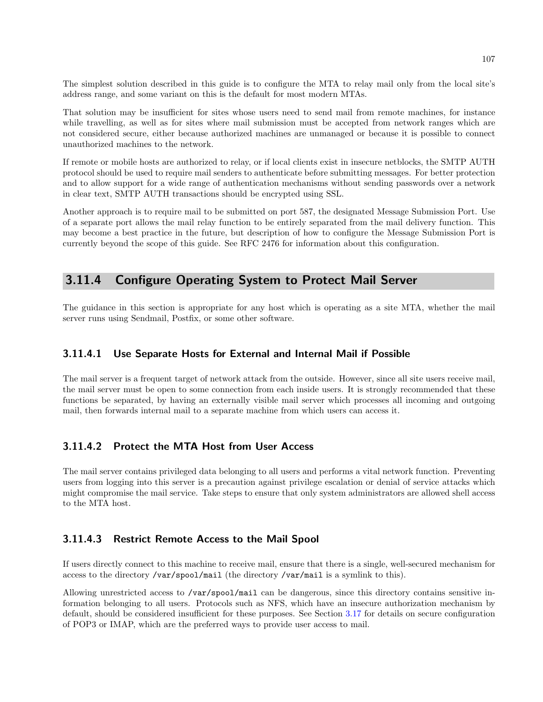The simplest solution described in this guide is to configure the MTA to relay mail only from the local site's address range, and some variant on this is the default for most modern MTAs.

That solution may be insufficient for sites whose users need to send mail from remote machines, for instance while travelling, as well as for sites where mail submission must be accepted from network ranges which are not considered secure, either because authorized machines are unmanaged or because it is possible to connect unauthorized machines to the network.

If remote or mobile hosts are authorized to relay, or if local clients exist in insecure netblocks, the SMTP AUTH protocol should be used to require mail senders to authenticate before submitting messages. For better protection and to allow support for a wide range of authentication mechanisms without sending passwords over a network in clear text, SMTP AUTH transactions should be encrypted using SSL.

Another approach is to require mail to be submitted on port 587, the designated Message Submission Port. Use of a separate port allows the mail relay function to be entirely separated from the mail delivery function. This may become a best practice in the future, but description of how to configure the Message Submission Port is currently beyond the scope of this guide. See RFC 2476 for information about this configuration.

### <span id="page-106-0"></span>3.11.4 Configure Operating System to Protect Mail Server

The guidance in this section is appropriate for any host which is operating as a site MTA, whether the mail server runs using Sendmail, Postfix, or some other software.

#### 3.11.4.1 Use Separate Hosts for External and Internal Mail if Possible

The mail server is a frequent target of network attack from the outside. However, since all site users receive mail, the mail server must be open to some connection from each inside users. It is strongly recommended that these functions be separated, by having an externally visible mail server which processes all incoming and outgoing mail, then forwards internal mail to a separate machine from which users can access it.

#### 3.11.4.2 Protect the MTA Host from User Access

The mail server contains privileged data belonging to all users and performs a vital network function. Preventing users from logging into this server is a precaution against privilege escalation or denial of service attacks which might compromise the mail service. Take steps to ensure that only system administrators are allowed shell access to the MTA host.

#### 3.11.4.3 Restrict Remote Access to the Mail Spool

If users directly connect to this machine to receive mail, ensure that there is a single, well-secured mechanism for access to the directory /var/spool/mail (the directory /var/mail is a symlink to this).

Allowing unrestricted access to /var/spool/mail can be dangerous, since this directory contains sensitive information belonging to all users. Protocols such as NFS, which have an insecure authorization mechanism by default, should be considered insufficient for these purposes. See Section [3.17](#page-152-0) for details on secure configuration of POP3 or IMAP, which are the preferred ways to provide user access to mail.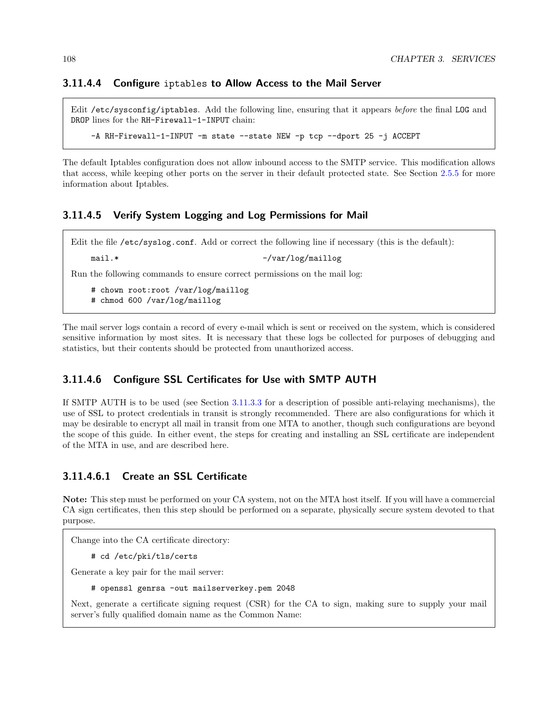#### 3.11.4.4 Configure iptables to Allow Access to the Mail Server

Edit /etc/sysconfig/iptables. Add the following line, ensuring that it appears before the final LOG and DROP lines for the RH-Firewall-1-INPUT chain:

-A RH-Firewall-1-INPUT -m state --state NEW -p tcp --dport 25 -j ACCEPT

The default Iptables configuration does not allow inbound access to the SMTP service. This modification allows that access, while keeping other ports on the server in their default protected state. See Section [2.5.5](#page-55-0) for more information about Iptables.

#### 3.11.4.5 Verify System Logging and Log Permissions for Mail

Edit the file /etc/syslog.conf. Add or correct the following line if necessary (this is the default): mail.\*  $-\frac{\sqrt{2}}{2}$  -/var/log/maillog Run the following commands to ensure correct permissions on the mail log: # chown root:root /var/log/maillog # chmod 600 /var/log/maillog

The mail server logs contain a record of every e-mail which is sent or received on the system, which is considered sensitive information by most sites. It is necessary that these logs be collected for purposes of debugging and statistics, but their contents should be protected from unauthorized access.

#### 3.11.4.6 Configure SSL Certificates for Use with SMTP AUTH

If SMTP AUTH is to be used (see Section [3.11.3.3](#page-105-1) for a description of possible anti-relaying mechanisms), the use of SSL to protect credentials in transit is strongly recommended. There are also configurations for which it may be desirable to encrypt all mail in transit from one MTA to another, though such configurations are beyond the scope of this guide. In either event, the steps for creating and installing an SSL certificate are independent of the MTA in use, and are described here.

### 3.11.4.6.1 Create an SSL Certificate

Note: This step must be performed on your CA system, not on the MTA host itself. If you will have a commercial CA sign certificates, then this step should be performed on a separate, physically secure system devoted to that purpose.

Change into the CA certificate directory:

# cd /etc/pki/tls/certs

Generate a key pair for the mail server:

# openssl genrsa -out mailserverkey.pem 2048

Next, generate a certificate signing request (CSR) for the CA to sign, making sure to supply your mail server's fully qualified domain name as the Common Name: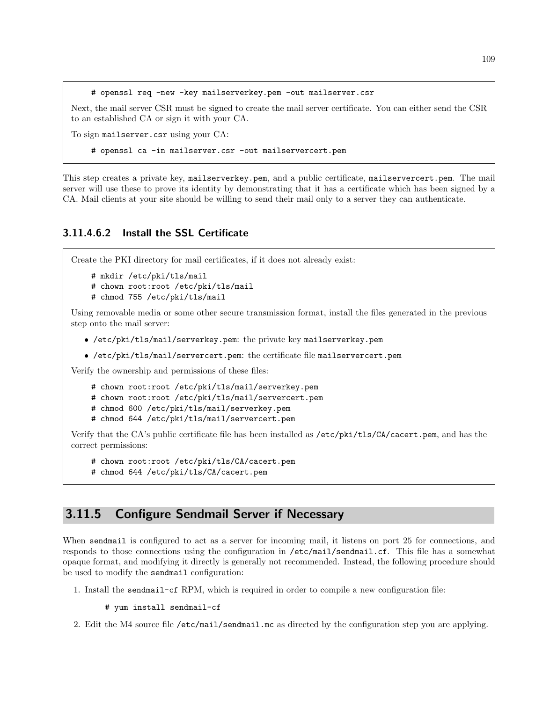# openssl req -new -key mailserverkey.pem -out mailserver.csr

Next, the mail server CSR must be signed to create the mail server certificate. You can either send the CSR to an established CA or sign it with your CA.

To sign mailserver.csr using your CA:

# openssl ca -in mailserver.csr -out mailservercert.pem

This step creates a private key, mailserverkey.pem, and a public certificate, mailservercert.pem. The mail server will use these to prove its identity by demonstrating that it has a certificate which has been signed by a CA. Mail clients at your site should be willing to send their mail only to a server they can authenticate.

## 3.11.4.6.2 Install the SSL Certificate

Create the PKI directory for mail certificates, if it does not already exist:

```
# mkdir /etc/pki/tls/mail
```
# chown root:root /etc/pki/tls/mail

# chmod 755 /etc/pki/tls/mail

Using removable media or some other secure transmission format, install the files generated in the previous step onto the mail server:

- /etc/pki/tls/mail/serverkey.pem: the private key mailserverkey.pem
- /etc/pki/tls/mail/servercert.pem: the certificate file mailservercert.pem

Verify the ownership and permissions of these files:

- # chown root:root /etc/pki/tls/mail/serverkey.pem
- # chown root:root /etc/pki/tls/mail/servercert.pem
- # chmod 600 /etc/pki/tls/mail/serverkey.pem
- # chmod 644 /etc/pki/tls/mail/servercert.pem

Verify that the CA's public certificate file has been installed as /etc/pki/tls/CA/cacert.pem, and has the correct permissions:

- # chown root:root /etc/pki/tls/CA/cacert.pem
- # chmod 644 /etc/pki/tls/CA/cacert.pem

# 3.11.5 Configure Sendmail Server if Necessary

When sendmail is configured to act as a server for incoming mail, it listens on port 25 for connections, and responds to those connections using the configuration in /etc/mail/sendmail.cf. This file has a somewhat opaque format, and modifying it directly is generally not recommended. Instead, the following procedure should be used to modify the sendmail configuration:

1. Install the sendmail-cf RPM, which is required in order to compile a new configuration file:

```
# yum install sendmail-cf
```
2. Edit the M4 source file /etc/mail/sendmail.mc as directed by the configuration step you are applying.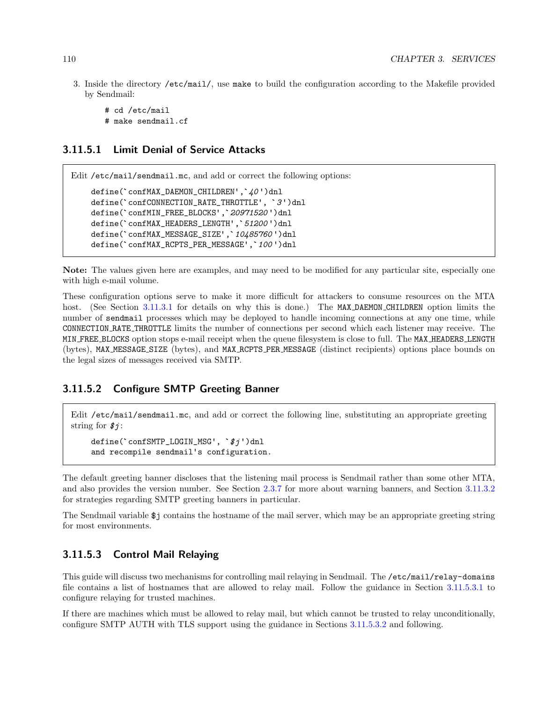3. Inside the directory /etc/mail/, use make to build the configuration according to the Makefile provided by Sendmail:

```
# cd /etc/mail
# make sendmail.cf
```
#### 3.11.5.1 Limit Denial of Service Attacks

Edit /etc/mail/sendmail.mc, and add or correct the following options: define(`confMAX\_DAEMON\_CHILDREN',`40 ')dnl

define(`confCONNECTION\_RATE\_THROTTLE', `3 ')dnl define(`confMIN\_FREE\_BLOCKS',`20971520 ')dnl define(`confMAX\_HEADERS\_LENGTH',`51200 ')dnl define(`confMAX\_MESSAGE\_SIZE', 10485760')dnl define(`confMAX\_RCPTS\_PER\_MESSAGE',`100 ')dnl

Note: The values given here are examples, and may need to be modified for any particular site, especially one with high e-mail volume.

These configuration options serve to make it more difficult for attackers to consume resources on the MTA host. (See Section [3.11.3.1](#page-105-0) for details on why this is done.) The MAX DAEMON CHILDREN option limits the number of sendmail processes which may be deployed to handle incoming connections at any one time, while CONNECTION RATE THROTTLE limits the number of connections per second which each listener may receive. The MIN FREE BLOCKS option stops e-mail receipt when the queue filesystem is close to full. The MAX HEADERS LENGTH (bytes), MAX MESSAGE SIZE (bytes), and MAX RCPTS PER MESSAGE (distinct recipients) options place bounds on the legal sizes of messages received via SMTP.

#### 3.11.5.2 Configure SMTP Greeting Banner

Edit /etc/mail/sendmail.mc, and add or correct the following line, substituting an appropriate greeting string for  $\hat{s}$ *i*:

define(`confSMTP\_LOGIN\_MSG', `\$j ')dnl and recompile sendmail's configuration.

The default greeting banner discloses that the listening mail process is Sendmail rather than some other MTA, and also provides the version number. See Section [2.3.7](#page-40-0) for more about warning banners, and Section [3.11.3.2](#page-105-1) for strategies regarding SMTP greeting banners in particular.

The Sendmail variable  $\hat{\mathfrak{s}}$  contains the hostname of the mail server, which may be an appropriate greeting string for most environments.

### 3.11.5.3 Control Mail Relaying

This guide will discuss two mechanisms for controlling mail relaying in Sendmail. The /etc/mail/relay-domains file contains a list of hostnames that are allowed to relay mail. Follow the guidance in Section [3.11.5.3.1](#page-110-0) to configure relaying for trusted machines.

If there are machines which must be allowed to relay mail, but which cannot be trusted to relay unconditionally, configure SMTP AUTH with TLS support using the guidance in Sections [3.11.5.3.2](#page-110-1) and following.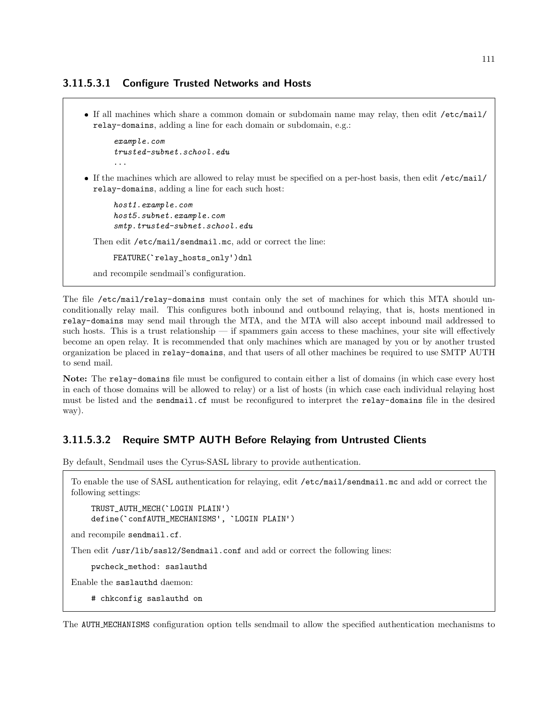## <span id="page-110-0"></span>3.11.5.3.1 Configure Trusted Networks and Hosts

 If all machines which share a common domain or subdomain name may relay, then edit /etc/mail/ relay-domains, adding a line for each domain or subdomain, e.g.:

```
example.com
trusted-subnet.school.edu
...
```
 If the machines which are allowed to relay must be specified on a per-host basis, then edit /etc/mail/ relay-domains, adding a line for each such host:

```
host1.example.com
host5.subnet.example.com
smtp.trusted-subnet.school.edu
```
Then edit /etc/mail/sendmail.mc, add or correct the line:

FEATURE(`relay\_hosts\_only')dnl

and recompile sendmail's configuration.

The file /etc/mail/relay-domains must contain only the set of machines for which this MTA should unconditionally relay mail. This configures both inbound and outbound relaying, that is, hosts mentioned in relay-domains may send mail through the MTA, and the MTA will also accept inbound mail addressed to such hosts. This is a trust relationship — if spammers gain access to these machines, your site will effectively become an open relay. It is recommended that only machines which are managed by you or by another trusted organization be placed in relay-domains, and that users of all other machines be required to use SMTP AUTH to send mail.

Note: The relay-domains file must be configured to contain either a list of domains (in which case every host in each of those domains will be allowed to relay) or a list of hosts (in which case each individual relaying host must be listed and the sendmail.cf must be reconfigured to interpret the relay-domains file in the desired way).

## <span id="page-110-1"></span>3.11.5.3.2 Require SMTP AUTH Before Relaying from Untrusted Clients

By default, Sendmail uses the Cyrus-SASL library to provide authentication.

To enable the use of SASL authentication for relaying, edit /etc/mail/sendmail.mc and add or correct the following settings:

TRUST\_AUTH\_MECH(`LOGIN PLAIN') define(`confAUTH\_MECHANISMS', `LOGIN PLAIN')

and recompile sendmail.cf.

Then edit /usr/lib/sasl2/Sendmail.conf and add or correct the following lines:

pwcheck\_method: saslauthd

Enable the saslauthd daemon:

# chkconfig saslauthd on

The AUTH MECHANISMS configuration option tells sendmail to allow the specified authentication mechanisms to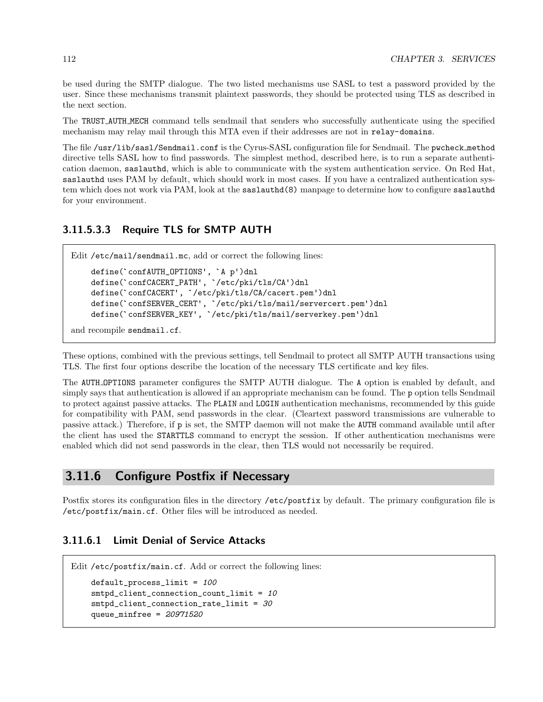be used during the SMTP dialogue. The two listed mechanisms use SASL to test a password provided by the user. Since these mechanisms transmit plaintext passwords, they should be protected using TLS as described in the next section.

The TRUST AUTH MECH command tells sendmail that senders who successfully authenticate using the specified mechanism may relay mail through this MTA even if their addresses are not in relay-domains.

The file /usr/lib/sasl/Sendmail.conf is the Cyrus-SASL configuration file for Sendmail. The pwcheck method directive tells SASL how to find passwords. The simplest method, described here, is to run a separate authentication daemon, saslauthd, which is able to communicate with the system authentication service. On Red Hat, saslauthd uses PAM by default, which should work in most cases. If you have a centralized authentication system which does not work via PAM, look at the saslauthd(8) manpage to determine how to configure saslauthd for your environment.

#### 3.11.5.3.3 Require TLS for SMTP AUTH

Edit /etc/mail/sendmail.mc, add or correct the following lines:

```
define(`confAUTH_OPTIONS', `A p')dnl
define(`confCACERT_PATH', `/etc/pki/tls/CA')dnl
define(`confCACERT', `/etc/pki/tls/CA/cacert.pem')dnl
define(`confSERVER_CERT', `/etc/pki/tls/mail/servercert.pem')dnl
define(`confSERVER_KEY', `/etc/pki/tls/mail/serverkey.pem')dnl
```
and recompile sendmail.cf.

These options, combined with the previous settings, tell Sendmail to protect all SMTP AUTH transactions using TLS. The first four options describe the location of the necessary TLS certificate and key files.

The AUTH OPTIONS parameter configures the SMTP AUTH dialogue. The A option is enabled by default, and simply says that authentication is allowed if an appropriate mechanism can be found. The p option tells Sendmail to protect against passive attacks. The PLAIN and LOGIN authentication mechanisms, recommended by this guide for compatibility with PAM, send passwords in the clear. (Cleartext password transmissions are vulnerable to passive attack.) Therefore, if p is set, the SMTP daemon will not make the AUTH command available until after the client has used the STARTTLS command to encrypt the session. If other authentication mechanisms were enabled which did not send passwords in the clear, then TLS would not necessarily be required.

# 3.11.6 Configure Postfix if Necessary

Postfix stores its configuration files in the directory /etc/postfix by default. The primary configuration file is /etc/postfix/main.cf. Other files will be introduced as needed.

## 3.11.6.1 Limit Denial of Service Attacks

```
Edit /etc/postfix/main.cf. Add or correct the following lines:
    default_process limit = 100smtpd_client_connection_count_limit = 10
    smtpd_client\_connection_rate\_limit = 30queue_minfree = 20971520
```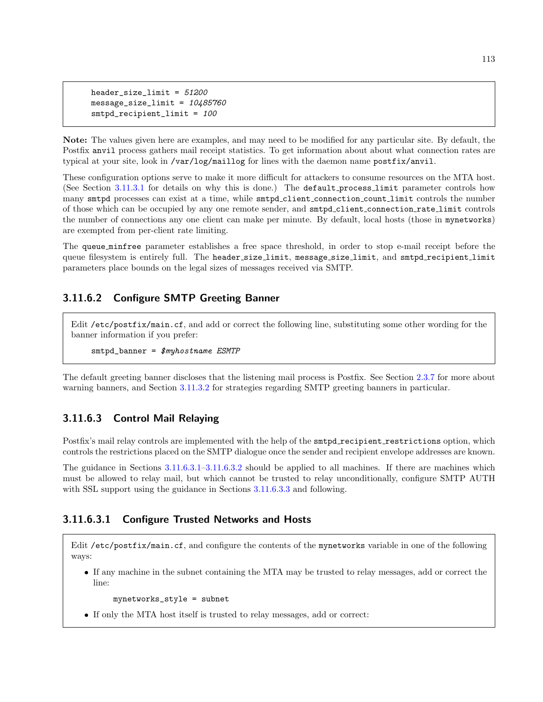```
header\_size\_limit = 51200message_size_limit = 10485760
smtpd_recipient_limit = 100
```
Note: The values given here are examples, and may need to be modified for any particular site. By default, the Postfix anvil process gathers mail receipt statistics. To get information about about what connection rates are typical at your site, look in /var/log/maillog for lines with the daemon name postfix/anvil.

These configuration options serve to make it more difficult for attackers to consume resources on the MTA host. (See Section [3.11.3.1](#page-105-0) for details on why this is done.) The default process limit parameter controls how many smtpd processes can exist at a time, while smtpd\_client\_connection\_count\_limit controls the number of those which can be occupied by any one remote sender, and smtpd client connection rate limit controls the number of connections any one client can make per minute. By default, local hosts (those in mynetworks) are exempted from per-client rate limiting.

The queue minfree parameter establishes a free space threshold, in order to stop e-mail receipt before the queue filesystem is entirely full. The header\_size\_limit, message\_size\_limit, and smtpd\_recipient\_limit parameters place bounds on the legal sizes of messages received via SMTP.

## 3.11.6.2 Configure SMTP Greeting Banner

Edit /etc/postfix/main.cf, and add or correct the following line, substituting some other wording for the banner information if you prefer:

```
smtpd_banner = $myhostname ESMTP
```
The default greeting banner discloses that the listening mail process is Postfix. See Section [2.3.7](#page-40-0) for more about warning banners, and Section [3.11.3.2](#page-105-1) for strategies regarding SMTP greeting banners in particular.

#### 3.11.6.3 Control Mail Relaying

Postfix's mail relay controls are implemented with the help of the smtpd\_recipient\_restrictions option, which controls the restrictions placed on the SMTP dialogue once the sender and recipient envelope addresses are known.

The guidance in Sections [3.11.6.3.1](#page-112-0)[–3.11.6.3.2](#page-113-0) should be applied to all machines. If there are machines which must be allowed to relay mail, but which cannot be trusted to relay unconditionally, configure SMTP AUTH with SSL support using the guidance in Sections  $3.11.6.3.3$  and following.

#### <span id="page-112-0"></span>3.11.6.3.1 Configure Trusted Networks and Hosts

Edit /etc/postfix/main.cf, and configure the contents of the mynetworks variable in one of the following ways:

 If any machine in the subnet containing the MTA may be trusted to relay messages, add or correct the line:

mynetworks\_style = subnet

If only the MTA host itself is trusted to relay messages, add or correct: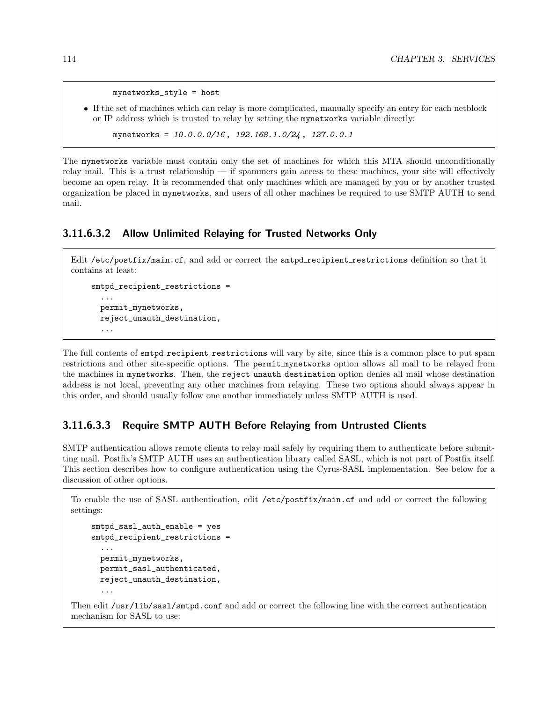mynetworks\_style = host

 If the set of machines which can relay is more complicated, manually specify an entry for each netblock or IP address which is trusted to relay by setting the mynetworks variable directly:

mynetworks = 10.0.0.0/16 , 192.168.1.0/24 , 127.0.0.1

The mynetworks variable must contain only the set of machines for which this MTA should unconditionally relay mail. This is a trust relationship — if spammers gain access to these machines, your site will effectively become an open relay. It is recommended that only machines which are managed by you or by another trusted organization be placed in mynetworks, and users of all other machines be required to use SMTP AUTH to send mail.

#### <span id="page-113-0"></span>3.11.6.3.2 Allow Unlimited Relaying for Trusted Networks Only

Edit /etc/postfix/main.cf, and add or correct the smtpd recipient restrictions definition so that it contains at least:

```
smtpd_recipient_restrictions =
  ...
 permit_mynetworks,
 reject_unauth_destination,
  ...
```
The full contents of smtpd recipient restrictions will vary by site, since this is a common place to put spam restrictions and other site-specific options. The permit mynetworks option allows all mail to be relayed from the machines in mynetworks. Then, the reject unauth destination option denies all mail whose destination address is not local, preventing any other machines from relaying. These two options should always appear in this order, and should usually follow one another immediately unless SMTP AUTH is used.

#### <span id="page-113-1"></span>3.11.6.3.3 Require SMTP AUTH Before Relaying from Untrusted Clients

SMTP authentication allows remote clients to relay mail safely by requiring them to authenticate before submitting mail. Postfix's SMTP AUTH uses an authentication library called SASL, which is not part of Postfix itself. This section describes how to configure authentication using the Cyrus-SASL implementation. See below for a discussion of other options.

```
To enable the use of SASL authentication, edit /etc/postfix/main.cf and add or correct the following
settings:
```

```
smtpd_sasl_auth_enable = yes
smtpd_recipient_restrictions =
  ...
 permit_mynetworks,
 permit_sasl_authenticated,
 reject_unauth_destination,
  ...
```
Then edit /usr/lib/sasl/smtpd.conf and add or correct the following line with the correct authentication mechanism for SASL to use: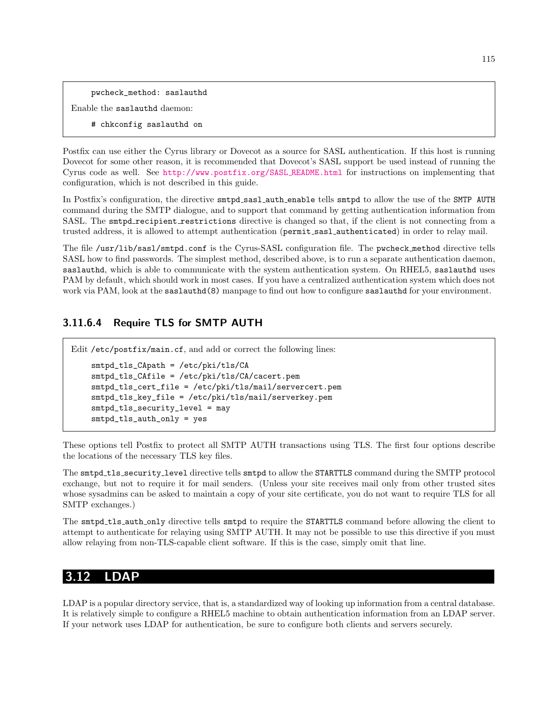```
pwcheck_method: saslauthd
Enable the saslauthd daemon:
    # chkconfig saslauthd on
```
Postfix can use either the Cyrus library or Dovecot as a source for SASL authentication. If this host is running Dovecot for some other reason, it is recommended that Dovecot's SASL support be used instead of running the Cyrus code as well. See [http://www.postfix.org/SASL](http://www.postfix.org/SASL_README.html) README.html for instructions on implementing that configuration, which is not described in this guide.

In Postfix's configuration, the directive smtpd\_sasl\_auth\_enable tells smtpd to allow the use of the SMTP AUTH command during the SMTP dialogue, and to support that command by getting authentication information from SASL. The smtpd recipient restrictions directive is changed so that, if the client is not connecting from a trusted address, it is allowed to attempt authentication (permit sasl authenticated) in order to relay mail.

The file /usr/lib/sasl/smtpd.conf is the Cyrus-SASL configuration file. The pwcheck method directive tells SASL how to find passwords. The simplest method, described above, is to run a separate authentication daemon, saslauthd, which is able to communicate with the system authentication system. On RHEL5, saslauthd uses PAM by default, which should work in most cases. If you have a centralized authentication system which does not work via PAM, look at the saslauthd(8) manpage to find out how to configure saslauthd for your environment.

## 3.11.6.4 Require TLS for SMTP AUTH

```
Edit /etc/postfix/main.cf, and add or correct the following lines:
    smtpd_tls_CApath = /etc/pki/tls/CA
    smtpd_tls_CAfile = /etc/pki/tls/CA/cacert.pem
    smtpd_tls_cert_file = /etc/pki/tls/mail/servercert.pem
    smtpd_tls_key_file = /etc/pki/tls/mail/serverkey.pem
    smtpd_tls_security_level = may
    smtpd_tls_auth_only = yes
```
These options tell Postfix to protect all SMTP AUTH transactions using TLS. The first four options describe the locations of the necessary TLS key files.

The smtpd\_tls\_security\_level directive tells smtpd to allow the STARTTLS command during the SMTP protocol exchange, but not to require it for mail senders. (Unless your site receives mail only from other trusted sites whose sysadmins can be asked to maintain a copy of your site certificate, you do not want to require TLS for all SMTP exchanges.)

The smtpd\_tls\_auth\_only directive tells smtpd to require the STARTTLS command before allowing the client to attempt to authenticate for relaying using SMTP AUTH. It may not be possible to use this directive if you must allow relaying from non-TLS-capable client software. If this is the case, simply omit that line.

# 3.12 LDAP

LDAP is a popular directory service, that is, a standardized way of looking up information from a central database. It is relatively simple to configure a RHEL5 machine to obtain authentication information from an LDAP server. If your network uses LDAP for authentication, be sure to configure both clients and servers securely.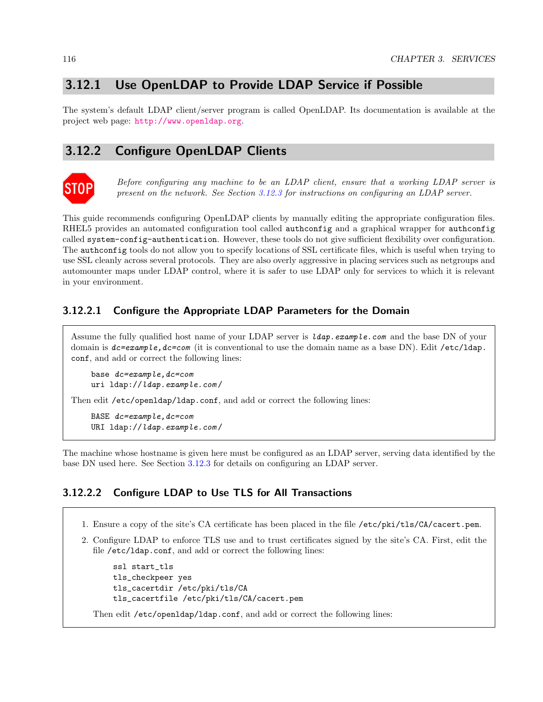# 3.12.1 Use OpenLDAP to Provide LDAP Service if Possible

The system's default LDAP client/server program is called OpenLDAP. Its documentation is available at the project web page: <http://www.openldap.org>.

## 3.12.2 Configure OpenLDAP Clients



Before configuring any machine to be an LDAP client, ensure that a working LDAP server is present on the network. See Section [3.12.3](#page-117-0) for instructions on configuring an LDAP server.

This guide recommends configuring OpenLDAP clients by manually editing the appropriate configuration files. RHEL5 provides an automated configuration tool called authconfig and a graphical wrapper for authconfig called system-config-authentication. However, these tools do not give sufficient flexibility over configuration. The authconfig tools do not allow you to specify locations of SSL certificate files, which is useful when trying to use SSL cleanly across several protocols. They are also overly aggressive in placing services such as netgroups and automounter maps under LDAP control, where it is safer to use LDAP only for services to which it is relevant in your environment.

#### 3.12.2.1 Configure the Appropriate LDAP Parameters for the Domain

Assume the fully qualified host name of your LDAP server is  $l \text{day}. \text{example.com}$  and the base DN of your domain is  $dc = example$ ,  $dc = com$  (it is conventional to use the domain name as a base DN). Edit /etc/ldap. conf, and add or correct the following lines:

```
base dc=example,dc=com
uri ldap://ldap.example.com /
```
Then edit /etc/openldap/ldap.conf, and add or correct the following lines:

```
BASE dc=example,dc=com
URI ldap://ldap.example.com /
```
The machine whose hostname is given here must be configured as an LDAP server, serving data identified by the base DN used here. See Section [3.12.3](#page-117-0) for details on configuring an LDAP server.

#### 3.12.2.2 Configure LDAP to Use TLS for All Transactions

- 1. Ensure a copy of the site's CA certificate has been placed in the file /etc/pki/tls/CA/cacert.pem.
- 2. Configure LDAP to enforce TLS use and to trust certificates signed by the site's CA. First, edit the file /etc/ldap.conf, and add or correct the following lines:

```
ssl start_tls
tls_checkpeer yes
tls_cacertdir /etc/pki/tls/CA
tls_cacertfile /etc/pki/tls/CA/cacert.pem
```
Then edit /etc/openldap/ldap.conf, and add or correct the following lines: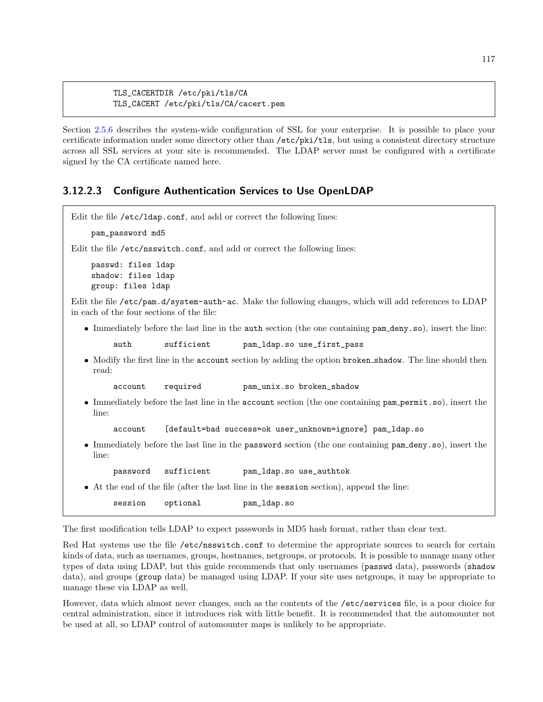TLS\_CACERTDIR /etc/pki/tls/CA TLS\_CACERT /etc/pki/tls/CA/cacert.pem

Section [2.5.6](#page-61-0) describes the system-wide configuration of SSL for your enterprise. It is possible to place your certificate information under some directory other than /etc/pki/tls, but using a consistent directory structure across all SSL services at your site is recommended. The LDAP server must be configured with a certificate signed by the CA certificate named here.

## 3.12.2.3 Configure Authentication Services to Use OpenLDAP

```
Edit the file /etc/ldap.conf, and add or correct the following lines:
      pam_password md5
  Edit the file /etc/nsswitch.conf, and add or correct the following lines:
      passwd: files ldap
      shadow: files ldap
      group: files ldap
  Edit the file /etc/pam.d/system-auth-ac. Make the following changes, which will add references to LDAP
  in each of the four sections of the file:
      Immediately before the last line in the auth section (the one containing pam deny.so), insert the line:
            auth sufficient pam_ldap.so use_first_pass
      Modify the first line in the account section by adding the option broken shadow. The line should then
       read:
            account required pam_unix.so broken_shadow
      Immediately before the last line in the account section (the one containing pam permit.so), insert the
       line:
            account [default=bad success=ok user_unknown=ignore] pam_ldap.so
      Immediately before the last line in the password section (the one containing pam deny.so), insert the
       line:
           password sufficient pam_ldap.so use_authtok
      At the end of the file (after the last line in the session section), append the line:
            session optional pam_ldap.so
The first modification tells LDAP to expect passwords in MD5 hash format, rather than clear text.
```
Red Hat systems use the file /etc/nsswitch.conf to determine the appropriate sources to search for certain

kinds of data, such as usernames, groups, hostnames, netgroups, or protocols. It is possible to manage many other types of data using LDAP, but this guide recommends that only usernames (passwd data), passwords (shadow data), and groups (group data) be managed using LDAP. If your site uses netgroups, it may be appropriate to manage these via LDAP as well.

However, data which almost never changes, such as the contents of the /etc/services file, is a poor choice for central administration, since it introduces risk with little benefit. It is recommended that the automounter not be used at all, so LDAP control of automounter maps is unlikely to be appropriate.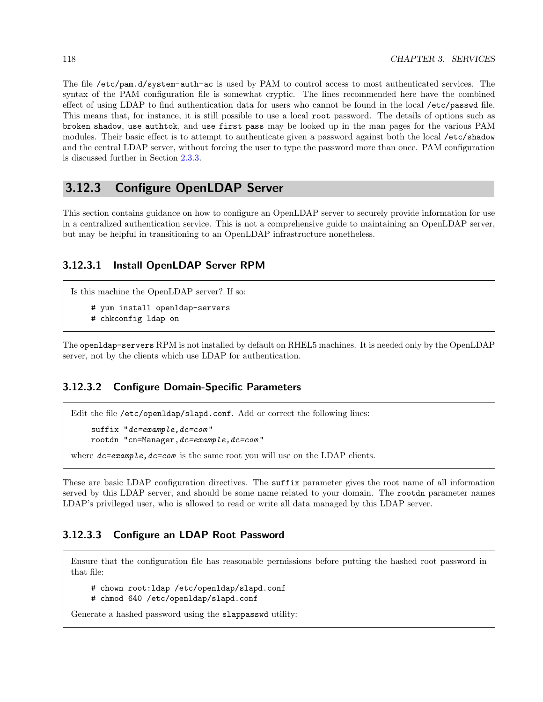The file /etc/pam.d/system-auth-ac is used by PAM to control access to most authenticated services. The syntax of the PAM configuration file is somewhat cryptic. The lines recommended here have the combined effect of using LDAP to find authentication data for users who cannot be found in the local /etc/passwd file. This means that, for instance, it is still possible to use a local root password. The details of options such as broken shadow, use authtok, and use first pass may be looked up in the man pages for the various PAM modules. Their basic effect is to attempt to authenticate given a password against both the local /etc/shadow and the central LDAP server, without forcing the user to type the password more than once. PAM configuration is discussed further in Section [2.3.3.](#page-31-0)

# <span id="page-117-0"></span>3.12.3 Configure OpenLDAP Server

This section contains guidance on how to configure an OpenLDAP server to securely provide information for use in a centralized authentication service. This is not a comprehensive guide to maintaining an OpenLDAP server, but may be helpful in transitioning to an OpenLDAP infrastructure nonetheless.

#### 3.12.3.1 Install OpenLDAP Server RPM

Is this machine the OpenLDAP server? If so:

# yum install openldap-servers

# chkconfig ldap on

The openldap-servers RPM is not installed by default on RHEL5 machines. It is needed only by the OpenLDAP server, not by the clients which use LDAP for authentication.

#### 3.12.3.2 Configure Domain-Specific Parameters

```
Edit the file /etc/openldap/slapd.conf. Add or correct the following lines:
    suffix "dc=example,dc=com "
    rootdn "cn=Manager,dc=example,dc=com "
where dc = example, dc = com is the same root you will use on the LDAP clients.
```
These are basic LDAP configuration directives. The suffix parameter gives the root name of all information served by this LDAP server, and should be some name related to your domain. The rootdn parameter names LDAP's privileged user, who is allowed to read or write all data managed by this LDAP server.

## 3.12.3.3 Configure an LDAP Root Password

Ensure that the configuration file has reasonable permissions before putting the hashed root password in that file:

# chown root:ldap /etc/openldap/slapd.conf

# chmod 640 /etc/openldap/slapd.conf

Generate a hashed password using the slappasswd utility: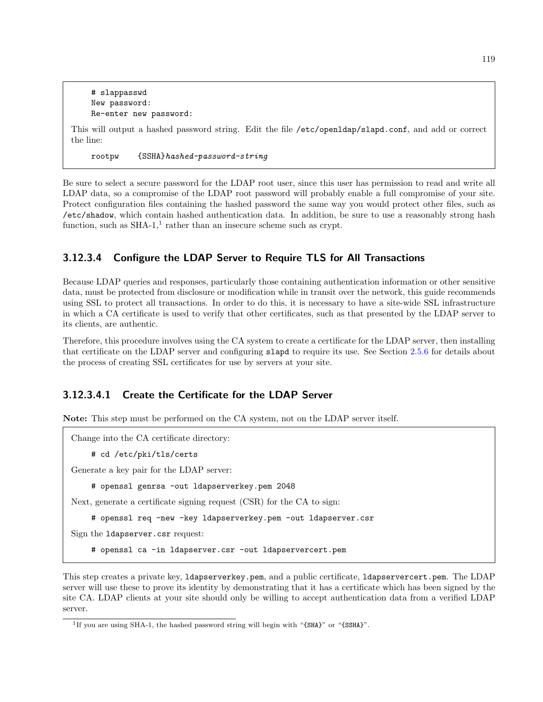```
# slappasswd
    New password:
    Re-enter new password:
This will output a hashed password string. Edit the file /etc/openldap/slapd.conf, and add or correct
the line:
    rootpw {SSHA}hashed-password-string
```
Be sure to select a secure password for the LDAP root user, since this user has permission to read and write all LDAP data, so a compromise of the LDAP root password will probably enable a full compromise of your site. Protect configuration files containing the hashed password the same way you would protect other files, such as /etc/shadow, which contain hashed authentication data. In addition, be sure to use a reasonably strong hash function, such as  $SHA-1$  $SHA-1$ ,<sup>1</sup> rather than an insecure scheme such as crypt.

## 3.12.3.4 Configure the LDAP Server to Require TLS for All Transactions

Because LDAP queries and responses, particularly those containing authentication information or other sensitive data, must be protected from disclosure or modification while in transit over the network, this guide recommends using SSL to protect all transactions. In order to do this, it is necessary to have a site-wide SSL infrastructure in which a CA certificate is used to verify that other certificates, such as that presented by the LDAP server to its clients, are authentic.

Therefore, this procedure involves using the CA system to create a certificate for the LDAP server, then installing that certificate on the LDAP server and configuring slapd to require its use. See Section [2.5.6](#page-61-0) for details about the process of creating SSL certificates for use by servers at your site.

## 3.12.3.4.1 Create the Certificate for the LDAP Server

Note: This step must be performed on the CA system, not on the LDAP server itself.

Change into the CA certificate directory: # cd /etc/pki/tls/certs Generate a key pair for the LDAP server: # openssl genrsa -out ldapserverkey.pem 2048 Next, generate a certificate signing request (CSR) for the CA to sign: # openssl req -new -key ldapserverkey.pem -out ldapserver.csr Sign the ldapserver.csr request: # openssl ca -in ldapserver.csr -out ldapservercert.pem

This step creates a private key, ldapserverkey.pem, and a public certificate, ldapservercert.pem. The LDAP server will use these to prove its identity by demonstrating that it has a certificate which has been signed by the site CA. LDAP clients at your site should only be willing to accept authentication data from a verified LDAP server.

<span id="page-118-0"></span><sup>&</sup>lt;sup>1</sup>If you are using SHA-1, the hashed password string will begin with "{SHA}" or "{SSHA}".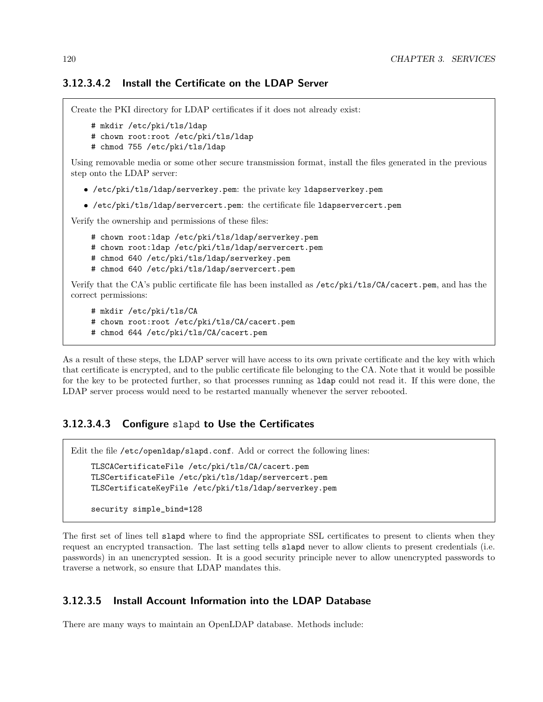## 3.12.3.4.2 Install the Certificate on the LDAP Server

Create the PKI directory for LDAP certificates if it does not already exist:

```
# mkdir /etc/pki/tls/ldap
# chown root:root /etc/pki/tls/ldap
# chmod 755 /etc/pki/tls/ldap
```
Using removable media or some other secure transmission format, install the files generated in the previous step onto the LDAP server:

- /etc/pki/tls/ldap/serverkey.pem: the private key ldapserverkey.pem
- /etc/pki/tls/ldap/servercert.pem: the certificate file ldapservercert.pem

Verify the ownership and permissions of these files:

```
# chown root:ldap /etc/pki/tls/ldap/serverkey.pem
```
- # chown root:ldap /etc/pki/tls/ldap/servercert.pem
- # chmod 640 /etc/pki/tls/ldap/serverkey.pem
- # chmod 640 /etc/pki/tls/ldap/servercert.pem

Verify that the CA's public certificate file has been installed as /etc/pki/tls/CA/cacert.pem, and has the correct permissions:

```
# mkdir /etc/pki/tls/CA
```
- # chown root:root /etc/pki/tls/CA/cacert.pem
- # chmod 644 /etc/pki/tls/CA/cacert.pem

As a result of these steps, the LDAP server will have access to its own private certificate and the key with which that certificate is encrypted, and to the public certificate file belonging to the CA. Note that it would be possible for the key to be protected further, so that processes running as ldap could not read it. If this were done, the LDAP server process would need to be restarted manually whenever the server rebooted.

## 3.12.3.4.3 Configure slapd to Use the Certificates

```
Edit the file /etc/openldap/slapd.conf. Add or correct the following lines:
```
TLSCACertificateFile /etc/pki/tls/CA/cacert.pem TLSCertificateFile /etc/pki/tls/ldap/servercert.pem TLSCertificateKeyFile /etc/pki/tls/ldap/serverkey.pem

security simple\_bind=128

The first set of lines tell slapd where to find the appropriate SSL certificates to present to clients when they request an encrypted transaction. The last setting tells slapd never to allow clients to present credentials (i.e. passwords) in an unencrypted session. It is a good security principle never to allow unencrypted passwords to traverse a network, so ensure that LDAP mandates this.

## 3.12.3.5 Install Account Information into the LDAP Database

There are many ways to maintain an OpenLDAP database. Methods include: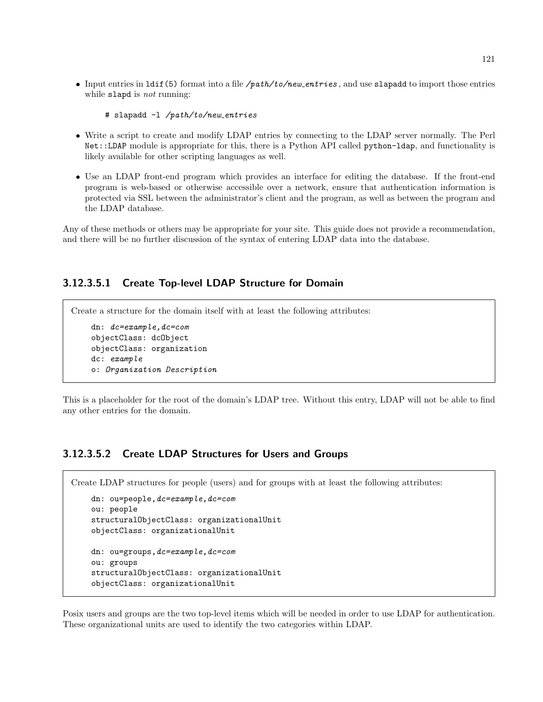Input entries in  $ldif(5)$  format into a file /path/to/new\_entries, and use slapadd to import those entries while  $\mathbf{slapd}$  is not running:

```
# slapadd -1 /path/to/new_entries
```
- Write a script to create and modify LDAP entries by connecting to the LDAP server normally. The Perl Net::LDAP module is appropriate for this, there is a Python API called python-ldap, and functionality is likely available for other scripting languages as well.
- Use an LDAP front-end program which provides an interface for editing the database. If the front-end program is web-based or otherwise accessible over a network, ensure that authentication information is protected via SSL between the administrator's client and the program, as well as between the program and the LDAP database.

Any of these methods or others may be appropriate for your site. This guide does not provide a recommendation, and there will be no further discussion of the syntax of entering LDAP data into the database.

#### 3.12.3.5.1 Create Top-level LDAP Structure for Domain

Create a structure for the domain itself with at least the following attributes: dn: dc=example,dc=com objectClass: dcObject objectClass: organization dc: example o: Organization Description

This is a placeholder for the root of the domain's LDAP tree. Without this entry, LDAP will not be able to find any other entries for the domain.

#### 3.12.3.5.2 Create LDAP Structures for Users and Groups

```
Create LDAP structures for people (users) and for groups with at least the following attributes:
```

```
dn: ou=people,dc=example,dc=com
ou: people
structuralObjectClass: organizationalUnit
objectClass: organizationalUnit
dn: ou=groups,dc=example,dc=com
ou: groups
structuralObjectClass: organizationalUnit
objectClass: organizationalUnit
```
Posix users and groups are the two top-level items which will be needed in order to use LDAP for authentication. These organizational units are used to identify the two categories within LDAP.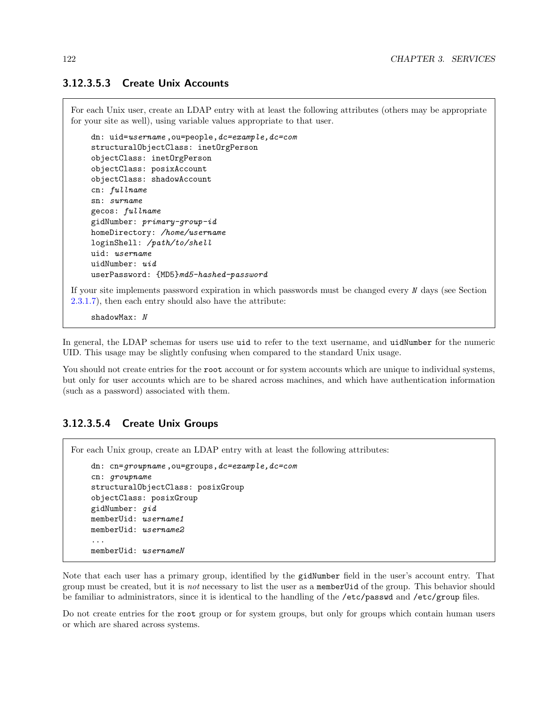## 3.12.3.5.3 Create Unix Accounts

For each Unix user, create an LDAP entry with at least the following attributes (others may be appropriate for your site as well), using variable values appropriate to that user.

```
dn: uid=username, ou=people, dc=example, dc=com
structuralObjectClass: inetOrgPerson
objectClass: inetOrgPerson
objectClass: posixAccount
objectClass: shadowAccount
cn: fullname
sn: surname
gecos: fullname
gidNumber: primary-group-id
homeDirectory: /home/username
loginShell: /path/to/shell
uid: username
uidNumber: uid
userPassword: {MD5}md5-hashed-password
```
If your site implements password expiration in which passwords must be changed every  $N$  days (see Section [2.3.1.7\)](#page-29-0), then each entry should also have the attribute:

shadowMax: N

In general, the LDAP schemas for users use uid to refer to the text username, and uidNumber for the numeric UID. This usage may be slightly confusing when compared to the standard Unix usage.

You should not create entries for the root account or for system accounts which are unique to individual systems, but only for user accounts which are to be shared across machines, and which have authentication information (such as a password) associated with them.

### 3.12.3.5.4 Create Unix Groups

```
For each Unix group, create an LDAP entry with at least the following attributes:
    dn: cn=groupname, ou=groups, dc=example, dc=com
    cn: groupname
    structuralObjectClass: posixGroup
    objectClass: posixGroup
    gidNumber: gid
    memberUid: username1
    memberUid: username2
    ...
    memberUid: usernameN
```
Note that each user has a primary group, identified by the gidNumber field in the user's account entry. That group must be created, but it is not necessary to list the user as a memberUid of the group. This behavior should be familiar to administrators, since it is identical to the handling of the /etc/passwd and /etc/group files.

Do not create entries for the root group or for system groups, but only for groups which contain human users or which are shared across systems.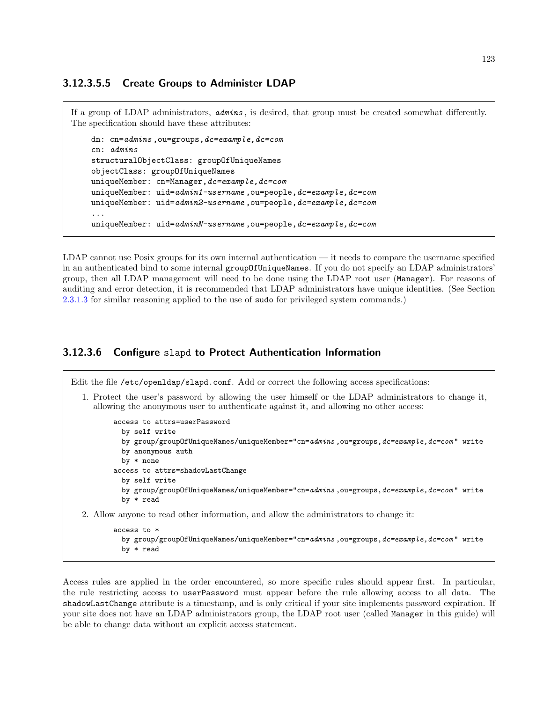#### 3.12.3.5.5 Create Groups to Administer LDAP

If a group of LDAP administrators, admins, is desired, that group must be created somewhat differently. The specification should have these attributes:

```
dn: cn=admins ,ou=groups,dc=example,dc=com
cn: admins
structuralObjectClass: groupOfUniqueNames
objectClass: groupOfUniqueNames
uniqueMember: cn=Manager, dc=example, dc=com
uniqueMember: uid=admin1-username, ou=people, dc=example, dc=com
uniqueMember: uid=admin2-username, ou=people, dc=example, dc=com
...
uniqueMember: uid=adminN-username, ou=people, dc=example, dc=com
```
LDAP cannot use Posix groups for its own internal authentication — it needs to compare the username specified in an authenticated bind to some internal groupOfUniqueNames. If you do not specify an LDAP administrators' group, then all LDAP management will need to be done using the LDAP root user (Manager). For reasons of auditing and error detection, it is recommended that LDAP administrators have unique identities. (See Section [2.3.1.3](#page-28-0) for similar reasoning applied to the use of sudo for privileged system commands.)

## 3.12.3.6 Configure slapd to Protect Authentication Information

```
Edit the file /etc/openldap/slapd.conf. Add or correct the following access specifications:
  1. Protect the user's password by allowing the user himself or the LDAP administrators to change it,
     allowing the anonymous user to authenticate against it, and allowing no other access:
          access to attrs=userPassword
            by self write
            by group/groupOfUniqueNames/uniqueMember="cn=admins ,ou=groups,dc=example,dc=com " write
            by anonymous auth
            by * none
          access to attrs=shadowLastChange
            by self write
            by group/groupOfUniqueNames/uniqueMember="cn=admins , ou=groups, dc=example, dc=com" write
            by * read
  2. Allow anyone to read other information, and allow the administrators to change it:
          access to *
            by group/groupOfUniqueNames/uniqueMember="cn=admins , ou=groups, dc=example, dc=com" write
            by * read
```
Access rules are applied in the order encountered, so more specific rules should appear first. In particular, the rule restricting access to userPassword must appear before the rule allowing access to all data. The shadowLastChange attribute is a timestamp, and is only critical if your site implements password expiration. If your site does not have an LDAP administrators group, the LDAP root user (called Manager in this guide) will be able to change data without an explicit access statement.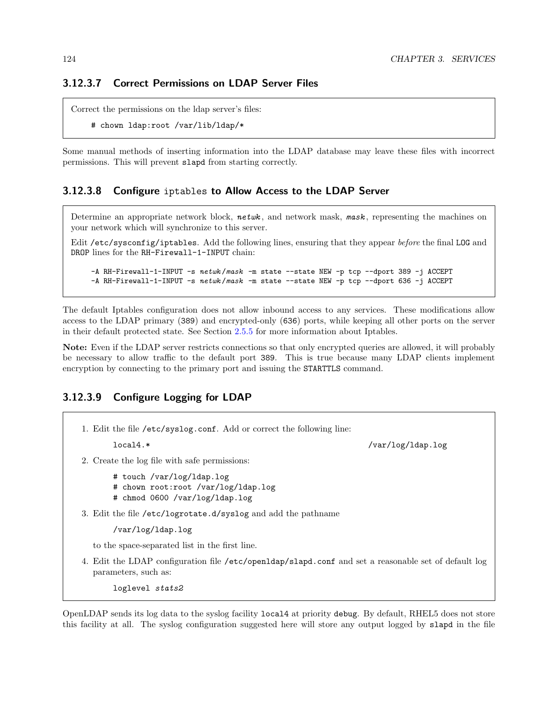## 3.12.3.7 Correct Permissions on LDAP Server Files

Correct the permissions on the ldap server's files:

```
# chown ldap:root /var/lib/ldap/*
```
Some manual methods of inserting information into the LDAP database may leave these files with incorrect permissions. This will prevent slapd from starting correctly.

#### 3.12.3.8 Configure iptables to Allow Access to the LDAP Server

Determine an appropriate network block, **netwh**, and network mask, mask, representing the machines on your network which will synchronize to this server.

Edit /etc/sysconfig/iptables. Add the following lines, ensuring that they appear before the final LOG and DROP lines for the RH-Firewall-1-INPUT chain:

```
-A RH-Firewall-1-INPUT -s netwk/mask -m state --state NEW -p tcp --dport 389 -j ACCEPT
-A RH-Firewall-1-INPUT -s netwk/mask -m state --state NEW -p tcp --dport 636 -j ACCEPT
```
The default Iptables configuration does not allow inbound access to any services. These modifications allow access to the LDAP primary (389) and encrypted-only (636) ports, while keeping all other ports on the server in their default protected state. See Section [2.5.5](#page-55-0) for more information about Iptables.

Note: Even if the LDAP server restricts connections so that only encrypted queries are allowed, it will probably be necessary to allow traffic to the default port 389. This is true because many LDAP clients implement encryption by connecting to the primary port and issuing the STARTTLS command.

## 3.12.3.9 Configure Logging for LDAP

1. Edit the file /etc/syslog.conf. Add or correct the following line:

local4.\* /var/log/ldap.log

- 2. Create the log file with safe permissions:
	- # touch /var/log/ldap.log
	- # chown root:root /var/log/ldap.log
	- # chmod 0600 /var/log/ldap.log
- 3. Edit the file /etc/logrotate.d/syslog and add the pathname

/var/log/ldap.log

to the space-separated list in the first line.

4. Edit the LDAP configuration file /etc/openldap/slapd.conf and set a reasonable set of default log parameters, such as:

loglevel stats2

OpenLDAP sends its log data to the syslog facility local4 at priority debug. By default, RHEL5 does not store this facility at all. The syslog configuration suggested here will store any output logged by slapd in the file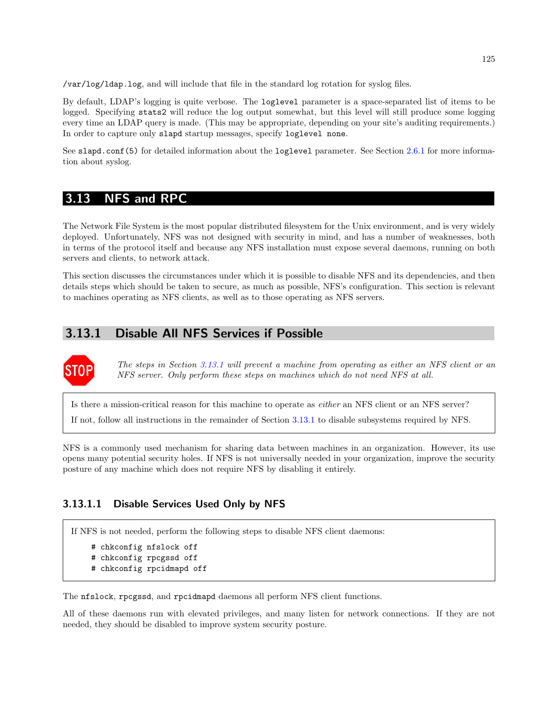/var/log/ldap.log, and will include that file in the standard log rotation for syslog files.

By default, LDAP's logging is quite verbose. The loglevel parameter is a space-separated list of items to be logged. Specifying stats2 will reduce the log output somewhat, but this level will still produce some logging every time an LDAP query is made. (This may be appropriate, depending on your site's auditing requirements.) In order to capture only slapd startup messages, specify loglevel none.

See slapd.conf(5) for detailed information about the loglevel parameter. See Section [2.6.1](#page-65-0) for more information about syslog.

# 3.13 NFS and RPC

The Network File System is the most popular distributed filesystem for the Unix environment, and is very widely deployed. Unfortunately, NFS was not designed with security in mind, and has a number of weaknesses, both in terms of the protocol itself and because any NFS installation must expose several daemons, running on both servers and clients, to network attack.

This section discusses the circumstances under which it is possible to disable NFS and its dependencies, and then details steps which should be taken to secure, as much as possible, NFS's configuration. This section is relevant to machines operating as NFS clients, as well as to those operating as NFS servers.

# <span id="page-124-0"></span>3.13.1 Disable All NFS Services if Possible



The steps in Section [3.13.1](#page-124-0) will prevent a machine from operating as either an NFS client or an NFS server. Only perform these steps on machines which do not need NFS at all.

Is there a mission-critical reason for this machine to operate as either an NFS client or an NFS server?

If not, follow all instructions in the remainder of Section [3.13.1](#page-124-0) to disable subsystems required by NFS.

NFS is a commonly used mechanism for sharing data between machines in an organization. However, its use opens many potential security holes. If NFS is not universally needed in your organization, improve the security posture of any machine which does not require NFS by disabling it entirely.

## 3.13.1.1 Disable Services Used Only by NFS

If NFS is not needed, perform the following steps to disable NFS client daemons:

```
# chkconfig nfslock off
# chkconfig rpcgssd off
```

```
# chkconfig rpcidmapd off
```
The nfslock, rpcgssd, and rpcidmapd daemons all perform NFS client functions.

All of these daemons run with elevated privileges, and many listen for network connections. If they are not needed, they should be disabled to improve system security posture.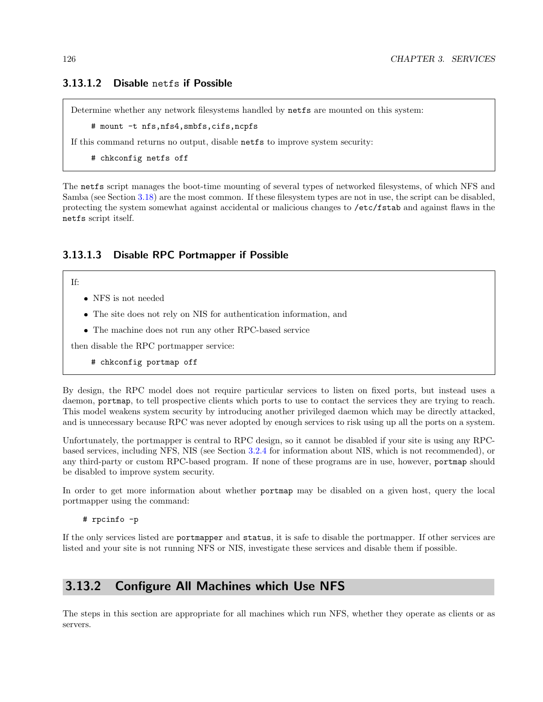## 3.13.1.2 Disable netfs if Possible

Determine whether any network filesystems handled by netfs are mounted on this system:

# mount -t nfs,nfs4,smbfs,cifs,ncpfs

If this command returns no output, disable netfs to improve system security:

# chkconfig netfs off

The netfs script manages the boot-time mounting of several types of networked filesystems, of which NFS and Samba (see Section [3.18\)](#page-155-0) are the most common. If these filesystem types are not in use, the script can be disabled, protecting the system somewhat against accidental or malicious changes to /etc/fstab and against flaws in the netfs script itself.

#### 3.13.1.3 Disable RPC Portmapper if Possible

#### If:

- NFS is not needed
- The site does not rely on NIS for authentication information, and
- The machine does not run any other RPC-based service

then disable the RPC portmapper service:

# chkconfig portmap off

By design, the RPC model does not require particular services to listen on fixed ports, but instead uses a daemon, portmap, to tell prospective clients which ports to use to contact the services they are trying to reach. This model weakens system security by introducing another privileged daemon which may be directly attacked, and is unnecessary because RPC was never adopted by enough services to risk using up all the ports on a system.

Unfortunately, the portmapper is central to RPC design, so it cannot be disabled if your site is using any RPCbased services, including NFS, NIS (see Section [3.2.4](#page-75-0) for information about NIS, which is not recommended), or any third-party or custom RPC-based program. If none of these programs are in use, however, portmap should be disabled to improve system security.

In order to get more information about whether portmap may be disabled on a given host, query the local portmapper using the command:

# rpcinfo -p

If the only services listed are portmapper and status, it is safe to disable the portmapper. If other services are listed and your site is not running NFS or NIS, investigate these services and disable them if possible.

# 3.13.2 Configure All Machines which Use NFS

The steps in this section are appropriate for all machines which run NFS, whether they operate as clients or as servers.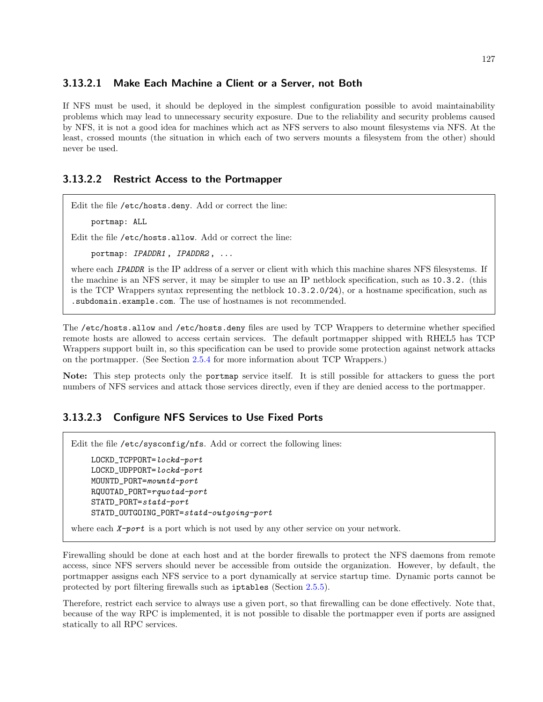#### 3.13.2.1 Make Each Machine a Client or a Server, not Both

If NFS must be used, it should be deployed in the simplest configuration possible to avoid maintainability problems which may lead to unnecessary security exposure. Due to the reliability and security problems caused by NFS, it is not a good idea for machines which act as NFS servers to also mount filesystems via NFS. At the least, crossed mounts (the situation in which each of two servers mounts a filesystem from the other) should never be used.

#### 3.13.2.2 Restrict Access to the Portmapper

Edit the file /etc/hosts.deny. Add or correct the line: portmap: ALL Edit the file /etc/hosts.allow. Add or correct the line: portmap: IPADDR1, IPADDR2, ...

where each **IPADDR** is the IP address of a server or client with which this machine shares NFS filesystems. If the machine is an NFS server, it may be simpler to use an IP netblock specification, such as 10.3.2. (this is the TCP Wrappers syntax representing the netblock 10.3.2.0/24), or a hostname specification, such as .subdomain.example.com. The use of hostnames is not recommended.

The /etc/hosts.allow and /etc/hosts.deny files are used by TCP Wrappers to determine whether specified remote hosts are allowed to access certain services. The default portmapper shipped with RHEL5 has TCP Wrappers support built in, so this specification can be used to provide some protection against network attacks on the portmapper. (See Section [2.5.4](#page-53-0) for more information about TCP Wrappers.)

Note: This step protects only the portmap service itself. It is still possible for attackers to guess the port numbers of NFS services and attack those services directly, even if they are denied access to the portmapper.

## <span id="page-126-0"></span>3.13.2.3 Configure NFS Services to Use Fixed Ports

```
Edit the file /etc/sysconfig/nfs. Add or correct the following lines:
    LOCKD_TCPPORT=lockd-port
    LOCKD_UDPPORT=lockd-port
    MOUNTD_PORT=mountd-port
    RQUOTAD_PORT=rquotad-port
    STATD_PORT=statd-port
    STATD_OUTGOING_PORT=statd-outgoing-port
```
where each  $\chi$ -port is a port which is not used by any other service on your network.

Firewalling should be done at each host and at the border firewalls to protect the NFS daemons from remote access, since NFS servers should never be accessible from outside the organization. However, by default, the portmapper assigns each NFS service to a port dynamically at service startup time. Dynamic ports cannot be protected by port filtering firewalls such as iptables (Section [2.5.5\)](#page-55-0).

Therefore, restrict each service to always use a given port, so that firewalling can be done effectively. Note that, because of the way RPC is implemented, it is not possible to disable the portmapper even if ports are assigned statically to all RPC services.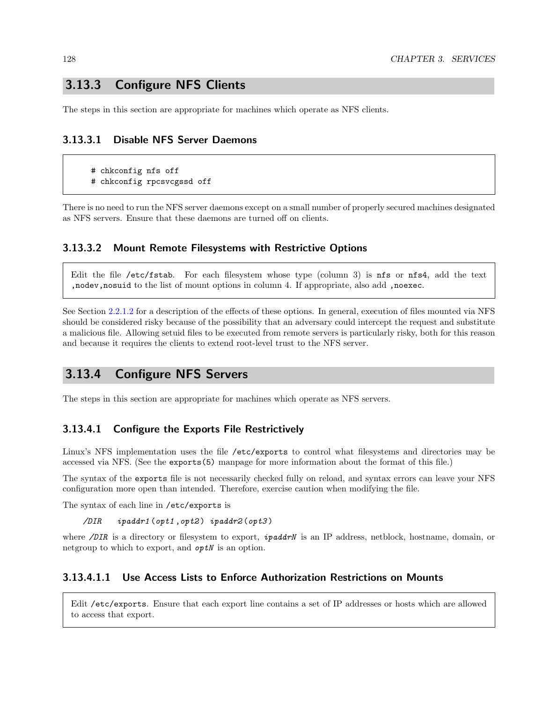# 3.13.3 Configure NFS Clients

The steps in this section are appropriate for machines which operate as NFS clients.

## 3.13.3.1 Disable NFS Server Daemons

```
# chkconfig nfs off
# chkconfig rpcsvcgssd off
```
There is no need to run the NFS server daemons except on a small number of properly secured machines designated as NFS servers. Ensure that these daemons are turned off on clients.

#### 3.13.3.2 Mount Remote Filesystems with Restrictive Options

Edit the file /etc/fstab. For each filesystem whose type (column 3) is nfs or nfs4, add the text ,nodev,nosuid to the list of mount options in column 4. If appropriate, also add ,noexec.

See Section [2.2.1.2](#page-18-0) for a description of the effects of these options. In general, execution of files mounted via NFS should be considered risky because of the possibility that an adversary could intercept the request and substitute a malicious file. Allowing setuid files to be executed from remote servers is particularly risky, both for this reason and because it requires the clients to extend root-level trust to the NFS server.

## 3.13.4 Configure NFS Servers

The steps in this section are appropriate for machines which operate as NFS servers.

#### 3.13.4.1 Configure the Exports File Restrictively

Linux's NFS implementation uses the file /etc/exports to control what filesystems and directories may be accessed via NFS. (See the exports(5) manpage for more information about the format of this file.)

The syntax of the exports file is not necessarily checked fully on reload, and syntax errors can leave your NFS configuration more open than intended. Therefore, exercise caution when modifying the file.

The syntax of each line in /etc/exports is

 $/DIR$   $ipaddr1$  (opt1, opt2)  $ipaddr2$  (opt3)

where  $\sqrt{DIR}$  is a directory or filesystem to export,  $ipaddrN$  is an IP address, netblock, hostname, domain, or netgroup to which to export, and  $\varphi \in \mathcal{W}$  is an option.

#### 3.13.4.1.1 Use Access Lists to Enforce Authorization Restrictions on Mounts

Edit /etc/exports. Ensure that each export line contains a set of IP addresses or hosts which are allowed to access that export.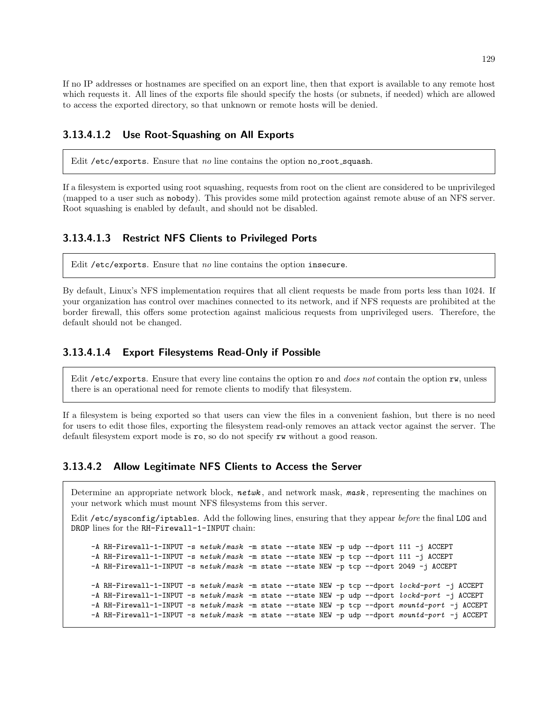If no IP addresses or hostnames are specified on an export line, then that export is available to any remote host which requests it. All lines of the exports file should specify the hosts (or subnets, if needed) which are allowed to access the exported directory, so that unknown or remote hosts will be denied.

#### 3.13.4.1.2 Use Root-Squashing on All Exports

Edit /etc/exports. Ensure that  $no$  line contains the option no root squash.

If a filesystem is exported using root squashing, requests from root on the client are considered to be unprivileged (mapped to a user such as nobody). This provides some mild protection against remote abuse of an NFS server. Root squashing is enabled by default, and should not be disabled.

#### 3.13.4.1.3 Restrict NFS Clients to Privileged Ports

Edit /etc/exports. Ensure that no line contains the option insecure.

By default, Linux's NFS implementation requires that all client requests be made from ports less than 1024. If your organization has control over machines connected to its network, and if NFS requests are prohibited at the border firewall, this offers some protection against malicious requests from unprivileged users. Therefore, the default should not be changed.

#### 3.13.4.1.4 Export Filesystems Read-Only if Possible

Edit /etc/exports. Ensure that every line contains the option ro and *does not* contain the option rw, unless there is an operational need for remote clients to modify that filesystem.

If a filesystem is being exported so that users can view the files in a convenient fashion, but there is no need for users to edit those files, exporting the filesystem read-only removes an attack vector against the server. The default filesystem export mode is ro, so do not specify rw without a good reason.

#### 3.13.4.2 Allow Legitimate NFS Clients to Access the Server

Determine an appropriate network block,  $network$ , and network mask,  $mask$ , representing the machines on your network which must mount NFS filesystems from this server.

Edit /etc/sysconfig/iptables. Add the following lines, ensuring that they appear before the final LOG and DROP lines for the RH-Firewall-1-INPUT chain:

```
-A RH-Firewall-1-INPUT -s network -m state --state NEW -p udp --dport 111 -j ACCEPT
-A RH-Firewall-1-INPUT -s netwk/mask -m state --state NEW -p tcp --dport 111 -j ACCEPT
-A RH-Firewall-1-INPUT -s netwk /mask -m state --state NEW -p tcp --dport 2049 -j ACCEPT
-A RH-Firewall-1-INPUT -s netwk /mask -m state --state NEW -p tcp --dport lockd-port -j ACCEPT
-A RH-Firewall-1-INPUT -s netwk /mask -m state --state NEW -p udp --dport lockd-port -j ACCEPT
-A RH-Firewall-1-INPUT -s netwk /mask -m state --state NEW -p tcp --dport mountd-port -j ACCEPT
-A RH-Firewall-1-INPUT -s netwk /mask -m state --state NEW -p udp --dport mountd-port -j ACCEPT
```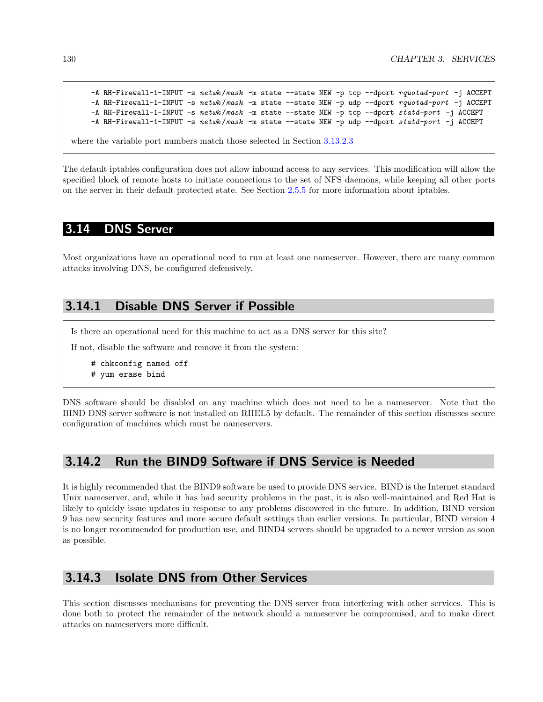```
-A RH-Firewall-1-INPUT -s netwk/mask -m state --state NEW -p tcp --dport rquotad-port -j ACCEPT
-A RH-Firewall-1-INPUT -s netwk/mask -m state --state NEW -p udp --dport rquotad-port -j ACCEPT
-A RH-Firewall-1-INPUT -s netwk/mask -m state --state NEW -p tcp --dport statd-port -j ACCEPT
-A RH-Firewall-1-INPUT -s netwk/mask -m state --state NEW -p udp --dport statd-port -j ACCEPT
```
where the variable port numbers match those selected in Section [3.13.2.3](#page-126-0)

The default iptables configuration does not allow inbound access to any services. This modification will allow the specified block of remote hosts to initiate connections to the set of NFS daemons, while keeping all other ports on the server in their default protected state. See Section [2.5.5](#page-55-0) for more information about iptables.

## 3.14 DNS Server

Most organizations have an operational need to run at least one nameserver. However, there are many common attacks involving DNS, be configured defensively.

# 3.14.1 Disable DNS Server if Possible

Is there an operational need for this machine to act as a DNS server for this site?

If not, disable the software and remove it from the system:

- # chkconfig named off
- # yum erase bind

DNS software should be disabled on any machine which does not need to be a nameserver. Note that the BIND DNS server software is not installed on RHEL5 by default. The remainder of this section discusses secure configuration of machines which must be nameservers.

## 3.14.2 Run the BIND9 Software if DNS Service is Needed

It is highly recommended that the BIND9 software be used to provide DNS service. BIND is the Internet standard Unix nameserver, and, while it has had security problems in the past, it is also well-maintained and Red Hat is likely to quickly issue updates in response to any problems discovered in the future. In addition, BIND version 9 has new security features and more secure default settings than earlier versions. In particular, BIND version 4 is no longer recommended for production use, and BIND4 servers should be upgraded to a newer version as soon as possible.

## 3.14.3 Isolate DNS from Other Services

This section discusses mechanisms for preventing the DNS server from interfering with other services. This is done both to protect the remainder of the network should a nameserver be compromised, and to make direct attacks on nameservers more difficult.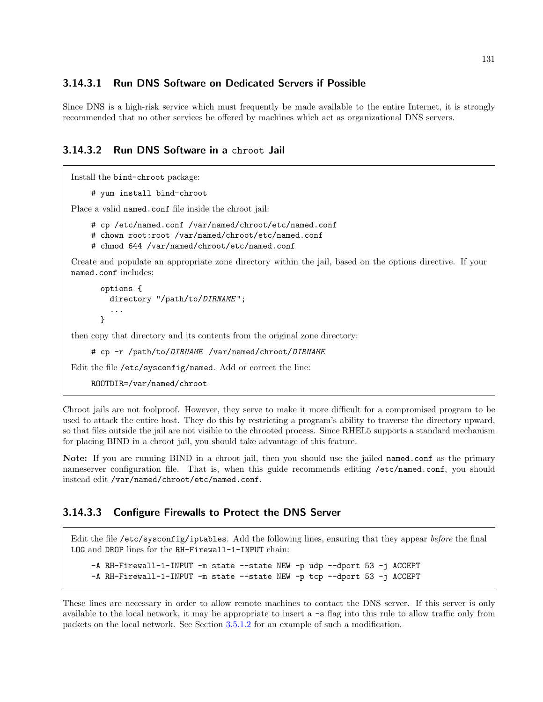## 3.14.3.1 Run DNS Software on Dedicated Servers if Possible

Since DNS is a high-risk service which must frequently be made available to the entire Internet, it is strongly recommended that no other services be offered by machines which act as organizational DNS servers.

#### 3.14.3.2 Run DNS Software in a chroot Jail

```
Install the bind-chroot package:
    # yum install bind-chroot
Place a valid named.conf file inside the chroot jail:
    # cp /etc/named.conf /var/named/chroot/etc/named.conf
    # chown root:root /var/named/chroot/etc/named.conf
    # chmod 644 /var/named/chroot/etc/named.conf
Create and populate an appropriate zone directory within the jail, based on the options directive. If your
named.conf includes:
      options {
         directory "/path/to/DIRNAME";
         ...
       }
then copy that directory and its contents from the original zone directory:
    # cp -r /path/to/DIRNAME /var/named/chroot/DIRNAME
Edit the file /etc/sysconfig/named. Add or correct the line:
```

```
ROOTDIR=/var/named/chroot
```
Chroot jails are not foolproof. However, they serve to make it more difficult for a compromised program to be used to attack the entire host. They do this by restricting a program's ability to traverse the directory upward, so that files outside the jail are not visible to the chrooted process. Since RHEL5 supports a standard mechanism for placing BIND in a chroot jail, you should take advantage of this feature.

Note: If you are running BIND in a chroot jail, then you should use the jailed named.conf as the primary nameserver configuration file. That is, when this guide recommends editing /etc/named.conf, you should instead edit /var/named/chroot/etc/named.conf.

## 3.14.3.3 Configure Firewalls to Protect the DNS Server

Edit the file /etc/sysconfig/iptables. Add the following lines, ensuring that they appear before the final LOG and DROP lines for the RH-Firewall-1-INPUT chain:

```
-A RH-Firewall-1-INPUT -m state --state NEW -p udp --dport 53 -j ACCEPT
-A RH-Firewall-1-INPUT -m state --state NEW -p tcp --dport 53 -j ACCEPT
```
These lines are necessary in order to allow remote machines to contact the DNS server. If this server is only available to the local network, it may be appropriate to insert a -s flag into this rule to allow traffic only from packets on the local network. See Section [3.5.1.2](#page-84-0) for an example of such a modification.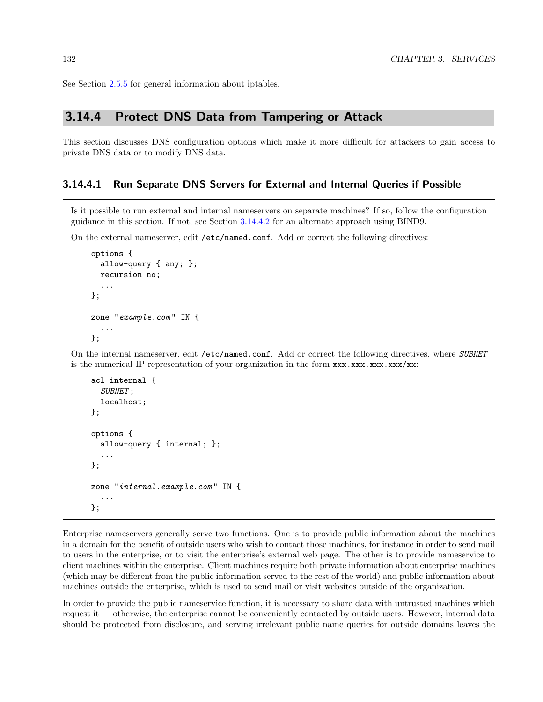See Section [2.5.5](#page-55-0) for general information about iptables.

# 3.14.4 Protect DNS Data from Tampering or Attack

This section discusses DNS configuration options which make it more difficult for attackers to gain access to private DNS data or to modify DNS data.

#### 3.14.4.1 Run Separate DNS Servers for External and Internal Queries if Possible

Is it possible to run external and internal nameservers on separate machines? If so, follow the configuration guidance in this section. If not, see Section [3.14.4.2](#page-132-0) for an alternate approach using BIND9.

On the external nameserver, edit /etc/named.conf. Add or correct the following directives:

```
options {
  allow-query { any; };
  recursion no;
  ...
};
zone "example.com" IN {
  ...
};
```
On the internal nameserver, edit /etc/named.conf. Add or correct the following directives, where SUBNET is the numerical IP representation of your organization in the form  $xxxxxxxxxxxxx$ 

```
acl internal {
  SUBNET ;
  localhost;
};
options {
  allow-query { internal; };
  ...
};
zone "internal.example.com " IN {
  ...
};
```
Enterprise nameservers generally serve two functions. One is to provide public information about the machines in a domain for the benefit of outside users who wish to contact those machines, for instance in order to send mail to users in the enterprise, or to visit the enterprise's external web page. The other is to provide nameservice to client machines within the enterprise. Client machines require both private information about enterprise machines (which may be different from the public information served to the rest of the world) and public information about machines outside the enterprise, which is used to send mail or visit websites outside of the organization.

In order to provide the public nameservice function, it is necessary to share data with untrusted machines which request it — otherwise, the enterprise cannot be conveniently contacted by outside users. However, internal data should be protected from disclosure, and serving irrelevant public name queries for outside domains leaves the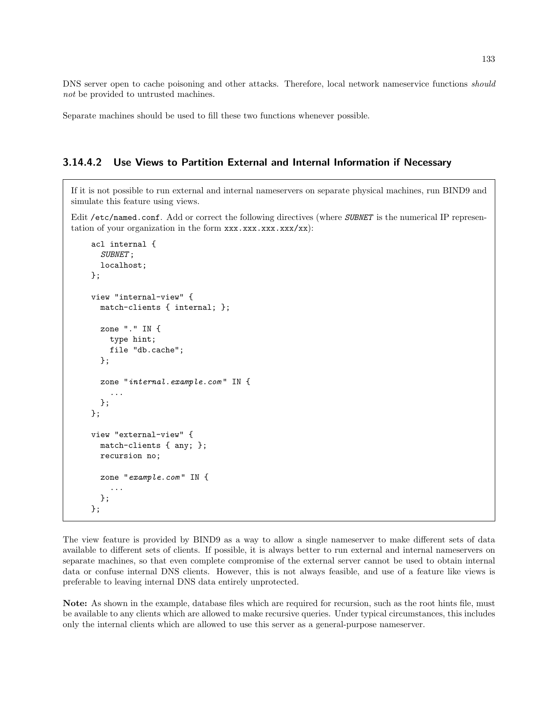DNS server open to cache poisoning and other attacks. Therefore, local network nameservice functions *should* not be provided to untrusted machines.

Separate machines should be used to fill these two functions whenever possible.

## <span id="page-132-0"></span>3.14.4.2 Use Views to Partition External and Internal Information if Necessary

If it is not possible to run external and internal nameservers on separate physical machines, run BIND9 and simulate this feature using views.

Edit /etc/named.conf. Add or correct the following directives (where *SUBNET* is the numerical IP representation of your organization in the form xxx.xxx.xxx.xxx/xx):

```
acl internal {
  SUBNET ;
  localhost;
};
view "internal-view" {
  match-clients { internal; };
  zone "." IN {
    type hint;
    file "db.cache";
  };
  zone "internal.example.com " IN {
    ...
  };
};
view "external-view" {
  match-clients { any; };
  recursion no;
  zone "example.com" IN {
    ...
  };
};
```
The view feature is provided by BIND9 as a way to allow a single nameserver to make different sets of data available to different sets of clients. If possible, it is always better to run external and internal nameservers on separate machines, so that even complete compromise of the external server cannot be used to obtain internal data or confuse internal DNS clients. However, this is not always feasible, and use of a feature like views is preferable to leaving internal DNS data entirely unprotected.

Note: As shown in the example, database files which are required for recursion, such as the root hints file, must be available to any clients which are allowed to make recursive queries. Under typical circumstances, this includes only the internal clients which are allowed to use this server as a general-purpose nameserver.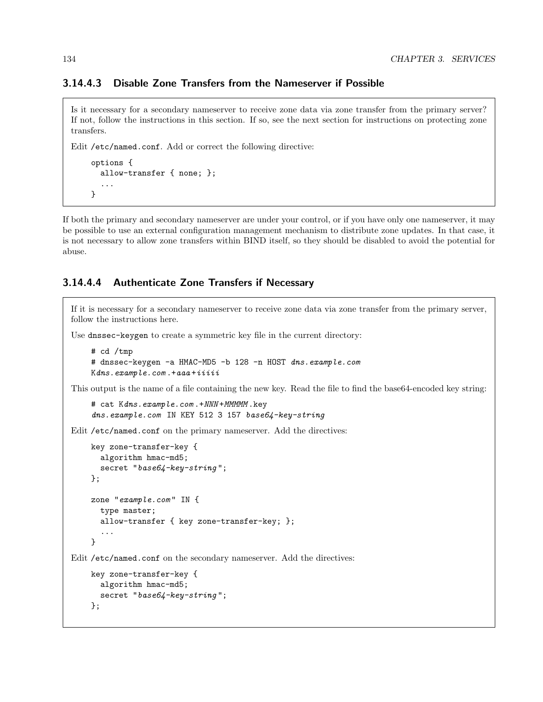## 3.14.4.3 Disable Zone Transfers from the Nameserver if Possible

Is it necessary for a secondary nameserver to receive zone data via zone transfer from the primary server? If not, follow the instructions in this section. If so, see the next section for instructions on protecting zone transfers.

Edit /etc/named.conf. Add or correct the following directive:

```
options {
  allow-transfer { none; };
  ...
}
```
If both the primary and secondary nameserver are under your control, or if you have only one nameserver, it may be possible to use an external configuration management mechanism to distribute zone updates. In that case, it is not necessary to allow zone transfers within BIND itself, so they should be disabled to avoid the potential for abuse.

#### 3.14.4.4 Authenticate Zone Transfers if Necessary

If it is necessary for a secondary nameserver to receive zone data via zone transfer from the primary server, follow the instructions here.

Use dnssec-keygen to create a symmetric key file in the current directory:

```
# cd /tmp
# dnssec-keygen -a HMAC-MD5 -b 128 -n HOST dns.example.com
Kdns.example.com.+aaa+iiiii
```
This output is the name of a file containing the new key. Read the file to find the base64-encoded key string:

```
# cat Kdns.example.com.+NNN+MMMMM.key
dns.example.com IN KEY 512 3 157 base64-key-string
```
Edit /etc/named.conf on the primary nameserver. Add the directives:

```
key zone-transfer-key {
      algorithm hmac-md5;
      secret "base64-key-string";
    };
    zone "example.com" IN {
      type master;
      allow-transfer { key zone-transfer-key; };
      ...
    }
Edit /etc/named.conf on the secondary nameserver. Add the directives:
    key zone-transfer-key {
      algorithm hmac-md5;
      secret "base64-key-string";
    };
```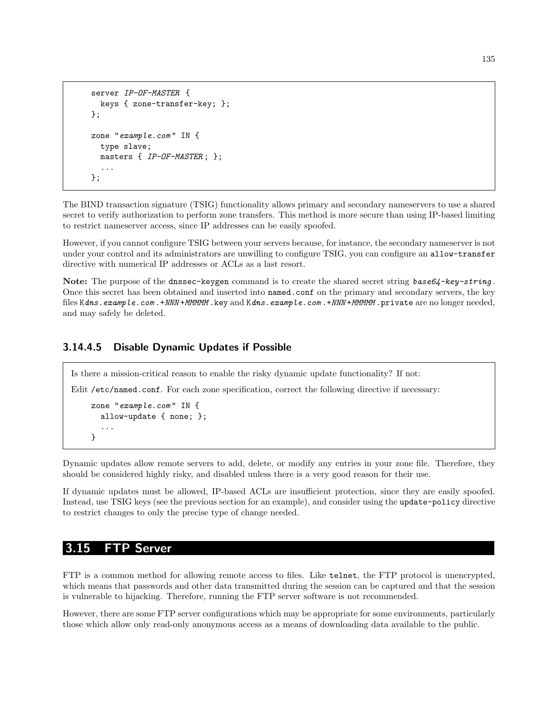```
server IP-OF-MASTER {
 keys { zone-transfer-key; };
};
zone "example.com" IN {
 type slave;
 masters { IP-OF-MASTER; };
  ...
};
```
The BIND transaction signature (TSIG) functionality allows primary and secondary nameservers to use a shared secret to verify authorization to perform zone transfers. This method is more secure than using IP-based limiting to restrict nameserver access, since IP addresses can be easily spoofed.

However, if you cannot configure TSIG between your servers because, for instance, the secondary nameserver is not under your control and its administrators are unwilling to configure TSIG, you can configure an allow-transfer directive with numerical IP addresses or ACLs as a last resort.

Note: The purpose of the dnssec-keygen command is to create the shared secret string base64-key-string. Once this secret has been obtained and inserted into named.conf on the primary and secondary servers, the key files Kdns.example.com .+NNN +MMMMM .key and Kdns.example.com .+NNN +MMMM .private are no longer needed, and may safely be deleted.

#### 3.14.4.5 Disable Dynamic Updates if Possible

```
Is there a mission-critical reason to enable the risky dynamic update functionality? If not:
Edit /etc/named.conf. For each zone specification, correct the following directive if necessary:
     zone "example.com " IN {
       allow-update { none; };
       ...
     }
```
Dynamic updates allow remote servers to add, delete, or modify any entries in your zone file. Therefore, they should be considered highly risky, and disabled unless there is a very good reason for their use.

If dynamic updates must be allowed, IP-based ACLs are insufficient protection, since they are easily spoofed. Instead, use TSIG keys (see the previous section for an example), and consider using the update-policy directive to restrict changes to only the precise type of change needed.

# 3.15 FTP Server

FTP is a common method for allowing remote access to files. Like telnet, the FTP protocol is unencrypted, which means that passwords and other data transmitted during the session can be captured and that the session is vulnerable to hijacking. Therefore, running the FTP server software is not recommended.

However, there are some FTP server configurations which may be appropriate for some environments, particularly those which allow only read-only anonymous access as a means of downloading data available to the public.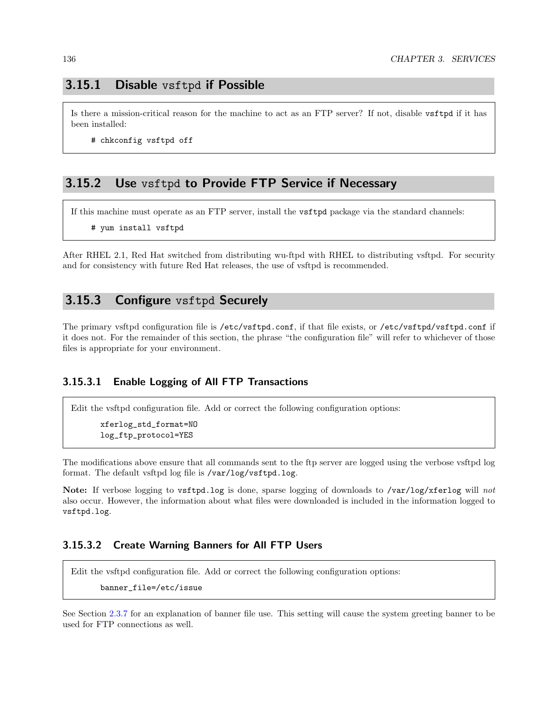# 3.15.1 Disable vsftpd if Possible

Is there a mission-critical reason for the machine to act as an FTP server? If not, disable vsftpd if it has been installed:

# chkconfig vsftpd off

# 3.15.2 Use vsftpd to Provide FTP Service if Necessary

If this machine must operate as an FTP server, install the vsftpd package via the standard channels:

# yum install vsftpd

After RHEL 2.1, Red Hat switched from distributing wu-ftpd with RHEL to distributing vsftpd. For security and for consistency with future Red Hat releases, the use of vsftpd is recommended.

# 3.15.3 Configure vsftpd Securely

The primary vsftpd configuration file is /etc/vsftpd.conf, if that file exists, or /etc/vsftpd/vsftpd.conf if it does not. For the remainder of this section, the phrase "the configuration file" will refer to whichever of those files is appropriate for your environment.

## 3.15.3.1 Enable Logging of All FTP Transactions

Edit the vsftpd configuration file. Add or correct the following configuration options:

xferlog\_std\_format=NO log\_ftp\_protocol=YES

The modifications above ensure that all commands sent to the ftp server are logged using the verbose vsftpd log format. The default vsftpd log file is /var/log/vsftpd.log.

Note: If verbose logging to vsftpd.log is done, sparse logging of downloads to /var/log/xferlog will not also occur. However, the information about what files were downloaded is included in the information logged to vsftpd.log.

#### 3.15.3.2 Create Warning Banners for All FTP Users

Edit the vsftpd configuration file. Add or correct the following configuration options:

banner\_file=/etc/issue

See Section [2.3.7](#page-40-0) for an explanation of banner file use. This setting will cause the system greeting banner to be used for FTP connections as well.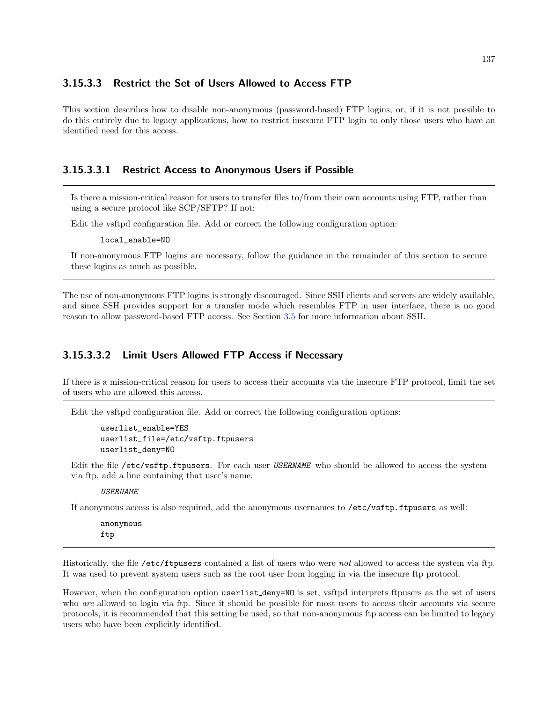## 3.15.3.3 Restrict the Set of Users Allowed to Access FTP

This section describes how to disable non-anonymous (password-based) FTP logins, or, if it is not possible to do this entirely due to legacy applications, how to restrict insecure FTP login to only those users who have an identified need for this access.

## 3.15.3.3.1 Restrict Access to Anonymous Users if Possible

Is there a mission-critical reason for users to transfer files to/from their own accounts using FTP, rather than using a secure protocol like SCP/SFTP? If not:

Edit the vsftpd configuration file. Add or correct the following configuration option:

local\_enable=NO

If non-anonymous FTP logins are necessary, follow the guidance in the remainder of this section to secure these logins as much as possible.

The use of non-anonymous FTP logins is strongly discouraged. Since SSH clients and servers are widely available, and since SSH provides support for a transfer mode which resembles FTP in user interface, there is no good reason to allow password-based FTP access. See Section [3.5](#page-83-0) for more information about SSH.

#### 3.15.3.3.2 Limit Users Allowed FTP Access if Necessary

If there is a mission-critical reason for users to access their accounts via the insecure FTP protocol, limit the set of users who are allowed this access.

Edit the vsftpd configuration file. Add or correct the following configuration options:

```
userlist_enable=YES
userlist_file=/etc/vsftp.ftpusers
userlist_deny=NO
```
Edit the file /etc/vsftp.ftpusers. For each user USERNAME who should be allowed to access the system via ftp, add a line containing that user's name.

USERNAME

If anonymous access is also required, add the anonymous usernames to /etc/vsftp.ftpusers as well:

anonymous ftp

Historically, the file /etc/ftpusers contained a list of users who were not allowed to access the system via ftp. It was used to prevent system users such as the root user from logging in via the insecure ftp protocol.

However, when the configuration option userlist deny=NO is set, vsftpd interprets ftpusers as the set of users who are allowed to login via ftp. Since it should be possible for most users to access their accounts via secure protocols, it is recommended that this setting be used, so that non-anonymous ftp access can be limited to legacy users who have been explicitly identified.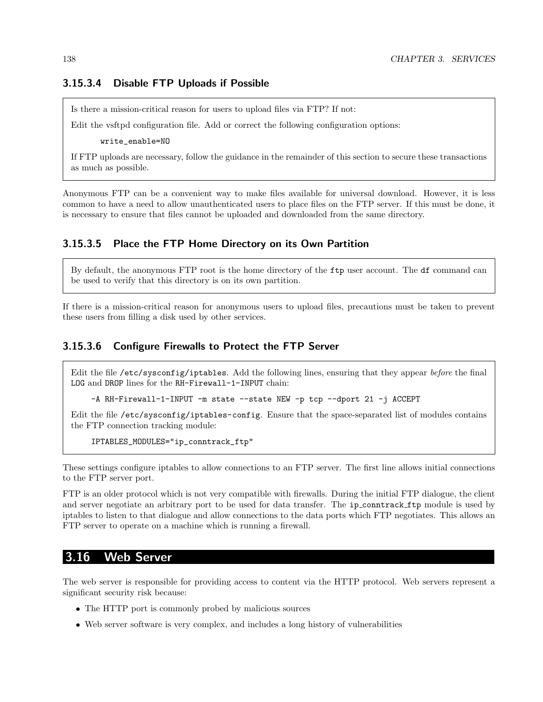## 3.15.3.4 Disable FTP Uploads if Possible

Is there a mission-critical reason for users to upload files via FTP? If not:

Edit the vsftpd configuration file. Add or correct the following configuration options:

write\_enable=NO

If FTP uploads are necessary, follow the guidance in the remainder of this section to secure these transactions as much as possible.

Anonymous FTP can be a convenient way to make files available for universal download. However, it is less common to have a need to allow unauthenticated users to place files on the FTP server. If this must be done, it is necessary to ensure that files cannot be uploaded and downloaded from the same directory.

#### 3.15.3.5 Place the FTP Home Directory on its Own Partition

By default, the anonymous FTP root is the home directory of the ftp user account. The df command can be used to verify that this directory is on its own partition.

If there is a mission-critical reason for anonymous users to upload files, precautions must be taken to prevent these users from filling a disk used by other services.

#### 3.15.3.6 Configure Firewalls to Protect the FTP Server

Edit the file /etc/sysconfig/iptables. Add the following lines, ensuring that they appear before the final LOG and DROP lines for the RH-Firewall-1-INPUT chain:

-A RH-Firewall-1-INPUT -m state --state NEW -p tcp --dport 21 -j ACCEPT

Edit the file /etc/sysconfig/iptables-config. Ensure that the space-separated list of modules contains the FTP connection tracking module:

IPTABLES\_MODULES="ip\_conntrack\_ftp"

These settings configure iptables to allow connections to an FTP server. The first line allows initial connections to the FTP server port.

FTP is an older protocol which is not very compatible with firewalls. During the initial FTP dialogue, the client and server negotiate an arbitrary port to be used for data transfer. The ip conntrack ftp module is used by iptables to listen to that dialogue and allow connections to the data ports which FTP negotiates. This allows an FTP server to operate on a machine which is running a firewall.

## <span id="page-137-0"></span>3.16 Web Server

The web server is responsible for providing access to content via the HTTP protocol. Web servers represent a significant security risk because:

- The HTTP port is commonly probed by malicious sources
- Web server software is very complex, and includes a long history of vulnerabilities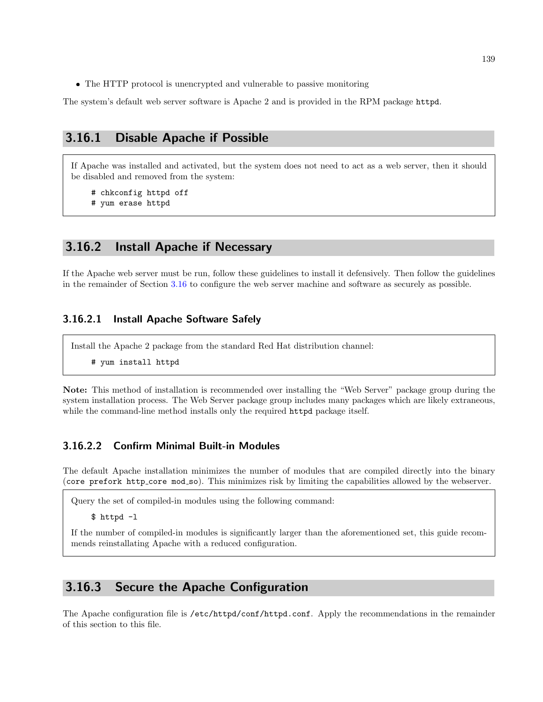The HTTP protocol is unencrypted and vulnerable to passive monitoring

The system's default web server software is Apache 2 and is provided in the RPM package httpd.

# 3.16.1 Disable Apache if Possible

If Apache was installed and activated, but the system does not need to act as a web server, then it should be disabled and removed from the system:

```
# chkconfig httpd off
# yum erase httpd
```
## 3.16.2 Install Apache if Necessary

If the Apache web server must be run, follow these guidelines to install it defensively. Then follow the guidelines in the remainder of Section [3.16](#page-137-0) to configure the web server machine and software as securely as possible.

#### 3.16.2.1 Install Apache Software Safely

Install the Apache 2 package from the standard Red Hat distribution channel:

# yum install httpd

Note: This method of installation is recommended over installing the "Web Server" package group during the system installation process. The Web Server package group includes many packages which are likely extraneous, while the command-line method installs only the required httpd package itself.

#### 3.16.2.2 Confirm Minimal Built-in Modules

The default Apache installation minimizes the number of modules that are compiled directly into the binary (core prefork http core mod so). This minimizes risk by limiting the capabilities allowed by the webserver.

Query the set of compiled-in modules using the following command:

\$ httpd -l

If the number of compiled-in modules is significantly larger than the aforementioned set, this guide recommends reinstallating Apache with a reduced configuration.

# 3.16.3 Secure the Apache Configuration

The Apache configuration file is /etc/httpd/conf/httpd.conf. Apply the recommendations in the remainder of this section to this file.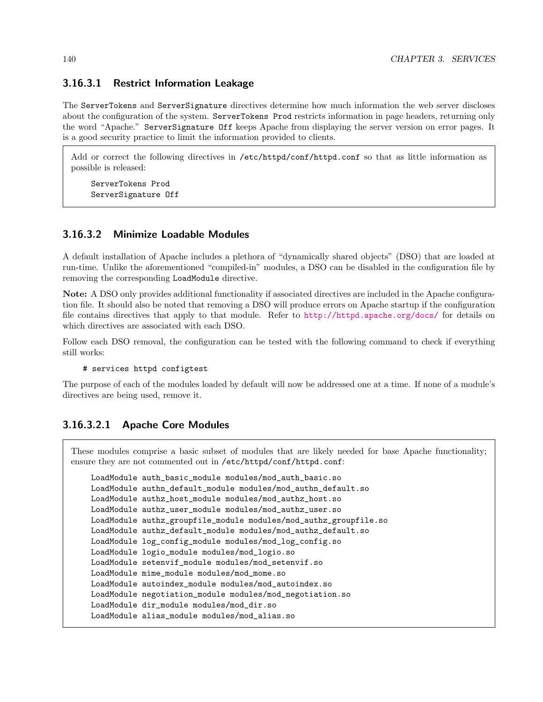## 3.16.3.1 Restrict Information Leakage

The ServerTokens and ServerSignature directives determine how much information the web server discloses about the configuration of the system. ServerTokens Prod restricts information in page headers, returning only the word "Apache." ServerSignature Off keeps Apache from displaying the server version on error pages. It is a good security practice to limit the information provided to clients.

Add or correct the following directives in /etc/httpd/conf/httpd.conf so that as little information as possible is released:

ServerTokens Prod ServerSignature Off

## 3.16.3.2 Minimize Loadable Modules

A default installation of Apache includes a plethora of "dynamically shared objects" (DSO) that are loaded at run-time. Unlike the aforementioned "compiled-in" modules, a DSO can be disabled in the configuration file by removing the corresponding LoadModule directive.

Note: A DSO only provides additional functionality if associated directives are included in the Apache configuration file. It should also be noted that removing a DSO will produce errors on Apache startup if the configuration file contains directives that apply to that module. Refer to <http://httpd.apache.org/docs/> for details on which directives are associated with each DSO.

Follow each DSO removal, the configuration can be tested with the following command to check if everything still works:

# services httpd configtest

The purpose of each of the modules loaded by default will now be addressed one at a time. If none of a module's directives are being used, remove it.

## 3.16.3.2.1 Apache Core Modules

These modules comprise a basic subset of modules that are likely needed for base Apache functionality; ensure they are not commented out in /etc/httpd/conf/httpd.conf:

```
LoadModule auth_basic_module modules/mod_auth_basic.so
LoadModule authn_default_module modules/mod_authn_default.so
LoadModule authz_host_module modules/mod_authz_host.so
LoadModule authz_user_module modules/mod_authz_user.so
LoadModule authz_groupfile_module modules/mod_authz_groupfile.so
LoadModule authz_default_module modules/mod_authz_default.so
LoadModule log_config_module modules/mod_log_config.so
LoadModule logio_module modules/mod_logio.so
LoadModule setenvif_module modules/mod_setenvif.so
LoadModule mime_module modules/mod_mome.so
LoadModule autoindex_module modules/mod_autoindex.so
LoadModule negotiation_module modules/mod_negotiation.so
LoadModule dir_module modules/mod_dir.so
LoadModule alias_module modules/mod_alias.so
```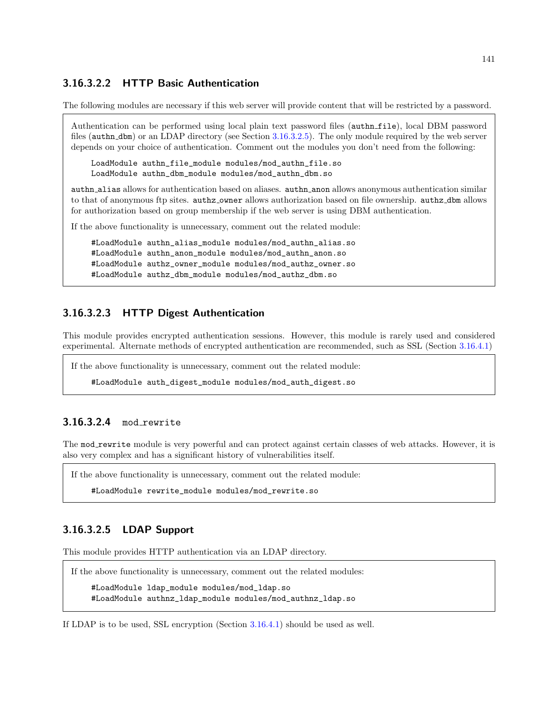## 3.16.3.2.2 HTTP Basic Authentication

The following modules are necessary if this web server will provide content that will be restricted by a password.

Authentication can be performed using local plain text password files (authn file), local DBM password files (authn\_dbm) or an LDAP directory (see Section [3.16.3.2.5\)](#page-140-0). The only module required by the web server depends on your choice of authentication. Comment out the modules you don't need from the following:

LoadModule authn\_file\_module modules/mod\_authn\_file.so LoadModule authn\_dbm\_module modules/mod\_authn\_dbm.so

authn alias allows for authentication based on aliases. authn anon allows anonymous authentication similar to that of anonymous ftp sites. authz\_owner allows authorization based on file ownership. authz\_dbm allows for authorization based on group membership if the web server is using DBM authentication.

If the above functionality is unnecessary, comment out the related module:

#LoadModule authn\_alias\_module modules/mod\_authn\_alias.so #LoadModule authn\_anon\_module modules/mod\_authn\_anon.so #LoadModule authz\_owner\_module modules/mod\_authz\_owner.so #LoadModule authz\_dbm\_module modules/mod\_authz\_dbm.so

#### 3.16.3.2.3 HTTP Digest Authentication

This module provides encrypted authentication sessions. However, this module is rarely used and considered experimental. Alternate methods of encrypted authentication are recommended, such as SSL (Section [3.16.4.1\)](#page-147-0)

If the above functionality is unnecessary, comment out the related module:

#LoadModule auth\_digest\_module modules/mod\_auth\_digest.so

## 3.16.3.2.4 mod rewrite

The mod rewrite module is very powerful and can protect against certain classes of web attacks. However, it is also very complex and has a significant history of vulnerabilities itself.

If the above functionality is unnecessary, comment out the related module:

#LoadModule rewrite\_module modules/mod\_rewrite.so

#### <span id="page-140-0"></span>3.16.3.2.5 LDAP Support

This module provides HTTP authentication via an LDAP directory.

If the above functionality is unnecessary, comment out the related modules: #LoadModule ldap\_module modules/mod\_ldap.so #LoadModule authnz\_ldap\_module modules/mod\_authnz\_ldap.so

If LDAP is to be used, SSL encryption (Section [3.16.4.1\)](#page-147-0) should be used as well.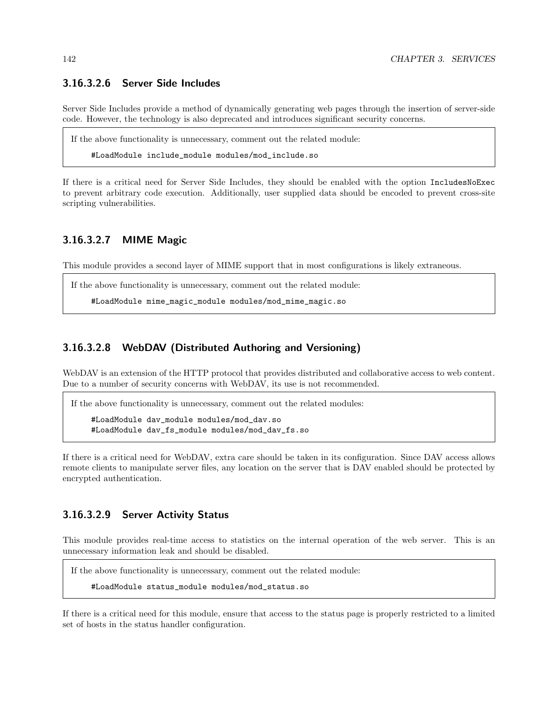## 3.16.3.2.6 Server Side Includes

Server Side Includes provide a method of dynamically generating web pages through the insertion of server-side code. However, the technology is also deprecated and introduces significant security concerns.

If the above functionality is unnecessary, comment out the related module:

#LoadModule include\_module modules/mod\_include.so

If there is a critical need for Server Side Includes, they should be enabled with the option IncludesNoExec to prevent arbitrary code execution. Additionally, user supplied data should be encoded to prevent cross-site scripting vulnerabilities.

#### 3.16.3.2.7 MIME Magic

This module provides a second layer of MIME support that in most configurations is likely extraneous.

If the above functionality is unnecessary, comment out the related module:

#LoadModule mime\_magic\_module modules/mod\_mime\_magic.so

#### 3.16.3.2.8 WebDAV (Distributed Authoring and Versioning)

WebDAV is an extension of the HTTP protocol that provides distributed and collaborative access to web content. Due to a number of security concerns with WebDAV, its use is not recommended.

If the above functionality is unnecessary, comment out the related modules:

#LoadModule dav\_module modules/mod\_dav.so #LoadModule dav\_fs\_module modules/mod\_dav\_fs.so

If there is a critical need for WebDAV, extra care should be taken in its configuration. Since DAV access allows remote clients to manipulate server files, any location on the server that is DAV enabled should be protected by encrypted authentication.

#### 3.16.3.2.9 Server Activity Status

This module provides real-time access to statistics on the internal operation of the web server. This is an unnecessary information leak and should be disabled.

If the above functionality is unnecessary, comment out the related module:

#LoadModule status\_module modules/mod\_status.so

If there is a critical need for this module, ensure that access to the status page is properly restricted to a limited set of hosts in the status handler configuration.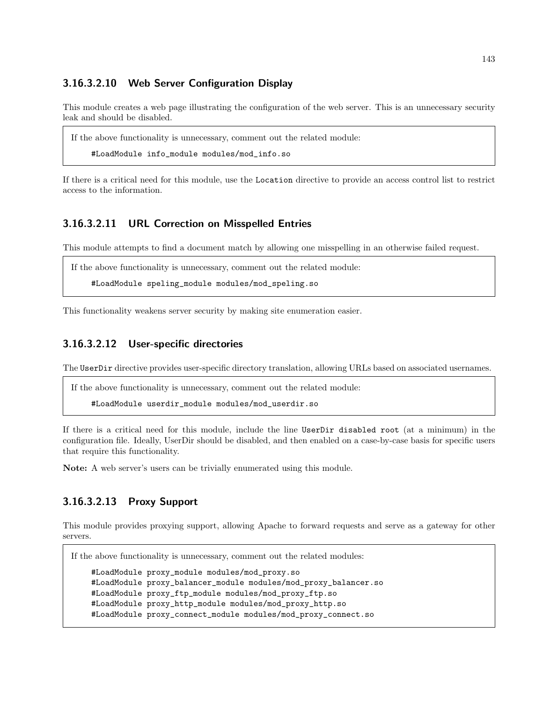## 3.16.3.2.10 Web Server Configuration Display

This module creates a web page illustrating the configuration of the web server. This is an unnecessary security leak and should be disabled.

```
If the above functionality is unnecessary, comment out the related module:
```

```
#LoadModule info_module modules/mod_info.so
```
If there is a critical need for this module, use the Location directive to provide an access control list to restrict access to the information.

## 3.16.3.2.11 URL Correction on Misspelled Entries

This module attempts to find a document match by allowing one misspelling in an otherwise failed request.

If the above functionality is unnecessary, comment out the related module:

#LoadModule speling\_module modules/mod\_speling.so

This functionality weakens server security by making site enumeration easier.

## 3.16.3.2.12 User-specific directories

The UserDir directive provides user-specific directory translation, allowing URLs based on associated usernames.

If the above functionality is unnecessary, comment out the related module:

#LoadModule userdir\_module modules/mod\_userdir.so

If there is a critical need for this module, include the line UserDir disabled root (at a minimum) in the configuration file. Ideally, UserDir should be disabled, and then enabled on a case-by-case basis for specific users that require this functionality.

Note: A web server's users can be trivially enumerated using this module.

## 3.16.3.2.13 Proxy Support

This module provides proxying support, allowing Apache to forward requests and serve as a gateway for other servers.

If the above functionality is unnecessary, comment out the related modules:

```
#LoadModule proxy_module modules/mod_proxy.so
#LoadModule proxy_balancer_module modules/mod_proxy_balancer.so
#LoadModule proxy_ftp_module modules/mod_proxy_ftp.so
#LoadModule proxy_http_module modules/mod_proxy_http.so
#LoadModule proxy_connect_module modules/mod_proxy_connect.so
```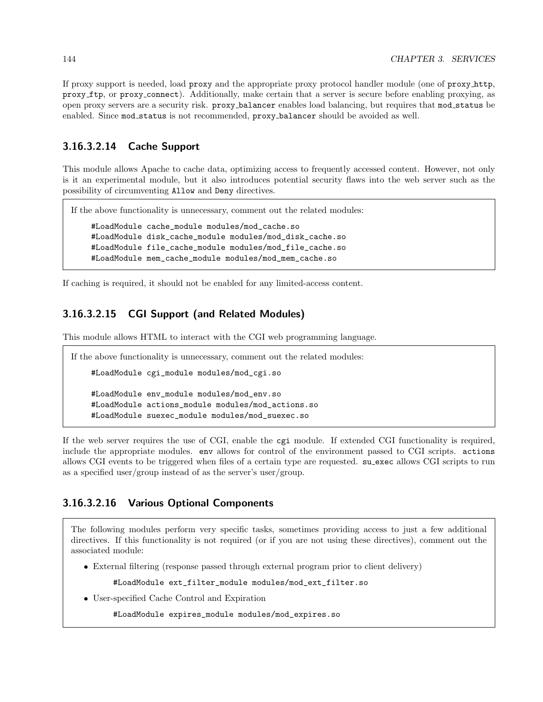If proxy support is needed, load proxy and the appropriate proxy protocol handler module (one of proxy http, proxy ftp, or proxy connect). Additionally, make certain that a server is secure before enabling proxying, as open proxy servers are a security risk. proxy balancer enables load balancing, but requires that mod status be enabled. Since mod status is not recommended, proxy balancer should be avoided as well.

## 3.16.3.2.14 Cache Support

This module allows Apache to cache data, optimizing access to frequently accessed content. However, not only is it an experimental module, but it also introduces potential security flaws into the web server such as the possibility of circumventing Allow and Deny directives.

If the above functionality is unnecessary, comment out the related modules: #LoadModule cache\_module modules/mod\_cache.so #LoadModule disk\_cache\_module modules/mod\_disk\_cache.so #LoadModule file\_cache\_module modules/mod\_file\_cache.so #LoadModule mem\_cache\_module modules/mod\_mem\_cache.so

If caching is required, it should not be enabled for any limited-access content.

#### 3.16.3.2.15 CGI Support (and Related Modules)

This module allows HTML to interact with the CGI web programming language.

```
If the above functionality is unnecessary, comment out the related modules:
    #LoadModule cgi_module modules/mod_cgi.so
    #LoadModule env_module modules/mod_env.so
    #LoadModule actions_module modules/mod_actions.so
    #LoadModule suexec_module modules/mod_suexec.so
```
If the web server requires the use of CGI, enable the cgi module. If extended CGI functionality is required, include the appropriate modules. env allows for control of the environment passed to CGI scripts. actions allows CGI events to be triggered when files of a certain type are requested. su exec allows CGI scripts to run as a specified user/group instead of as the server's user/group.

#### 3.16.3.2.16 Various Optional Components

The following modules perform very specific tasks, sometimes providing access to just a few additional directives. If this functionality is not required (or if you are not using these directives), comment out the associated module:

External filtering (response passed through external program prior to client delivery)

#LoadModule ext\_filter\_module modules/mod\_ext\_filter.so

User-specified Cache Control and Expiration

#LoadModule expires\_module modules/mod\_expires.so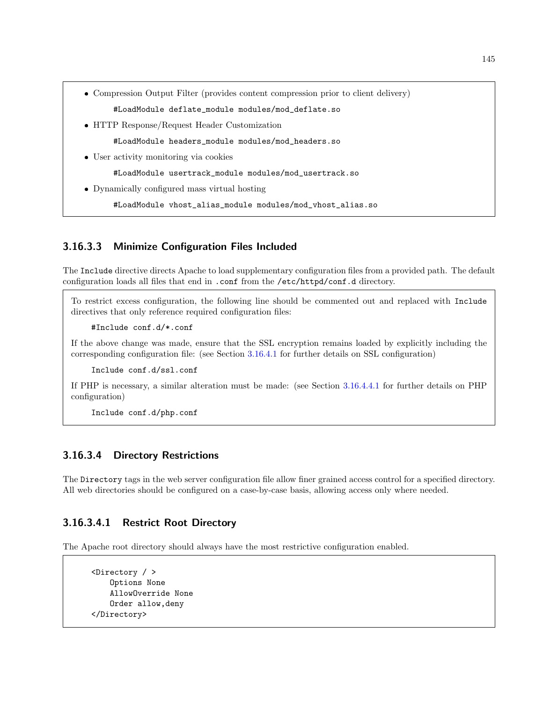Compression Output Filter (provides content compression prior to client delivery)

#LoadModule deflate\_module modules/mod\_deflate.so

HTTP Response/Request Header Customization

#LoadModule headers\_module modules/mod\_headers.so

User activity monitoring via cookies

#LoadModule usertrack\_module modules/mod\_usertrack.so

Dynamically configured mass virtual hosting

#LoadModule vhost\_alias\_module modules/mod\_vhost\_alias.so

## 3.16.3.3 Minimize Configuration Files Included

The Include directive directs Apache to load supplementary configuration files from a provided path. The default configuration loads all files that end in .conf from the /etc/httpd/conf.d directory.

To restrict excess configuration, the following line should be commented out and replaced with Include directives that only reference required configuration files:

#Include conf.d/\*.conf

If the above change was made, ensure that the SSL encryption remains loaded by explicitly including the corresponding configuration file: (see Section [3.16.4.1](#page-147-0) for further details on SSL configuration)

Include conf.d/ssl.conf

If PHP is necessary, a similar alteration must be made: (see Section [3.16.4.4.1](#page-150-0) for further details on PHP configuration)

Include conf.d/php.conf

## 3.16.3.4 Directory Restrictions

The Directory tags in the web server configuration file allow finer grained access control for a specified directory. All web directories should be configured on a case-by-case basis, allowing access only where needed.

#### 3.16.3.4.1 Restrict Root Directory

The Apache root directory should always have the most restrictive configuration enabled.

```
<Directory / >
    Options None
    AllowOverride None
    Order allow,deny
</Directory>
```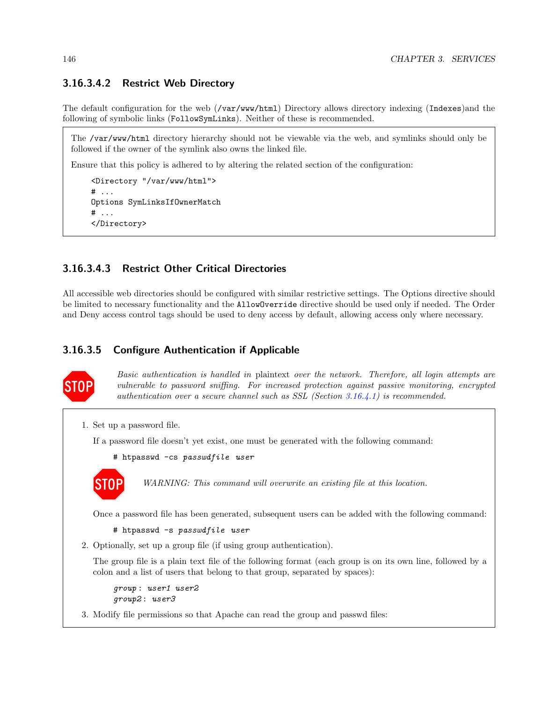## 3.16.3.4.2 Restrict Web Directory

The default configuration for the web (/var/www/html) Directory allows directory indexing (Indexes)and the following of symbolic links (FollowSymLinks). Neither of these is recommended.

The /var/www/html directory hierarchy should not be viewable via the web, and symlinks should only be followed if the owner of the symlink also owns the linked file.

Ensure that this policy is adhered to by altering the related section of the configuration:

```
<Directory "/var/www/html">
# ...
Options SymLinksIfOwnerMatch
# ...
</Directory>
```
## 3.16.3.4.3 Restrict Other Critical Directories

All accessible web directories should be configured with similar restrictive settings. The Options directive should be limited to necessary functionality and the AllowOverride directive should be used only if needed. The Order and Deny access control tags should be used to deny access by default, allowing access only where necessary.

#### <span id="page-145-0"></span>3.16.3.5 Configure Authentication if Applicable



Basic authentication is handled in plaintext over the network. Therefore, all login attempts are vulnerable to password sniffing. For increased protection against passive monitoring, encrypted authentication over a secure channel such as SSL (Section [3.16.4.1\)](#page-147-0) is recommended.

1. Set up a password file.

If a password file doesn't yet exist, one must be generated with the following command:

# htpasswd -cs passwdfile user



WARNING: This command will overwrite an existing file at this location.

Once a password file has been generated, subsequent users can be added with the following command:

```
# htpasswd -s passwdfile user
```
2. Optionally, set up a group file (if using group authentication).

The group file is a plain text file of the following format (each group is on its own line, followed by a colon and a list of users that belong to that group, separated by spaces):

```
group : user1 user2
group2 : user3
```
3. Modify file permissions so that Apache can read the group and passwd files: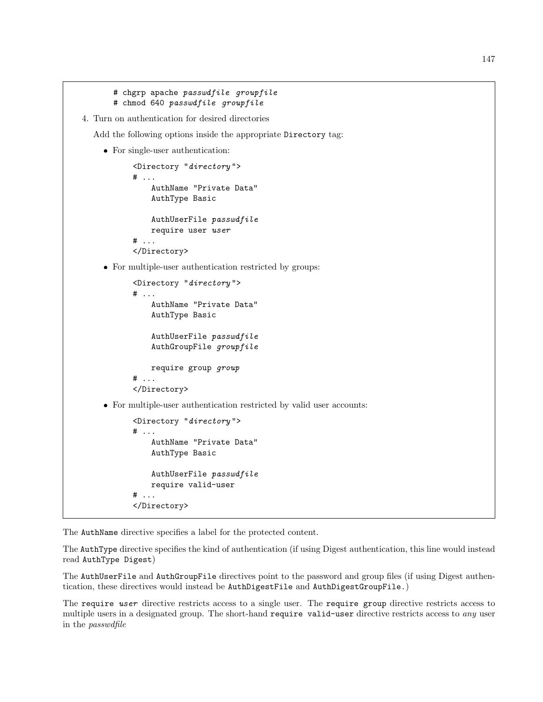```
# chgrp apache passwdfile groupfile
       # chmod 640 passwdfile groupfile
4. Turn on authentication for desired directories
  Add the following options inside the appropriate Directory tag:
     • For single-user authentication:
           <Directory "directory ">
           # \ldotsAuthName "Private Data"
                AuthType Basic
                AuthUserFile passwdfile
                require user user
           # \ldots</Directory>
      For multiple-user authentication restricted by groups:
           <Directory "directory ">
           # ...
                AuthName "Private Data"
                AuthType Basic
                AuthUserFile passwdfile
                AuthGroupFile groupfile
                require group group
           # ...
           </Directory>
      For multiple-user authentication restricted by valid user accounts:
           <Directory "directory ">
           # ...
                AuthName "Private Data"
                AuthType Basic
                AuthUserFile passwdfile
                require valid-user
           # ...
           </Directory>
```
The AuthName directive specifies a label for the protected content.

The AuthType directive specifies the kind of authentication (if using Digest authentication, this line would instead read AuthType Digest)

The AuthUserFile and AuthGroupFile directives point to the password and group files (if using Digest authentication, these directives would instead be AuthDigestFile and AuthDigestGroupFile.)

The require user directive restricts access to a single user. The require group directive restricts access to multiple users in a designated group. The short-hand require valid-user directive restricts access to any user in the passwdfile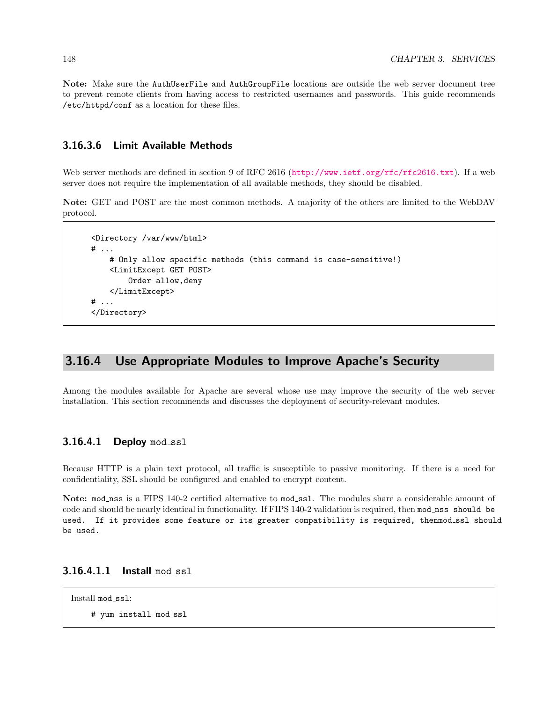Note: Make sure the AuthUserFile and AuthGroupFile locations are outside the web server document tree to prevent remote clients from having access to restricted usernames and passwords. This guide recommends /etc/httpd/conf as a location for these files.

#### 3.16.3.6 Limit Available Methods

Web server methods are defined in section 9 of RFC 2616 (<http://www.ietf.org/rfc/rfc2616.txt>). If a web server does not require the implementation of all available methods, they should be disabled.

Note: GET and POST are the most common methods. A majority of the others are limited to the WebDAV protocol.

```
<Directory /var/www/html>
# . . .
    # Only allow specific methods (this command is case-sensitive!)
    <LimitExcept GET POST>
        Order allow,deny
    </LimitExcept>
# ...
</Directory>
```
# 3.16.4 Use Appropriate Modules to Improve Apache's Security

Among the modules available for Apache are several whose use may improve the security of the web server installation. This section recommends and discusses the deployment of security-relevant modules.

#### <span id="page-147-0"></span> $3.16.4.1$  Deploy mod\_ssl

Because HTTP is a plain text protocol, all traffic is susceptible to passive monitoring. If there is a need for confidentiality, SSL should be configured and enabled to encrypt content.

Note: mod nss is a FIPS 140-2 certified alternative to mod ssl. The modules share a considerable amount of code and should be nearly identical in functionality. If FIPS 140-2 validation is required, then mod nss should be used. If it provides some feature or its greater compatibility is required, thenmod\_ssl should be used.

## $3.16.4.1.1$  Install mod\_ssl

Install mod\_ssl:

# yum install mod\_ssl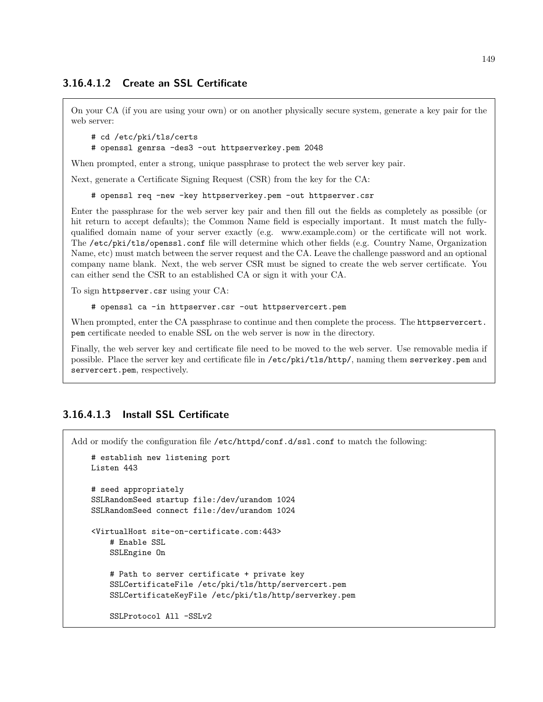## 3.16.4.1.2 Create an SSL Certificate

On your CA (if you are using your own) or on another physically secure system, generate a key pair for the web server:

```
# cd /etc/pki/tls/certs
```

```
# openssl genrsa -des3 -out httpserverkey.pem 2048
```
When prompted, enter a strong, unique passphrase to protect the web server key pair.

Next, generate a Certificate Signing Request (CSR) from the key for the CA:

# openssl req -new -key httpserverkey.pem -out httpserver.csr

Enter the passphrase for the web server key pair and then fill out the fields as completely as possible (or hit return to accept defaults); the Common Name field is especially important. It must match the fullyqualified domain name of your server exactly (e.g. www.example.com) or the certificate will not work. The /etc/pki/tls/openssl.conf file will determine which other fields (e.g. Country Name, Organization Name, etc) must match between the server request and the CA. Leave the challenge password and an optional company name blank. Next, the web server CSR must be signed to create the web server certificate. You can either send the CSR to an established CA or sign it with your CA.

To sign httpserver.csr using your CA:

# openssl ca -in httpserver.csr -out httpservercert.pem

When prompted, enter the CA passphrase to continue and then complete the process. The httpservercert. pem certificate needed to enable SSL on the web server is now in the directory.

Finally, the web server key and certificate file need to be moved to the web server. Use removable media if possible. Place the server key and certificate file in /etc/pki/tls/http/, naming them serverkey.pem and servercert.pem, respectively.

## 3.16.4.1.3 Install SSL Certificate

Add or modify the configuration file /etc/httpd/conf.d/ssl.conf to match the following:

```
# establish new listening port
Listen 443
# seed appropriately
SSLRandomSeed startup file:/dev/urandom 1024
SSLRandomSeed connect file:/dev/urandom 1024
<VirtualHost site-on-certificate.com:443>
    # Enable SSL
   SSLEngine On
    # Path to server certificate + private key
    SSLCertificateFile /etc/pki/tls/http/servercert.pem
    SSLCertificateKeyFile /etc/pki/tls/http/serverkey.pem
    SSLProtocol All -SSLv2
```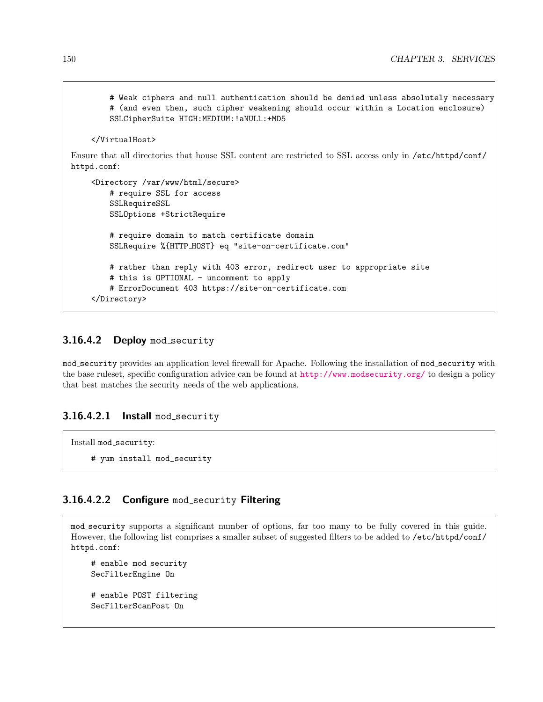```
# Weak ciphers and null authentication should be denied unless absolutely necessary
        # (and even then, such cipher weakening should occur within a Location enclosure)
        SSLCipherSuite HIGH:MEDIUM:!aNULL:+MD5
    </VirtualHost>
Ensure that all directories that house SSL content are restricted to SSL access only in /etc/httpd/conf/
httpd.conf:
    <Directory /var/www/html/secure>
        # require SSL for access
        SSLRequireSSL
        SSLOptions +StrictRequire
        # require domain to match certificate domain
        SSLRequire %{HTTP HOST} eq "site-on-certificate.com"
        # rather than reply with 403 error, redirect user to appropriate site
        # this is OPTIONAL - uncomment to apply
        # ErrorDocument 403 https://site-on-certificate.com
    </Directory>
```
#### 3.16.4.2 Deploy mod\_security

mod security provides an application level firewall for Apache. Following the installation of mod security with the base ruleset, specific configuration advice can be found at <http://www.modsecurity.org/> to design a policy that best matches the security needs of the web applications.

#### 3.16.4.2.1 Install mod\_security

```
Install mod_security:
    # yum install mod_security
```
#### 3.16.4.2.2 Configure mod\_security Filtering

mod security supports a significant number of options, far too many to be fully covered in this guide. However, the following list comprises a smaller subset of suggested filters to be added to /etc/httpd/conf/ httpd.conf:

```
# enable mod_security
SecFilterEngine On
# enable POST filtering
SecFilterScanPost On
```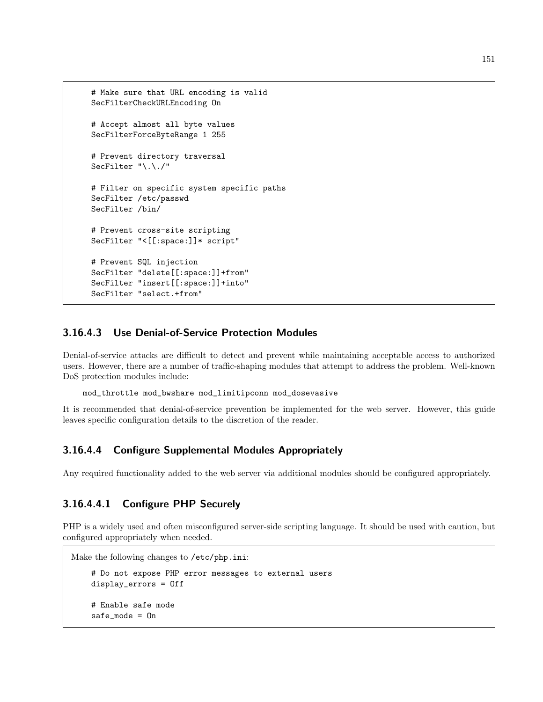```
# Make sure that URL encoding is valid
SecFilterCheckURLEncoding On
# Accept almost all byte values
SecFilterForceByteRange 1 255
# Prevent directory traversal
SecFilter "\.\./"
# Filter on specific system specific paths
SecFilter /etc/passwd
SecFilter /bin/
# Prevent cross-site scripting
SecFilter "<[[:space:]]* script"
# Prevent SQL injection
SecFilter "delete[[:space:]]+from"
SecFilter "insert[[:space:]]+into"
SecFilter "select.+from"
```
#### 3.16.4.3 Use Denial-of-Service Protection Modules

Denial-of-service attacks are difficult to detect and prevent while maintaining acceptable access to authorized users. However, there are a number of traffic-shaping modules that attempt to address the problem. Well-known DoS protection modules include:

mod\_throttle mod\_bwshare mod\_limitipconn mod\_dosevasive

It is recommended that denial-of-service prevention be implemented for the web server. However, this guide leaves specific configuration details to the discretion of the reader.

## 3.16.4.4 Configure Supplemental Modules Appropriately

Any required functionality added to the web server via additional modules should be configured appropriately.

## <span id="page-150-0"></span>3.16.4.4.1 Configure PHP Securely

PHP is a widely used and often misconfigured server-side scripting language. It should be used with caution, but configured appropriately when needed.

```
Make the following changes to /etc/php.ini:
    # Do not expose PHP error messages to external users
    display_errors = Off
    # Enable safe mode
    safe_mode = On
```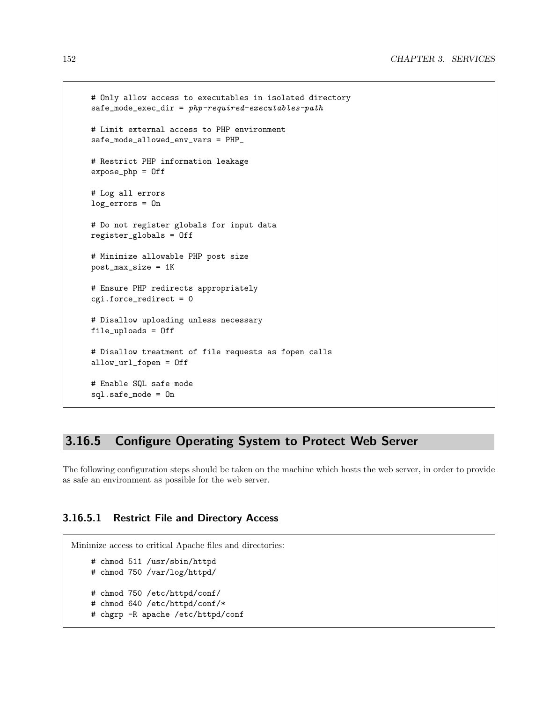```
# Only allow access to executables in isolated directory
safe\_mode\_exec\_dir = php-required-executable-s-path# Limit external access to PHP environment
safe_mode_allowed_env_vars = PHP_
# Restrict PHP information leakage
expose_php = Off
# Log all errors
log_errors = On
# Do not register globals for input data
register_globals = Off
# Minimize allowable PHP post size
post_max_size = 1K
# Ensure PHP redirects appropriately
cgi.force_redirect = 0
# Disallow uploading unless necessary
file_uploads = Off
# Disallow treatment of file requests as fopen calls
allow_url_fopen = Off
# Enable SQL safe mode
sql.safe_mode = On
```
# 3.16.5 Configure Operating System to Protect Web Server

The following configuration steps should be taken on the machine which hosts the web server, in order to provide as safe an environment as possible for the web server.

#### 3.16.5.1 Restrict File and Directory Access

```
Minimize access to critical Apache files and directories:
    # chmod 511 /usr/sbin/httpd
    # chmod 750 /var/log/httpd/
    # chmod 750 /etc/httpd/conf/
    # chmod 640 /etc/httpd/conf/*
    # chgrp -R apache /etc/httpd/conf
```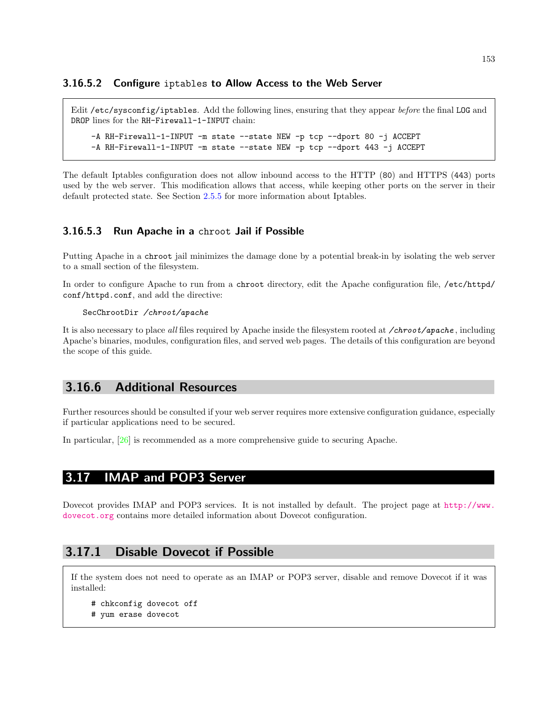## 3.16.5.2 Configure iptables to Allow Access to the Web Server

Edit /etc/sysconfig/iptables. Add the following lines, ensuring that they appear before the final LOG and DROP lines for the RH-Firewall-1-INPUT chain:

```
-A RH-Firewall-1-INPUT -m state --state NEW -p tcp --dport 80 -j ACCEPT
-A RH-Firewall-1-INPUT -m state --state NEW -p tcp --dport 443 -j ACCEPT
```
The default Iptables configuration does not allow inbound access to the HTTP (80) and HTTPS (443) ports used by the web server. This modification allows that access, while keeping other ports on the server in their default protected state. See Section [2.5.5](#page-55-0) for more information about Iptables.

## 3.16.5.3 Run Apache in a chroot Jail if Possible

Putting Apache in a chroot jail minimizes the damage done by a potential break-in by isolating the web server to a small section of the filesystem.

In order to configure Apache to run from a chroot directory, edit the Apache configuration file, /etc/httpd/ conf/httpd.conf, and add the directive:

#### SecChrootDir /chroot/apache

It is also necessary to place all files required by Apache inside the filesystem rooted at /chroot/apache, including Apache's binaries, modules, configuration files, and served web pages. The details of this configuration are beyond the scope of this guide.

## 3.16.6 Additional Resources

Further resources should be consulted if your web server requires more extensive configuration guidance, especially if particular applications need to be secured.

In particular, [\[26\]](#page-169-0) is recommended as a more comprehensive guide to securing Apache.

# 3.17 IMAP and POP3 Server

Dovecot provides IMAP and POP3 services. It is not installed by default. The project page at [http://www.](http://www.dovecot.org) [dovecot.org](http://www.dovecot.org) contains more detailed information about Dovecot configuration.

# 3.17.1 Disable Dovecot if Possible

If the system does not need to operate as an IMAP or POP3 server, disable and remove Dovecot if it was installed:

```
# chkconfig dovecot off
# yum erase dovecot
```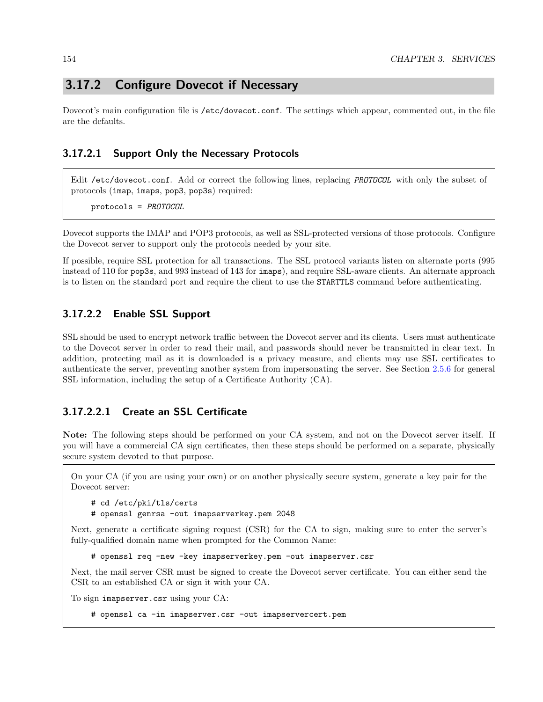# 3.17.2 Configure Dovecot if Necessary

Dovecot's main configuration file is /etc/dovecot.conf. The settings which appear, commented out, in the file are the defaults.

#### 3.17.2.1 Support Only the Necessary Protocols

Edit /etc/dovecot.conf. Add or correct the following lines, replacing PROTOCOL with only the subset of protocols (imap, imaps, pop3, pop3s) required:

protocols = PROTOCOL

Dovecot supports the IMAP and POP3 protocols, as well as SSL-protected versions of those protocols. Configure the Dovecot server to support only the protocols needed by your site.

If possible, require SSL protection for all transactions. The SSL protocol variants listen on alternate ports (995 instead of 110 for pop3s, and 993 instead of 143 for imaps), and require SSL-aware clients. An alternate approach is to listen on the standard port and require the client to use the STARTTLS command before authenticating.

#### 3.17.2.2 Enable SSL Support

SSL should be used to encrypt network traffic between the Dovecot server and its clients. Users must authenticate to the Dovecot server in order to read their mail, and passwords should never be transmitted in clear text. In addition, protecting mail as it is downloaded is a privacy measure, and clients may use SSL certificates to authenticate the server, preventing another system from impersonating the server. See Section [2.5.6](#page-61-0) for general SSL information, including the setup of a Certificate Authority (CA).

### 3.17.2.2.1 Create an SSL Certificate

Note: The following steps should be performed on your CA system, and not on the Dovecot server itself. If you will have a commercial CA sign certificates, then these steps should be performed on a separate, physically secure system devoted to that purpose.

On your CA (if you are using your own) or on another physically secure system, generate a key pair for the Dovecot server:

```
# cd /etc/pki/tls/certs
```

```
# openssl genrsa -out imapserverkey.pem 2048
```
Next, generate a certificate signing request (CSR) for the CA to sign, making sure to enter the server's fully-qualified domain name when prompted for the Common Name:

# openssl req -new -key imapserverkey.pem -out imapserver.csr

Next, the mail server CSR must be signed to create the Dovecot server certificate. You can either send the CSR to an established CA or sign it with your CA.

To sign imapserver.csr using your CA:

```
# openssl ca -in imapserver.csr -out imapservercert.pem
```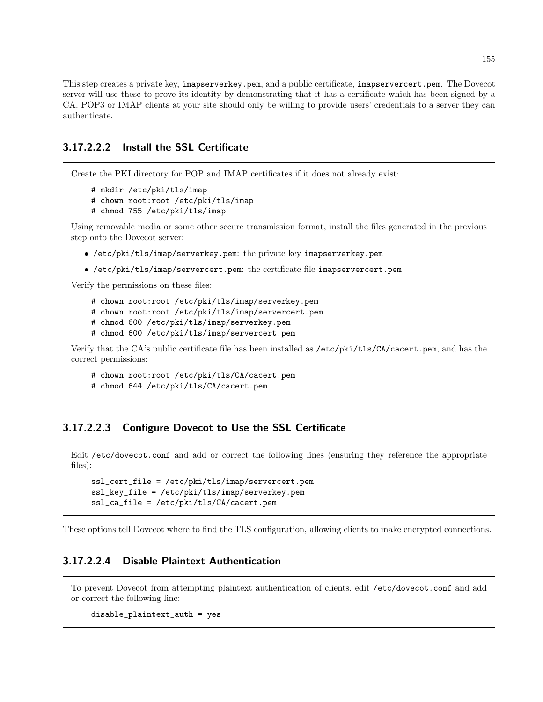This step creates a private key, imapserverkey.pem, and a public certificate, imapservercert.pem. The Dovecot server will use these to prove its identity by demonstrating that it has a certificate which has been signed by a CA. POP3 or IMAP clients at your site should only be willing to provide users' credentials to a server they can authenticate.

## 3.17.2.2.2 Install the SSL Certificate

Create the PKI directory for POP and IMAP certificates if it does not already exist:

```
# mkdir /etc/pki/tls/imap
```
# chown root:root /etc/pki/tls/imap

# chmod 755 /etc/pki/tls/imap

Using removable media or some other secure transmission format, install the files generated in the previous step onto the Dovecot server:

- /etc/pki/tls/imap/serverkey.pem: the private key imapserverkey.pem
- /etc/pki/tls/imap/servercert.pem: the certificate file imapservercert.pem

Verify the permissions on these files:

# chown root:root /etc/pki/tls/imap/serverkey.pem

- # chown root:root /etc/pki/tls/imap/servercert.pem
- # chmod 600 /etc/pki/tls/imap/serverkey.pem
- # chmod 600 /etc/pki/tls/imap/servercert.pem

Verify that the CA's public certificate file has been installed as /etc/pki/tls/CA/cacert.pem, and has the correct permissions:

# chown root:root /etc/pki/tls/CA/cacert.pem # chmod 644 /etc/pki/tls/CA/cacert.pem

## 3.17.2.2.3 Configure Dovecot to Use the SSL Certificate

Edit /etc/dovecot.conf and add or correct the following lines (ensuring they reference the appropriate files):

```
ssl_cert_file = /etc/pki/tls/imap/servercert.pem
ssl_key_file = /etc/pki/tls/imap/serverkey.pem
ssl_ca_file = /etc/pki/tls/CA/cacert.pem
```
These options tell Dovecot where to find the TLS configuration, allowing clients to make encrypted connections.

## 3.17.2.2.4 Disable Plaintext Authentication

To prevent Dovecot from attempting plaintext authentication of clients, edit /etc/dovecot.conf and add or correct the following line:

```
disable_plaintext_auth = yes
```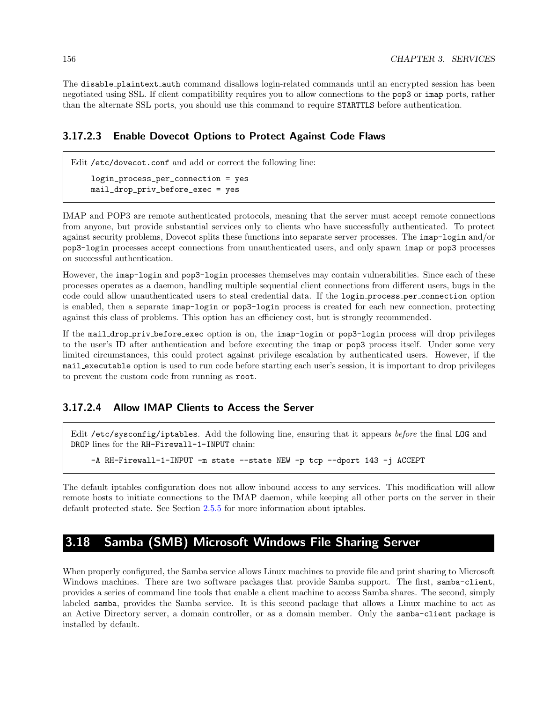The disable plaintext auth command disallows login-related commands until an encrypted session has been negotiated using SSL. If client compatibility requires you to allow connections to the pop3 or imap ports, rather than the alternate SSL ports, you should use this command to require STARTTLS before authentication.

#### 3.17.2.3 Enable Dovecot Options to Protect Against Code Flaws

Edit /etc/dovecot.conf and add or correct the following line:

login\_process\_per\_connection = yes mail\_drop\_priv\_before\_exec = yes

IMAP and POP3 are remote authenticated protocols, meaning that the server must accept remote connections from anyone, but provide substantial services only to clients who have successfully authenticated. To protect against security problems, Dovecot splits these functions into separate server processes. The imap-login and/or pop3-login processes accept connections from unauthenticated users, and only spawn imap or pop3 processes on successful authentication.

However, the imap-login and pop3-login processes themselves may contain vulnerabilities. Since each of these processes operates as a daemon, handling multiple sequential client connections from different users, bugs in the code could allow unauthenticated users to steal credential data. If the login process per connection option is enabled, then a separate imap-login or pop3-login process is created for each new connection, protecting against this class of problems. This option has an efficiency cost, but is strongly recommended.

If the mail drop priv before exec option is on, the imap-login or pop3-login process will drop privileges to the user's ID after authentication and before executing the imap or pop3 process itself. Under some very limited circumstances, this could protect against privilege escalation by authenticated users. However, if the mail executable option is used to run code before starting each user's session, it is important to drop privileges to prevent the custom code from running as root.

## 3.17.2.4 Allow IMAP Clients to Access the Server

Edit /etc/sysconfig/iptables. Add the following line, ensuring that it appears before the final LOG and DROP lines for the RH-Firewall-1-INPUT chain:

-A RH-Firewall-1-INPUT -m state --state NEW -p tcp --dport 143 -j ACCEPT

The default iptables configuration does not allow inbound access to any services. This modification will allow remote hosts to initiate connections to the IMAP daemon, while keeping all other ports on the server in their default protected state. See Section [2.5.5](#page-55-0) for more information about iptables.

# 3.18 Samba (SMB) Microsoft Windows File Sharing Server

When properly configured, the Samba service allows Linux machines to provide file and print sharing to Microsoft Windows machines. There are two software packages that provide Samba support. The first, samba-client, provides a series of command line tools that enable a client machine to access Samba shares. The second, simply labeled samba, provides the Samba service. It is this second package that allows a Linux machine to act as an Active Directory server, a domain controller, or as a domain member. Only the samba-client package is installed by default.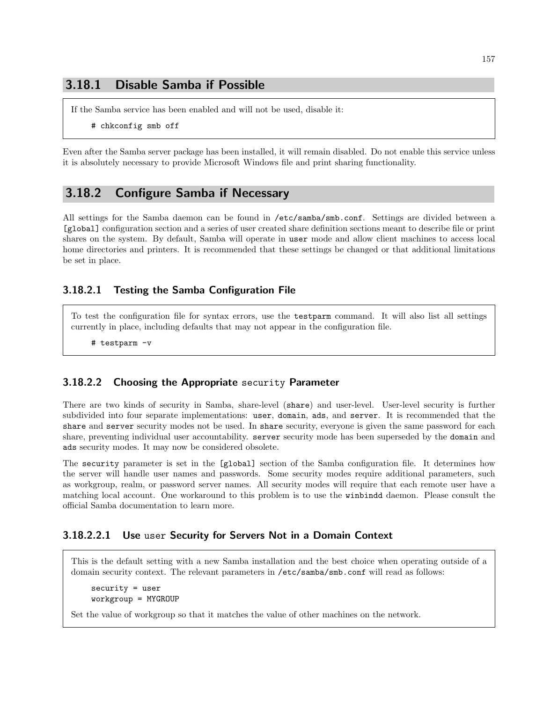# 3.18.1 Disable Samba if Possible

If the Samba service has been enabled and will not be used, disable it:

# chkconfig smb off

Even after the Samba server package has been installed, it will remain disabled. Do not enable this service unless it is absolutely necessary to provide Microsoft Windows file and print sharing functionality.

# 3.18.2 Configure Samba if Necessary

All settings for the Samba daemon can be found in /etc/samba/smb.conf. Settings are divided between a [global] configuration section and a series of user created share definition sections meant to describe file or print shares on the system. By default, Samba will operate in user mode and allow client machines to access local home directories and printers. It is recommended that these settings be changed or that additional limitations be set in place.

## 3.18.2.1 Testing the Samba Configuration File

To test the configuration file for syntax errors, use the testparm command. It will also list all settings currently in place, including defaults that may not appear in the configuration file.

# testparm -v

## 3.18.2.2 Choosing the Appropriate security Parameter

There are two kinds of security in Samba, share-level (share) and user-level. User-level security is further subdivided into four separate implementations: user, domain, ads, and server. It is recommended that the share and server security modes not be used. In share security, everyone is given the same password for each share, preventing individual user accountability. server security mode has been superseded by the domain and ads security modes. It may now be considered obsolete.

The security parameter is set in the [global] section of the Samba configuration file. It determines how the server will handle user names and passwords. Some security modes require additional parameters, such as workgroup, realm, or password server names. All security modes will require that each remote user have a matching local account. One workaround to this problem is to use the winbindd daemon. Please consult the official Samba documentation to learn more.

## 3.18.2.2.1 Use user Security for Servers Not in a Domain Context

This is the default setting with a new Samba installation and the best choice when operating outside of a domain security context. The relevant parameters in /etc/samba/smb.conf will read as follows:

```
security = user
workgroup = MYGROUP
```
Set the value of workgroup so that it matches the value of other machines on the network.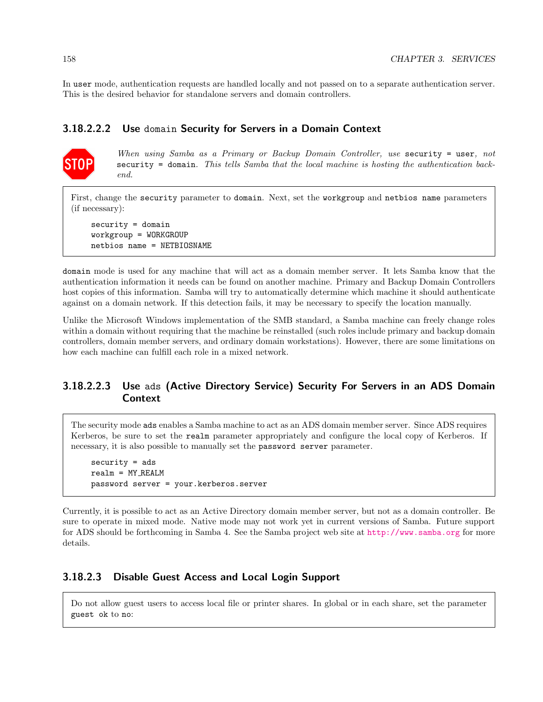In user mode, authentication requests are handled locally and not passed on to a separate authentication server. This is the desired behavior for standalone servers and domain controllers.

#### 3.18.2.2.2 Use domain Security for Servers in a Domain Context



When using Samba as a Primary or Backup Domain Controller, use security = user, not security = domain. This tells Samba that the local machine is hosting the authentication backend.

First, change the security parameter to domain. Next, set the workgroup and netbios name parameters (if necessary):

security = domain workgroup = WORKGROUP netbios name = NETBIOSNAME

domain mode is used for any machine that will act as a domain member server. It lets Samba know that the authentication information it needs can be found on another machine. Primary and Backup Domain Controllers host copies of this information. Samba will try to automatically determine which machine it should authenticate against on a domain network. If this detection fails, it may be necessary to specify the location manually.

Unlike the Microsoft Windows implementation of the SMB standard, a Samba machine can freely change roles within a domain without requiring that the machine be reinstalled (such roles include primary and backup domain controllers, domain member servers, and ordinary domain workstations). However, there are some limitations on how each machine can fulfill each role in a mixed network.

## 3.18.2.2.3 Use ads (Active Directory Service) Security For Servers in an ADS Domain **Context**

The security mode ads enables a Samba machine to act as an ADS domain member server. Since ADS requires Kerberos, be sure to set the realm parameter appropriately and configure the local copy of Kerberos. If necessary, it is also possible to manually set the password server parameter.

```
security = ads
realm = MY\_REALMpassword server = your.kerberos.server
```
Currently, it is possible to act as an Active Directory domain member server, but not as a domain controller. Be sure to operate in mixed mode. Native mode may not work yet in current versions of Samba. Future support for ADS should be forthcoming in Samba 4. See the Samba project web site at <http://www.samba.org> for more details.

#### 3.18.2.3 Disable Guest Access and Local Login Support

Do not allow guest users to access local file or printer shares. In global or in each share, set the parameter guest ok to no: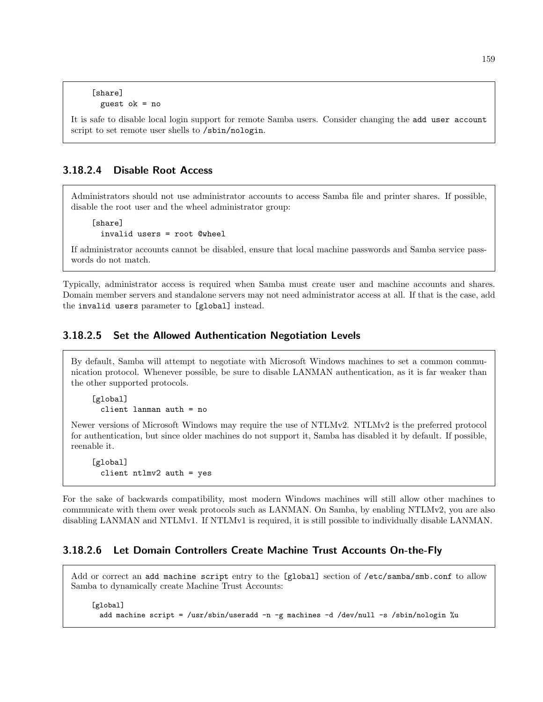[share] guest ok = no

It is safe to disable local login support for remote Samba users. Consider changing the add user account script to set remote user shells to /sbin/nologin.

#### 3.18.2.4 Disable Root Access

Administrators should not use administrator accounts to access Samba file and printer shares. If possible, disable the root user and the wheel administrator group:

[share] invalid users = root @wheel

If administrator accounts cannot be disabled, ensure that local machine passwords and Samba service passwords do not match.

Typically, administrator access is required when Samba must create user and machine accounts and shares. Domain member servers and standalone servers may not need administrator access at all. If that is the case, add the invalid users parameter to [global] instead.

#### 3.18.2.5 Set the Allowed Authentication Negotiation Levels

By default, Samba will attempt to negotiate with Microsoft Windows machines to set a common communication protocol. Whenever possible, be sure to disable LANMAN authentication, as it is far weaker than the other supported protocols.

[global] client lanman auth = no

Newer versions of Microsoft Windows may require the use of NTLMv2. NTLMv2 is the preferred protocol for authentication, but since older machines do not support it, Samba has disabled it by default. If possible, reenable it.

[global] client ntlmv2 auth = yes

For the sake of backwards compatibility, most modern Windows machines will still allow other machines to communicate with them over weak protocols such as LANMAN. On Samba, by enabling NTLMv2, you are also disabling LANMAN and NTLMv1. If NTLMv1 is required, it is still possible to individually disable LANMAN.

#### 3.18.2.6 Let Domain Controllers Create Machine Trust Accounts On-the-Fly

Add or correct an add machine script entry to the [global] section of /etc/samba/smb.conf to allow Samba to dynamically create Machine Trust Accounts:

[global] add machine script = /usr/sbin/useradd -n -g machines -d /dev/null -s /sbin/nologin %u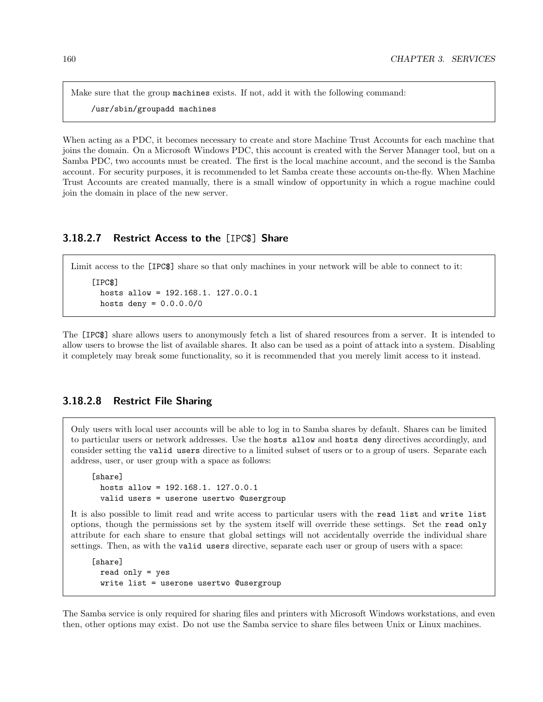Make sure that the group machines exists. If not, add it with the following command:

```
/usr/sbin/groupadd machines
```
When acting as a PDC, it becomes necessary to create and store Machine Trust Accounts for each machine that joins the domain. On a Microsoft Windows PDC, this account is created with the Server Manager tool, but on a Samba PDC, two accounts must be created. The first is the local machine account, and the second is the Samba account. For security purposes, it is recommended to let Samba create these accounts on-the-fly. When Machine Trust Accounts are created manually, there is a small window of opportunity in which a rogue machine could join the domain in place of the new server.

#### 3.18.2.7 Restrict Access to the [IPC\$] Share

Limit access to the [IPC\$] share so that only machines in your network will be able to connect to it: [IPC\$] hosts allow = 192.168.1. 127.0.0.1 hosts deny =  $0.0.0.0/0$ 

The [IPC\$] share allows users to anonymously fetch a list of shared resources from a server. It is intended to allow users to browse the list of available shares. It also can be used as a point of attack into a system. Disabling it completely may break some functionality, so it is recommended that you merely limit access to it instead.

### 3.18.2.8 Restrict File Sharing

Only users with local user accounts will be able to log in to Samba shares by default. Shares can be limited to particular users or network addresses. Use the hosts allow and hosts deny directives accordingly, and consider setting the valid users directive to a limited subset of users or to a group of users. Separate each address, user, or user group with a space as follows:

```
[share]
 hosts allow = 192.168.1. 127.0.0.1
 valid users = userone usertwo @usergroup
```
It is also possible to limit read and write access to particular users with the read list and write list options, though the permissions set by the system itself will override these settings. Set the read only attribute for each share to ensure that global settings will not accidentally override the individual share settings. Then, as with the valid users directive, separate each user or group of users with a space:

```
[share]
 read only = yes
 write list = userone usertwo @usergroup
```
The Samba service is only required for sharing files and printers with Microsoft Windows workstations, and even then, other options may exist. Do not use the Samba service to share files between Unix or Linux machines.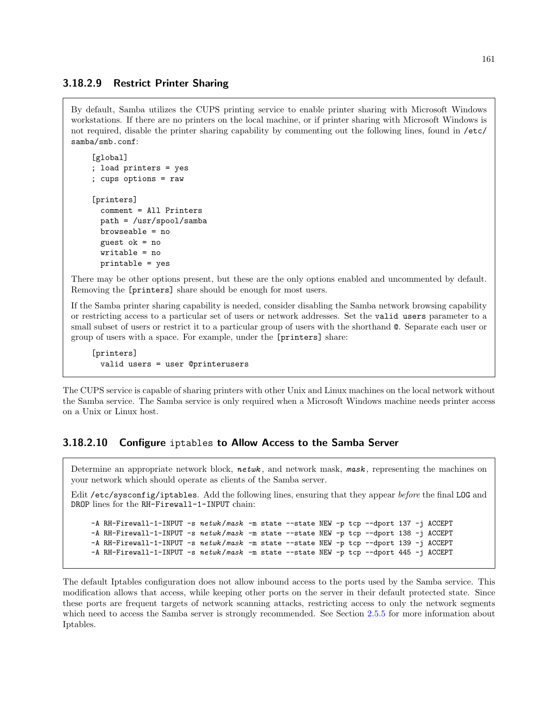#### 3.18.2.9 Restrict Printer Sharing

By default, Samba utilizes the CUPS printing service to enable printer sharing with Microsoft Windows workstations. If there are no printers on the local machine, or if printer sharing with Microsoft Windows is not required, disable the printer sharing capability by commenting out the following lines, found in /etc/ samba/smb.conf:

```
[global]
; load printers = yes
; cups options = raw
[printers]
 comment = All Printers
 path = /usr/spool/samba
 browseable = no
 guest ok = no
 writable = no
 printable = yes
```
There may be other options present, but these are the only options enabled and uncommented by default. Removing the [printers] share should be enough for most users.

If the Samba printer sharing capability is needed, consider disabling the Samba network browsing capability or restricting access to a particular set of users or network addresses. Set the valid users parameter to a small subset of users or restrict it to a particular group of users with the shorthand  $\mathbf{C}$ . Separate each user or group of users with a space. For example, under the [printers] share:

[printers] valid users = user @printerusers

The CUPS service is capable of sharing printers with other Unix and Linux machines on the local network without the Samba service. The Samba service is only required when a Microsoft Windows machine needs printer access on a Unix or Linux host.

#### 3.18.2.10 Configure iptables to Allow Access to the Samba Server

Determine an appropriate network block, **netwh**, and network mask, mask, representing the machines on your network which should operate as clients of the Samba server.

Edit /etc/sysconfig/iptables. Add the following lines, ensuring that they appear before the final LOG and DROP lines for the RH-Firewall-1-INPUT chain:

```
-A RH-Firewall-1-INPUT -s netwk /mask -m state --state NEW -p tcp --dport 137 -j ACCEPT
-A RH-Firewall-1-INPUT -s netwk /mask -m state --state NEW -p tcp --dport 138 -j ACCEPT
-A RH-Firewall-1-INPUT -s netwk/mask -m state --state NEW -p tcp --dport 139 -j ACCEPT
-A RH-Firewall-1-INPUT -s netwk /mask -m state --state NEW -p tcp --dport 445 -j ACCEPT
```
The default Iptables configuration does not allow inbound access to the ports used by the Samba service. This modification allows that access, while keeping other ports on the server in their default protected state. Since these ports are frequent targets of network scanning attacks, restricting access to only the network segments which need to access the Samba server is strongly recommended. See Section [2.5.5](#page-55-0) for more information about Iptables.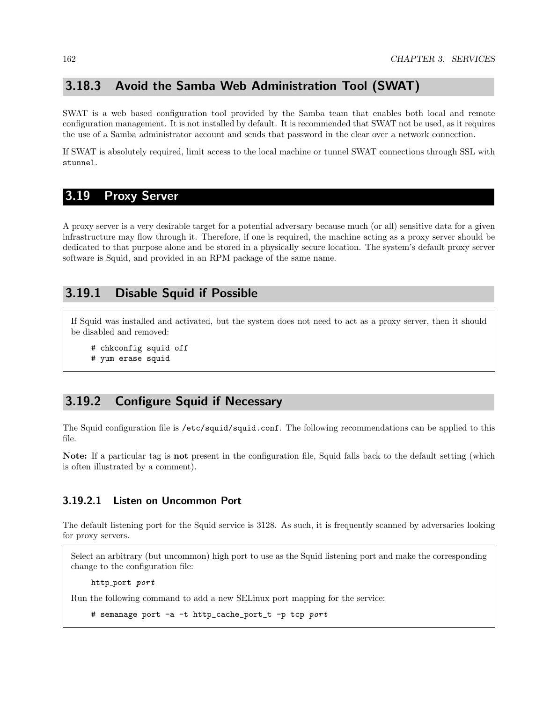# 3.18.3 Avoid the Samba Web Administration Tool (SWAT)

SWAT is a web based configuration tool provided by the Samba team that enables both local and remote configuration management. It is not installed by default. It is recommended that SWAT not be used, as it requires the use of a Samba administrator account and sends that password in the clear over a network connection.

If SWAT is absolutely required, limit access to the local machine or tunnel SWAT connections through SSL with stunnel.

# 3.19 Proxy Server

A proxy server is a very desirable target for a potential adversary because much (or all) sensitive data for a given infrastructure may flow through it. Therefore, if one is required, the machine acting as a proxy server should be dedicated to that purpose alone and be stored in a physically secure location. The system's default proxy server software is Squid, and provided in an RPM package of the same name.

# 3.19.1 Disable Squid if Possible

If Squid was installed and activated, but the system does not need to act as a proxy server, then it should be disabled and removed:

# chkconfig squid off # yum erase squid

# <span id="page-161-0"></span>3.19.2 Configure Squid if Necessary

The Squid configuration file is /etc/squid/squid.conf. The following recommendations can be applied to this file.

Note: If a particular tag is not present in the configuration file, Squid falls back to the default setting (which is often illustrated by a comment).

#### <span id="page-161-1"></span>3.19.2.1 Listen on Uncommon Port

The default listening port for the Squid service is 3128. As such, it is frequently scanned by adversaries looking for proxy servers.

Select an arbitrary (but uncommon) high port to use as the Squid listening port and make the corresponding change to the configuration file:

http port port

Run the following command to add a new SELinux port mapping for the service:

# semanage port -a -t http\_cache\_port\_t -p tcp port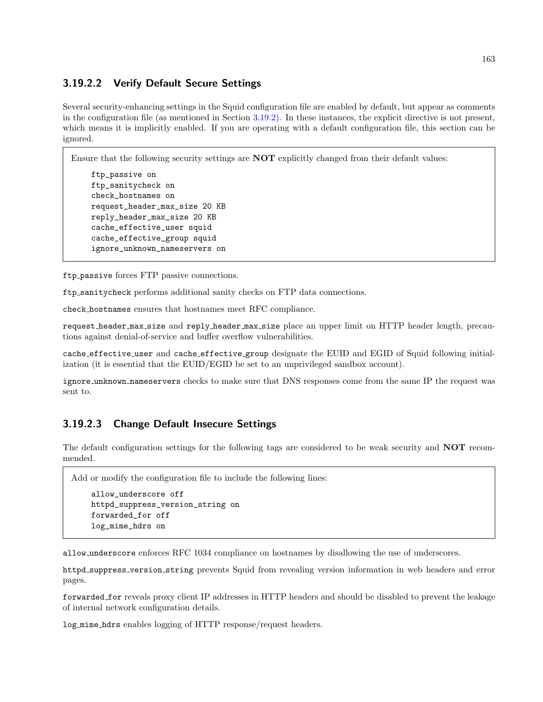## 3.19.2.2 Verify Default Secure Settings

Several security-enhancing settings in the Squid configuration file are enabled by default, but appear as comments in the configuration file (as mentioned in Section [3.19.2\)](#page-161-0). In these instances, the explicit directive is not present, which means it is implicitly enabled. If you are operating with a default configuration file, this section can be ignored.

Ensure that the following security settings are NOT explicitly changed from their default values:

```
ftp_passive on
ftp_sanitycheck on
check_hostnames on
request_header_max_size 20 KB
reply_header_max_size 20 KB
cache_effective_user squid
cache_effective_group squid
ignore_unknown_nameservers on
```
ftp passive forces FTP passive connections.

ftp sanitycheck performs additional sanity checks on FTP data connections.

check hostnames ensures that hostnames meet RFC compliance.

request header max size and reply header max size place an upper limit on HTTP header length, precautions against denial-of-service and buffer overflow vulnerabilities.

cache effective user and cache effective group designate the EUID and EGID of Squid following initialization (it is essential that the EUID/EGID be set to an unprivileged sandbox account).

ignore unknown nameservers checks to make sure that DNS responses come from the same IP the request was sent to.

# 3.19.2.3 Change Default Insecure Settings

The default configuration settings for the following tags are considered to be weak security and NOT recommended.

```
Add or modify the configuration file to include the following lines:
```

```
allow_underscore off
httpd_suppress_version_string on
forwarded_for off
log_mime_hdrs on
```
allow underscore enforces RFC 1034 compliance on hostnames by disallowing the use of underscores.

httpd\_suppress\_version\_string prevents Squid from revealing version information in web headers and error pages.

forwarded for reveals proxy client IP addresses in HTTP headers and should be disabled to prevent the leakage of internal network configuration details.

log mime hdrs enables logging of HTTP response/request headers.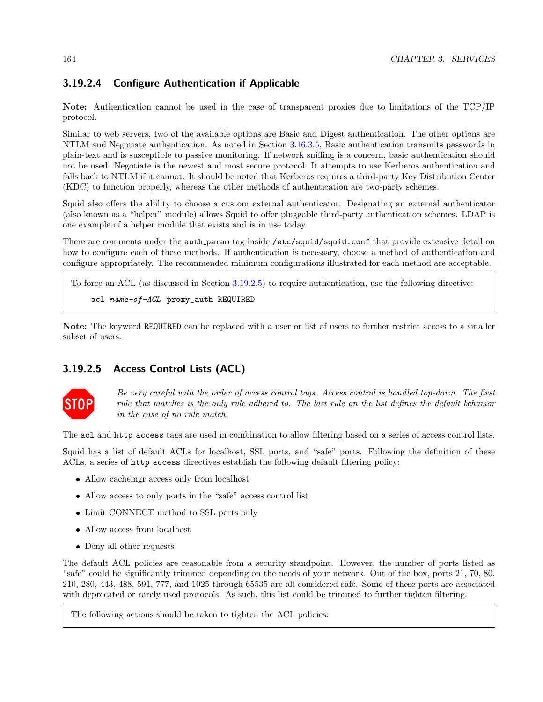# 3.19.2.4 Configure Authentication if Applicable

Note: Authentication cannot be used in the case of transparent proxies due to limitations of the TCP/IP protocol.

Similar to web servers, two of the available options are Basic and Digest authentication. The other options are NTLM and Negotiate authentication. As noted in Section [3.16.3.5,](#page-145-0) Basic authentication transmits passwords in plain-text and is susceptible to passive monitoring. If network sniffing is a concern, basic authentication should not be used. Negotiate is the newest and most secure protocol. It attempts to use Kerberos authentication and falls back to NTLM if it cannot. It should be noted that Kerberos requires a third-party Key Distribution Center (KDC) to function properly, whereas the other methods of authentication are two-party schemes.

Squid also offers the ability to choose a custom external authenticator. Designating an external authenticator (also known as a "helper" module) allows Squid to offer pluggable third-party authentication schemes. LDAP is one example of a helper module that exists and is in use today.

There are comments under the auth param tag inside /etc/squid/squid.conf that provide extensive detail on how to configure each of these methods. If authentication is necessary, choose a method of authentication and configure appropriately. The recommended minimum configurations illustrated for each method are acceptable.

To force an ACL (as discussed in Section [3.19.2.5\)](#page-163-0) to require authentication, use the following directive:

acl name-of-ACL proxy\_auth REQUIRED

Note: The keyword REQUIRED can be replaced with a user or list of users to further restrict access to a smaller subset of users.

# <span id="page-163-0"></span>3.19.2.5 Access Control Lists (ACL)



Be very careful with the order of access control tags. Access control is handled top-down. The first rule that matches is the only rule adhered to. The last rule on the list defines the default behavior in the case of no rule match.

The acl and http access tags are used in combination to allow filtering based on a series of access control lists.

Squid has a list of default ACLs for localhost, SSL ports, and "safe" ports. Following the definition of these ACLs, a series of http access directives establish the following default filtering policy:

- Allow cachemgr access only from localhost
- Allow access to only ports in the "safe" access control list
- Limit CONNECT method to SSL ports only
- Allow access from localhost
- Deny all other requests

The default ACL policies are reasonable from a security standpoint. However, the number of ports listed as "safe" could be significantly trimmed depending on the needs of your network. Out of the box, ports 21, 70, 80, 210, 280, 443, 488, 591, 777, and 1025 through 65535 are all considered safe. Some of these ports are associated with deprecated or rarely used protocols. As such, this list could be trimmed to further tighten filtering.

The following actions should be taken to tighten the ACL policies: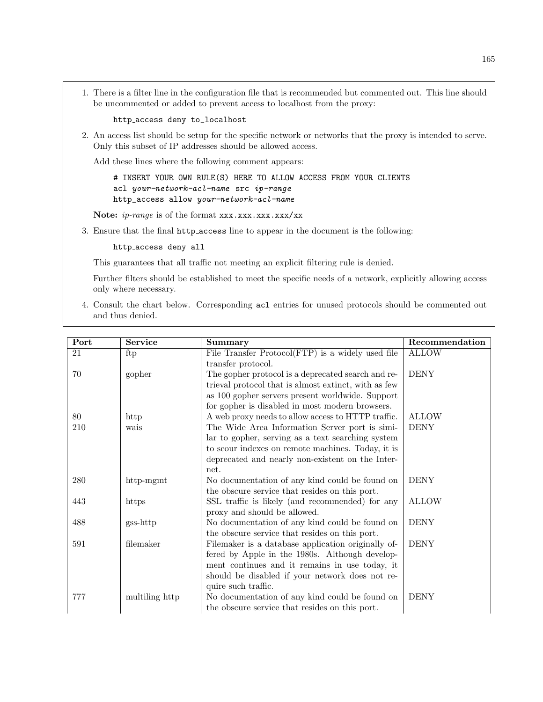1. There is a filter line in the configuration file that is recommended but commented out. This line should be uncommented or added to prevent access to localhost from the proxy:

http\_access deny to\_localhost

2. An access list should be setup for the specific network or networks that the proxy is intended to serve. Only this subset of IP addresses should be allowed access.

Add these lines where the following comment appears:

# INSERT YOUR OWN RULE(S) HERE TO ALLOW ACCESS FROM YOUR CLIENTS acl your-network-acl-name src ip-range http\_access allow your-network-acl-name

Note: *ip-range* is of the format xxx.xxx.xxx.xxx/xx

3. Ensure that the final http access line to appear in the document is the following:

http\_access deny all

This guarantees that all traffic not meeting an explicit filtering rule is denied.

Further filters should be established to meet the specific needs of a network, explicitly allowing access only where necessary.

4. Consult the chart below. Corresponding acl entries for unused protocols should be commented out and thus denied.

| Port | <b>Service</b> | Summary                                                               | Recommendation |
|------|----------------|-----------------------------------------------------------------------|----------------|
| 21   | ftp            | File Transfer Protocol(FTP) is a widely used file                     | <b>ALLOW</b>   |
|      |                | transfer protocol.                                                    |                |
| 70   | gopher         | The gopher protocol is a deprecated search and re-                    | <b>DENY</b>    |
|      |                | trieval protocol that is almost extinct, with as few                  |                |
|      |                | as 100 gopher servers present worldwide. Support                      |                |
|      |                | for gopher is disabled in most modern browsers.                       |                |
| 80   | http           | A web proxy needs to allow access to HTTP traffic.                    | <b>ALLOW</b>   |
| 210  | wais           | The Wide Area Information Server port is simi-                        | <b>DENY</b>    |
|      |                | lar to gopher, serving as a text searching system                     |                |
|      |                | to scour indexes on remote machines. Today, it is                     |                |
|      |                | deprecated and nearly non-existent on the Inter-                      |                |
|      |                | net.                                                                  |                |
| 280  | http-mgmt      | No documentation of any kind could be found on                        | <b>DENY</b>    |
|      |                | the obscure service that resides on this port.                        |                |
| 443  | https          | SSL traffic is likely (and recommended) for any                       | <b>ALLOW</b>   |
|      |                | proxy and should be allowed.                                          |                |
| 488  | gss-http       | No documentation of any kind could be found on                        | <b>DENY</b>    |
|      |                | the obscure service that resides on this port.                        |                |
| 591  | filemaker      | Filemaker is a database application originally of-                    | <b>DENY</b>    |
|      |                | fered by Apple in the 1980s. Although develop-                        |                |
|      |                | ment continues and it remains in use today, it                        |                |
|      |                | should be disabled if your network does not re-                       |                |
| 777  | multiling http | quire such traffic.<br>No documentation of any kind could be found on | <b>DENY</b>    |
|      |                | the obscure service that resides on this port.                        |                |
|      |                |                                                                       |                |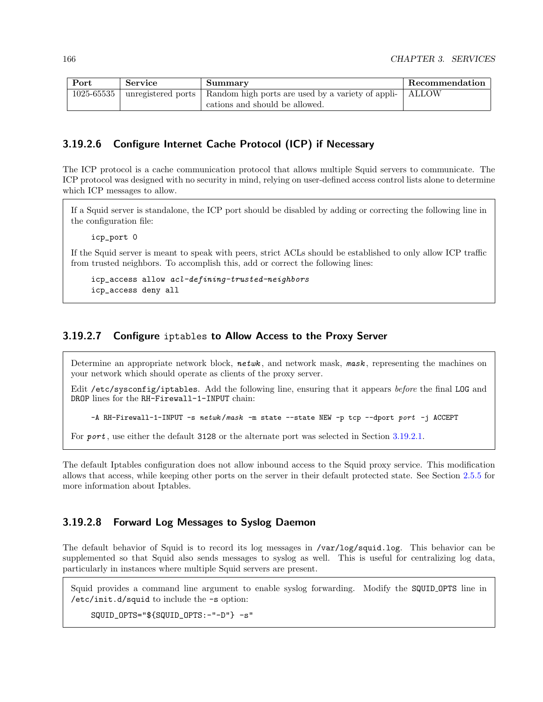| Port       | Service            | Summary                                                   | Recommendation |
|------------|--------------------|-----------------------------------------------------------|----------------|
| 1025-65535 | unregistered ports | Random high ports are used by a variety of appli-   ALLOW |                |
|            |                    | cations and should be allowed.                            |                |

#### 3.19.2.6 Configure Internet Cache Protocol (ICP) if Necessary

The ICP protocol is a cache communication protocol that allows multiple Squid servers to communicate. The ICP protocol was designed with no security in mind, relying on user-defined access control lists alone to determine which ICP messages to allow.

If a Squid server is standalone, the ICP port should be disabled by adding or correcting the following line in the configuration file:

icp\_port 0

If the Squid server is meant to speak with peers, strict ACLs should be established to only allow ICP traffic from trusted neighbors. To accomplish this, add or correct the following lines:

icp\_access allow acl-defining-trusted-neighbors icp\_access deny all

#### 3.19.2.7 Configure iptables to Allow Access to the Proxy Server

Determine an appropriate network block,  $network$ , and network mask,  $mask$ , representing the machines on your network which should operate as clients of the proxy server.

Edit /etc/sysconfig/iptables. Add the following line, ensuring that it appears before the final LOG and DROP lines for the RH-Firewall-1-INPUT chain:

-A RH-Firewall-1-INPUT -s  $network$  /mask -m state --state NEW -p tcp --dport port -j ACCEPT

For *port*, use either the default 3128 or the alternate port was selected in Section [3.19.2.1.](#page-161-1)

The default Iptables configuration does not allow inbound access to the Squid proxy service. This modification allows that access, while keeping other ports on the server in their default protected state. See Section [2.5.5](#page-55-0) for more information about Iptables.

## 3.19.2.8 Forward Log Messages to Syslog Daemon

The default behavior of Squid is to record its log messages in /var/log/squid.log. This behavior can be supplemented so that Squid also sends messages to syslog as well. This is useful for centralizing log data, particularly in instances where multiple Squid servers are present.

Squid provides a command line argument to enable syslog forwarding. Modify the SQUID OPTS line in /etc/init.d/squid to include the -s option:

SQUID\_OPTS="\${SQUID\_OPTS:-"-D"} -s"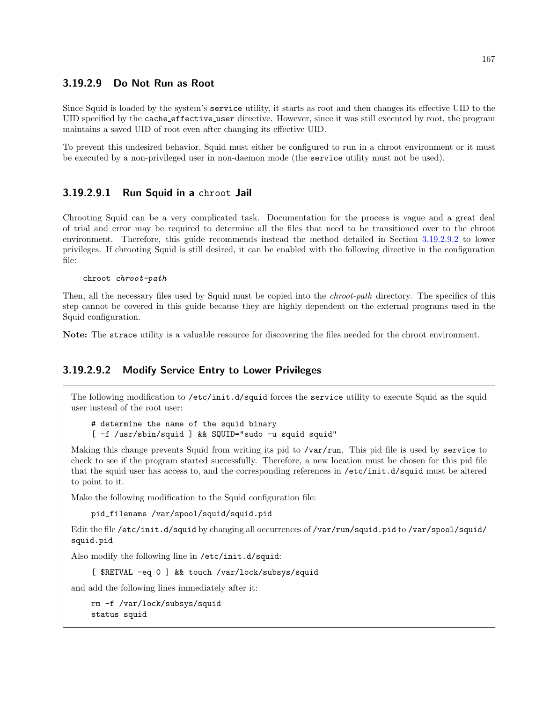## 3.19.2.9 Do Not Run as Root

Since Squid is loaded by the system's service utility, it starts as root and then changes its effective UID to the UID specified by the cache effective user directive. However, since it was still executed by root, the program maintains a saved UID of root even after changing its effective UID.

To prevent this undesired behavior, Squid must either be configured to run in a chroot environment or it must be executed by a non-privileged user in non-daemon mode (the service utility must not be used).

## 3.19.2.9.1 Run Squid in a chroot Jail

Chrooting Squid can be a very complicated task. Documentation for the process is vague and a great deal of trial and error may be required to determine all the files that need to be transitioned over to the chroot environment. Therefore, this guide recommends instead the method detailed in Section [3.19.2.9.2](#page-166-0) to lower privileges. If chrooting Squid is still desired, it can be enabled with the following directive in the configuration file:

```
chroot chroot-path
```
Then, all the necessary files used by Squid must be copied into the *chroot-path* directory. The specifics of this step cannot be covered in this guide because they are highly dependent on the external programs used in the Squid configuration.

Note: The strace utility is a valuable resource for discovering the files needed for the chroot environment.

## <span id="page-166-0"></span>3.19.2.9.2 Modify Service Entry to Lower Privileges

The following modification to /etc/init.d/squid forces the service utility to execute Squid as the squid user instead of the root user:

# determine the name of the squid binary [ -f /usr/sbin/squid ] && SQUID="sudo -u squid squid"

Making this change prevents Squid from writing its pid to /var/run. This pid file is used by service to check to see if the program started successfully. Therefore, a new location must be chosen for this pid file that the squid user has access to, and the corresponding references in /etc/init.d/squid must be altered to point to it.

Make the following modification to the Squid configuration file:

pid\_filename /var/spool/squid/squid.pid

Edit the file /etc/init.d/squid by changing all occurrences of /var/run/squid.pid to /var/spool/squid/ squid.pid

Also modify the following line in /etc/init.d/squid:

[ \$RETVAL -eq 0 ] && touch /var/lock/subsys/squid

and add the following lines immediately after it:

rm -f /var/lock/subsys/squid status squid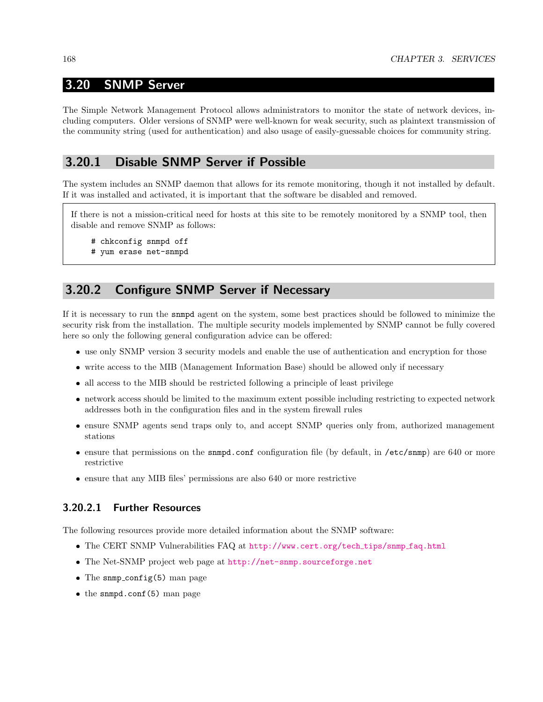## 3.20 SNMP Server

The Simple Network Management Protocol allows administrators to monitor the state of network devices, including computers. Older versions of SNMP were well-known for weak security, such as plaintext transmission of the community string (used for authentication) and also usage of easily-guessable choices for community string.

## 3.20.1 Disable SNMP Server if Possible

The system includes an SNMP daemon that allows for its remote monitoring, though it not installed by default. If it was installed and activated, it is important that the software be disabled and removed.

If there is not a mission-critical need for hosts at this site to be remotely monitored by a SNMP tool, then disable and remove SNMP as follows:

# chkconfig snmpd off # yum erase net-snmpd

# 3.20.2 Configure SNMP Server if Necessary

If it is necessary to run the snmpd agent on the system, some best practices should be followed to minimize the security risk from the installation. The multiple security models implemented by SNMP cannot be fully covered here so only the following general configuration advice can be offered:

- use only SNMP version 3 security models and enable the use of authentication and encryption for those
- write access to the MIB (Management Information Base) should be allowed only if necessary
- all access to the MIB should be restricted following a principle of least privilege
- network access should be limited to the maximum extent possible including restricting to expected network addresses both in the configuration files and in the system firewall rules
- ensure SNMP agents send traps only to, and accept SNMP queries only from, authorized management stations
- ensure that permissions on the snmpd.conf configuration file (by default, in /etc/snmp) are 640 or more restrictive
- ensure that any MIB files' permissions are also 640 or more restrictive

#### 3.20.2.1 Further Resources

The following resources provide more detailed information about the SNMP software:

- The CERT SNMP Vulnerabilities FAQ at [http://www.cert.org/tech](http://www.cert.org/tech_tips/snmp_faq.html) tips/snmp faq.html
- The Net-SNMP project web page at <http://net-snmp.sourceforge.net>
- The snmp config(5) man page
- the snmpd.conf(5) man page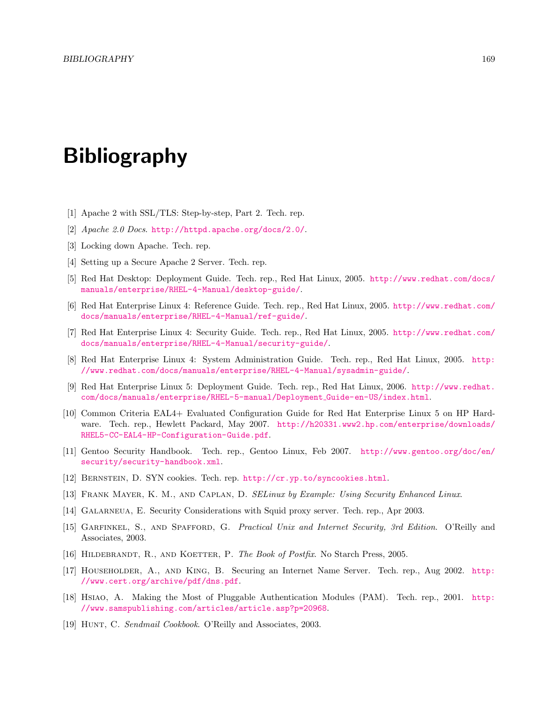# Bibliography

- [1] Apache 2 with SSL/TLS: Step-by-step, Part 2. Tech. rep.
- [2] Apache 2.0 Docs. <http://httpd.apache.org/docs/2.0/>.
- [3] Locking down Apache. Tech. rep.
- [4] Setting up a Secure Apache 2 Server. Tech. rep.
- [5] Red Hat Desktop: Deployment Guide. Tech. rep., Red Hat Linux, 2005. [http://www.redhat.com/docs/](http://www.redhat.com/docs/manuals/enterprise/RHEL-4-Manual/desktop-guide/) [manuals/enterprise/RHEL-4-Manual/desktop-guide/](http://www.redhat.com/docs/manuals/enterprise/RHEL-4-Manual/desktop-guide/).
- [6] Red Hat Enterprise Linux 4: Reference Guide. Tech. rep., Red Hat Linux, 2005. [http://www.redhat.com/](http://www.redhat.com/docs/manuals/enterprise/RHEL-4-Manual/ref-guide/) [docs/manuals/enterprise/RHEL-4-Manual/ref-guide/](http://www.redhat.com/docs/manuals/enterprise/RHEL-4-Manual/ref-guide/).
- [7] Red Hat Enterprise Linux 4: Security Guide. Tech. rep., Red Hat Linux, 2005. [http://www.redhat.com/](http://www.redhat.com/docs/manuals/enterprise/RHEL-4-Manual/security-guide/) [docs/manuals/enterprise/RHEL-4-Manual/security-guide/](http://www.redhat.com/docs/manuals/enterprise/RHEL-4-Manual/security-guide/).
- [8] Red Hat Enterprise Linux 4: System Administration Guide. Tech. rep., Red Hat Linux, 2005. [http:](http://www.redhat.com/docs/manuals/enterprise/RHEL-4-Manual/sysadmin-guide/) [//www.redhat.com/docs/manuals/enterprise/RHEL-4-Manual/sysadmin-guide/](http://www.redhat.com/docs/manuals/enterprise/RHEL-4-Manual/sysadmin-guide/).
- [9] Red Hat Enterprise Linux 5: Deployment Guide. Tech. rep., Red Hat Linux, 2006. [http://www.redhat.](http://www.redhat.com/docs/manuals/enterprise/RHEL-5-manual/Deployment_Guide-en-US/index.html) [com/docs/manuals/enterprise/RHEL-5-manual/Deployment](http://www.redhat.com/docs/manuals/enterprise/RHEL-5-manual/Deployment_Guide-en-US/index.html) Guide-en-US/index.html.
- [10] Common Criteria EAL4+ Evaluated Configuration Guide for Red Hat Enterprise Linux 5 on HP Hardware. Tech. rep., Hewlett Packard, May 2007. [http://h20331.www2.hp.com/enterprise/downloads/](http://h20331.www2.hp.com/enterprise/downloads/RHEL5-CC-EAL4-HP-Configuration-Guide.pdf) [RHEL5-CC-EAL4-HP-Configuration-Guide.pdf](http://h20331.www2.hp.com/enterprise/downloads/RHEL5-CC-EAL4-HP-Configuration-Guide.pdf).
- [11] Gentoo Security Handbook. Tech. rep., Gentoo Linux, Feb 2007. [http://www.gentoo.org/doc/en/](http://www.gentoo.org/doc/en/security/security-handbook.xml) [security/security-handbook.xml](http://www.gentoo.org/doc/en/security/security-handbook.xml).
- [12] Bernstein, D. SYN cookies. Tech. rep. <http://cr.yp.to/syncookies.html>.
- [13] Frank Mayer, K. M., and Caplan, D. SELinux by Example: Using Security Enhanced Linux.
- [14] Galarneua, E. Security Considerations with Squid proxy server. Tech. rep., Apr 2003.
- [15] GARFINKEL, S., AND SPAFFORD, G. Practical Unix and Internet Security, 3rd Edition. O'Reilly and Associates, 2003.
- [16] HILDEBRANDT, R., AND KOETTER, P. The Book of Postfix. No Starch Press, 2005.
- [17] Householder, A., and King, B. Securing an Internet Name Server. Tech. rep., Aug 2002. [http:](http://www.cert.org/archive/pdf/dns.pdf) [//www.cert.org/archive/pdf/dns.pdf](http://www.cert.org/archive/pdf/dns.pdf).
- [18] Hsiao, A. Making the Most of Pluggable Authentication Modules (PAM). Tech. rep., 2001. [http:](http://www.samspublishing.com/articles/article.asp?p=20968) [//www.samspublishing.com/articles/article.asp?p=20968](http://www.samspublishing.com/articles/article.asp?p=20968).
- [19] HUNT, C. Sendmail Cookbook. O'Reilly and Associates, 2003.